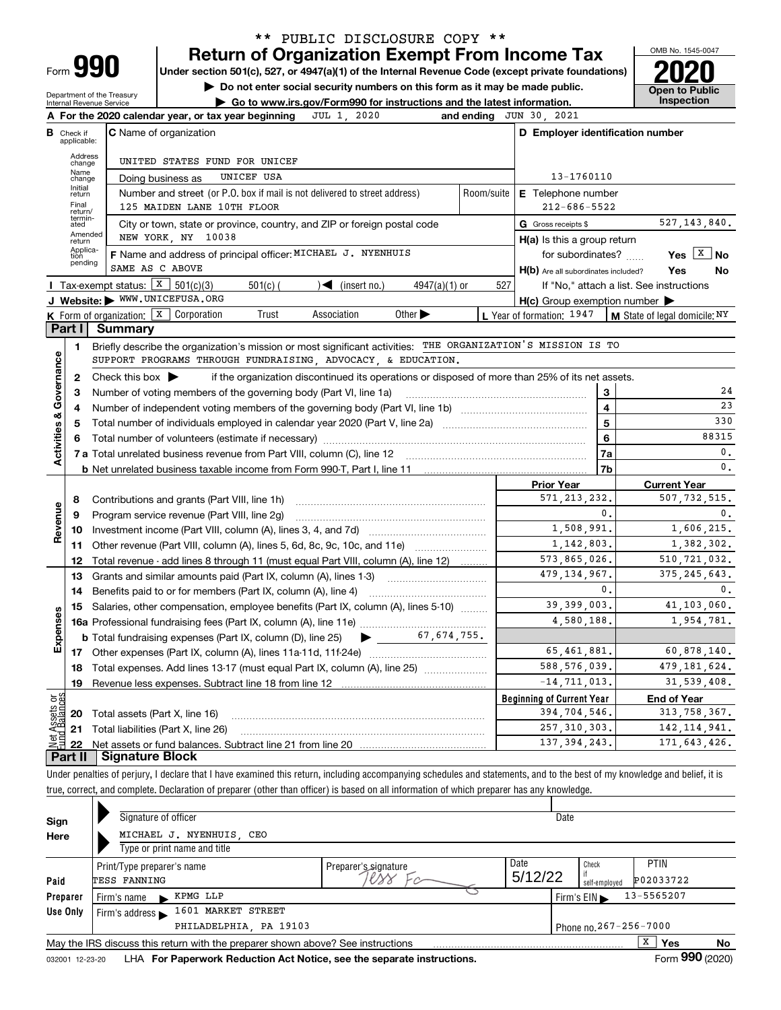| -orm |  |
|------|--|

# **Return of Organization Exempt From Income Tax** \*\* PUBLIC DISCLOSURE COPY \*\*

**Under section 501(c), 527, or 4947(a)(1) of the Internal Revenue Code (except private foundations) 2020**

**| Do not enter social security numbers on this form as it may be made public.**

Department of the Treasury Internal Revenue Service

**| Go to www.irs.gov/Form990 for instructions and the latest information. Inspection**



| <b>C</b> Name of organization<br>D Employer identification number<br>в<br>Check if<br>applicable:<br>Address<br>UNITED STATES FUND FOR UNICEF<br>change<br>Name<br>UNICEF USA<br>13-1760110<br>Doing business as<br>change<br>Initial<br>Number and street (or P.O. box if mail is not delivered to street address)<br>Room/suite<br>E Telephone number<br>return<br>Final<br>125 MAIDEN LANE 10TH FLOOR<br>$212 - 686 - 5522$<br>return/<br>termin-<br>ated<br>527, 143, 840.<br>City or town, state or province, country, and ZIP or foreign postal code<br>G Gross receipts \$<br>Amended<br>NEW YORK, NY 10038<br>$H(a)$ is this a group return<br>return<br>Applica-<br>F Name and address of principal officer: MICHAEL J. NYENHUIS<br>Yes $X$<br><b>No</b><br>for subordinates?<br>tion<br>pending<br>SAME AS C ABOVE<br>H(b) Are all subordinates included?<br>Yes<br>No<br>Tax-exempt status: $X \ 501(c)(3)$<br>$501(c)$ (<br>$\sqrt{\left( \text{insert no.} \right)}$<br>$4947(a)(1)$ or<br>527<br>If "No," attach a list. See instructions<br>J Website: WWW.UNICEFUSA.ORG<br>$H(c)$ Group exemption number $\blacktriangleright$<br>K Form of organization: X Corporation<br>Trust<br>Association<br>Other $\blacktriangleright$<br>L Year of formation: $1947$<br>$\vert$ M State of legal domicile; NY<br>Part I<br><b>Summary</b><br>Briefly describe the organization's mission or most significant activities: THE ORGANIZATION'S MISSION IS TO<br>1<br>Governance<br>SUPPORT PROGRAMS THROUGH FUNDRAISING, ADVOCACY, & EDUCATION.<br>Check this box $\blacktriangleright$<br>if the organization discontinued its operations or disposed of more than 25% of its net assets.<br>$\mathbf{2}$<br>24<br>3<br>з<br>Number of voting members of the governing body (Part VI, line 1a)<br>23<br>$\overline{\mathbf{4}}$<br>4<br><b>Activities &amp;</b><br>330<br>5<br>5<br>88315<br>6<br>6<br>$\mathbf{0}$ .<br>7a<br>$\mathbf{0}$ .<br>7b<br><b>Prior Year</b><br><b>Current Year</b><br>571, 213, 232.<br>507, 732, 515.<br>8<br>Contributions and grants (Part VIII, line 1h)<br>Revenue<br>0.<br>$\mathbf{0}$ .<br>9<br>Program service revenue (Part VIII, line 2g)<br>1,508,991.<br>1,606,215.<br>10<br>Investment income (Part VIII, column (A), lines 3, 4, and 7d) <i>manon continuous</i> contained<br>1, 142, 803.<br>1,382,302.<br>11<br>Other revenue (Part VIII, column (A), lines 5, 6d, 8c, 9c, 10c, and 11e)<br>573,865,026.<br>510, 721, 032.<br>Total revenue - add lines 8 through 11 (must equal Part VIII, column (A), line 12)<br>12<br>479, 134, 967.<br>375, 245, 643.<br>13<br>Grants and similar amounts paid (Part IX, column (A), lines 1-3) <i>managerous</i> controller<br>0.<br>$\mathbf{0}$ .<br>14<br>39, 399, 003.<br>41, 103, 060.<br>Salaries, other compensation, employee benefits (Part IX, column (A), lines 5-10)<br>15<br>Expenses<br>4,580,188.<br>1,954,781.<br><b>b</b> Total fundraising expenses (Part IX, column (D), line 25)<br>65,461,881.<br>60,878,140.<br>588, 576, 039.<br>479, 181, 624.<br>Total expenses. Add lines 13-17 (must equal Part IX, column (A), line 25) [<br>18<br>$-14, 711, 013.$<br>31,539,408.<br>19<br>ag<br><b>Beginning of Current Year</b><br><b>End of Year</b><br>Assets<br>1 Balanc<br>394,704,546.<br>313, 758, 367.<br>20 Total assets (Part X, line 16)<br>257, 310, 303.<br>142, 114, 941.<br>21 Total liabilities (Part X, line 26) |     | A For the 2020 calendar year, or tax year beginning<br>JUL 1.<br>2020 | and ending | JUN 30, 2021 |  |  |  |  |  |  |  |  |  |
|--------------------------------------------------------------------------------------------------------------------------------------------------------------------------------------------------------------------------------------------------------------------------------------------------------------------------------------------------------------------------------------------------------------------------------------------------------------------------------------------------------------------------------------------------------------------------------------------------------------------------------------------------------------------------------------------------------------------------------------------------------------------------------------------------------------------------------------------------------------------------------------------------------------------------------------------------------------------------------------------------------------------------------------------------------------------------------------------------------------------------------------------------------------------------------------------------------------------------------------------------------------------------------------------------------------------------------------------------------------------------------------------------------------------------------------------------------------------------------------------------------------------------------------------------------------------------------------------------------------------------------------------------------------------------------------------------------------------------------------------------------------------------------------------------------------------------------------------------------------------------------------------------------------------------------------------------------------------------------------------------------------------------------------------------------------------------------------------------------------------------------------------------------------------------------------------------------------------------------------------------------------------------------------------------------------------------------------------------------------------------------------------------------------------------------------------------------------------------------------------------------------------------------------------------------------------------------------------------------------------------------------------------------------------------------------------------------------------------------------------------------------------------------------------------------------------------------------------------------------------------------------------------------------------------------------------------------------------------------------------------------------------------------------------------------------------------------------------------------------------------------------------------------------------------------------------------------------------------------------------------------------------------------------------------------------------------------------------------------------------------------------------------------------------------------------------|-----|-----------------------------------------------------------------------|------------|--------------|--|--|--|--|--|--|--|--|--|
|                                                                                                                                                                                                                                                                                                                                                                                                                                                                                                                                                                                                                                                                                                                                                                                                                                                                                                                                                                                                                                                                                                                                                                                                                                                                                                                                                                                                                                                                                                                                                                                                                                                                                                                                                                                                                                                                                                                                                                                                                                                                                                                                                                                                                                                                                                                                                                                                                                                                                                                                                                                                                                                                                                                                                                                                                                                                                                                                                                                                                                                                                                                                                                                                                                                                                                                                                                                                                                            |     |                                                                       |            |              |  |  |  |  |  |  |  |  |  |
|                                                                                                                                                                                                                                                                                                                                                                                                                                                                                                                                                                                                                                                                                                                                                                                                                                                                                                                                                                                                                                                                                                                                                                                                                                                                                                                                                                                                                                                                                                                                                                                                                                                                                                                                                                                                                                                                                                                                                                                                                                                                                                                                                                                                                                                                                                                                                                                                                                                                                                                                                                                                                                                                                                                                                                                                                                                                                                                                                                                                                                                                                                                                                                                                                                                                                                                                                                                                                                            |     |                                                                       |            |              |  |  |  |  |  |  |  |  |  |
|                                                                                                                                                                                                                                                                                                                                                                                                                                                                                                                                                                                                                                                                                                                                                                                                                                                                                                                                                                                                                                                                                                                                                                                                                                                                                                                                                                                                                                                                                                                                                                                                                                                                                                                                                                                                                                                                                                                                                                                                                                                                                                                                                                                                                                                                                                                                                                                                                                                                                                                                                                                                                                                                                                                                                                                                                                                                                                                                                                                                                                                                                                                                                                                                                                                                                                                                                                                                                                            |     |                                                                       |            |              |  |  |  |  |  |  |  |  |  |
|                                                                                                                                                                                                                                                                                                                                                                                                                                                                                                                                                                                                                                                                                                                                                                                                                                                                                                                                                                                                                                                                                                                                                                                                                                                                                                                                                                                                                                                                                                                                                                                                                                                                                                                                                                                                                                                                                                                                                                                                                                                                                                                                                                                                                                                                                                                                                                                                                                                                                                                                                                                                                                                                                                                                                                                                                                                                                                                                                                                                                                                                                                                                                                                                                                                                                                                                                                                                                                            |     |                                                                       |            |              |  |  |  |  |  |  |  |  |  |
|                                                                                                                                                                                                                                                                                                                                                                                                                                                                                                                                                                                                                                                                                                                                                                                                                                                                                                                                                                                                                                                                                                                                                                                                                                                                                                                                                                                                                                                                                                                                                                                                                                                                                                                                                                                                                                                                                                                                                                                                                                                                                                                                                                                                                                                                                                                                                                                                                                                                                                                                                                                                                                                                                                                                                                                                                                                                                                                                                                                                                                                                                                                                                                                                                                                                                                                                                                                                                                            |     |                                                                       |            |              |  |  |  |  |  |  |  |  |  |
|                                                                                                                                                                                                                                                                                                                                                                                                                                                                                                                                                                                                                                                                                                                                                                                                                                                                                                                                                                                                                                                                                                                                                                                                                                                                                                                                                                                                                                                                                                                                                                                                                                                                                                                                                                                                                                                                                                                                                                                                                                                                                                                                                                                                                                                                                                                                                                                                                                                                                                                                                                                                                                                                                                                                                                                                                                                                                                                                                                                                                                                                                                                                                                                                                                                                                                                                                                                                                                            |     |                                                                       |            |              |  |  |  |  |  |  |  |  |  |
|                                                                                                                                                                                                                                                                                                                                                                                                                                                                                                                                                                                                                                                                                                                                                                                                                                                                                                                                                                                                                                                                                                                                                                                                                                                                                                                                                                                                                                                                                                                                                                                                                                                                                                                                                                                                                                                                                                                                                                                                                                                                                                                                                                                                                                                                                                                                                                                                                                                                                                                                                                                                                                                                                                                                                                                                                                                                                                                                                                                                                                                                                                                                                                                                                                                                                                                                                                                                                                            |     |                                                                       |            |              |  |  |  |  |  |  |  |  |  |
|                                                                                                                                                                                                                                                                                                                                                                                                                                                                                                                                                                                                                                                                                                                                                                                                                                                                                                                                                                                                                                                                                                                                                                                                                                                                                                                                                                                                                                                                                                                                                                                                                                                                                                                                                                                                                                                                                                                                                                                                                                                                                                                                                                                                                                                                                                                                                                                                                                                                                                                                                                                                                                                                                                                                                                                                                                                                                                                                                                                                                                                                                                                                                                                                                                                                                                                                                                                                                                            |     |                                                                       |            |              |  |  |  |  |  |  |  |  |  |
|                                                                                                                                                                                                                                                                                                                                                                                                                                                                                                                                                                                                                                                                                                                                                                                                                                                                                                                                                                                                                                                                                                                                                                                                                                                                                                                                                                                                                                                                                                                                                                                                                                                                                                                                                                                                                                                                                                                                                                                                                                                                                                                                                                                                                                                                                                                                                                                                                                                                                                                                                                                                                                                                                                                                                                                                                                                                                                                                                                                                                                                                                                                                                                                                                                                                                                                                                                                                                                            |     |                                                                       |            |              |  |  |  |  |  |  |  |  |  |
|                                                                                                                                                                                                                                                                                                                                                                                                                                                                                                                                                                                                                                                                                                                                                                                                                                                                                                                                                                                                                                                                                                                                                                                                                                                                                                                                                                                                                                                                                                                                                                                                                                                                                                                                                                                                                                                                                                                                                                                                                                                                                                                                                                                                                                                                                                                                                                                                                                                                                                                                                                                                                                                                                                                                                                                                                                                                                                                                                                                                                                                                                                                                                                                                                                                                                                                                                                                                                                            |     |                                                                       |            |              |  |  |  |  |  |  |  |  |  |
|                                                                                                                                                                                                                                                                                                                                                                                                                                                                                                                                                                                                                                                                                                                                                                                                                                                                                                                                                                                                                                                                                                                                                                                                                                                                                                                                                                                                                                                                                                                                                                                                                                                                                                                                                                                                                                                                                                                                                                                                                                                                                                                                                                                                                                                                                                                                                                                                                                                                                                                                                                                                                                                                                                                                                                                                                                                                                                                                                                                                                                                                                                                                                                                                                                                                                                                                                                                                                                            |     |                                                                       |            |              |  |  |  |  |  |  |  |  |  |
|                                                                                                                                                                                                                                                                                                                                                                                                                                                                                                                                                                                                                                                                                                                                                                                                                                                                                                                                                                                                                                                                                                                                                                                                                                                                                                                                                                                                                                                                                                                                                                                                                                                                                                                                                                                                                                                                                                                                                                                                                                                                                                                                                                                                                                                                                                                                                                                                                                                                                                                                                                                                                                                                                                                                                                                                                                                                                                                                                                                                                                                                                                                                                                                                                                                                                                                                                                                                                                            |     |                                                                       |            |              |  |  |  |  |  |  |  |  |  |
|                                                                                                                                                                                                                                                                                                                                                                                                                                                                                                                                                                                                                                                                                                                                                                                                                                                                                                                                                                                                                                                                                                                                                                                                                                                                                                                                                                                                                                                                                                                                                                                                                                                                                                                                                                                                                                                                                                                                                                                                                                                                                                                                                                                                                                                                                                                                                                                                                                                                                                                                                                                                                                                                                                                                                                                                                                                                                                                                                                                                                                                                                                                                                                                                                                                                                                                                                                                                                                            |     |                                                                       |            |              |  |  |  |  |  |  |  |  |  |
|                                                                                                                                                                                                                                                                                                                                                                                                                                                                                                                                                                                                                                                                                                                                                                                                                                                                                                                                                                                                                                                                                                                                                                                                                                                                                                                                                                                                                                                                                                                                                                                                                                                                                                                                                                                                                                                                                                                                                                                                                                                                                                                                                                                                                                                                                                                                                                                                                                                                                                                                                                                                                                                                                                                                                                                                                                                                                                                                                                                                                                                                                                                                                                                                                                                                                                                                                                                                                                            |     |                                                                       |            |              |  |  |  |  |  |  |  |  |  |
|                                                                                                                                                                                                                                                                                                                                                                                                                                                                                                                                                                                                                                                                                                                                                                                                                                                                                                                                                                                                                                                                                                                                                                                                                                                                                                                                                                                                                                                                                                                                                                                                                                                                                                                                                                                                                                                                                                                                                                                                                                                                                                                                                                                                                                                                                                                                                                                                                                                                                                                                                                                                                                                                                                                                                                                                                                                                                                                                                                                                                                                                                                                                                                                                                                                                                                                                                                                                                                            |     |                                                                       |            |              |  |  |  |  |  |  |  |  |  |
|                                                                                                                                                                                                                                                                                                                                                                                                                                                                                                                                                                                                                                                                                                                                                                                                                                                                                                                                                                                                                                                                                                                                                                                                                                                                                                                                                                                                                                                                                                                                                                                                                                                                                                                                                                                                                                                                                                                                                                                                                                                                                                                                                                                                                                                                                                                                                                                                                                                                                                                                                                                                                                                                                                                                                                                                                                                                                                                                                                                                                                                                                                                                                                                                                                                                                                                                                                                                                                            |     |                                                                       |            |              |  |  |  |  |  |  |  |  |  |
|                                                                                                                                                                                                                                                                                                                                                                                                                                                                                                                                                                                                                                                                                                                                                                                                                                                                                                                                                                                                                                                                                                                                                                                                                                                                                                                                                                                                                                                                                                                                                                                                                                                                                                                                                                                                                                                                                                                                                                                                                                                                                                                                                                                                                                                                                                                                                                                                                                                                                                                                                                                                                                                                                                                                                                                                                                                                                                                                                                                                                                                                                                                                                                                                                                                                                                                                                                                                                                            |     |                                                                       |            |              |  |  |  |  |  |  |  |  |  |
|                                                                                                                                                                                                                                                                                                                                                                                                                                                                                                                                                                                                                                                                                                                                                                                                                                                                                                                                                                                                                                                                                                                                                                                                                                                                                                                                                                                                                                                                                                                                                                                                                                                                                                                                                                                                                                                                                                                                                                                                                                                                                                                                                                                                                                                                                                                                                                                                                                                                                                                                                                                                                                                                                                                                                                                                                                                                                                                                                                                                                                                                                                                                                                                                                                                                                                                                                                                                                                            |     |                                                                       |            |              |  |  |  |  |  |  |  |  |  |
|                                                                                                                                                                                                                                                                                                                                                                                                                                                                                                                                                                                                                                                                                                                                                                                                                                                                                                                                                                                                                                                                                                                                                                                                                                                                                                                                                                                                                                                                                                                                                                                                                                                                                                                                                                                                                                                                                                                                                                                                                                                                                                                                                                                                                                                                                                                                                                                                                                                                                                                                                                                                                                                                                                                                                                                                                                                                                                                                                                                                                                                                                                                                                                                                                                                                                                                                                                                                                                            |     |                                                                       |            |              |  |  |  |  |  |  |  |  |  |
|                                                                                                                                                                                                                                                                                                                                                                                                                                                                                                                                                                                                                                                                                                                                                                                                                                                                                                                                                                                                                                                                                                                                                                                                                                                                                                                                                                                                                                                                                                                                                                                                                                                                                                                                                                                                                                                                                                                                                                                                                                                                                                                                                                                                                                                                                                                                                                                                                                                                                                                                                                                                                                                                                                                                                                                                                                                                                                                                                                                                                                                                                                                                                                                                                                                                                                                                                                                                                                            |     |                                                                       |            |              |  |  |  |  |  |  |  |  |  |
|                                                                                                                                                                                                                                                                                                                                                                                                                                                                                                                                                                                                                                                                                                                                                                                                                                                                                                                                                                                                                                                                                                                                                                                                                                                                                                                                                                                                                                                                                                                                                                                                                                                                                                                                                                                                                                                                                                                                                                                                                                                                                                                                                                                                                                                                                                                                                                                                                                                                                                                                                                                                                                                                                                                                                                                                                                                                                                                                                                                                                                                                                                                                                                                                                                                                                                                                                                                                                                            |     |                                                                       |            |              |  |  |  |  |  |  |  |  |  |
|                                                                                                                                                                                                                                                                                                                                                                                                                                                                                                                                                                                                                                                                                                                                                                                                                                                                                                                                                                                                                                                                                                                                                                                                                                                                                                                                                                                                                                                                                                                                                                                                                                                                                                                                                                                                                                                                                                                                                                                                                                                                                                                                                                                                                                                                                                                                                                                                                                                                                                                                                                                                                                                                                                                                                                                                                                                                                                                                                                                                                                                                                                                                                                                                                                                                                                                                                                                                                                            |     |                                                                       |            |              |  |  |  |  |  |  |  |  |  |
|                                                                                                                                                                                                                                                                                                                                                                                                                                                                                                                                                                                                                                                                                                                                                                                                                                                                                                                                                                                                                                                                                                                                                                                                                                                                                                                                                                                                                                                                                                                                                                                                                                                                                                                                                                                                                                                                                                                                                                                                                                                                                                                                                                                                                                                                                                                                                                                                                                                                                                                                                                                                                                                                                                                                                                                                                                                                                                                                                                                                                                                                                                                                                                                                                                                                                                                                                                                                                                            |     |                                                                       |            |              |  |  |  |  |  |  |  |  |  |
|                                                                                                                                                                                                                                                                                                                                                                                                                                                                                                                                                                                                                                                                                                                                                                                                                                                                                                                                                                                                                                                                                                                                                                                                                                                                                                                                                                                                                                                                                                                                                                                                                                                                                                                                                                                                                                                                                                                                                                                                                                                                                                                                                                                                                                                                                                                                                                                                                                                                                                                                                                                                                                                                                                                                                                                                                                                                                                                                                                                                                                                                                                                                                                                                                                                                                                                                                                                                                                            |     |                                                                       |            |              |  |  |  |  |  |  |  |  |  |
|                                                                                                                                                                                                                                                                                                                                                                                                                                                                                                                                                                                                                                                                                                                                                                                                                                                                                                                                                                                                                                                                                                                                                                                                                                                                                                                                                                                                                                                                                                                                                                                                                                                                                                                                                                                                                                                                                                                                                                                                                                                                                                                                                                                                                                                                                                                                                                                                                                                                                                                                                                                                                                                                                                                                                                                                                                                                                                                                                                                                                                                                                                                                                                                                                                                                                                                                                                                                                                            |     |                                                                       |            |              |  |  |  |  |  |  |  |  |  |
|                                                                                                                                                                                                                                                                                                                                                                                                                                                                                                                                                                                                                                                                                                                                                                                                                                                                                                                                                                                                                                                                                                                                                                                                                                                                                                                                                                                                                                                                                                                                                                                                                                                                                                                                                                                                                                                                                                                                                                                                                                                                                                                                                                                                                                                                                                                                                                                                                                                                                                                                                                                                                                                                                                                                                                                                                                                                                                                                                                                                                                                                                                                                                                                                                                                                                                                                                                                                                                            |     |                                                                       |            |              |  |  |  |  |  |  |  |  |  |
|                                                                                                                                                                                                                                                                                                                                                                                                                                                                                                                                                                                                                                                                                                                                                                                                                                                                                                                                                                                                                                                                                                                                                                                                                                                                                                                                                                                                                                                                                                                                                                                                                                                                                                                                                                                                                                                                                                                                                                                                                                                                                                                                                                                                                                                                                                                                                                                                                                                                                                                                                                                                                                                                                                                                                                                                                                                                                                                                                                                                                                                                                                                                                                                                                                                                                                                                                                                                                                            |     |                                                                       |            |              |  |  |  |  |  |  |  |  |  |
|                                                                                                                                                                                                                                                                                                                                                                                                                                                                                                                                                                                                                                                                                                                                                                                                                                                                                                                                                                                                                                                                                                                                                                                                                                                                                                                                                                                                                                                                                                                                                                                                                                                                                                                                                                                                                                                                                                                                                                                                                                                                                                                                                                                                                                                                                                                                                                                                                                                                                                                                                                                                                                                                                                                                                                                                                                                                                                                                                                                                                                                                                                                                                                                                                                                                                                                                                                                                                                            |     |                                                                       |            |              |  |  |  |  |  |  |  |  |  |
|                                                                                                                                                                                                                                                                                                                                                                                                                                                                                                                                                                                                                                                                                                                                                                                                                                                                                                                                                                                                                                                                                                                                                                                                                                                                                                                                                                                                                                                                                                                                                                                                                                                                                                                                                                                                                                                                                                                                                                                                                                                                                                                                                                                                                                                                                                                                                                                                                                                                                                                                                                                                                                                                                                                                                                                                                                                                                                                                                                                                                                                                                                                                                                                                                                                                                                                                                                                                                                            |     |                                                                       |            |              |  |  |  |  |  |  |  |  |  |
|                                                                                                                                                                                                                                                                                                                                                                                                                                                                                                                                                                                                                                                                                                                                                                                                                                                                                                                                                                                                                                                                                                                                                                                                                                                                                                                                                                                                                                                                                                                                                                                                                                                                                                                                                                                                                                                                                                                                                                                                                                                                                                                                                                                                                                                                                                                                                                                                                                                                                                                                                                                                                                                                                                                                                                                                                                                                                                                                                                                                                                                                                                                                                                                                                                                                                                                                                                                                                                            |     |                                                                       |            |              |  |  |  |  |  |  |  |  |  |
|                                                                                                                                                                                                                                                                                                                                                                                                                                                                                                                                                                                                                                                                                                                                                                                                                                                                                                                                                                                                                                                                                                                                                                                                                                                                                                                                                                                                                                                                                                                                                                                                                                                                                                                                                                                                                                                                                                                                                                                                                                                                                                                                                                                                                                                                                                                                                                                                                                                                                                                                                                                                                                                                                                                                                                                                                                                                                                                                                                                                                                                                                                                                                                                                                                                                                                                                                                                                                                            |     |                                                                       |            |              |  |  |  |  |  |  |  |  |  |
|                                                                                                                                                                                                                                                                                                                                                                                                                                                                                                                                                                                                                                                                                                                                                                                                                                                                                                                                                                                                                                                                                                                                                                                                                                                                                                                                                                                                                                                                                                                                                                                                                                                                                                                                                                                                                                                                                                                                                                                                                                                                                                                                                                                                                                                                                                                                                                                                                                                                                                                                                                                                                                                                                                                                                                                                                                                                                                                                                                                                                                                                                                                                                                                                                                                                                                                                                                                                                                            |     |                                                                       |            |              |  |  |  |  |  |  |  |  |  |
|                                                                                                                                                                                                                                                                                                                                                                                                                                                                                                                                                                                                                                                                                                                                                                                                                                                                                                                                                                                                                                                                                                                                                                                                                                                                                                                                                                                                                                                                                                                                                                                                                                                                                                                                                                                                                                                                                                                                                                                                                                                                                                                                                                                                                                                                                                                                                                                                                                                                                                                                                                                                                                                                                                                                                                                                                                                                                                                                                                                                                                                                                                                                                                                                                                                                                                                                                                                                                                            |     |                                                                       |            |              |  |  |  |  |  |  |  |  |  |
|                                                                                                                                                                                                                                                                                                                                                                                                                                                                                                                                                                                                                                                                                                                                                                                                                                                                                                                                                                                                                                                                                                                                                                                                                                                                                                                                                                                                                                                                                                                                                                                                                                                                                                                                                                                                                                                                                                                                                                                                                                                                                                                                                                                                                                                                                                                                                                                                                                                                                                                                                                                                                                                                                                                                                                                                                                                                                                                                                                                                                                                                                                                                                                                                                                                                                                                                                                                                                                            |     |                                                                       |            |              |  |  |  |  |  |  |  |  |  |
|                                                                                                                                                                                                                                                                                                                                                                                                                                                                                                                                                                                                                                                                                                                                                                                                                                                                                                                                                                                                                                                                                                                                                                                                                                                                                                                                                                                                                                                                                                                                                                                                                                                                                                                                                                                                                                                                                                                                                                                                                                                                                                                                                                                                                                                                                                                                                                                                                                                                                                                                                                                                                                                                                                                                                                                                                                                                                                                                                                                                                                                                                                                                                                                                                                                                                                                                                                                                                                            |     |                                                                       |            |              |  |  |  |  |  |  |  |  |  |
|                                                                                                                                                                                                                                                                                                                                                                                                                                                                                                                                                                                                                                                                                                                                                                                                                                                                                                                                                                                                                                                                                                                                                                                                                                                                                                                                                                                                                                                                                                                                                                                                                                                                                                                                                                                                                                                                                                                                                                                                                                                                                                                                                                                                                                                                                                                                                                                                                                                                                                                                                                                                                                                                                                                                                                                                                                                                                                                                                                                                                                                                                                                                                                                                                                                                                                                                                                                                                                            |     |                                                                       |            |              |  |  |  |  |  |  |  |  |  |
|                                                                                                                                                                                                                                                                                                                                                                                                                                                                                                                                                                                                                                                                                                                                                                                                                                                                                                                                                                                                                                                                                                                                                                                                                                                                                                                                                                                                                                                                                                                                                                                                                                                                                                                                                                                                                                                                                                                                                                                                                                                                                                                                                                                                                                                                                                                                                                                                                                                                                                                                                                                                                                                                                                                                                                                                                                                                                                                                                                                                                                                                                                                                                                                                                                                                                                                                                                                                                                            |     |                                                                       |            |              |  |  |  |  |  |  |  |  |  |
| 171,643,426.                                                                                                                                                                                                                                                                                                                                                                                                                                                                                                                                                                                                                                                                                                                                                                                                                                                                                                                                                                                                                                                                                                                                                                                                                                                                                                                                                                                                                                                                                                                                                                                                                                                                                                                                                                                                                                                                                                                                                                                                                                                                                                                                                                                                                                                                                                                                                                                                                                                                                                                                                                                                                                                                                                                                                                                                                                                                                                                                                                                                                                                                                                                                                                                                                                                                                                                                                                                                                               | Net |                                                                       |            |              |  |  |  |  |  |  |  |  |  |
| 137, 394, 243.<br>Part II Signature Block                                                                                                                                                                                                                                                                                                                                                                                                                                                                                                                                                                                                                                                                                                                                                                                                                                                                                                                                                                                                                                                                                                                                                                                                                                                                                                                                                                                                                                                                                                                                                                                                                                                                                                                                                                                                                                                                                                                                                                                                                                                                                                                                                                                                                                                                                                                                                                                                                                                                                                                                                                                                                                                                                                                                                                                                                                                                                                                                                                                                                                                                                                                                                                                                                                                                                                                                                                                                  |     |                                                                       |            |              |  |  |  |  |  |  |  |  |  |

Under penalties of perjury, I declare that I have examined this return, including accompanying schedules and statements, and to the best of my knowledge and belief, it is true, correct, and complete. Declaration of preparer (other than officer) is based on all information of which preparer has any knowledge.

| Sign            | Signature of officer                                                            |                      | Date    |                                  |                 |    |
|-----------------|---------------------------------------------------------------------------------|----------------------|---------|----------------------------------|-----------------|----|
| Here            | MICHAEL J. NYENHUIS, CEO                                                        |                      |         |                                  |                 |    |
|                 | Type or print name and title                                                    |                      |         |                                  |                 |    |
|                 | Print/Type preparer's name                                                      | Preparer's signature | Date    | Check                            | <b>PTIN</b>     |    |
| Paid            | TESS FANNING                                                                    |                      | 5/12/22 | self-emploved                    | P02033722       |    |
| Preparer        | KPMG LLP<br>Firm's name<br>$\blacksquare$                                       |                      |         | Firm's $EIN \blacktriangleright$ | 13-5565207      |    |
| Use Only        | 1601 MARKET STREET<br>Firm's address $\blacktriangleright$                      |                      |         |                                  |                 |    |
|                 | PHILADELPHIA, PA 19103                                                          |                      |         | Phone no. 267-256-7000           |                 |    |
|                 | May the IRS discuss this return with the preparer shown above? See instructions |                      |         |                                  | x<br>Yes        | No |
| 032001 12-23-20 | LHA For Paperwork Reduction Act Notice, see the separate instructions.          |                      |         |                                  | Form 990 (2020) |    |
|                 |                                                                                 |                      |         |                                  |                 |    |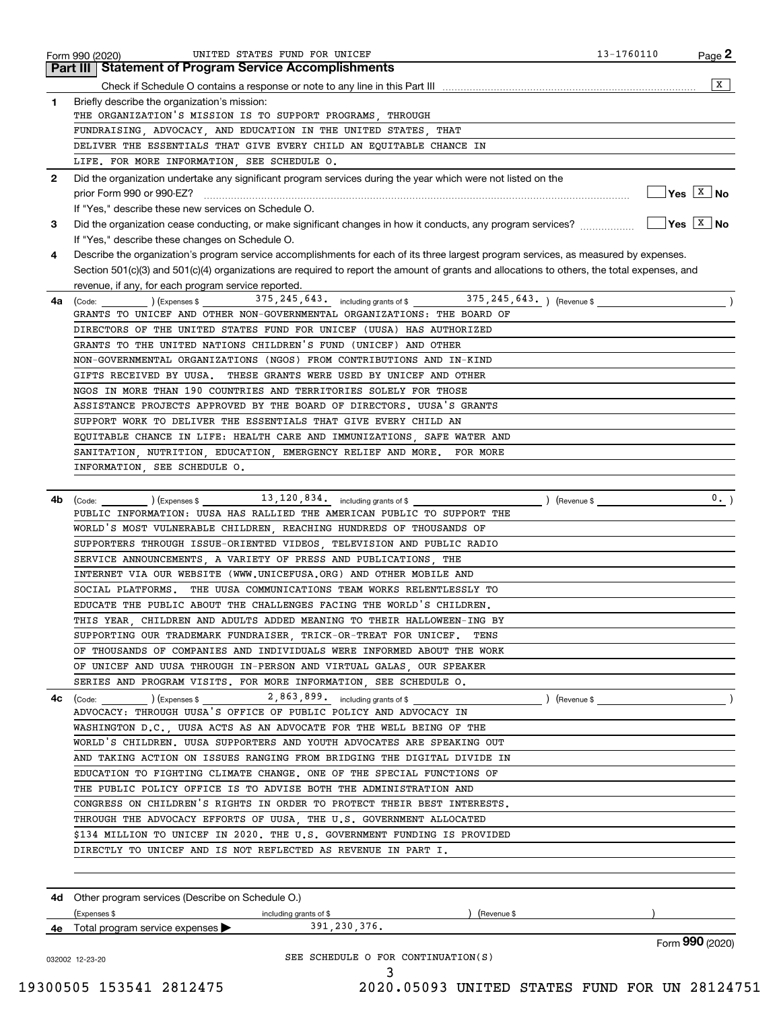| <b>Part III Statement of Program Service Accomplishments</b> |                                                                                                                                                                                                                                                                                                                                                                                                                                                                                                                                                                                                                                                                                                                                                                                                                                                                                                                                                                                                                                                                                                                                                                                                                                                                                                                                                                                                                                                                                                                                                                                                                                                                                                                                                                                                                                                                                                                                                                                                                                                                                                                                                                                                                                                                                                                                                                                                                                                                                                                                                                                                                                                                                                                                                                                                                                                                                                                                                                                                                                                                                                                                                                                                                                                                                                                                                                                                                                                                                                                                                                                                                                                                                                                                                  |
|--------------------------------------------------------------|--------------------------------------------------------------------------------------------------------------------------------------------------------------------------------------------------------------------------------------------------------------------------------------------------------------------------------------------------------------------------------------------------------------------------------------------------------------------------------------------------------------------------------------------------------------------------------------------------------------------------------------------------------------------------------------------------------------------------------------------------------------------------------------------------------------------------------------------------------------------------------------------------------------------------------------------------------------------------------------------------------------------------------------------------------------------------------------------------------------------------------------------------------------------------------------------------------------------------------------------------------------------------------------------------------------------------------------------------------------------------------------------------------------------------------------------------------------------------------------------------------------------------------------------------------------------------------------------------------------------------------------------------------------------------------------------------------------------------------------------------------------------------------------------------------------------------------------------------------------------------------------------------------------------------------------------------------------------------------------------------------------------------------------------------------------------------------------------------------------------------------------------------------------------------------------------------------------------------------------------------------------------------------------------------------------------------------------------------------------------------------------------------------------------------------------------------------------------------------------------------------------------------------------------------------------------------------------------------------------------------------------------------------------------------------------------------------------------------------------------------------------------------------------------------------------------------------------------------------------------------------------------------------------------------------------------------------------------------------------------------------------------------------------------------------------------------------------------------------------------------------------------------------------------------------------------------------------------------------------------------------------------------------------------------------------------------------------------------------------------------------------------------------------------------------------------------------------------------------------------------------------------------------------------------------------------------------------------------------------------------------------------------------------------------------------------------------------------------------------------------|
|                                                              | x                                                                                                                                                                                                                                                                                                                                                                                                                                                                                                                                                                                                                                                                                                                                                                                                                                                                                                                                                                                                                                                                                                                                                                                                                                                                                                                                                                                                                                                                                                                                                                                                                                                                                                                                                                                                                                                                                                                                                                                                                                                                                                                                                                                                                                                                                                                                                                                                                                                                                                                                                                                                                                                                                                                                                                                                                                                                                                                                                                                                                                                                                                                                                                                                                                                                                                                                                                                                                                                                                                                                                                                                                                                                                                                                                |
|                                                              |                                                                                                                                                                                                                                                                                                                                                                                                                                                                                                                                                                                                                                                                                                                                                                                                                                                                                                                                                                                                                                                                                                                                                                                                                                                                                                                                                                                                                                                                                                                                                                                                                                                                                                                                                                                                                                                                                                                                                                                                                                                                                                                                                                                                                                                                                                                                                                                                                                                                                                                                                                                                                                                                                                                                                                                                                                                                                                                                                                                                                                                                                                                                                                                                                                                                                                                                                                                                                                                                                                                                                                                                                                                                                                                                                  |
|                                                              |                                                                                                                                                                                                                                                                                                                                                                                                                                                                                                                                                                                                                                                                                                                                                                                                                                                                                                                                                                                                                                                                                                                                                                                                                                                                                                                                                                                                                                                                                                                                                                                                                                                                                                                                                                                                                                                                                                                                                                                                                                                                                                                                                                                                                                                                                                                                                                                                                                                                                                                                                                                                                                                                                                                                                                                                                                                                                                                                                                                                                                                                                                                                                                                                                                                                                                                                                                                                                                                                                                                                                                                                                                                                                                                                                  |
|                                                              |                                                                                                                                                                                                                                                                                                                                                                                                                                                                                                                                                                                                                                                                                                                                                                                                                                                                                                                                                                                                                                                                                                                                                                                                                                                                                                                                                                                                                                                                                                                                                                                                                                                                                                                                                                                                                                                                                                                                                                                                                                                                                                                                                                                                                                                                                                                                                                                                                                                                                                                                                                                                                                                                                                                                                                                                                                                                                                                                                                                                                                                                                                                                                                                                                                                                                                                                                                                                                                                                                                                                                                                                                                                                                                                                                  |
|                                                              |                                                                                                                                                                                                                                                                                                                                                                                                                                                                                                                                                                                                                                                                                                                                                                                                                                                                                                                                                                                                                                                                                                                                                                                                                                                                                                                                                                                                                                                                                                                                                                                                                                                                                                                                                                                                                                                                                                                                                                                                                                                                                                                                                                                                                                                                                                                                                                                                                                                                                                                                                                                                                                                                                                                                                                                                                                                                                                                                                                                                                                                                                                                                                                                                                                                                                                                                                                                                                                                                                                                                                                                                                                                                                                                                                  |
|                                                              |                                                                                                                                                                                                                                                                                                                                                                                                                                                                                                                                                                                                                                                                                                                                                                                                                                                                                                                                                                                                                                                                                                                                                                                                                                                                                                                                                                                                                                                                                                                                                                                                                                                                                                                                                                                                                                                                                                                                                                                                                                                                                                                                                                                                                                                                                                                                                                                                                                                                                                                                                                                                                                                                                                                                                                                                                                                                                                                                                                                                                                                                                                                                                                                                                                                                                                                                                                                                                                                                                                                                                                                                                                                                                                                                                  |
|                                                              |                                                                                                                                                                                                                                                                                                                                                                                                                                                                                                                                                                                                                                                                                                                                                                                                                                                                                                                                                                                                                                                                                                                                                                                                                                                                                                                                                                                                                                                                                                                                                                                                                                                                                                                                                                                                                                                                                                                                                                                                                                                                                                                                                                                                                                                                                                                                                                                                                                                                                                                                                                                                                                                                                                                                                                                                                                                                                                                                                                                                                                                                                                                                                                                                                                                                                                                                                                                                                                                                                                                                                                                                                                                                                                                                                  |
|                                                              | $\sqrt{}$ Yes $\sqrt{X}$ No                                                                                                                                                                                                                                                                                                                                                                                                                                                                                                                                                                                                                                                                                                                                                                                                                                                                                                                                                                                                                                                                                                                                                                                                                                                                                                                                                                                                                                                                                                                                                                                                                                                                                                                                                                                                                                                                                                                                                                                                                                                                                                                                                                                                                                                                                                                                                                                                                                                                                                                                                                                                                                                                                                                                                                                                                                                                                                                                                                                                                                                                                                                                                                                                                                                                                                                                                                                                                                                                                                                                                                                                                                                                                                                      |
|                                                              |                                                                                                                                                                                                                                                                                                                                                                                                                                                                                                                                                                                                                                                                                                                                                                                                                                                                                                                                                                                                                                                                                                                                                                                                                                                                                                                                                                                                                                                                                                                                                                                                                                                                                                                                                                                                                                                                                                                                                                                                                                                                                                                                                                                                                                                                                                                                                                                                                                                                                                                                                                                                                                                                                                                                                                                                                                                                                                                                                                                                                                                                                                                                                                                                                                                                                                                                                                                                                                                                                                                                                                                                                                                                                                                                                  |
|                                                              | $\sqrt{Y}$ es $\sqrt{X}$ No                                                                                                                                                                                                                                                                                                                                                                                                                                                                                                                                                                                                                                                                                                                                                                                                                                                                                                                                                                                                                                                                                                                                                                                                                                                                                                                                                                                                                                                                                                                                                                                                                                                                                                                                                                                                                                                                                                                                                                                                                                                                                                                                                                                                                                                                                                                                                                                                                                                                                                                                                                                                                                                                                                                                                                                                                                                                                                                                                                                                                                                                                                                                                                                                                                                                                                                                                                                                                                                                                                                                                                                                                                                                                                                      |
|                                                              |                                                                                                                                                                                                                                                                                                                                                                                                                                                                                                                                                                                                                                                                                                                                                                                                                                                                                                                                                                                                                                                                                                                                                                                                                                                                                                                                                                                                                                                                                                                                                                                                                                                                                                                                                                                                                                                                                                                                                                                                                                                                                                                                                                                                                                                                                                                                                                                                                                                                                                                                                                                                                                                                                                                                                                                                                                                                                                                                                                                                                                                                                                                                                                                                                                                                                                                                                                                                                                                                                                                                                                                                                                                                                                                                                  |
|                                                              |                                                                                                                                                                                                                                                                                                                                                                                                                                                                                                                                                                                                                                                                                                                                                                                                                                                                                                                                                                                                                                                                                                                                                                                                                                                                                                                                                                                                                                                                                                                                                                                                                                                                                                                                                                                                                                                                                                                                                                                                                                                                                                                                                                                                                                                                                                                                                                                                                                                                                                                                                                                                                                                                                                                                                                                                                                                                                                                                                                                                                                                                                                                                                                                                                                                                                                                                                                                                                                                                                                                                                                                                                                                                                                                                                  |
|                                                              |                                                                                                                                                                                                                                                                                                                                                                                                                                                                                                                                                                                                                                                                                                                                                                                                                                                                                                                                                                                                                                                                                                                                                                                                                                                                                                                                                                                                                                                                                                                                                                                                                                                                                                                                                                                                                                                                                                                                                                                                                                                                                                                                                                                                                                                                                                                                                                                                                                                                                                                                                                                                                                                                                                                                                                                                                                                                                                                                                                                                                                                                                                                                                                                                                                                                                                                                                                                                                                                                                                                                                                                                                                                                                                                                                  |
|                                                              |                                                                                                                                                                                                                                                                                                                                                                                                                                                                                                                                                                                                                                                                                                                                                                                                                                                                                                                                                                                                                                                                                                                                                                                                                                                                                                                                                                                                                                                                                                                                                                                                                                                                                                                                                                                                                                                                                                                                                                                                                                                                                                                                                                                                                                                                                                                                                                                                                                                                                                                                                                                                                                                                                                                                                                                                                                                                                                                                                                                                                                                                                                                                                                                                                                                                                                                                                                                                                                                                                                                                                                                                                                                                                                                                                  |
|                                                              |                                                                                                                                                                                                                                                                                                                                                                                                                                                                                                                                                                                                                                                                                                                                                                                                                                                                                                                                                                                                                                                                                                                                                                                                                                                                                                                                                                                                                                                                                                                                                                                                                                                                                                                                                                                                                                                                                                                                                                                                                                                                                                                                                                                                                                                                                                                                                                                                                                                                                                                                                                                                                                                                                                                                                                                                                                                                                                                                                                                                                                                                                                                                                                                                                                                                                                                                                                                                                                                                                                                                                                                                                                                                                                                                                  |
|                                                              |                                                                                                                                                                                                                                                                                                                                                                                                                                                                                                                                                                                                                                                                                                                                                                                                                                                                                                                                                                                                                                                                                                                                                                                                                                                                                                                                                                                                                                                                                                                                                                                                                                                                                                                                                                                                                                                                                                                                                                                                                                                                                                                                                                                                                                                                                                                                                                                                                                                                                                                                                                                                                                                                                                                                                                                                                                                                                                                                                                                                                                                                                                                                                                                                                                                                                                                                                                                                                                                                                                                                                                                                                                                                                                                                                  |
|                                                              |                                                                                                                                                                                                                                                                                                                                                                                                                                                                                                                                                                                                                                                                                                                                                                                                                                                                                                                                                                                                                                                                                                                                                                                                                                                                                                                                                                                                                                                                                                                                                                                                                                                                                                                                                                                                                                                                                                                                                                                                                                                                                                                                                                                                                                                                                                                                                                                                                                                                                                                                                                                                                                                                                                                                                                                                                                                                                                                                                                                                                                                                                                                                                                                                                                                                                                                                                                                                                                                                                                                                                                                                                                                                                                                                                  |
|                                                              |                                                                                                                                                                                                                                                                                                                                                                                                                                                                                                                                                                                                                                                                                                                                                                                                                                                                                                                                                                                                                                                                                                                                                                                                                                                                                                                                                                                                                                                                                                                                                                                                                                                                                                                                                                                                                                                                                                                                                                                                                                                                                                                                                                                                                                                                                                                                                                                                                                                                                                                                                                                                                                                                                                                                                                                                                                                                                                                                                                                                                                                                                                                                                                                                                                                                                                                                                                                                                                                                                                                                                                                                                                                                                                                                                  |
|                                                              |                                                                                                                                                                                                                                                                                                                                                                                                                                                                                                                                                                                                                                                                                                                                                                                                                                                                                                                                                                                                                                                                                                                                                                                                                                                                                                                                                                                                                                                                                                                                                                                                                                                                                                                                                                                                                                                                                                                                                                                                                                                                                                                                                                                                                                                                                                                                                                                                                                                                                                                                                                                                                                                                                                                                                                                                                                                                                                                                                                                                                                                                                                                                                                                                                                                                                                                                                                                                                                                                                                                                                                                                                                                                                                                                                  |
|                                                              |                                                                                                                                                                                                                                                                                                                                                                                                                                                                                                                                                                                                                                                                                                                                                                                                                                                                                                                                                                                                                                                                                                                                                                                                                                                                                                                                                                                                                                                                                                                                                                                                                                                                                                                                                                                                                                                                                                                                                                                                                                                                                                                                                                                                                                                                                                                                                                                                                                                                                                                                                                                                                                                                                                                                                                                                                                                                                                                                                                                                                                                                                                                                                                                                                                                                                                                                                                                                                                                                                                                                                                                                                                                                                                                                                  |
|                                                              |                                                                                                                                                                                                                                                                                                                                                                                                                                                                                                                                                                                                                                                                                                                                                                                                                                                                                                                                                                                                                                                                                                                                                                                                                                                                                                                                                                                                                                                                                                                                                                                                                                                                                                                                                                                                                                                                                                                                                                                                                                                                                                                                                                                                                                                                                                                                                                                                                                                                                                                                                                                                                                                                                                                                                                                                                                                                                                                                                                                                                                                                                                                                                                                                                                                                                                                                                                                                                                                                                                                                                                                                                                                                                                                                                  |
|                                                              |                                                                                                                                                                                                                                                                                                                                                                                                                                                                                                                                                                                                                                                                                                                                                                                                                                                                                                                                                                                                                                                                                                                                                                                                                                                                                                                                                                                                                                                                                                                                                                                                                                                                                                                                                                                                                                                                                                                                                                                                                                                                                                                                                                                                                                                                                                                                                                                                                                                                                                                                                                                                                                                                                                                                                                                                                                                                                                                                                                                                                                                                                                                                                                                                                                                                                                                                                                                                                                                                                                                                                                                                                                                                                                                                                  |
|                                                              |                                                                                                                                                                                                                                                                                                                                                                                                                                                                                                                                                                                                                                                                                                                                                                                                                                                                                                                                                                                                                                                                                                                                                                                                                                                                                                                                                                                                                                                                                                                                                                                                                                                                                                                                                                                                                                                                                                                                                                                                                                                                                                                                                                                                                                                                                                                                                                                                                                                                                                                                                                                                                                                                                                                                                                                                                                                                                                                                                                                                                                                                                                                                                                                                                                                                                                                                                                                                                                                                                                                                                                                                                                                                                                                                                  |
|                                                              |                                                                                                                                                                                                                                                                                                                                                                                                                                                                                                                                                                                                                                                                                                                                                                                                                                                                                                                                                                                                                                                                                                                                                                                                                                                                                                                                                                                                                                                                                                                                                                                                                                                                                                                                                                                                                                                                                                                                                                                                                                                                                                                                                                                                                                                                                                                                                                                                                                                                                                                                                                                                                                                                                                                                                                                                                                                                                                                                                                                                                                                                                                                                                                                                                                                                                                                                                                                                                                                                                                                                                                                                                                                                                                                                                  |
|                                                              |                                                                                                                                                                                                                                                                                                                                                                                                                                                                                                                                                                                                                                                                                                                                                                                                                                                                                                                                                                                                                                                                                                                                                                                                                                                                                                                                                                                                                                                                                                                                                                                                                                                                                                                                                                                                                                                                                                                                                                                                                                                                                                                                                                                                                                                                                                                                                                                                                                                                                                                                                                                                                                                                                                                                                                                                                                                                                                                                                                                                                                                                                                                                                                                                                                                                                                                                                                                                                                                                                                                                                                                                                                                                                                                                                  |
|                                                              |                                                                                                                                                                                                                                                                                                                                                                                                                                                                                                                                                                                                                                                                                                                                                                                                                                                                                                                                                                                                                                                                                                                                                                                                                                                                                                                                                                                                                                                                                                                                                                                                                                                                                                                                                                                                                                                                                                                                                                                                                                                                                                                                                                                                                                                                                                                                                                                                                                                                                                                                                                                                                                                                                                                                                                                                                                                                                                                                                                                                                                                                                                                                                                                                                                                                                                                                                                                                                                                                                                                                                                                                                                                                                                                                                  |
|                                                              | 0.                                                                                                                                                                                                                                                                                                                                                                                                                                                                                                                                                                                                                                                                                                                                                                                                                                                                                                                                                                                                                                                                                                                                                                                                                                                                                                                                                                                                                                                                                                                                                                                                                                                                                                                                                                                                                                                                                                                                                                                                                                                                                                                                                                                                                                                                                                                                                                                                                                                                                                                                                                                                                                                                                                                                                                                                                                                                                                                                                                                                                                                                                                                                                                                                                                                                                                                                                                                                                                                                                                                                                                                                                                                                                                                                               |
|                                                              |                                                                                                                                                                                                                                                                                                                                                                                                                                                                                                                                                                                                                                                                                                                                                                                                                                                                                                                                                                                                                                                                                                                                                                                                                                                                                                                                                                                                                                                                                                                                                                                                                                                                                                                                                                                                                                                                                                                                                                                                                                                                                                                                                                                                                                                                                                                                                                                                                                                                                                                                                                                                                                                                                                                                                                                                                                                                                                                                                                                                                                                                                                                                                                                                                                                                                                                                                                                                                                                                                                                                                                                                                                                                                                                                                  |
|                                                              |                                                                                                                                                                                                                                                                                                                                                                                                                                                                                                                                                                                                                                                                                                                                                                                                                                                                                                                                                                                                                                                                                                                                                                                                                                                                                                                                                                                                                                                                                                                                                                                                                                                                                                                                                                                                                                                                                                                                                                                                                                                                                                                                                                                                                                                                                                                                                                                                                                                                                                                                                                                                                                                                                                                                                                                                                                                                                                                                                                                                                                                                                                                                                                                                                                                                                                                                                                                                                                                                                                                                                                                                                                                                                                                                                  |
|                                                              |                                                                                                                                                                                                                                                                                                                                                                                                                                                                                                                                                                                                                                                                                                                                                                                                                                                                                                                                                                                                                                                                                                                                                                                                                                                                                                                                                                                                                                                                                                                                                                                                                                                                                                                                                                                                                                                                                                                                                                                                                                                                                                                                                                                                                                                                                                                                                                                                                                                                                                                                                                                                                                                                                                                                                                                                                                                                                                                                                                                                                                                                                                                                                                                                                                                                                                                                                                                                                                                                                                                                                                                                                                                                                                                                                  |
|                                                              |                                                                                                                                                                                                                                                                                                                                                                                                                                                                                                                                                                                                                                                                                                                                                                                                                                                                                                                                                                                                                                                                                                                                                                                                                                                                                                                                                                                                                                                                                                                                                                                                                                                                                                                                                                                                                                                                                                                                                                                                                                                                                                                                                                                                                                                                                                                                                                                                                                                                                                                                                                                                                                                                                                                                                                                                                                                                                                                                                                                                                                                                                                                                                                                                                                                                                                                                                                                                                                                                                                                                                                                                                                                                                                                                                  |
|                                                              |                                                                                                                                                                                                                                                                                                                                                                                                                                                                                                                                                                                                                                                                                                                                                                                                                                                                                                                                                                                                                                                                                                                                                                                                                                                                                                                                                                                                                                                                                                                                                                                                                                                                                                                                                                                                                                                                                                                                                                                                                                                                                                                                                                                                                                                                                                                                                                                                                                                                                                                                                                                                                                                                                                                                                                                                                                                                                                                                                                                                                                                                                                                                                                                                                                                                                                                                                                                                                                                                                                                                                                                                                                                                                                                                                  |
| THE UUSA COMMUNICATIONS TEAM WORKS RELENTLESSLY TO           |                                                                                                                                                                                                                                                                                                                                                                                                                                                                                                                                                                                                                                                                                                                                                                                                                                                                                                                                                                                                                                                                                                                                                                                                                                                                                                                                                                                                                                                                                                                                                                                                                                                                                                                                                                                                                                                                                                                                                                                                                                                                                                                                                                                                                                                                                                                                                                                                                                                                                                                                                                                                                                                                                                                                                                                                                                                                                                                                                                                                                                                                                                                                                                                                                                                                                                                                                                                                                                                                                                                                                                                                                                                                                                                                                  |
|                                                              |                                                                                                                                                                                                                                                                                                                                                                                                                                                                                                                                                                                                                                                                                                                                                                                                                                                                                                                                                                                                                                                                                                                                                                                                                                                                                                                                                                                                                                                                                                                                                                                                                                                                                                                                                                                                                                                                                                                                                                                                                                                                                                                                                                                                                                                                                                                                                                                                                                                                                                                                                                                                                                                                                                                                                                                                                                                                                                                                                                                                                                                                                                                                                                                                                                                                                                                                                                                                                                                                                                                                                                                                                                                                                                                                                  |
|                                                              |                                                                                                                                                                                                                                                                                                                                                                                                                                                                                                                                                                                                                                                                                                                                                                                                                                                                                                                                                                                                                                                                                                                                                                                                                                                                                                                                                                                                                                                                                                                                                                                                                                                                                                                                                                                                                                                                                                                                                                                                                                                                                                                                                                                                                                                                                                                                                                                                                                                                                                                                                                                                                                                                                                                                                                                                                                                                                                                                                                                                                                                                                                                                                                                                                                                                                                                                                                                                                                                                                                                                                                                                                                                                                                                                                  |
| TENS                                                         |                                                                                                                                                                                                                                                                                                                                                                                                                                                                                                                                                                                                                                                                                                                                                                                                                                                                                                                                                                                                                                                                                                                                                                                                                                                                                                                                                                                                                                                                                                                                                                                                                                                                                                                                                                                                                                                                                                                                                                                                                                                                                                                                                                                                                                                                                                                                                                                                                                                                                                                                                                                                                                                                                                                                                                                                                                                                                                                                                                                                                                                                                                                                                                                                                                                                                                                                                                                                                                                                                                                                                                                                                                                                                                                                                  |
|                                                              |                                                                                                                                                                                                                                                                                                                                                                                                                                                                                                                                                                                                                                                                                                                                                                                                                                                                                                                                                                                                                                                                                                                                                                                                                                                                                                                                                                                                                                                                                                                                                                                                                                                                                                                                                                                                                                                                                                                                                                                                                                                                                                                                                                                                                                                                                                                                                                                                                                                                                                                                                                                                                                                                                                                                                                                                                                                                                                                                                                                                                                                                                                                                                                                                                                                                                                                                                                                                                                                                                                                                                                                                                                                                                                                                                  |
|                                                              |                                                                                                                                                                                                                                                                                                                                                                                                                                                                                                                                                                                                                                                                                                                                                                                                                                                                                                                                                                                                                                                                                                                                                                                                                                                                                                                                                                                                                                                                                                                                                                                                                                                                                                                                                                                                                                                                                                                                                                                                                                                                                                                                                                                                                                                                                                                                                                                                                                                                                                                                                                                                                                                                                                                                                                                                                                                                                                                                                                                                                                                                                                                                                                                                                                                                                                                                                                                                                                                                                                                                                                                                                                                                                                                                                  |
|                                                              |                                                                                                                                                                                                                                                                                                                                                                                                                                                                                                                                                                                                                                                                                                                                                                                                                                                                                                                                                                                                                                                                                                                                                                                                                                                                                                                                                                                                                                                                                                                                                                                                                                                                                                                                                                                                                                                                                                                                                                                                                                                                                                                                                                                                                                                                                                                                                                                                                                                                                                                                                                                                                                                                                                                                                                                                                                                                                                                                                                                                                                                                                                                                                                                                                                                                                                                                                                                                                                                                                                                                                                                                                                                                                                                                                  |
|                                                              |                                                                                                                                                                                                                                                                                                                                                                                                                                                                                                                                                                                                                                                                                                                                                                                                                                                                                                                                                                                                                                                                                                                                                                                                                                                                                                                                                                                                                                                                                                                                                                                                                                                                                                                                                                                                                                                                                                                                                                                                                                                                                                                                                                                                                                                                                                                                                                                                                                                                                                                                                                                                                                                                                                                                                                                                                                                                                                                                                                                                                                                                                                                                                                                                                                                                                                                                                                                                                                                                                                                                                                                                                                                                                                                                                  |
|                                                              |                                                                                                                                                                                                                                                                                                                                                                                                                                                                                                                                                                                                                                                                                                                                                                                                                                                                                                                                                                                                                                                                                                                                                                                                                                                                                                                                                                                                                                                                                                                                                                                                                                                                                                                                                                                                                                                                                                                                                                                                                                                                                                                                                                                                                                                                                                                                                                                                                                                                                                                                                                                                                                                                                                                                                                                                                                                                                                                                                                                                                                                                                                                                                                                                                                                                                                                                                                                                                                                                                                                                                                                                                                                                                                                                                  |
|                                                              |                                                                                                                                                                                                                                                                                                                                                                                                                                                                                                                                                                                                                                                                                                                                                                                                                                                                                                                                                                                                                                                                                                                                                                                                                                                                                                                                                                                                                                                                                                                                                                                                                                                                                                                                                                                                                                                                                                                                                                                                                                                                                                                                                                                                                                                                                                                                                                                                                                                                                                                                                                                                                                                                                                                                                                                                                                                                                                                                                                                                                                                                                                                                                                                                                                                                                                                                                                                                                                                                                                                                                                                                                                                                                                                                                  |
|                                                              |                                                                                                                                                                                                                                                                                                                                                                                                                                                                                                                                                                                                                                                                                                                                                                                                                                                                                                                                                                                                                                                                                                                                                                                                                                                                                                                                                                                                                                                                                                                                                                                                                                                                                                                                                                                                                                                                                                                                                                                                                                                                                                                                                                                                                                                                                                                                                                                                                                                                                                                                                                                                                                                                                                                                                                                                                                                                                                                                                                                                                                                                                                                                                                                                                                                                                                                                                                                                                                                                                                                                                                                                                                                                                                                                                  |
|                                                              |                                                                                                                                                                                                                                                                                                                                                                                                                                                                                                                                                                                                                                                                                                                                                                                                                                                                                                                                                                                                                                                                                                                                                                                                                                                                                                                                                                                                                                                                                                                                                                                                                                                                                                                                                                                                                                                                                                                                                                                                                                                                                                                                                                                                                                                                                                                                                                                                                                                                                                                                                                                                                                                                                                                                                                                                                                                                                                                                                                                                                                                                                                                                                                                                                                                                                                                                                                                                                                                                                                                                                                                                                                                                                                                                                  |
|                                                              |                                                                                                                                                                                                                                                                                                                                                                                                                                                                                                                                                                                                                                                                                                                                                                                                                                                                                                                                                                                                                                                                                                                                                                                                                                                                                                                                                                                                                                                                                                                                                                                                                                                                                                                                                                                                                                                                                                                                                                                                                                                                                                                                                                                                                                                                                                                                                                                                                                                                                                                                                                                                                                                                                                                                                                                                                                                                                                                                                                                                                                                                                                                                                                                                                                                                                                                                                                                                                                                                                                                                                                                                                                                                                                                                                  |
|                                                              |                                                                                                                                                                                                                                                                                                                                                                                                                                                                                                                                                                                                                                                                                                                                                                                                                                                                                                                                                                                                                                                                                                                                                                                                                                                                                                                                                                                                                                                                                                                                                                                                                                                                                                                                                                                                                                                                                                                                                                                                                                                                                                                                                                                                                                                                                                                                                                                                                                                                                                                                                                                                                                                                                                                                                                                                                                                                                                                                                                                                                                                                                                                                                                                                                                                                                                                                                                                                                                                                                                                                                                                                                                                                                                                                                  |
|                                                              |                                                                                                                                                                                                                                                                                                                                                                                                                                                                                                                                                                                                                                                                                                                                                                                                                                                                                                                                                                                                                                                                                                                                                                                                                                                                                                                                                                                                                                                                                                                                                                                                                                                                                                                                                                                                                                                                                                                                                                                                                                                                                                                                                                                                                                                                                                                                                                                                                                                                                                                                                                                                                                                                                                                                                                                                                                                                                                                                                                                                                                                                                                                                                                                                                                                                                                                                                                                                                                                                                                                                                                                                                                                                                                                                                  |
|                                                              |                                                                                                                                                                                                                                                                                                                                                                                                                                                                                                                                                                                                                                                                                                                                                                                                                                                                                                                                                                                                                                                                                                                                                                                                                                                                                                                                                                                                                                                                                                                                                                                                                                                                                                                                                                                                                                                                                                                                                                                                                                                                                                                                                                                                                                                                                                                                                                                                                                                                                                                                                                                                                                                                                                                                                                                                                                                                                                                                                                                                                                                                                                                                                                                                                                                                                                                                                                                                                                                                                                                                                                                                                                                                                                                                                  |
|                                                              |                                                                                                                                                                                                                                                                                                                                                                                                                                                                                                                                                                                                                                                                                                                                                                                                                                                                                                                                                                                                                                                                                                                                                                                                                                                                                                                                                                                                                                                                                                                                                                                                                                                                                                                                                                                                                                                                                                                                                                                                                                                                                                                                                                                                                                                                                                                                                                                                                                                                                                                                                                                                                                                                                                                                                                                                                                                                                                                                                                                                                                                                                                                                                                                                                                                                                                                                                                                                                                                                                                                                                                                                                                                                                                                                                  |
|                                                              |                                                                                                                                                                                                                                                                                                                                                                                                                                                                                                                                                                                                                                                                                                                                                                                                                                                                                                                                                                                                                                                                                                                                                                                                                                                                                                                                                                                                                                                                                                                                                                                                                                                                                                                                                                                                                                                                                                                                                                                                                                                                                                                                                                                                                                                                                                                                                                                                                                                                                                                                                                                                                                                                                                                                                                                                                                                                                                                                                                                                                                                                                                                                                                                                                                                                                                                                                                                                                                                                                                                                                                                                                                                                                                                                                  |
|                                                              |                                                                                                                                                                                                                                                                                                                                                                                                                                                                                                                                                                                                                                                                                                                                                                                                                                                                                                                                                                                                                                                                                                                                                                                                                                                                                                                                                                                                                                                                                                                                                                                                                                                                                                                                                                                                                                                                                                                                                                                                                                                                                                                                                                                                                                                                                                                                                                                                                                                                                                                                                                                                                                                                                                                                                                                                                                                                                                                                                                                                                                                                                                                                                                                                                                                                                                                                                                                                                                                                                                                                                                                                                                                                                                                                                  |
|                                                              |                                                                                                                                                                                                                                                                                                                                                                                                                                                                                                                                                                                                                                                                                                                                                                                                                                                                                                                                                                                                                                                                                                                                                                                                                                                                                                                                                                                                                                                                                                                                                                                                                                                                                                                                                                                                                                                                                                                                                                                                                                                                                                                                                                                                                                                                                                                                                                                                                                                                                                                                                                                                                                                                                                                                                                                                                                                                                                                                                                                                                                                                                                                                                                                                                                                                                                                                                                                                                                                                                                                                                                                                                                                                                                                                                  |
|                                                              |                                                                                                                                                                                                                                                                                                                                                                                                                                                                                                                                                                                                                                                                                                                                                                                                                                                                                                                                                                                                                                                                                                                                                                                                                                                                                                                                                                                                                                                                                                                                                                                                                                                                                                                                                                                                                                                                                                                                                                                                                                                                                                                                                                                                                                                                                                                                                                                                                                                                                                                                                                                                                                                                                                                                                                                                                                                                                                                                                                                                                                                                                                                                                                                                                                                                                                                                                                                                                                                                                                                                                                                                                                                                                                                                                  |
| ) (Revenue \$<br>including grants of \$                      |                                                                                                                                                                                                                                                                                                                                                                                                                                                                                                                                                                                                                                                                                                                                                                                                                                                                                                                                                                                                                                                                                                                                                                                                                                                                                                                                                                                                                                                                                                                                                                                                                                                                                                                                                                                                                                                                                                                                                                                                                                                                                                                                                                                                                                                                                                                                                                                                                                                                                                                                                                                                                                                                                                                                                                                                                                                                                                                                                                                                                                                                                                                                                                                                                                                                                                                                                                                                                                                                                                                                                                                                                                                                                                                                                  |
|                                                              | Form 990 (2020)                                                                                                                                                                                                                                                                                                                                                                                                                                                                                                                                                                                                                                                                                                                                                                                                                                                                                                                                                                                                                                                                                                                                                                                                                                                                                                                                                                                                                                                                                                                                                                                                                                                                                                                                                                                                                                                                                                                                                                                                                                                                                                                                                                                                                                                                                                                                                                                                                                                                                                                                                                                                                                                                                                                                                                                                                                                                                                                                                                                                                                                                                                                                                                                                                                                                                                                                                                                                                                                                                                                                                                                                                                                                                                                                  |
|                                                              |                                                                                                                                                                                                                                                                                                                                                                                                                                                                                                                                                                                                                                                                                                                                                                                                                                                                                                                                                                                                                                                                                                                                                                                                                                                                                                                                                                                                                                                                                                                                                                                                                                                                                                                                                                                                                                                                                                                                                                                                                                                                                                                                                                                                                                                                                                                                                                                                                                                                                                                                                                                                                                                                                                                                                                                                                                                                                                                                                                                                                                                                                                                                                                                                                                                                                                                                                                                                                                                                                                                                                                                                                                                                                                                                                  |
|                                                              | Briefly describe the organization's mission:<br>THE ORGANIZATION'S MISSION IS TO SUPPORT PROGRAMS, THROUGH<br>FUNDRAISING, ADVOCACY, AND EDUCATION IN THE UNITED STATES, THAT<br>DELIVER THE ESSENTIALS THAT GIVE EVERY CHILD AN EQUITABLE CHANCE IN<br>LIFE. FOR MORE INFORMATION, SEE SCHEDULE O.<br>Did the organization undertake any significant program services during the year which were not listed on the<br>If "Yes," describe these new services on Schedule O.<br>Did the organization cease conducting, or make significant changes in how it conducts, any program services?<br>If "Yes," describe these changes on Schedule O.<br>Describe the organization's program service accomplishments for each of its three largest program services, as measured by expenses.<br>Section 501(c)(3) and 501(c)(4) organizations are required to report the amount of grants and allocations to others, the total expenses, and<br>revenue, if any, for each program service reported.<br>375, 245, 643. ) (Revenue \$<br>375, 245, 643. including grants of \$<br>$\left(\text{Code:} \right)$ $\left(\text{Expenses $}\right)$<br>GRANTS TO UNICEF AND OTHER NON-GOVERNMENTAL ORGANIZATIONS: THE BOARD OF<br>DIRECTORS OF THE UNITED STATES FUND FOR UNICEF (UUSA) HAS AUTHORIZED<br>GRANTS TO THE UNITED NATIONS CHILDREN'S FUND (UNICEF) AND OTHER<br>NON-GOVERNMENTAL ORGANIZATIONS (NGOS) FROM CONTRIBUTIONS AND IN-KIND<br>GIFTS RECEIVED BY UUSA. THESE GRANTS WERE USED BY UNICEF AND OTHER<br>NGOS IN MORE THAN 190 COUNTRIES AND TERRITORIES SOLELY FOR THOSE<br>ASSISTANCE PROJECTS APPROVED BY THE BOARD OF DIRECTORS. UUSA'S GRANTS<br>SUPPORT WORK TO DELIVER THE ESSENTIALS THAT GIVE EVERY CHILD AN<br>EQUITABLE CHANCE IN LIFE: HEALTH CARE AND IMMUNIZATIONS, SAFE WATER AND<br>SANITATION, NUTRITION, EDUCATION, EMERGENCY RELIEF AND MORE.<br>FOR MORE<br>INFORMATION, SEE SCHEDULE O.<br>$13$ , $120$ , $834$ and including grants of \$<br>) (Expenses \$<br>(Code:<br>(Revenue \$<br>PUBLIC INFORMATION: UUSA HAS RALLIED THE AMERICAN PUBLIC TO SUPPORT THE<br>WORLD'S MOST VULNERABLE CHILDREN, REACHING HUNDREDS OF THOUSANDS OF<br>SUPPORTERS THROUGH ISSUE-ORIENTED VIDEOS, TELEVISION AND PUBLIC RADIO<br>SERVICE ANNOUNCEMENTS, A VARIETY OF PRESS AND PUBLICATIONS, THE<br>INTERNET VIA OUR WEBSITE (WWW.UNICEFUSA.ORG) AND OTHER MOBILE AND<br>SOCIAL PLATFORMS.<br>EDUCATE THE PUBLIC ABOUT THE CHALLENGES FACING THE WORLD'S CHILDREN.<br>SUPPORTING OUR TRADEMARK FUNDRAISER, TRICK-OR-TREAT FOR UNICEF.<br>OF THOUSANDS OF COMPANIES AND INDIVIDUALS WERE INFORMED ABOUT THE WORK<br>OF UNICEF AND UUSA THROUGH IN-PERSON AND VIRTUAL GALAS, OUR SPEAKER<br>SERIES AND PROGRAM VISITS. FOR MORE INFORMATION, SEE SCHEDULE O.<br>2,863,899. including grants of \$<br>$\left($ Expenses \$ $\right)$<br>(Revenue \$<br>(Code:<br>ADVOCACY: THROUGH UUSA'S OFFICE OF PUBLIC POLICY AND ADVOCACY IN<br>WASHINGTON D.C., UUSA ACTS AS AN ADVOCATE FOR THE WELL BEING OF THE<br>WORLD'S CHILDREN. UUSA SUPPORTERS AND YOUTH ADVOCATES ARE SPEAKING OUT<br>AND TAKING ACTION ON ISSUES RANGING FROM BRIDGING THE DIGITAL DIVIDE IN<br>EDUCATION TO FIGHTING CLIMATE CHANGE. ONE OF THE SPECIAL FUNCTIONS OF<br>THE PUBLIC POLICY OFFICE IS TO ADVISE BOTH THE ADMINISTRATION AND<br>CONGRESS ON CHILDREN'S RIGHTS IN ORDER TO PROTECT THEIR BEST INTERESTS.<br>THROUGH THE ADVOCACY EFFORTS OF UUSA, THE U.S. GOVERNMENT ALLOCATED<br>\$134 MILLION TO UNICEF IN 2020. THE U.S. GOVERNMENT FUNDING IS PROVIDED<br>DIRECTLY TO UNICEF AND IS NOT REFLECTED AS REVENUE IN PART I.<br>4d Other program services (Describe on Schedule O.)<br>(Expenses \$<br>391, 230, 376.<br>Total program service expenses |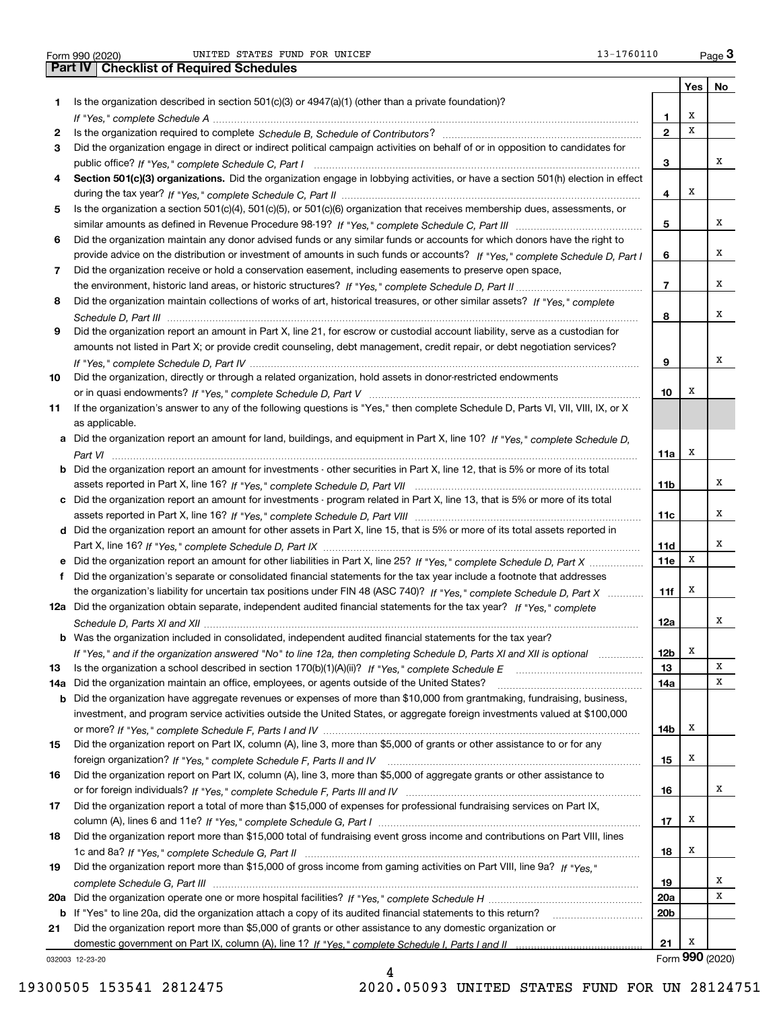|     |                                                                                                                                                                                                                                                       |                 | Yes | <b>NO</b>       |
|-----|-------------------------------------------------------------------------------------------------------------------------------------------------------------------------------------------------------------------------------------------------------|-----------------|-----|-----------------|
| 1.  | Is the organization described in section 501(c)(3) or 4947(a)(1) (other than a private foundation)?                                                                                                                                                   |                 |     |                 |
|     |                                                                                                                                                                                                                                                       | 1               | х   |                 |
| 2   |                                                                                                                                                                                                                                                       | $\mathbf{2}$    | х   |                 |
| 3.  | Did the organization engage in direct or indirect political campaign activities on behalf of or in opposition to candidates for                                                                                                                       |                 |     |                 |
|     |                                                                                                                                                                                                                                                       | 3               |     | x               |
| 4   | Section 501(c)(3) organizations. Did the organization engage in lobbying activities, or have a section 501(h) election in effect                                                                                                                      |                 |     |                 |
|     |                                                                                                                                                                                                                                                       | 4               | х   |                 |
| 5   | Is the organization a section 501(c)(4), 501(c)(5), or 501(c)(6) organization that receives membership dues, assessments, or                                                                                                                          |                 |     |                 |
|     |                                                                                                                                                                                                                                                       | 5               |     | x               |
| 6   | Did the organization maintain any donor advised funds or any similar funds or accounts for which donors have the right to                                                                                                                             |                 |     |                 |
|     | provide advice on the distribution or investment of amounts in such funds or accounts? If "Yes," complete Schedule D, Part I                                                                                                                          | 6               |     | x               |
| 7   | Did the organization receive or hold a conservation easement, including easements to preserve open space,                                                                                                                                             |                 |     |                 |
|     |                                                                                                                                                                                                                                                       | $\overline{7}$  |     | x               |
| 8   | Did the organization maintain collections of works of art, historical treasures, or other similar assets? If "Yes," complete                                                                                                                          |                 |     |                 |
|     |                                                                                                                                                                                                                                                       | 8               |     | x               |
| 9   | Did the organization report an amount in Part X, line 21, for escrow or custodial account liability, serve as a custodian for                                                                                                                         |                 |     |                 |
|     | amounts not listed in Part X; or provide credit counseling, debt management, credit repair, or debt negotiation services?                                                                                                                             |                 |     |                 |
|     |                                                                                                                                                                                                                                                       | 9               |     | x               |
| 10  | Did the organization, directly or through a related organization, hold assets in donor-restricted endowments                                                                                                                                          |                 |     |                 |
|     |                                                                                                                                                                                                                                                       | 10              | х   |                 |
| 11  | If the organization's answer to any of the following questions is "Yes," then complete Schedule D, Parts VI, VII, VIII, IX, or X                                                                                                                      |                 |     |                 |
|     | as applicable.                                                                                                                                                                                                                                        |                 |     |                 |
|     | a Did the organization report an amount for land, buildings, and equipment in Part X, line 10? If "Yes," complete Schedule D,                                                                                                                         |                 |     |                 |
|     |                                                                                                                                                                                                                                                       | 11a             | x   |                 |
|     | <b>b</b> Did the organization report an amount for investments - other securities in Part X, line 12, that is 5% or more of its total                                                                                                                 |                 |     |                 |
|     |                                                                                                                                                                                                                                                       | 11b             |     | x               |
|     | Did the organization report an amount for investments - program related in Part X, line 13, that is 5% or more of its total                                                                                                                           |                 |     |                 |
|     |                                                                                                                                                                                                                                                       | 11c             |     | x               |
|     | d Did the organization report an amount for other assets in Part X, line 15, that is 5% or more of its total assets reported in                                                                                                                       |                 |     |                 |
|     |                                                                                                                                                                                                                                                       | 11d             |     | x               |
|     | Did the organization report an amount for other liabilities in Part X, line 25? If "Yes," complete Schedule D, Part X                                                                                                                                 | 11e             | х   |                 |
|     | f Did the organization's separate or consolidated financial statements for the tax year include a footnote that addresses                                                                                                                             |                 |     |                 |
|     | the organization's liability for uncertain tax positions under FIN 48 (ASC 740)? If "Yes," complete Schedule D, Part X                                                                                                                                | 11f             | x   |                 |
|     | 12a Did the organization obtain separate, independent audited financial statements for the tax year? If "Yes," complete                                                                                                                               |                 |     | x               |
|     |                                                                                                                                                                                                                                                       | 12a             |     |                 |
|     | <b>b</b> Was the organization included in consolidated, independent audited financial statements for the tax year?                                                                                                                                    |                 | x   |                 |
|     | If "Yes," and if the organization answered "No" to line 12a, then completing Schedule D, Parts XI and XII is optional                                                                                                                                 | 12b             |     | х               |
| 13  |                                                                                                                                                                                                                                                       | 13              |     | X               |
| 14a | Did the organization maintain an office, employees, or agents outside of the United States?                                                                                                                                                           | 14a             |     |                 |
| b   | Did the organization have aggregate revenues or expenses of more than \$10,000 from grantmaking, fundraising, business,<br>investment, and program service activities outside the United States, or aggregate foreign investments valued at \$100,000 |                 |     |                 |
|     |                                                                                                                                                                                                                                                       | 14b             | x   |                 |
| 15  | Did the organization report on Part IX, column (A), line 3, more than \$5,000 of grants or other assistance to or for any                                                                                                                             |                 |     |                 |
|     |                                                                                                                                                                                                                                                       | 15              | x   |                 |
| 16  | Did the organization report on Part IX, column (A), line 3, more than \$5,000 of aggregate grants or other assistance to                                                                                                                              |                 |     |                 |
|     |                                                                                                                                                                                                                                                       | 16              |     | x               |
| 17  | Did the organization report a total of more than \$15,000 of expenses for professional fundraising services on Part IX,                                                                                                                               |                 |     |                 |
|     |                                                                                                                                                                                                                                                       | 17              | x   |                 |
| 18  | Did the organization report more than \$15,000 total of fundraising event gross income and contributions on Part VIII, lines                                                                                                                          |                 |     |                 |
|     |                                                                                                                                                                                                                                                       | 18              | x   |                 |
| 19  | Did the organization report more than \$15,000 of gross income from gaming activities on Part VIII, line 9a? If "Yes."                                                                                                                                |                 |     |                 |
|     |                                                                                                                                                                                                                                                       | 19              |     | x               |
| 20a |                                                                                                                                                                                                                                                       | 20a             |     | X               |
| b   | If "Yes" to line 20a, did the organization attach a copy of its audited financial statements to this return?                                                                                                                                          | 20 <sub>b</sub> |     |                 |
| 21  | Did the organization report more than \$5,000 of grants or other assistance to any domestic organization or                                                                                                                                           |                 |     |                 |
|     |                                                                                                                                                                                                                                                       | 21              | x   |                 |
|     | 032003 12-23-20                                                                                                                                                                                                                                       |                 |     | Form 990 (2020) |
|     |                                                                                                                                                                                                                                                       |                 |     |                 |

4

032003 12-23-20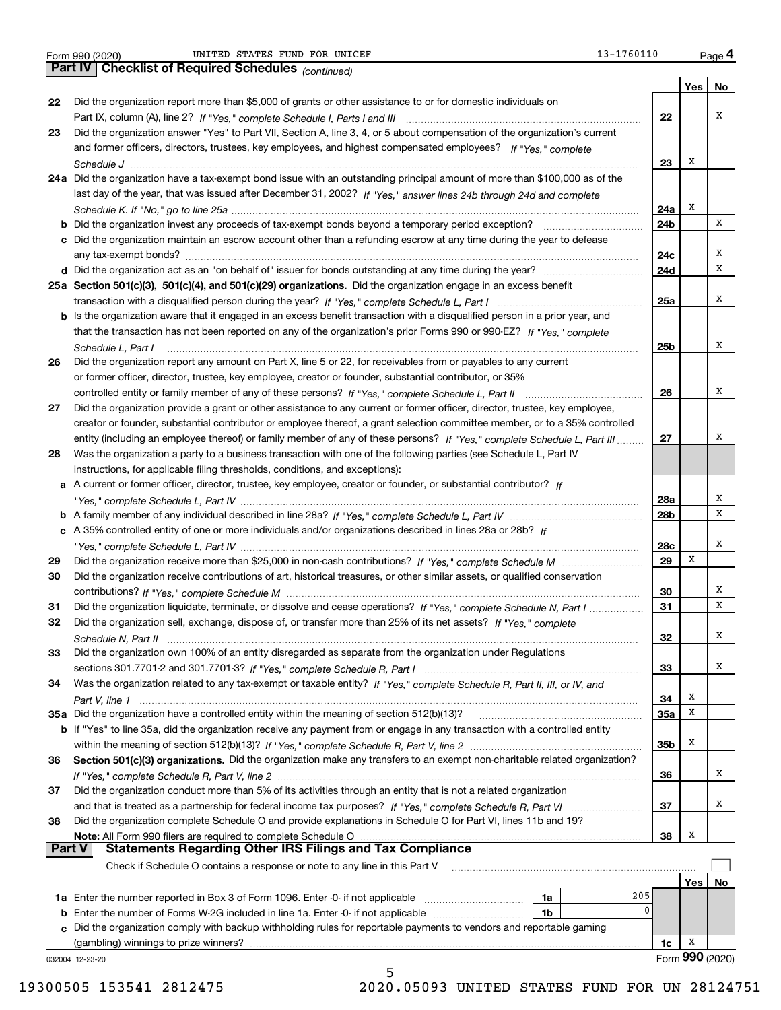Form 990 (2020) UNITED STATES FUND FOR UNICEF 13-1760110 <sub>Page</sub> 4<br>**Part IV | Checklist of Required Schedules** <sub>(continued)</sub> UNITED STATES FUND FOR UNICEF 13-1760110

|          | <b>Part IV</b>   Grecklist of Required Scriedules $_{(continued)}$                                                                                                                                                                                         |            |                 |    |
|----------|------------------------------------------------------------------------------------------------------------------------------------------------------------------------------------------------------------------------------------------------------------|------------|-----------------|----|
|          |                                                                                                                                                                                                                                                            |            | Yes             | No |
| 22       | Did the organization report more than \$5,000 of grants or other assistance to or for domestic individuals on                                                                                                                                              |            |                 |    |
|          |                                                                                                                                                                                                                                                            | 22         |                 | х  |
| 23       | Did the organization answer "Yes" to Part VII, Section A, line 3, 4, or 5 about compensation of the organization's current                                                                                                                                 |            |                 |    |
|          | and former officers, directors, trustees, key employees, and highest compensated employees? If "Yes," complete                                                                                                                                             |            | х               |    |
|          | 24a Did the organization have a tax-exempt bond issue with an outstanding principal amount of more than \$100,000 as of the                                                                                                                                | 23         |                 |    |
|          |                                                                                                                                                                                                                                                            |            |                 |    |
|          | last day of the year, that was issued after December 31, 2002? If "Yes," answer lines 24b through 24d and complete                                                                                                                                         | 24a        | х               |    |
|          |                                                                                                                                                                                                                                                            | 24b        |                 | х  |
|          | c Did the organization maintain an escrow account other than a refunding escrow at any time during the year to defease                                                                                                                                     |            |                 |    |
|          |                                                                                                                                                                                                                                                            | 24c        |                 | х  |
|          |                                                                                                                                                                                                                                                            | 24d        |                 | х  |
|          | 25a Section 501(c)(3), 501(c)(4), and 501(c)(29) organizations. Did the organization engage in an excess benefit                                                                                                                                           |            |                 |    |
|          |                                                                                                                                                                                                                                                            | 25a        |                 | х  |
|          | b Is the organization aware that it engaged in an excess benefit transaction with a disqualified person in a prior year, and                                                                                                                               |            |                 |    |
|          | that the transaction has not been reported on any of the organization's prior Forms 990 or 990-EZ? If "Yes," complete                                                                                                                                      |            |                 |    |
|          | Schedule L, Part I                                                                                                                                                                                                                                         | 25b        |                 | х  |
| 26       | Did the organization report any amount on Part X, line 5 or 22, for receivables from or payables to any current                                                                                                                                            |            |                 |    |
|          | or former officer, director, trustee, key employee, creator or founder, substantial contributor, or 35%                                                                                                                                                    |            |                 | х  |
|          |                                                                                                                                                                                                                                                            | 26         |                 |    |
| 27       | Did the organization provide a grant or other assistance to any current or former officer, director, trustee, key employee,<br>creator or founder, substantial contributor or employee thereof, a grant selection committee member, or to a 35% controlled |            |                 |    |
|          | entity (including an employee thereof) or family member of any of these persons? If "Yes," complete Schedule L, Part III                                                                                                                                   | 27         |                 | х  |
| 28       | Was the organization a party to a business transaction with one of the following parties (see Schedule L, Part IV                                                                                                                                          |            |                 |    |
|          | instructions, for applicable filing thresholds, conditions, and exceptions):                                                                                                                                                                               |            |                 |    |
|          | a A current or former officer, director, trustee, key employee, creator or founder, or substantial contributor? If                                                                                                                                         |            |                 |    |
|          |                                                                                                                                                                                                                                                            | 28a        |                 | х  |
|          |                                                                                                                                                                                                                                                            | 28b        |                 | х  |
|          | c A 35% controlled entity of one or more individuals and/or organizations described in lines 28a or 28b? If                                                                                                                                                |            |                 |    |
|          |                                                                                                                                                                                                                                                            | 28c        |                 | х  |
| 29       |                                                                                                                                                                                                                                                            | 29         | х               |    |
| 30       | Did the organization receive contributions of art, historical treasures, or other similar assets, or qualified conservation                                                                                                                                |            |                 |    |
|          |                                                                                                                                                                                                                                                            | 30         |                 | х  |
| 31       | Did the organization liquidate, terminate, or dissolve and cease operations? If "Yes," complete Schedule N, Part I                                                                                                                                         | 31         |                 | х  |
| 32       | Did the organization sell, exchange, dispose of, or transfer more than 25% of its net assets? If "Yes," complete                                                                                                                                           | 32         |                 | х  |
| 33       | Schedule N. Part II<br>Did the organization own 100% of an entity disregarded as separate from the organization under Regulations                                                                                                                          |            |                 |    |
|          |                                                                                                                                                                                                                                                            | 33         |                 | х  |
| 34       | Was the organization related to any tax-exempt or taxable entity? If "Yes," complete Schedule R, Part II, III, or IV, and                                                                                                                                  |            |                 |    |
|          |                                                                                                                                                                                                                                                            | 34         | x               |    |
|          | 35a Did the organization have a controlled entity within the meaning of section 512(b)(13)?                                                                                                                                                                | <b>35a</b> | х               |    |
|          | b If "Yes" to line 35a, did the organization receive any payment from or engage in any transaction with a controlled entity                                                                                                                                |            |                 |    |
|          |                                                                                                                                                                                                                                                            | 35b        | x               |    |
| 36       | Section 501(c)(3) organizations. Did the organization make any transfers to an exempt non-charitable related organization?                                                                                                                                 |            |                 |    |
|          |                                                                                                                                                                                                                                                            | 36         |                 | x  |
| 37       | Did the organization conduct more than 5% of its activities through an entity that is not a related organization                                                                                                                                           |            |                 |    |
|          |                                                                                                                                                                                                                                                            | 37         |                 | х  |
| 38       | Did the organization complete Schedule O and provide explanations in Schedule O for Part VI, lines 11b and 19?                                                                                                                                             |            |                 |    |
| ∣ Part V | Note: All Form 990 filers are required to complete Schedule O<br><b>Statements Regarding Other IRS Filings and Tax Compliance</b>                                                                                                                          | 38         | Х               |    |
|          | Check if Schedule O contains a response or note to any line in this Part V                                                                                                                                                                                 |            |                 |    |
|          |                                                                                                                                                                                                                                                            |            | Yes             | No |
|          | 205<br>1a                                                                                                                                                                                                                                                  |            |                 |    |
|          | 0<br><b>b</b> Enter the number of Forms W-2G included in line 1a. Enter -0- if not applicable<br>1b                                                                                                                                                        |            |                 |    |
|          | c Did the organization comply with backup withholding rules for reportable payments to vendors and reportable gaming                                                                                                                                       |            |                 |    |
|          | (gambling) winnings to prize winners?                                                                                                                                                                                                                      | 1c         | x               |    |
|          | 032004 12-23-20                                                                                                                                                                                                                                            |            | Form 990 (2020) |    |
|          | 5                                                                                                                                                                                                                                                          |            |                 |    |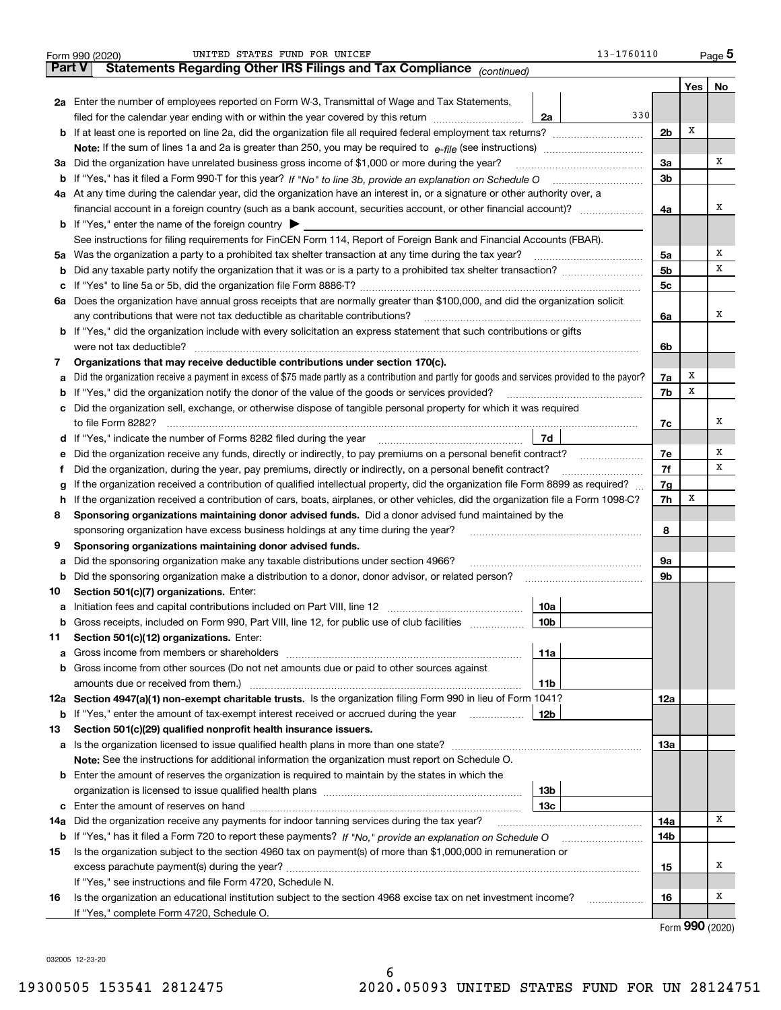|        | 13-1760110<br>UNITED STATES FUND FOR UNICEF<br>Form 990 (2020)                                                                                  |                |       | $_{\text{Page}}$ 5 |  |  |  |  |  |  |  |
|--------|-------------------------------------------------------------------------------------------------------------------------------------------------|----------------|-------|--------------------|--|--|--|--|--|--|--|
| Part V | Statements Regarding Other IRS Filings and Tax Compliance (continued)                                                                           |                |       |                    |  |  |  |  |  |  |  |
|        |                                                                                                                                                 |                | Yes   | No                 |  |  |  |  |  |  |  |
|        | 2a Enter the number of employees reported on Form W-3, Transmittal of Wage and Tax Statements,                                                  |                |       |                    |  |  |  |  |  |  |  |
|        | 330<br>filed for the calendar year ending with or within the year covered by this return<br>2a                                                  |                |       |                    |  |  |  |  |  |  |  |
|        | <b>b</b> If at least one is reported on line 2a, did the organization file all required federal employment tax returns?                         | 2 <sub>b</sub> | Х     |                    |  |  |  |  |  |  |  |
|        | <b>Note:</b> If the sum of lines 1a and 2a is greater than 250, you may be required to $e$ -file (see instructions) <i>marrouum</i> manu-       |                |       |                    |  |  |  |  |  |  |  |
|        | 3a Did the organization have unrelated business gross income of \$1,000 or more during the year?                                                |                |       |                    |  |  |  |  |  |  |  |
|        | b If "Yes," has it filed a Form 990-T for this year? If "No" to line 3b, provide an explanation on Schedule O                                   |                |       |                    |  |  |  |  |  |  |  |
|        | 4a At any time during the calendar year, did the organization have an interest in, or a signature or other authority over, a                    |                |       |                    |  |  |  |  |  |  |  |
|        | financial account in a foreign country (such as a bank account, securities account, or other financial account)?                                | 4a             |       | x                  |  |  |  |  |  |  |  |
|        | <b>b</b> If "Yes," enter the name of the foreign country $\triangleright$                                                                       |                |       |                    |  |  |  |  |  |  |  |
|        | See instructions for filing requirements for FinCEN Form 114, Report of Foreign Bank and Financial Accounts (FBAR).                             |                |       |                    |  |  |  |  |  |  |  |
|        | 5a Was the organization a party to a prohibited tax shelter transaction at any time during the tax year?                                        | 5a             |       | х                  |  |  |  |  |  |  |  |
| b      |                                                                                                                                                 | 5 <sub>b</sub> |       | х                  |  |  |  |  |  |  |  |
|        |                                                                                                                                                 | 5c             |       |                    |  |  |  |  |  |  |  |
|        | 6a Does the organization have annual gross receipts that are normally greater than \$100,000, and did the organization solicit                  |                |       |                    |  |  |  |  |  |  |  |
|        | any contributions that were not tax deductible as charitable contributions?                                                                     | 6a             |       | x                  |  |  |  |  |  |  |  |
|        | <b>b</b> If "Yes," did the organization include with every solicitation an express statement that such contributions or gifts                   |                |       |                    |  |  |  |  |  |  |  |
|        | were not tax deductible?                                                                                                                        | 6b             |       |                    |  |  |  |  |  |  |  |
| 7      | Organizations that may receive deductible contributions under section 170(c).                                                                   |                |       |                    |  |  |  |  |  |  |  |
| а      | Did the organization receive a payment in excess of \$75 made partly as a contribution and partly for goods and services provided to the payor? | 7a             | х     |                    |  |  |  |  |  |  |  |
|        | <b>b</b> If "Yes," did the organization notify the donor of the value of the goods or services provided?                                        | 7b             | х     |                    |  |  |  |  |  |  |  |
|        | c Did the organization sell, exchange, or otherwise dispose of tangible personal property for which it was required                             |                |       |                    |  |  |  |  |  |  |  |
|        | to file Form 8282?                                                                                                                              | 7c             |       | x                  |  |  |  |  |  |  |  |
|        | 7d<br><b>d</b> If "Yes," indicate the number of Forms 8282 filed during the year                                                                |                |       |                    |  |  |  |  |  |  |  |
| е      | Did the organization receive any funds, directly or indirectly, to pay premiums on a personal benefit contract?                                 | 7e             |       | Х                  |  |  |  |  |  |  |  |
| f.     | Did the organization, during the year, pay premiums, directly or indirectly, on a personal benefit contract?                                    | 7f             |       | х                  |  |  |  |  |  |  |  |
| g      | If the organization received a contribution of qualified intellectual property, did the organization file Form 8899 as required?                | 7g             |       |                    |  |  |  |  |  |  |  |
|        | h If the organization received a contribution of cars, boats, airplanes, or other vehicles, did the organization file a Form 1098-C?            | 7h             | х     |                    |  |  |  |  |  |  |  |
| 8      | Sponsoring organizations maintaining donor advised funds. Did a donor advised fund maintained by the                                            |                |       |                    |  |  |  |  |  |  |  |
|        | sponsoring organization have excess business holdings at any time during the year?                                                              | 8              |       |                    |  |  |  |  |  |  |  |
| 9      | Sponsoring organizations maintaining donor advised funds.                                                                                       |                |       |                    |  |  |  |  |  |  |  |
| а      | Did the sponsoring organization make any taxable distributions under section 4966?                                                              | 9а             |       |                    |  |  |  |  |  |  |  |
| b      | Did the sponsoring organization make a distribution to a donor, donor advisor, or related person?                                               | 9b             |       |                    |  |  |  |  |  |  |  |
| 10     | Section 501(c)(7) organizations. Enter:                                                                                                         |                |       |                    |  |  |  |  |  |  |  |
|        | 10a                                                                                                                                             |                |       |                    |  |  |  |  |  |  |  |
|        | <b>b</b> Gross receipts, included on Form 990, Part VIII, line 12, for public use of club facilities <i>manument</i><br>10b                     |                |       |                    |  |  |  |  |  |  |  |
| 11     | Section 501(c)(12) organizations. Enter:                                                                                                        |                |       |                    |  |  |  |  |  |  |  |
| а      | 11a                                                                                                                                             |                |       |                    |  |  |  |  |  |  |  |
| b      | Gross income from other sources (Do not net amounts due or paid to other sources against                                                        |                |       |                    |  |  |  |  |  |  |  |
|        | amounts due or received from them.)<br>11b                                                                                                      |                |       |                    |  |  |  |  |  |  |  |
|        | 12a Section 4947(a)(1) non-exempt charitable trusts. Is the organization filing Form 990 in lieu of Form 1041?                                  | 12a            |       |                    |  |  |  |  |  |  |  |
| b      | If "Yes," enter the amount of tax-exempt interest received or accrued during the year<br>12b                                                    |                |       |                    |  |  |  |  |  |  |  |
| 13     | Section 501(c)(29) qualified nonprofit health insurance issuers.                                                                                |                |       |                    |  |  |  |  |  |  |  |
|        |                                                                                                                                                 | 13а            |       |                    |  |  |  |  |  |  |  |
|        | <b>Note:</b> See the instructions for additional information the organization must report on Schedule O.                                        |                |       |                    |  |  |  |  |  |  |  |
|        | <b>b</b> Enter the amount of reserves the organization is required to maintain by the states in which the                                       |                |       |                    |  |  |  |  |  |  |  |
|        | 13b                                                                                                                                             |                |       |                    |  |  |  |  |  |  |  |
|        | 13с                                                                                                                                             |                |       |                    |  |  |  |  |  |  |  |
| 14a    | Did the organization receive any payments for indoor tanning services during the tax year?                                                      | 14a            |       | х                  |  |  |  |  |  |  |  |
| b      |                                                                                                                                                 | 14b            |       |                    |  |  |  |  |  |  |  |
| 15     | Is the organization subject to the section 4960 tax on payment(s) of more than \$1,000,000 in remuneration or                                   |                |       |                    |  |  |  |  |  |  |  |
|        |                                                                                                                                                 | 15             |       | х                  |  |  |  |  |  |  |  |
|        | If "Yes," see instructions and file Form 4720, Schedule N.                                                                                      |                |       |                    |  |  |  |  |  |  |  |
| 16     | Is the organization an educational institution subject to the section 4968 excise tax on net investment income?<br>.                            | 16             |       | х                  |  |  |  |  |  |  |  |
|        | If "Yes," complete Form 4720, Schedule O.                                                                                                       |                | റററ ക |                    |  |  |  |  |  |  |  |

Form (2020) **990**

032005 12-23-20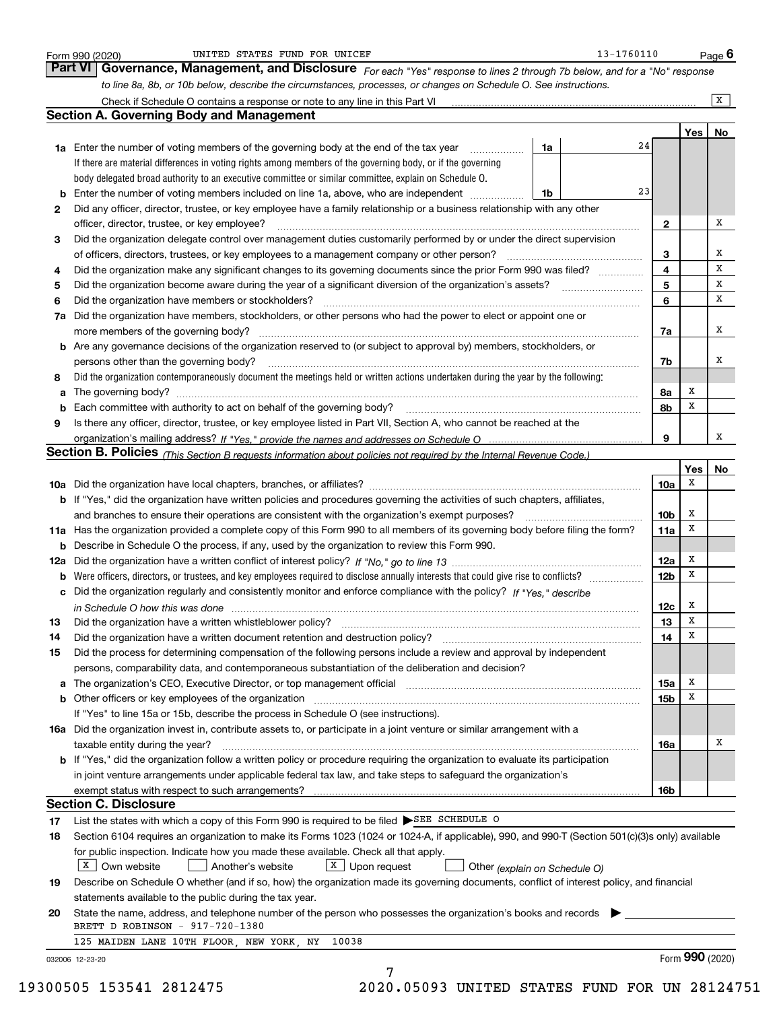| b<br>2<br>3<br>4 | Governance, Management, and Disclosure For each "Yes" response to lines 2 through 7b below, and for a "No" response<br>to line 8a, 8b, or 10b below, describe the circumstances, processes, or changes on Schedule O. See instructions.<br><b>Section A. Governing Body and Management</b><br>24<br><b>1a</b> Enter the number of voting members of the governing body at the end of the tax year<br>1a<br>If there are material differences in voting rights among members of the governing body, or if the governing<br>body delegated broad authority to an executive committee or similar committee, explain on Schedule O.<br>23<br>Enter the number of voting members included on line 1a, above, who are independent<br>1b |                         | Yes             |                |
|------------------|-----------------------------------------------------------------------------------------------------------------------------------------------------------------------------------------------------------------------------------------------------------------------------------------------------------------------------------------------------------------------------------------------------------------------------------------------------------------------------------------------------------------------------------------------------------------------------------------------------------------------------------------------------------------------------------------------------------------------------------|-------------------------|-----------------|----------------|
|                  |                                                                                                                                                                                                                                                                                                                                                                                                                                                                                                                                                                                                                                                                                                                                   |                         |                 | $\overline{X}$ |
|                  |                                                                                                                                                                                                                                                                                                                                                                                                                                                                                                                                                                                                                                                                                                                                   |                         |                 |                |
|                  |                                                                                                                                                                                                                                                                                                                                                                                                                                                                                                                                                                                                                                                                                                                                   |                         |                 |                |
|                  |                                                                                                                                                                                                                                                                                                                                                                                                                                                                                                                                                                                                                                                                                                                                   |                         |                 | No             |
|                  |                                                                                                                                                                                                                                                                                                                                                                                                                                                                                                                                                                                                                                                                                                                                   |                         |                 |                |
|                  |                                                                                                                                                                                                                                                                                                                                                                                                                                                                                                                                                                                                                                                                                                                                   |                         |                 |                |
|                  |                                                                                                                                                                                                                                                                                                                                                                                                                                                                                                                                                                                                                                                                                                                                   |                         |                 |                |
|                  |                                                                                                                                                                                                                                                                                                                                                                                                                                                                                                                                                                                                                                                                                                                                   |                         |                 |                |
|                  | Did any officer, director, trustee, or key employee have a family relationship or a business relationship with any other                                                                                                                                                                                                                                                                                                                                                                                                                                                                                                                                                                                                          |                         |                 |                |
|                  | officer, director, trustee, or key employee?                                                                                                                                                                                                                                                                                                                                                                                                                                                                                                                                                                                                                                                                                      | $\mathbf{2}$            |                 | х              |
|                  | Did the organization delegate control over management duties customarily performed by or under the direct supervision                                                                                                                                                                                                                                                                                                                                                                                                                                                                                                                                                                                                             |                         |                 |                |
|                  |                                                                                                                                                                                                                                                                                                                                                                                                                                                                                                                                                                                                                                                                                                                                   | 3                       |                 | x              |
|                  | Did the organization make any significant changes to its governing documents since the prior Form 990 was filed?                                                                                                                                                                                                                                                                                                                                                                                                                                                                                                                                                                                                                  | $\overline{4}$          |                 | x              |
| 5                |                                                                                                                                                                                                                                                                                                                                                                                                                                                                                                                                                                                                                                                                                                                                   | 5                       |                 | х              |
| 6                | Did the organization have members or stockholders?                                                                                                                                                                                                                                                                                                                                                                                                                                                                                                                                                                                                                                                                                | 6                       |                 | x              |
| 7a               | Did the organization have members, stockholders, or other persons who had the power to elect or appoint one or                                                                                                                                                                                                                                                                                                                                                                                                                                                                                                                                                                                                                    |                         |                 |                |
|                  |                                                                                                                                                                                                                                                                                                                                                                                                                                                                                                                                                                                                                                                                                                                                   | 7a                      |                 | х              |
|                  | <b>b</b> Are any governance decisions of the organization reserved to (or subject to approval by) members, stockholders, or                                                                                                                                                                                                                                                                                                                                                                                                                                                                                                                                                                                                       |                         |                 |                |
|                  | persons other than the governing body?                                                                                                                                                                                                                                                                                                                                                                                                                                                                                                                                                                                                                                                                                            | 7b                      |                 | х              |
| 8                | Did the organization contemporaneously document the meetings held or written actions undertaken during the year by the following:                                                                                                                                                                                                                                                                                                                                                                                                                                                                                                                                                                                                 |                         |                 |                |
| a                |                                                                                                                                                                                                                                                                                                                                                                                                                                                                                                                                                                                                                                                                                                                                   | 8a                      | х               |                |
| b                |                                                                                                                                                                                                                                                                                                                                                                                                                                                                                                                                                                                                                                                                                                                                   | 8b                      | Х               |                |
| 9                | Is there any officer, director, trustee, or key employee listed in Part VII, Section A, who cannot be reached at the                                                                                                                                                                                                                                                                                                                                                                                                                                                                                                                                                                                                              |                         |                 |                |
|                  |                                                                                                                                                                                                                                                                                                                                                                                                                                                                                                                                                                                                                                                                                                                                   | 9                       |                 | x              |
|                  | Section B. Policies <i>(This Section B requests information about policies not required by the Internal Revenue Code.)</i>                                                                                                                                                                                                                                                                                                                                                                                                                                                                                                                                                                                                        |                         |                 |                |
|                  |                                                                                                                                                                                                                                                                                                                                                                                                                                                                                                                                                                                                                                                                                                                                   |                         | Yes             | No             |
|                  |                                                                                                                                                                                                                                                                                                                                                                                                                                                                                                                                                                                                                                                                                                                                   | 10a                     | X               |                |
|                  | <b>b</b> If "Yes," did the organization have written policies and procedures governing the activities of such chapters, affiliates,                                                                                                                                                                                                                                                                                                                                                                                                                                                                                                                                                                                               |                         |                 |                |
|                  |                                                                                                                                                                                                                                                                                                                                                                                                                                                                                                                                                                                                                                                                                                                                   | 10 <sub>b</sub>         | х               |                |
|                  | 11a Has the organization provided a complete copy of this Form 990 to all members of its governing body before filing the form?                                                                                                                                                                                                                                                                                                                                                                                                                                                                                                                                                                                                   | 11a                     | х               |                |
|                  | <b>b</b> Describe in Schedule O the process, if any, used by the organization to review this Form 990.                                                                                                                                                                                                                                                                                                                                                                                                                                                                                                                                                                                                                            |                         |                 |                |
|                  |                                                                                                                                                                                                                                                                                                                                                                                                                                                                                                                                                                                                                                                                                                                                   | 12a                     | X<br>х          |                |
| b                |                                                                                                                                                                                                                                                                                                                                                                                                                                                                                                                                                                                                                                                                                                                                   | 12 <sub>b</sub>         |                 |                |
|                  | c Did the organization regularly and consistently monitor and enforce compliance with the policy? If "Yes," describe                                                                                                                                                                                                                                                                                                                                                                                                                                                                                                                                                                                                              |                         | X               |                |
| 13               | in Schedule O how this was done manufactured and contain an according to the state of the state of the state o                                                                                                                                                                                                                                                                                                                                                                                                                                                                                                                                                                                                                    | 12c<br>13 <sup>13</sup> | $\, {\rm X}$    |                |
| 14               | Did the organization have a written document retention and destruction policy? [11] manufaction policy?                                                                                                                                                                                                                                                                                                                                                                                                                                                                                                                                                                                                                           | 14                      | х               |                |
| 15               | Did the process for determining compensation of the following persons include a review and approval by independent                                                                                                                                                                                                                                                                                                                                                                                                                                                                                                                                                                                                                |                         |                 |                |
|                  | persons, comparability data, and contemporaneous substantiation of the deliberation and decision?                                                                                                                                                                                                                                                                                                                                                                                                                                                                                                                                                                                                                                 |                         |                 |                |
|                  | a The organization's CEO, Executive Director, or top management official manufactured content content of the organization's CEO, Executive Director, or top management official manufactured content of the state of the state                                                                                                                                                                                                                                                                                                                                                                                                                                                                                                    | 15a                     | х               |                |
|                  |                                                                                                                                                                                                                                                                                                                                                                                                                                                                                                                                                                                                                                                                                                                                   | 15b                     | Х               |                |
|                  | If "Yes" to line 15a or 15b, describe the process in Schedule O (see instructions).                                                                                                                                                                                                                                                                                                                                                                                                                                                                                                                                                                                                                                               |                         |                 |                |
|                  | 16a Did the organization invest in, contribute assets to, or participate in a joint venture or similar arrangement with a                                                                                                                                                                                                                                                                                                                                                                                                                                                                                                                                                                                                         |                         |                 |                |
|                  | taxable entity during the year?                                                                                                                                                                                                                                                                                                                                                                                                                                                                                                                                                                                                                                                                                                   | 16a                     |                 | х              |
|                  | b If "Yes," did the organization follow a written policy or procedure requiring the organization to evaluate its participation                                                                                                                                                                                                                                                                                                                                                                                                                                                                                                                                                                                                    |                         |                 |                |
|                  | in joint venture arrangements under applicable federal tax law, and take steps to safequard the organization's                                                                                                                                                                                                                                                                                                                                                                                                                                                                                                                                                                                                                    |                         |                 |                |
|                  | exempt status with respect to such arrangements?                                                                                                                                                                                                                                                                                                                                                                                                                                                                                                                                                                                                                                                                                  | 16b                     |                 |                |
|                  | <b>Section C. Disclosure</b>                                                                                                                                                                                                                                                                                                                                                                                                                                                                                                                                                                                                                                                                                                      |                         |                 |                |
| 17               | List the states with which a copy of this Form 990 is required to be filed SEE SCHEDULE O                                                                                                                                                                                                                                                                                                                                                                                                                                                                                                                                                                                                                                         |                         |                 |                |
| 18               | Section 6104 requires an organization to make its Forms 1023 (1024 or 1024-A, if applicable), 990, and 990-T (Section 501(c)(3)s only) available                                                                                                                                                                                                                                                                                                                                                                                                                                                                                                                                                                                  |                         |                 |                |
|                  | for public inspection. Indicate how you made these available. Check all that apply.                                                                                                                                                                                                                                                                                                                                                                                                                                                                                                                                                                                                                                               |                         |                 |                |
|                  | X   Own website<br>$X$ Upon request<br>  Another's website<br>Other (explain on Schedule O)                                                                                                                                                                                                                                                                                                                                                                                                                                                                                                                                                                                                                                       |                         |                 |                |
| 19               | Describe on Schedule O whether (and if so, how) the organization made its governing documents, conflict of interest policy, and financial                                                                                                                                                                                                                                                                                                                                                                                                                                                                                                                                                                                         |                         |                 |                |
|                  | statements available to the public during the tax year.                                                                                                                                                                                                                                                                                                                                                                                                                                                                                                                                                                                                                                                                           |                         |                 |                |
| 20               | State the name, address, and telephone number of the person who possesses the organization's books and records                                                                                                                                                                                                                                                                                                                                                                                                                                                                                                                                                                                                                    |                         |                 |                |
|                  | BRETT D ROBINSON - 917-720-1380                                                                                                                                                                                                                                                                                                                                                                                                                                                                                                                                                                                                                                                                                                   |                         |                 |                |
|                  | 125 MAIDEN LANE 10TH FLOOR, NEW YORK, NY 10038                                                                                                                                                                                                                                                                                                                                                                                                                                                                                                                                                                                                                                                                                    |                         |                 |                |
| 032006 12-23-20  |                                                                                                                                                                                                                                                                                                                                                                                                                                                                                                                                                                                                                                                                                                                                   |                         | Form 990 (2020) |                |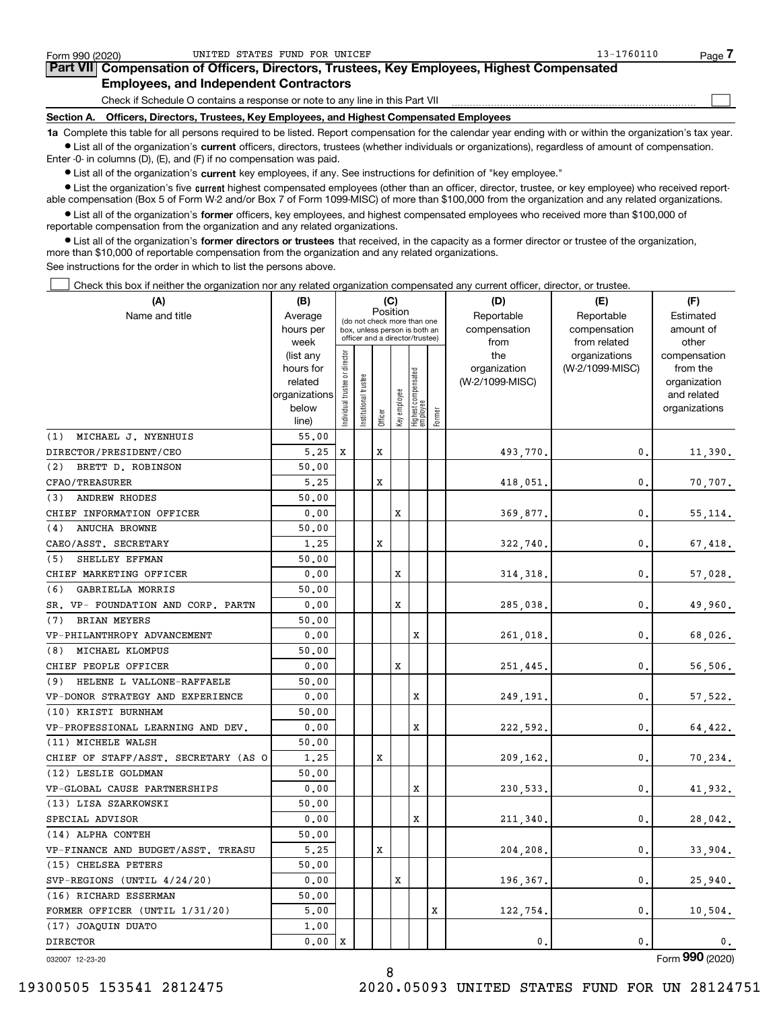| Form 990 (2020)                                                                                                                                            | UNITED STATES FUND FOR UNICEF                                                   | 13-1760110<br>Page. |  |  |  |  |  |  |  |
|------------------------------------------------------------------------------------------------------------------------------------------------------------|---------------------------------------------------------------------------------|---------------------|--|--|--|--|--|--|--|
| Part VII Compensation of Officers, Directors, Trustees, Key Employees, Highest Compensated                                                                 |                                                                                 |                     |  |  |  |  |  |  |  |
| <b>Employees, and Independent Contractors</b>                                                                                                              |                                                                                 |                     |  |  |  |  |  |  |  |
|                                                                                                                                                            | Check if Schedule O contains a response or note to any line in this Part VII    |                     |  |  |  |  |  |  |  |
| Section A.                                                                                                                                                 | Officers, Directors, Trustees, Key Employees, and Highest Compensated Employees |                     |  |  |  |  |  |  |  |
| 1a Complete this table for all persons required to be listed. Report compensation for the calendar year ending with or within the organization's tax year. |                                                                                 |                     |  |  |  |  |  |  |  |

**•** List all of the organization's current officers, directors, trustees (whether individuals or organizations), regardless of amount of compensation. Enter -0- in columns (D), (E), and (F) if no compensation was paid.

 $\bullet$  List all of the organization's  $\,$ current key employees, if any. See instructions for definition of "key employee."

**•** List the organization's five current highest compensated employees (other than an officer, director, trustee, or key employee) who received reportable compensation (Box 5 of Form W-2 and/or Box 7 of Form 1099-MISC) of more than \$100,000 from the organization and any related organizations.

**•** List all of the organization's former officers, key employees, and highest compensated employees who received more than \$100,000 of reportable compensation from the organization and any related organizations.

**former directors or trustees**  ¥ List all of the organization's that received, in the capacity as a former director or trustee of the organization, more than \$10,000 of reportable compensation from the organization and any related organizations.

See instructions for the order in which to list the persons above.

Check this box if neither the organization nor any related organization compensated any current officer, director, or trustee.  $\mathcal{L}^{\text{max}}$ 

| (A)                                  | (B)                    |                                         |                 |         | (C)          |                                                                  |            | (D)             | (E)                           | (F)                   |
|--------------------------------------|------------------------|-----------------------------------------|-----------------|---------|--------------|------------------------------------------------------------------|------------|-----------------|-------------------------------|-----------------------|
| Name and title                       | Average                | Position<br>(do not check more than one |                 |         |              |                                                                  | Reportable | Reportable      | Estimated                     |                       |
|                                      | hours per              |                                         |                 |         |              | box, unless person is both an<br>officer and a director/trustee) |            | compensation    | compensation                  | amount of             |
|                                      | week                   |                                         |                 |         |              |                                                                  |            | from<br>the     | from related<br>organizations | other<br>compensation |
|                                      | (list any<br>hours for |                                         |                 |         |              |                                                                  |            | organization    | (W-2/1099-MISC)               | from the              |
|                                      | related                |                                         | trustee         |         |              |                                                                  |            | (W-2/1099-MISC) |                               | organization          |
|                                      | organizations          |                                         |                 |         |              |                                                                  |            |                 |                               | and related           |
|                                      | below                  | ndividual trustee or director           | Institutional t |         | key employee | Highest compensated<br>  employee                                |            |                 |                               | organizations         |
|                                      | line)                  |                                         |                 | Officer |              |                                                                  | Former     |                 |                               |                       |
| MICHAEL J. NYENHUIS<br>(1)           | 55.00                  |                                         |                 |         |              |                                                                  |            |                 |                               |                       |
| DIRECTOR/PRESIDENT/CEO               | 5.25                   | х                                       |                 | X       |              |                                                                  |            | 493,770.        | 0.                            | 11,390.               |
| BRETT D. ROBINSON<br>(2)             | 50.00                  |                                         |                 |         |              |                                                                  |            |                 |                               |                       |
| CFAO/TREASURER                       | 5.25                   |                                         |                 | х       |              |                                                                  |            | 418,051.        | 0.                            | 70,707.               |
| <b>ANDREW RHODES</b><br>(3)          | 50.00                  |                                         |                 |         |              |                                                                  |            |                 |                               |                       |
| CHIEF INFORMATION OFFICER            | 0.00                   |                                         |                 |         | х            |                                                                  |            | 369,877.        | 0.                            | 55, 114.              |
| (4)<br><b>ANUCHA BROWNE</b>          | 50.00                  |                                         |                 |         |              |                                                                  |            |                 |                               |                       |
| CAEO/ASST. SECRETARY                 | 1.25                   |                                         |                 | X       |              |                                                                  |            | 322,740.        | 0.                            | 67,418.               |
| SHELLEY EFFMAN<br>(5)                | 50.00                  |                                         |                 |         |              |                                                                  |            |                 |                               |                       |
| CHIEF MARKETING OFFICER              | 0.00                   |                                         |                 |         | х            |                                                                  |            | 314, 318.       | 0.                            | 57,028.               |
| (6)<br>GABRIELLA MORRIS              | 50.00                  |                                         |                 |         |              |                                                                  |            |                 |                               |                       |
| SR. VP- FOUNDATION AND CORP. PARTN   | 0.00                   |                                         |                 |         | X            |                                                                  |            | 285,038.        | 0.                            | 49,960.               |
| <b>BRIAN MEYERS</b><br>(7)           | 50.00                  |                                         |                 |         |              |                                                                  |            |                 |                               |                       |
| VP-PHILANTHROPY ADVANCEMENT          | 0.00                   |                                         |                 |         |              | X                                                                |            | 261,018.        | 0.                            | 68,026.               |
| MICHAEL KLOMPUS<br>(8)               | 50.00                  |                                         |                 |         |              |                                                                  |            |                 |                               |                       |
| CHIEF PEOPLE OFFICER                 | 0.00                   |                                         |                 |         | X            |                                                                  |            | 251,445.        | 0.                            | 56,506.               |
| (9) HELENE L VALLONE-RAFFAELE        | 50.00                  |                                         |                 |         |              |                                                                  |            |                 |                               |                       |
| VP-DONOR STRATEGY AND EXPERIENCE     | 0.00                   |                                         |                 |         |              | x                                                                |            | 249,191.        | 0.                            | 57,522.               |
| (10) KRISTI BURNHAM                  | 50.00                  |                                         |                 |         |              |                                                                  |            |                 |                               |                       |
| VP-PROFESSIONAL LEARNING AND DEV.    | 0.00                   |                                         |                 |         |              | x                                                                |            | 222,592.        | 0.                            | 64,422.               |
| (11) MICHELE WALSH                   | 50.00                  |                                         |                 |         |              |                                                                  |            |                 |                               |                       |
| CHIEF OF STAFF/ASST. SECRETARY (AS O | 1.25                   |                                         |                 | х       |              |                                                                  |            | 209,162,        | 0.                            | 70,234.               |
| (12) LESLIE GOLDMAN                  | 50.00                  |                                         |                 |         |              |                                                                  |            |                 |                               |                       |
| VP-GLOBAL CAUSE PARTNERSHIPS         | 0.00                   |                                         |                 |         |              | X                                                                |            | 230,533.        | 0.                            | 41,932.               |
| (13) LISA SZARKOWSKI                 | 50.00                  |                                         |                 |         |              |                                                                  |            |                 |                               |                       |
| SPECIAL ADVISOR                      | 0.00                   |                                         |                 |         |              | x                                                                |            | 211,340.        | 0.                            | 28,042.               |
| (14) ALPHA CONTEH                    | 50.00                  |                                         |                 |         |              |                                                                  |            |                 |                               |                       |
| VP-FINANCE AND BUDGET/ASST. TREASU   | 5,25                   |                                         |                 | X       |              |                                                                  |            | 204,208.        | 0.                            | 33,904.               |
| (15) CHELSEA PETERS                  | 50.00                  |                                         |                 |         |              |                                                                  |            |                 |                               |                       |
| SVP-REGIONS (UNTIL 4/24/20)          | 0.00                   |                                         |                 |         | х            |                                                                  |            | 196,367.        | 0.                            | 25,940.               |
| (16) RICHARD ESSERMAN                | 50.00                  |                                         |                 |         |              |                                                                  |            |                 |                               |                       |
| FORMER OFFICER (UNTIL 1/31/20)       | 5,00                   |                                         |                 |         |              |                                                                  | x          | 122,754.        | 0.                            | 10,504.               |
| (17) JOAQUIN DUATO                   | 1,00                   |                                         |                 |         |              |                                                                  |            |                 |                               |                       |
| <b>DIRECTOR</b>                      | 0.00                   | X                                       |                 |         |              |                                                                  |            | 0.              | 0.                            | 0.                    |

032007 12-23-20

Form (2020) **990**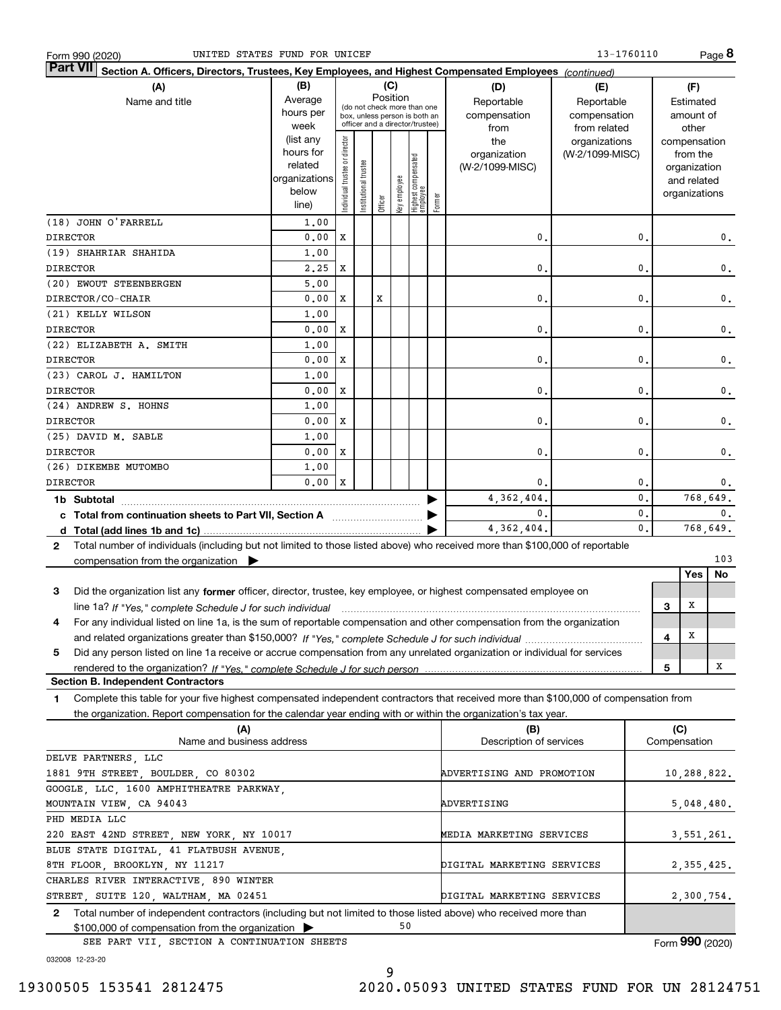| Form 990 (2020 |  |
|----------------|--|
|                |  |

| Part VII Section A. Officers, Directors, Trustees, Key Employees, and Highest Compensated Employees (continued)                              |                                                                      |                                         |                       |         |              |                                 |            |                 |                 |                |           |                              |     |
|----------------------------------------------------------------------------------------------------------------------------------------------|----------------------------------------------------------------------|-----------------------------------------|-----------------------|---------|--------------|---------------------------------|------------|-----------------|-----------------|----------------|-----------|------------------------------|-----|
| (A)                                                                                                                                          | (B)                                                                  |                                         |                       |         | (C)          |                                 |            | (D)             | (E)             |                |           | (F)                          |     |
| Name and title                                                                                                                               | Average                                                              | Position<br>(do not check more than one |                       |         |              |                                 | Reportable | Reportable      |                 |                | Estimated |                              |     |
|                                                                                                                                              | hours per                                                            |                                         |                       |         |              | box, unless person is both an   |            | compensation    | compensation    |                |           | amount of                    |     |
|                                                                                                                                              | week                                                                 |                                         |                       |         |              | officer and a director/trustee) |            | from            | from related    |                |           | other                        |     |
|                                                                                                                                              | (list any                                                            |                                         |                       |         |              |                                 |            | the             | organizations   |                |           | compensation                 |     |
|                                                                                                                                              | hours for<br>related                                                 |                                         |                       |         |              |                                 |            | organization    | (W-2/1099-MISC) |                |           | from the                     |     |
|                                                                                                                                              | organizations                                                        |                                         |                       |         |              |                                 |            | (W-2/1099-MISC) |                 |                |           | organization                 |     |
|                                                                                                                                              | below                                                                |                                         |                       |         |              |                                 |            |                 |                 |                |           | and related<br>organizations |     |
|                                                                                                                                              | line)                                                                | Individual trustee or director          | Institutional trustee | Officer | Key employee | Highest compensated<br>employee | Former     |                 |                 |                |           |                              |     |
| (18) JOHN O'FARRELL                                                                                                                          | 1,00                                                                 |                                         |                       |         |              |                                 |            |                 |                 |                |           |                              |     |
| <b>DIRECTOR</b>                                                                                                                              | 0.00                                                                 | X                                       |                       |         |              |                                 |            | 0.              |                 | 0.             |           |                              | 0.  |
| (19) SHAHRIAR SHAHIDA                                                                                                                        | 1.00                                                                 |                                         |                       |         |              |                                 |            |                 |                 |                |           |                              |     |
| <b>DIRECTOR</b>                                                                                                                              | 2.25                                                                 | $\mathbf x$                             |                       |         |              |                                 |            | 0.              |                 | $\mathbf{0}$ . |           |                              | 0.  |
| (20) EWOUT STEENBERGEN                                                                                                                       | 5,00                                                                 |                                         |                       |         |              |                                 |            |                 |                 |                |           |                              |     |
| DIRECTOR/CO-CHAIR                                                                                                                            | 0.00                                                                 | $\mathbf x$                             |                       | X       |              |                                 |            | 0.              |                 | $\mathbf{0}$ . |           |                              | 0.  |
| (21) KELLY WILSON                                                                                                                            | 1.00                                                                 |                                         |                       |         |              |                                 |            |                 |                 |                |           |                              |     |
| <b>DIRECTOR</b>                                                                                                                              | 0.00                                                                 | $\mathbf x$                             |                       |         |              |                                 |            | 0.              |                 | $\mathbf{0}$ . |           |                              | 0.  |
| (22) ELIZABETH A. SMITH                                                                                                                      | 1.00                                                                 |                                         |                       |         |              |                                 |            |                 |                 |                |           |                              |     |
| <b>DIRECTOR</b>                                                                                                                              | 0.00                                                                 | $\mathbf X$                             |                       |         |              |                                 |            | 0.              |                 | $\mathbf{0}$ . |           |                              | 0.  |
| (23) CAROL J. HAMILTON                                                                                                                       | 1.00                                                                 |                                         |                       |         |              |                                 |            |                 |                 |                |           |                              |     |
| <b>DIRECTOR</b>                                                                                                                              | 0.00                                                                 | X                                       |                       |         |              |                                 |            | 0.              |                 | $\mathbf{0}$ . |           |                              | 0.  |
| (24) ANDREW S. HOHNS                                                                                                                         | 1.00                                                                 |                                         |                       |         |              |                                 |            |                 |                 |                |           |                              |     |
| <b>DIRECTOR</b>                                                                                                                              | 0.00                                                                 | X                                       |                       |         |              |                                 |            | 0.              |                 | $\mathbf{0}$ . |           |                              | 0.  |
| (25) DAVID M. SABLE                                                                                                                          | 1.00                                                                 |                                         |                       |         |              |                                 |            |                 |                 |                |           |                              |     |
| <b>DIRECTOR</b>                                                                                                                              | 0.00                                                                 | $\mathbf X$                             |                       |         |              |                                 |            | 0.              |                 | $\mathbf{0}$ . |           |                              | 0.  |
| (26) DIKEMBE MUTOMBO                                                                                                                         | 1.00                                                                 |                                         |                       |         |              |                                 |            |                 |                 |                |           |                              |     |
| <b>DIRECTOR</b>                                                                                                                              | 0.00                                                                 | $\mathbf x$                             |                       |         |              |                                 |            | $\mathbf{0}$ .  |                 | 0.             |           |                              | 0.  |
| 1b Subtotal                                                                                                                                  |                                                                      |                                         |                       |         |              |                                 |            | 4,362,404.      |                 | $\mathbf{0}$ . |           | 768,649.                     |     |
|                                                                                                                                              |                                                                      |                                         |                       |         |              |                                 |            | $\mathbf{0}$ .  |                 | $\mathbf{0}$ . |           |                              | 0.  |
|                                                                                                                                              |                                                                      |                                         |                       |         |              |                                 |            | 4, 362, 404.    |                 | 0.             |           | 768,649.                     |     |
| Total number of individuals (including but not limited to those listed above) who received more than \$100,000 of reportable<br>$\mathbf{2}$ |                                                                      |                                         |                       |         |              |                                 |            |                 |                 |                |           |                              |     |
| compensation from the organization $\blacktriangleright$                                                                                     |                                                                      |                                         |                       |         |              |                                 |            |                 |                 |                |           |                              | 103 |
|                                                                                                                                              |                                                                      |                                         |                       |         |              |                                 |            |                 |                 |                |           | Yes                          | No  |
| Did the organization list any former officer, director, trustee, key employee, or highest compensated employee on<br>3                       |                                                                      |                                         |                       |         |              |                                 |            |                 |                 |                |           |                              |     |
| line 1a? If "Yes," complete Schedule J for such individual manufactured contained and the successive complete                                |                                                                      |                                         |                       |         |              |                                 |            |                 |                 |                | 3         | X                            |     |
| For any individual listed on line 1a, is the sum of reportable compensation and other compensation from the organization<br>4                |                                                                      |                                         |                       |         |              |                                 |            |                 |                 |                |           |                              |     |
|                                                                                                                                              |                                                                      |                                         |                       |         |              |                                 |            |                 |                 |                | 4         | $\mathbf x$                  |     |
| Did any person listed on line 1a receive or accrue compensation from any unrelated organization or individual for services<br>5              |                                                                      |                                         |                       |         |              |                                 |            |                 |                 |                |           |                              |     |
|                                                                                                                                              |                                                                      |                                         |                       |         |              |                                 |            |                 |                 |                | 5         |                              | х   |
| <b>Section B. Independent Contractors</b>                                                                                                    |                                                                      |                                         |                       |         |              |                                 |            |                 |                 |                |           |                              |     |
| Complete this table for your five highest compensated independent contractors that received more than \$100,000 of compensation from<br>1    |                                                                      |                                         |                       |         |              |                                 |            |                 |                 |                |           |                              |     |
| the organization. Report compensation for the calendar year ending with or within the organization's tax year.                               |                                                                      |                                         |                       |         |              |                                 |            |                 |                 |                |           |                              |     |
| (A)                                                                                                                                          |                                                                      |                                         |                       |         |              |                                 |            | (B)             |                 |                | (C)       |                              |     |
|                                                                                                                                              | Name and business address<br>Description of services<br>Compensation |                                         |                       |         |              |                                 |            |                 |                 |                |           |                              |     |

| Name and business address                                                                                             | Description of services    | Compensation                             |
|-----------------------------------------------------------------------------------------------------------------------|----------------------------|------------------------------------------|
| DELVE PARTNERS, LLC                                                                                                   |                            |                                          |
| 1881 9TH STREET, BOULDER, CO 80302                                                                                    | ADVERTISING AND PROMOTION  | 10,288,822.                              |
| GOOGLE LLC 1600 AMPHITHEATRE PARKWAY                                                                                  |                            |                                          |
| MOUNTAIN VIEW, CA 94043                                                                                               | ADVERTISING                | 5,048,480.                               |
| PHD MEDIA LLC                                                                                                         |                            |                                          |
| 220 EAST 42ND STREET, NEW YORK, NY 10017                                                                              | MEDIA MARKETING SERVICES   | 3,551,261.                               |
| BLUE STATE DIGITAL, 41 FLATBUSH AVENUE,                                                                               |                            |                                          |
| 8TH FLOOR, BROOKLYN, NY 11217                                                                                         | DIGITAL MARKETING SERVICES | 2, 355, 425.                             |
| CHARLES RIVER INTERACTIVE, 890 WINTER                                                                                 |                            |                                          |
| STREET, SUITE 120, WALTHAM, MA 02451                                                                                  | DIGITAL MARKETING SERVICES | 2,300,754.                               |
| Total number of independent contractors (including but not limited to those listed above) who received more than<br>2 |                            |                                          |
| $$100,000$ of compensation from the organization $\triangleright$                                                     | 50                         |                                          |
| CPP DAPT VIII CPCTION A CONTINUATION CUPPTC                                                                           |                            | $F_{\text{max}}$ 000 $\mu_{\text{2000}}$ |

SEE PART VII, SECTION A CONTINUATION SHEETS

Form (2020) **990**

032008 12-23-20

19300505 153541 2812475 2020.05093 UNITED STATES FUND FOR UN 28124751

9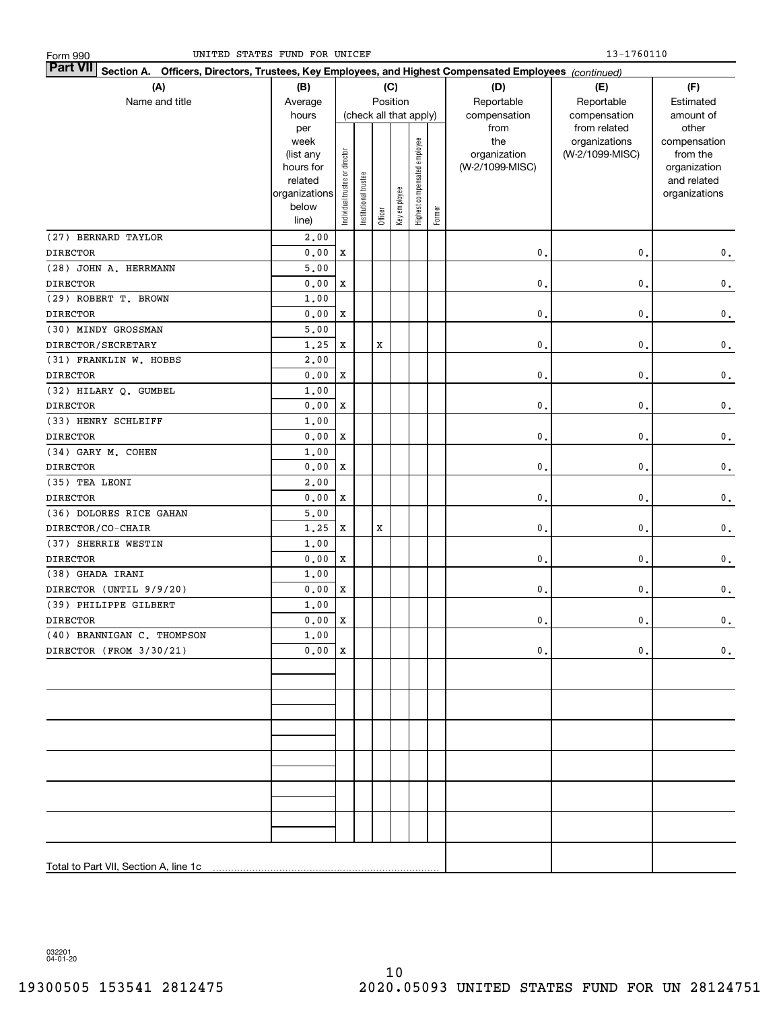| Part VII Section A. Officers, Directors, Trustees, Key Employees, and Highest Compensated Employees (continued) |                        |                                |                       |         |                        |                              |        |                 |                 |               |
|-----------------------------------------------------------------------------------------------------------------|------------------------|--------------------------------|-----------------------|---------|------------------------|------------------------------|--------|-----------------|-----------------|---------------|
| (A)                                                                                                             | (B)                    |                                |                       |         | (C)                    |                              |        | (D)             | (E)             | (F)           |
| Name and title                                                                                                  | Average                |                                |                       |         | Position               |                              |        | Reportable      | Reportable      | Estimated     |
|                                                                                                                 | hours                  |                                |                       |         | (check all that apply) |                              |        | compensation    | compensation    | amount of     |
|                                                                                                                 | per                    |                                |                       |         |                        |                              |        | from            | from related    | other         |
|                                                                                                                 | week                   |                                |                       |         |                        |                              |        | the             | organizations   | compensation  |
|                                                                                                                 | (list any              |                                |                       |         |                        |                              |        | organization    | (W-2/1099-MISC) | from the      |
|                                                                                                                 | hours for              |                                |                       |         |                        |                              |        | (W-2/1099-MISC) |                 | organization  |
|                                                                                                                 | related                |                                |                       |         |                        |                              |        |                 |                 | and related   |
|                                                                                                                 | organizations<br>below |                                |                       |         |                        |                              |        |                 |                 | organizations |
|                                                                                                                 | line)                  | Individual trustee or director | Institutional trustee | Officer | Key employee           | Highest compensated employee | Former |                 |                 |               |
| (27) BERNARD TAYLOR                                                                                             | 2,00                   |                                |                       |         |                        |                              |        |                 |                 |               |
| <b>DIRECTOR</b>                                                                                                 | 0.00                   | X                              |                       |         |                        |                              |        | 0.              | 0.              | $\mathbf 0$ . |
| (28) JOHN A. HERRMANN                                                                                           | 5,00                   |                                |                       |         |                        |                              |        |                 |                 |               |
| <b>DIRECTOR</b>                                                                                                 | 0.00                   | $\mathbf x$                    |                       |         |                        |                              |        | $\mathbf{0}$ .  | 0.              | $\mathbf 0$ . |
| (29) ROBERT T. BROWN                                                                                            | 1.00                   |                                |                       |         |                        |                              |        |                 |                 |               |
| <b>DIRECTOR</b>                                                                                                 | 0.00                   | $\mathbf x$                    |                       |         |                        |                              |        | $\mathbf{0}$ .  | 0.              | $\mathbf 0$ . |
| (30) MINDY GROSSMAN                                                                                             | 5,00                   |                                |                       |         |                        |                              |        |                 |                 |               |
| DIRECTOR/SECRETARY                                                                                              | 1.25                   | $\mathbf x$                    |                       | X       |                        |                              |        | $\mathbf{0}$ .  | $\mathbf{0}$ .  | $\mathbf 0$ . |
| (31) FRANKLIN W. HOBBS                                                                                          | 2,00                   |                                |                       |         |                        |                              |        |                 |                 |               |
| <b>DIRECTOR</b>                                                                                                 | 0.00                   | $\mathbf x$                    |                       |         |                        |                              |        | $\mathbf{0}$ .  | $\mathbf{0}$ .  | $\mathbf 0$ . |
| (32) HILARY Q. GUMBEL                                                                                           | 1.00                   |                                |                       |         |                        |                              |        |                 |                 |               |
| <b>DIRECTOR</b>                                                                                                 | 0.00                   | $\mathbf x$                    |                       |         |                        |                              |        | $\mathbf{0}$ .  | $\mathbf{0}$ .  | $\mathbf 0$ . |
| (33) HENRY SCHLEIFF                                                                                             | 1.00                   |                                |                       |         |                        |                              |        |                 |                 |               |
| <b>DIRECTOR</b>                                                                                                 | 0.00                   | $\mathbf x$                    |                       |         |                        |                              |        | $\mathbf{0}$ .  | $\mathbf{0}$ .  | $\mathbf 0$ . |
| (34) GARY M. COHEN                                                                                              | 1.00                   |                                |                       |         |                        |                              |        |                 |                 |               |
| <b>DIRECTOR</b>                                                                                                 | 0.00                   | $\mathbf x$                    |                       |         |                        |                              |        | $\mathbf{0}$ .  | $\mathbf{0}$ .  | $\mathbf 0$ . |
| (35) TEA LEONI                                                                                                  | 2.00                   |                                |                       |         |                        |                              |        |                 |                 |               |
| <b>DIRECTOR</b>                                                                                                 | 0.00                   | X                              |                       |         |                        |                              |        | $\mathbf{0}$ .  | 0.              | $\mathbf 0$ . |
| (36) DOLORES RICE GAHAN                                                                                         | 5.00                   |                                |                       |         |                        |                              |        |                 |                 |               |
| DIRECTOR/CO-CHAIR                                                                                               | 1.25                   | X                              |                       | X       |                        |                              |        | $\mathbf{0}$ .  | 0.              | $\mathbf 0$ . |
| (37) SHERRIE WESTIN                                                                                             | 1.00                   |                                |                       |         |                        |                              |        |                 |                 |               |
| <b>DIRECTOR</b>                                                                                                 | 0.00                   | X                              |                       |         |                        |                              |        | 0.              | 0.              | $\mathbf 0$ . |
| (38) GHADA IRANI                                                                                                | 1.00                   |                                |                       |         |                        |                              |        |                 |                 |               |
| DIRECTOR (UNTIL 9/9/20)                                                                                         | 0.00                   | $\mathbf x$                    |                       |         |                        |                              |        | 0.              | 0.              | $\mathbf 0$ . |
| (39) PHILIPPE GILBERT                                                                                           | 1.00                   |                                |                       |         |                        |                              |        |                 |                 |               |
| <b>DIRECTOR</b>                                                                                                 | 0.00                   | $\mathbf X$                    |                       |         |                        |                              |        | $\mathbf{0}$ .  | 0.              | $\mathbf 0$ . |
| (40) BRANNIGAN C. THOMPSON                                                                                      | 1.00                   |                                |                       |         |                        |                              |        |                 |                 |               |
| DIRECTOR (FROM 3/30/21)                                                                                         | 0.00X                  |                                |                       |         |                        |                              |        | $\mathbf 0$ .   | $\mathfrak o$ . | $\mathbf 0$ . |
|                                                                                                                 |                        |                                |                       |         |                        |                              |        |                 |                 |               |
|                                                                                                                 |                        |                                |                       |         |                        |                              |        |                 |                 |               |
|                                                                                                                 |                        |                                |                       |         |                        |                              |        |                 |                 |               |
|                                                                                                                 |                        |                                |                       |         |                        |                              |        |                 |                 |               |
|                                                                                                                 |                        |                                |                       |         |                        |                              |        |                 |                 |               |
|                                                                                                                 |                        |                                |                       |         |                        |                              |        |                 |                 |               |
|                                                                                                                 |                        |                                |                       |         |                        |                              |        |                 |                 |               |
|                                                                                                                 |                        |                                |                       |         |                        |                              |        |                 |                 |               |
|                                                                                                                 |                        |                                |                       |         |                        |                              |        |                 |                 |               |
|                                                                                                                 |                        |                                |                       |         |                        |                              |        |                 |                 |               |
|                                                                                                                 |                        |                                |                       |         |                        |                              |        |                 |                 |               |
|                                                                                                                 |                        |                                |                       |         |                        |                              |        |                 |                 |               |
|                                                                                                                 |                        |                                |                       |         |                        |                              |        |                 |                 |               |
| Total to Part VII, Section A, line 1c                                                                           |                        |                                |                       |         |                        |                              |        |                 |                 |               |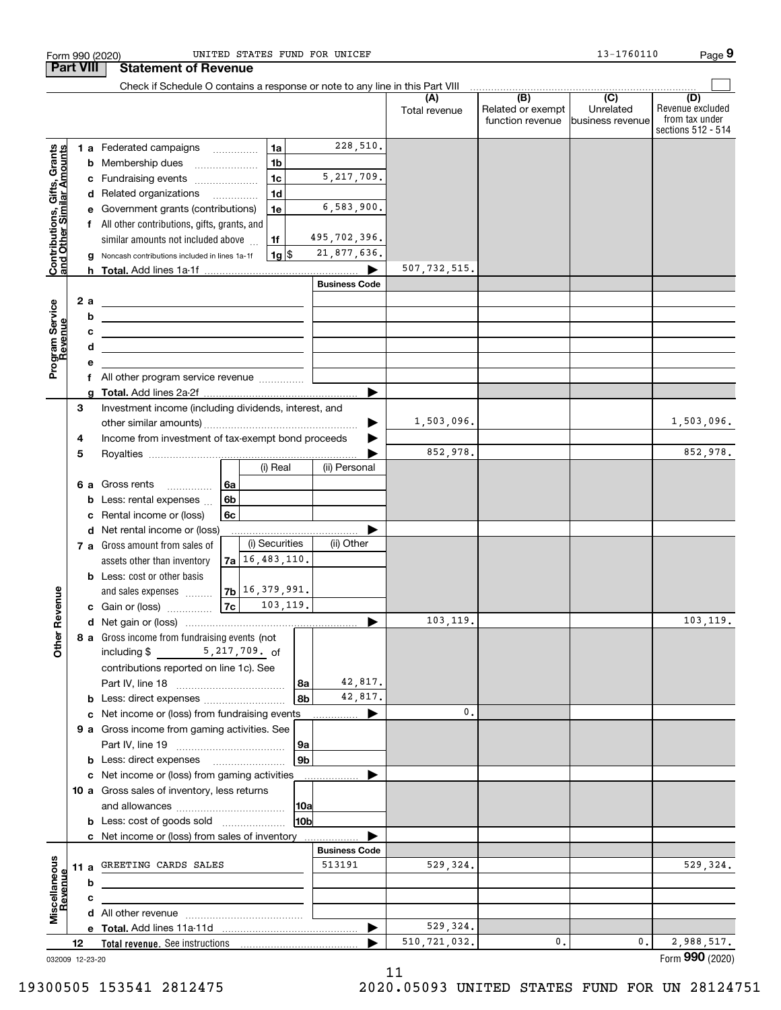|                                                           | <b>Part VIII</b> |        | <b>Statement of Revenue</b>                                                                                           |                    |                      |                      |                      |                                                           |                                                   |                                                                 |
|-----------------------------------------------------------|------------------|--------|-----------------------------------------------------------------------------------------------------------------------|--------------------|----------------------|----------------------|----------------------|-----------------------------------------------------------|---------------------------------------------------|-----------------------------------------------------------------|
|                                                           |                  |        | Check if Schedule O contains a response or note to any line in this Part VIII                                         |                    |                      |                      |                      |                                                           |                                                   |                                                                 |
|                                                           |                  |        |                                                                                                                       |                    |                      |                      | (A)<br>Total revenue | $\overline{(B)}$<br>Related or exempt<br>function revenue | $\overline{(C)}$<br>Unrelated<br>business revenue | (D)<br>Revenue excluded<br>from tax under<br>sections 512 - 514 |
|                                                           |                  |        | 1 a Federated campaigns                                                                                               |                    | 1a<br>1 <sub>b</sub> | 228,510.             |                      |                                                           |                                                   |                                                                 |
|                                                           |                  | b      | Membership dues<br>Fundraising events                                                                                 |                    | 1 <sub>c</sub>       | 5, 217, 709.         |                      |                                                           |                                                   |                                                                 |
|                                                           |                  | с<br>d | Related organizations                                                                                                 |                    | 1 <sub>d</sub>       |                      |                      |                                                           |                                                   |                                                                 |
| Contributions, Gifts, Grants<br>and Other Similar Amounts |                  |        | Government grants (contributions)                                                                                     |                    | 1e                   | 6,583,900.           |                      |                                                           |                                                   |                                                                 |
|                                                           |                  |        | f All other contributions, gifts, grants, and                                                                         |                    |                      |                      |                      |                                                           |                                                   |                                                                 |
|                                                           |                  |        | similar amounts not included above                                                                                    |                    | 1f                   | 495,702,396.         |                      |                                                           |                                                   |                                                                 |
|                                                           |                  | g      | Noncash contributions included in lines 1a-1f                                                                         |                    | $1g$ \$              | 21,877,636.          |                      |                                                           |                                                   |                                                                 |
|                                                           |                  |        |                                                                                                                       |                    |                      |                      | 507, 732, 515.       |                                                           |                                                   |                                                                 |
|                                                           |                  |        |                                                                                                                       |                    |                      | <b>Business Code</b> |                      |                                                           |                                                   |                                                                 |
|                                                           | 2 a              |        | <u> 1989 - Johann Barn, fransk politik formuler (d. 1989)</u>                                                         |                    |                      |                      |                      |                                                           |                                                   |                                                                 |
|                                                           |                  | b      | <u> 1999 - Johann Harry Harry Harry Harry Harry Harry Harry Harry Harry Harry Harry Harry Harry Harry Harry Harry</u> |                    |                      |                      |                      |                                                           |                                                   |                                                                 |
| evenue                                                    |                  | с      | <u> 1989 - Johann Barbara, martin amerikan personal (</u>                                                             |                    |                      |                      |                      |                                                           |                                                   |                                                                 |
|                                                           |                  | d      | the control of the control of the control of the control of the control of                                            |                    |                      |                      |                      |                                                           |                                                   |                                                                 |
| Program Service<br>Bevenue                                |                  | е      |                                                                                                                       |                    |                      |                      |                      |                                                           |                                                   |                                                                 |
|                                                           |                  |        | f All other program service revenue                                                                                   |                    |                      |                      |                      |                                                           |                                                   |                                                                 |
|                                                           |                  | a      |                                                                                                                       |                    |                      |                      |                      |                                                           |                                                   |                                                                 |
|                                                           | 3                |        | Investment income (including dividends, interest, and                                                                 |                    |                      |                      |                      |                                                           |                                                   |                                                                 |
|                                                           |                  |        |                                                                                                                       |                    |                      |                      | 1,503,096.           |                                                           |                                                   | 1,503,096.                                                      |
|                                                           | 4                |        | Income from investment of tax-exempt bond proceeds                                                                    |                    |                      |                      |                      |                                                           |                                                   |                                                                 |
|                                                           | 5                |        |                                                                                                                       |                    |                      |                      | 852,978.             |                                                           |                                                   | 852,978.                                                        |
|                                                           |                  |        |                                                                                                                       |                    | (i) Real             | (ii) Personal        |                      |                                                           |                                                   |                                                                 |
|                                                           | 6а               |        | Gross rents                                                                                                           | 6a                 |                      |                      |                      |                                                           |                                                   |                                                                 |
|                                                           |                  | b      | Less: rental expenses                                                                                                 | 6b                 |                      |                      |                      |                                                           |                                                   |                                                                 |
|                                                           |                  | с      | Rental income or (loss)                                                                                               | 6c                 |                      |                      |                      |                                                           |                                                   |                                                                 |
|                                                           |                  | d      | Net rental income or (loss)                                                                                           |                    |                      |                      |                      |                                                           |                                                   |                                                                 |
|                                                           |                  |        | 7 a Gross amount from sales of                                                                                        |                    | (i) Securities       | (ii) Other           |                      |                                                           |                                                   |                                                                 |
|                                                           |                  |        | assets other than inventory                                                                                           | $7a$ 16, 483, 110. |                      |                      |                      |                                                           |                                                   |                                                                 |
|                                                           |                  |        | <b>b</b> Less: cost or other basis                                                                                    | $7b$ 16, 379, 991. |                      |                      |                      |                                                           |                                                   |                                                                 |
| Revenue                                                   |                  |        | and sales expenses                                                                                                    | $\vert$ 7c $\vert$ | 103,119.             |                      |                      |                                                           |                                                   |                                                                 |
|                                                           |                  |        | <b>c</b> Gain or (loss) $\ldots$                                                                                      |                    |                      |                      | 103,119.             |                                                           |                                                   | 103, 119.                                                       |
|                                                           |                  |        | 8 a Gross income from fundraising events (not                                                                         |                    |                      |                      |                      |                                                           |                                                   |                                                                 |
| <b>Other</b>                                              |                  |        | 5,217,709. of<br>including $$$                                                                                        |                    |                      |                      |                      |                                                           |                                                   |                                                                 |
|                                                           |                  |        | contributions reported on line 1c). See                                                                               |                    |                      |                      |                      |                                                           |                                                   |                                                                 |
|                                                           |                  |        |                                                                                                                       |                    | l 8a                 | 42,817.              |                      |                                                           |                                                   |                                                                 |
|                                                           |                  | b      |                                                                                                                       |                    | 8b                   | 42,817.              |                      |                                                           |                                                   |                                                                 |
|                                                           |                  | с      | Net income or (loss) from fundraising events                                                                          |                    |                      |                      | 0.                   |                                                           |                                                   |                                                                 |
|                                                           |                  |        | 9 a Gross income from gaming activities. See                                                                          |                    |                      |                      |                      |                                                           |                                                   |                                                                 |
|                                                           |                  |        |                                                                                                                       |                    | 9a                   |                      |                      |                                                           |                                                   |                                                                 |
|                                                           |                  | b      |                                                                                                                       |                    | 9 <sub>b</sub>       |                      |                      |                                                           |                                                   |                                                                 |
|                                                           |                  |        | c Net income or (loss) from gaming activities                                                                         |                    |                      |                      |                      |                                                           |                                                   |                                                                 |
|                                                           |                  |        | 10 a Gross sales of inventory, less returns                                                                           |                    |                      |                      |                      |                                                           |                                                   |                                                                 |
|                                                           |                  |        |                                                                                                                       |                    | 10a                  |                      |                      |                                                           |                                                   |                                                                 |
|                                                           |                  |        | <b>b</b> Less: cost of goods sold                                                                                     |                    | 10bl                 |                      |                      |                                                           |                                                   |                                                                 |
|                                                           |                  |        | c Net income or (loss) from sales of inventory                                                                        |                    |                      |                      |                      |                                                           |                                                   |                                                                 |
|                                                           |                  |        |                                                                                                                       |                    |                      | <b>Business Code</b> |                      |                                                           |                                                   |                                                                 |
|                                                           | 11 a             |        | GREETING CARDS SALES                                                                                                  |                    |                      | 513191               | 529,324.             |                                                           |                                                   | 529, 324.                                                       |
|                                                           |                  | b      |                                                                                                                       |                    |                      |                      |                      |                                                           |                                                   |                                                                 |
|                                                           |                  | с      |                                                                                                                       |                    |                      |                      |                      |                                                           |                                                   |                                                                 |
| Miscellaneous<br>Revenue                                  |                  |        |                                                                                                                       |                    |                      |                      |                      |                                                           |                                                   |                                                                 |
|                                                           |                  |        |                                                                                                                       |                    |                      |                      | 529,324.             |                                                           |                                                   |                                                                 |
|                                                           | 12               |        |                                                                                                                       |                    |                      |                      | 510, 721, 032.       | 0.                                                        | 0.                                                | 2,988,517.                                                      |
|                                                           | 032009 12-23-20  |        |                                                                                                                       |                    |                      |                      |                      |                                                           |                                                   | Form 990 (2020)                                                 |

032009 12-23-20

Form 990 (2020) UNITED STATES FUND FOR UNICEF 13-1760110 Page **9**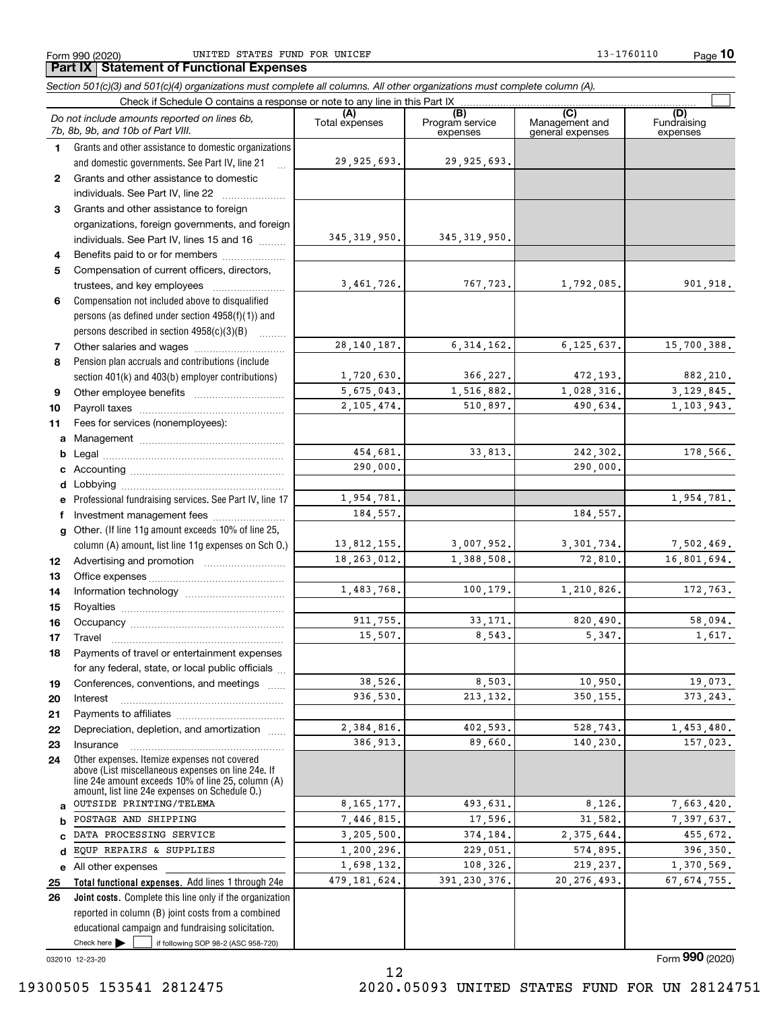**10**

#### **(A)**<br>Total expenses **(B) (C) (D) 1234567891011abcdefg12131415161718192021222324***Section 501(c)(3) and 501(c)(4) organizations must complete all columns. All other organizations must complete column (A).* Grants and other assistance to domestic organizations and domestic governments. See Part IV, line 21 Compensation not included above to disqualified persons (as defined under section 4958(f)(1)) and persons described in section 4958(c)(3)(B)  $\quad \ldots \ldots \ldots$ Pension plan accruals and contributions (include section 401(k) and 403(b) employer contributions) Professional fundraising services. See Part IV, line 17 Other. (If line 11g amount exceeds 10% of line 25, column (A) amount, list line 11g expenses on Sch O.) Other expenses. Itemize expenses not covered Form 990 (2020) Page UNITED STATES FUND FOR UNICEF 13-1760110 Check if Schedule O contains a response or note to any line in this Part IX (C) (C) (C) (C) (C) (C) Program service expenses Management and general expenses Fundraising expensesGrants and other assistance to domestic individuals. See Part IV, line 22 .......... Grants and other assistance to foreign organizations, foreign governments, and foreign individuals. See Part IV, lines 15 and 16  $\ldots$ Benefits paid to or for members ..................... Compensation of current officers, directors, trustees, and key employees  $\ldots$   $\ldots$   $\ldots$   $\ldots$   $\ldots$   $\ldots$ Other salaries and wages ~~~~~~~~~~ Other employee benefits ~~~~~~~~~~ Payroll taxes ~~~~~~~~~~~~~~~~ Fees for services (nonemployees): Management ~~~~~~~~~~~~~~~~ Legal ~~~~~~~~~~~~~~~~~~~~Accounting ~~~~~~~~~~~~~~~~~ Lobbying ~~~~~~~~~~~~~~~~~~ lnvestment management fees ....................... Advertising and promotion www.communication Office expenses ~~~~~~~~~~~~~~~ Information technology ~~~~~~~~~~~ Royalties ~~~~~~~~~~~~~~~~~~ Occupancy ~~~~~~~~~~~~~~~~~ Travel ……………………………………………… Payments of travel or entertainment expenses for any federal, state, or local public officials ... Conferences, conventions, and meetings InterestPayments to affiliates ~~~~~~~~~~~~ Depreciation, depletion, and amortization  $\,\,\ldots\,\,$ Insurance~~~~~~~~~~~~~~~~~*Do not include amounts reported on lines 6b, 7b, 8b, 9b, and 10b of Part VIII.* **Part IX Statement of Functional Expenses**  $\mathcal{L}^{\text{max}}$ 29,925,693. 345,319,950. 3,461,726. 28,140,187. 1,720,630. 5,675,043. 2,105,474. 454,681. 290,000. 1,954,781. 13,812,155. 18,263,012. 1,483,768. 911,755. 15,507. 38,526. 936,530. 2,384,816. 386,913. 184,557. 29,925,693. 345,319,950. 767,723. 1,792,085. 901,918. 6,314,162. 6,125,637. 15,700,388. 366,227. 472,193. 882,210. 1,516,882. 1,028,316. 3,129,845. 510,897. 490,634. 1,103,943. 33,813. 242,302. 178,566. 290,000. 1,954,781. 184,557. 3,007,952. 3,301,734. 7,502,469. 1,388,508. 72,810. 16,801,694. 100.179. 1.210.826. 172.763. 33,171. 820,490. 58,094. 8,543. 5,347. 1,617. 8,503. 10,950. 19,073. 213,132. 350,155. 373,243. 402,593. 528,743. 1,453,480. 89,660. 140,230. 157,023.

8,165,177. 7,446,815. 3,205,500. 1,200,296. 1,698,132. 479,181,624.

12

Check here  $\bullet$  if following SOP 98-2 (ASC 958-720) reported in column (B) joint costs from a combined educational campaign and fundraising solicitation. Check here  $\blacktriangleright$ 

OUTSIDE PRINTING/TELEMA POSTAGE AND SHIPPING DATA PROCESSING SERVICE EQUP REPAIRS & SUPPLIES

**Total functional expenses.**  Add lines 1 through 24e **Joint costs.** Complete this line only if the organization

above (List miscellaneous expenses on line 24e. If line 24e amount exceeds 10% of line 25, column (A) amount, list line 24e expenses on Schedule O.)

032010 12-23-20

**abcde2526**

All other expenses

493,631. 8,126. 7,663,420. 17,596. 31,582. 7,397,637. 374,184. 2,375,644. 455,672. 229,051. 574,895. 396,350. 108,326. 219,237. 1,370,569. 391,230,376. 20,276,493. 67,674,755.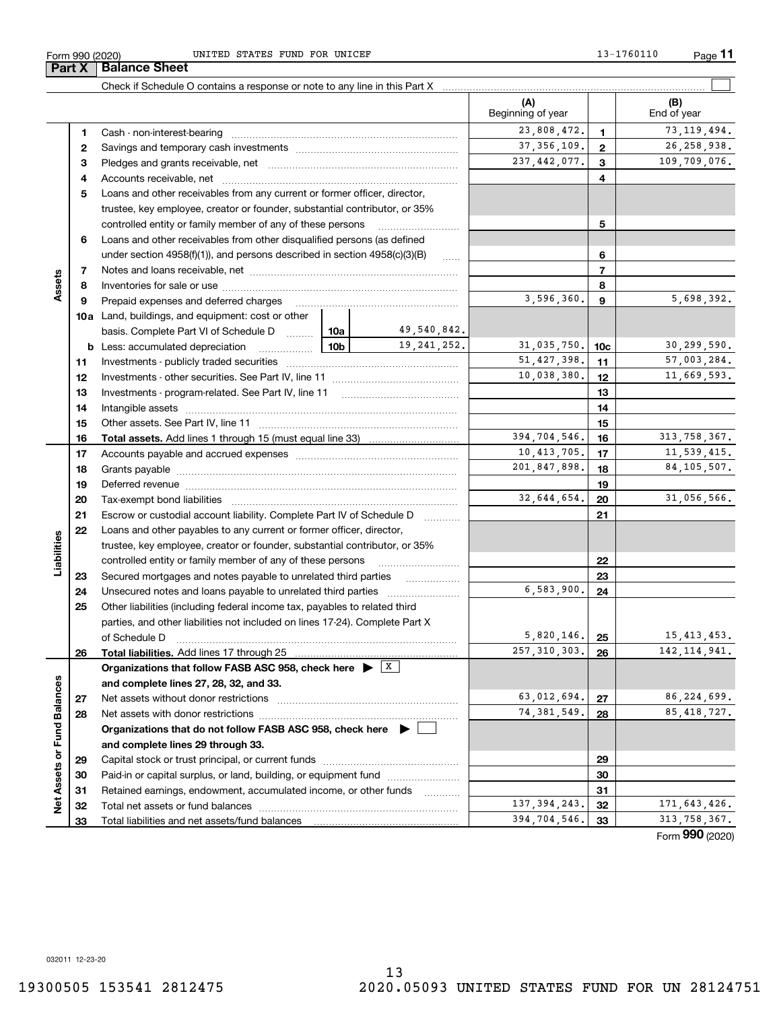**Part X Balance Sheet**

Form 990 (2020) UNITED STATES FUND FOR UNICEF 13-1760110 Page UNITED STATES FUND FOR UNICEF 13-1760110

|                             |    | Check if Schedule O contains a response or note to any line in this Part X                                                                                                                                                     |                |                              |                              |                |                           |
|-----------------------------|----|--------------------------------------------------------------------------------------------------------------------------------------------------------------------------------------------------------------------------------|----------------|------------------------------|------------------------------|----------------|---------------------------|
|                             |    |                                                                                                                                                                                                                                |                |                              | (A)<br>Beginning of year     |                | (B)<br>End of year        |
|                             | 1. |                                                                                                                                                                                                                                |                |                              | 23,808,472.                  | 1              | 73, 119, 494.             |
|                             | 2  |                                                                                                                                                                                                                                | 37, 356, 109.  | $\overline{2}$               | 26, 258, 938.                |                |                           |
|                             | з  |                                                                                                                                                                                                                                | 237, 442, 077. | 3                            | 109,709,076.                 |                |                           |
|                             | 4  |                                                                                                                                                                                                                                |                |                              |                              | 4              |                           |
|                             | 5  | Loans and other receivables from any current or former officer, director,                                                                                                                                                      |                |                              |                              |                |                           |
|                             |    | trustee, key employee, creator or founder, substantial contributor, or 35%                                                                                                                                                     |                |                              |                              |                |                           |
|                             |    | controlled entity or family member of any of these persons                                                                                                                                                                     |                |                              |                              | 5              |                           |
|                             | 6  | Loans and other receivables from other disqualified persons (as defined                                                                                                                                                        |                |                              |                              |                |                           |
|                             |    | under section 4958(f)(1)), and persons described in section 4958(c)(3)(B)                                                                                                                                                      |                | $\ldots$                     |                              | 6              |                           |
|                             | 7  |                                                                                                                                                                                                                                |                |                              |                              | $\overline{7}$ |                           |
| Assets                      | 8  |                                                                                                                                                                                                                                |                |                              |                              | 8              |                           |
|                             | 9  | Prepaid expenses and deferred charges                                                                                                                                                                                          |                |                              | 3,596,360.                   | 9              | 5,698,392.                |
|                             |    | <b>10a</b> Land, buildings, and equipment: cost or other                                                                                                                                                                       |                |                              |                              |                |                           |
|                             |    | basis. Complete Part VI of Schedule D  10a                                                                                                                                                                                     |                | 49,540,842.<br>19, 241, 252. |                              |                |                           |
|                             |    | <u> 10b</u><br><b>b</b> Less: accumulated depreciation                                                                                                                                                                         | 31,035,750.    | 10c                          | 30,299,590.                  |                |                           |
|                             | 11 |                                                                                                                                                                                                                                | 51, 427, 398.  | 11                           | 57,003,284.                  |                |                           |
|                             | 12 |                                                                                                                                                                                                                                | 10,038,380.    | 12                           | 11,669,593.                  |                |                           |
|                             | 13 |                                                                                                                                                                                                                                |                | 13                           |                              |                |                           |
|                             | 14 |                                                                                                                                                                                                                                |                |                              | 14                           |                |                           |
|                             | 15 |                                                                                                                                                                                                                                |                | 15                           |                              |                |                           |
|                             | 16 |                                                                                                                                                                                                                                | 394,704,546.   | 16                           | 313,758,367.                 |                |                           |
|                             | 17 |                                                                                                                                                                                                                                | 10,413,705.    | 17                           | 11, 539, 415.                |                |                           |
|                             | 18 |                                                                                                                                                                                                                                | 201,847,898.   | 18                           | 84, 105, 507.                |                |                           |
|                             | 19 | Deferred revenue manual contracts and contracts are all the contracts and contracts are contracted and contracts are contracted and contract are contracted and contract are contracted and contract are contracted and contra |                |                              |                              | 19             |                           |
|                             | 20 |                                                                                                                                                                                                                                |                |                              | 32,644,654.                  | 20             | 31,056,566.               |
|                             | 21 | Escrow or custodial account liability. Complete Part IV of Schedule D                                                                                                                                                          |                |                              |                              | 21             |                           |
|                             | 22 | Loans and other payables to any current or former officer, director,                                                                                                                                                           |                |                              |                              |                |                           |
| Liabilities                 |    | trustee, key employee, creator or founder, substantial contributor, or 35%                                                                                                                                                     |                |                              |                              |                |                           |
|                             |    | controlled entity or family member of any of these persons                                                                                                                                                                     |                |                              |                              | 22             |                           |
|                             | 23 |                                                                                                                                                                                                                                |                |                              | 6,583,900.                   | 23             |                           |
|                             | 24 | Unsecured notes and loans payable to unrelated third parties                                                                                                                                                                   |                |                              |                              | 24             |                           |
|                             | 25 | Other liabilities (including federal income tax, payables to related third                                                                                                                                                     |                |                              |                              |                |                           |
|                             |    | parties, and other liabilities not included on lines 17-24). Complete Part X<br>of Schedule D                                                                                                                                  |                |                              | $5,820,146$ . 25             |                | 15,413,453.               |
|                             |    | Total liabilities. Add lines 17 through 25                                                                                                                                                                                     |                |                              | $\overline{257}$ , 310, 303. | 26             | $\overline{142,114,941}.$ |
|                             | 26 | Organizations that follow FASB ASC 958, check here $\triangleright$ $\lfloor x \rfloor$                                                                                                                                        |                |                              |                              |                |                           |
|                             |    | and complete lines 27, 28, 32, and 33.                                                                                                                                                                                         |                |                              |                              |                |                           |
|                             | 27 | Net assets without donor restrictions                                                                                                                                                                                          |                |                              | 63,012,694.                  | 27             | 86,224,699.               |
|                             | 28 | Net assets with donor restrictions                                                                                                                                                                                             |                |                              | 74, 381, 549.                | 28             | 85, 418, 727.             |
|                             |    | Organizations that do not follow FASB ASC 958, check here $\blacktriangleright$                                                                                                                                                |                |                              |                              |                |                           |
|                             |    | and complete lines 29 through 33.                                                                                                                                                                                              |                |                              |                              |                |                           |
|                             | 29 |                                                                                                                                                                                                                                |                |                              |                              | 29             |                           |
|                             | 30 | Paid-in or capital surplus, or land, building, or equipment fund                                                                                                                                                               |                |                              |                              | 30             |                           |
|                             | 31 | Retained earnings, endowment, accumulated income, or other funds                                                                                                                                                               |                |                              |                              | 31             |                           |
| Net Assets or Fund Balances | 32 | Total net assets or fund balances                                                                                                                                                                                              |                |                              | 137, 394, 243.               | 32             | 171,643,426.              |
|                             | 33 | Total liabilities and net assets/fund balances                                                                                                                                                                                 |                |                              | 394,704,546.                 | 33             | 313, 758, 367.            |
|                             |    |                                                                                                                                                                                                                                |                |                              |                              |                |                           |

Form (2020) **990**

032011 12-23-20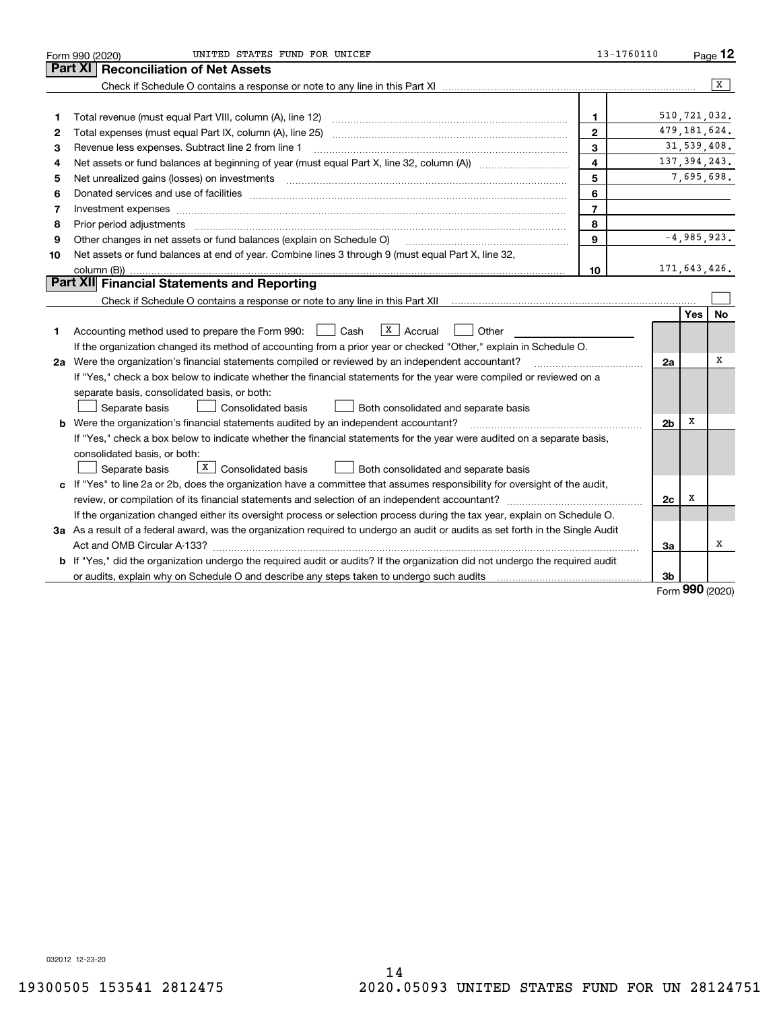|    | UNITED STATES FUND FOR UNICEF<br>Form 990 (2020)                                                                                                                                                                               | 13-1760110     |                |                | Page 12   |
|----|--------------------------------------------------------------------------------------------------------------------------------------------------------------------------------------------------------------------------------|----------------|----------------|----------------|-----------|
|    | <b>Reconciliation of Net Assets</b><br><b>Part XI</b>                                                                                                                                                                          |                |                |                |           |
|    |                                                                                                                                                                                                                                |                |                |                | x         |
|    |                                                                                                                                                                                                                                |                |                |                |           |
| 1  | Total revenue (must equal Part VIII, column (A), line 12)                                                                                                                                                                      | 1              |                | 510, 721, 032. |           |
| 2  |                                                                                                                                                                                                                                | $\mathbf{2}$   |                | 479, 181, 624. |           |
| з  | Revenue less expenses. Subtract line 2 from line 1                                                                                                                                                                             | 3              |                | 31,539,408.    |           |
| 4  |                                                                                                                                                                                                                                | 4              |                | 137, 394, 243. |           |
| 5  | Net unrealized gains (losses) on investments [11] matter continuum matter is a set of the set of the set of the                                                                                                                | 5              |                | 7,695,698.     |           |
| 6  |                                                                                                                                                                                                                                | 6              |                |                |           |
| 7  |                                                                                                                                                                                                                                | $\overline{7}$ |                |                |           |
| 8  | Prior period adjustments material contents and content of the content of the content of the content of the content of the content of the content of the content of the content of the content of the content of the content of | 8              |                |                |           |
| 9  | Other changes in net assets or fund balances (explain on Schedule O)                                                                                                                                                           | 9              |                | $-4,985,923.$  |           |
| 10 | Net assets or fund balances at end of year. Combine lines 3 through 9 (must equal Part X, line 32,                                                                                                                             |                |                |                |           |
|    | column (B))                                                                                                                                                                                                                    | 10             |                | 171,643,426.   |           |
|    | Part XII Financial Statements and Reporting                                                                                                                                                                                    |                |                |                |           |
|    |                                                                                                                                                                                                                                |                |                |                |           |
|    |                                                                                                                                                                                                                                |                |                | <b>Yes</b>     | <b>No</b> |
| 1  | $X$ Accrual<br>Accounting method used to prepare the Form 990: <u>I</u> Cash<br>Other                                                                                                                                          |                |                |                |           |
|    | If the organization changed its method of accounting from a prior year or checked "Other," explain in Schedule O.                                                                                                              |                |                |                |           |
|    | 2a Were the organization's financial statements compiled or reviewed by an independent accountant?                                                                                                                             |                | 2a             |                | х         |
|    | If "Yes," check a box below to indicate whether the financial statements for the year were compiled or reviewed on a                                                                                                           |                |                |                |           |
|    | separate basis, consolidated basis, or both:                                                                                                                                                                                   |                |                |                |           |
|    | Separate basis<br><b>Consolidated basis</b><br>Both consolidated and separate basis                                                                                                                                            |                |                |                |           |
|    | <b>b</b> Were the organization's financial statements audited by an independent accountant?                                                                                                                                    |                | 2 <sub>b</sub> | х              |           |
|    | If "Yes," check a box below to indicate whether the financial statements for the year were audited on a separate basis,                                                                                                        |                |                |                |           |
|    | consolidated basis, or both:                                                                                                                                                                                                   |                |                |                |           |
|    | X  <br>Consolidated basis<br>Separate basis<br>Both consolidated and separate basis                                                                                                                                            |                |                |                |           |
| c  | If "Yes" to line 2a or 2b, does the organization have a committee that assumes responsibility for oversight of the audit,                                                                                                      |                |                |                |           |
|    |                                                                                                                                                                                                                                |                | 2c             | х              |           |
|    | If the organization changed either its oversight process or selection process during the tax year, explain on Schedule O.                                                                                                      |                |                |                |           |
|    | 3a As a result of a federal award, was the organization required to undergo an audit or audits as set forth in the Single Audit                                                                                                |                |                |                |           |
|    |                                                                                                                                                                                                                                |                | За             |                | х         |
|    | b If "Yes," did the organization undergo the required audit or audits? If the organization did not undergo the required audit                                                                                                  |                |                |                |           |
|    | or audits, explain why on Schedule O and describe any steps taken to undergo such audits                                                                                                                                       |                | 3b             | റററ            |           |

Form (2020) **990**

032012 12-23-20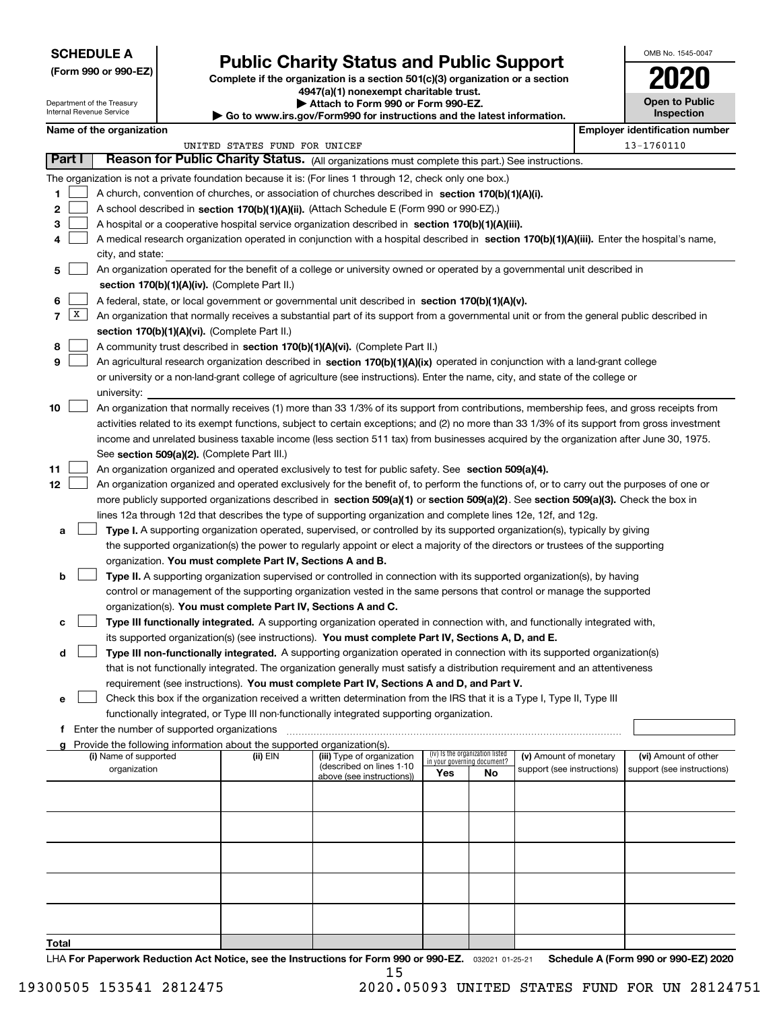Department of the Treasury

**(Form 990 or 990-EZ)**

# **Public Charity Status and Public Support**

**Complete if the organization is a section 501(c)(3) organization or a section 4947(a)(1) nonexempt charitable trust.**

**| Attach to Form 990 or Form 990-EZ. | Go to www.irs.gov/Form990 for instructions and the latest information.**

| OMB No. 1545-0047     |
|-----------------------|
| 2020                  |
| <b>Open to Public</b> |

|  | Name of the organization |
|--|--------------------------|

|                          |        | Internal Revenue Service                    |  | Go to www.irs.gov/Form990 for instructions and the latest information. | Inspection                                                                                                                                   |     |                                                                |                            |  |                                       |
|--------------------------|--------|---------------------------------------------|--|------------------------------------------------------------------------|----------------------------------------------------------------------------------------------------------------------------------------------|-----|----------------------------------------------------------------|----------------------------|--|---------------------------------------|
| Name of the organization |        |                                             |  |                                                                        |                                                                                                                                              |     |                                                                |                            |  | <b>Employer identification number</b> |
|                          |        |                                             |  | UNITED STATES FUND FOR UNICEF                                          |                                                                                                                                              |     |                                                                |                            |  | 13-1760110                            |
|                          | Part I |                                             |  |                                                                        | Reason for Public Charity Status. (All organizations must complete this part.) See instructions.                                             |     |                                                                |                            |  |                                       |
|                          |        |                                             |  |                                                                        | The organization is not a private foundation because it is: (For lines 1 through 12, check only one box.)                                    |     |                                                                |                            |  |                                       |
| 1.                       |        |                                             |  |                                                                        | A church, convention of churches, or association of churches described in section 170(b)(1)(A)(i).                                           |     |                                                                |                            |  |                                       |
| 2                        |        |                                             |  |                                                                        | A school described in section 170(b)(1)(A)(ii). (Attach Schedule E (Form 990 or 990-EZ).)                                                    |     |                                                                |                            |  |                                       |
| 3                        |        |                                             |  |                                                                        | A hospital or a cooperative hospital service organization described in section 170(b)(1)(A)(iii).                                            |     |                                                                |                            |  |                                       |
| 4                        |        |                                             |  |                                                                        | A medical research organization operated in conjunction with a hospital described in section 170(b)(1)(A)(iii). Enter the hospital's name,   |     |                                                                |                            |  |                                       |
|                          |        | city, and state:                            |  |                                                                        |                                                                                                                                              |     |                                                                |                            |  |                                       |
| 5                        |        |                                             |  |                                                                        | An organization operated for the benefit of a college or university owned or operated by a governmental unit described in                    |     |                                                                |                            |  |                                       |
|                          |        |                                             |  | section 170(b)(1)(A)(iv). (Complete Part II.)                          |                                                                                                                                              |     |                                                                |                            |  |                                       |
| 6                        |        |                                             |  |                                                                        | A federal, state, or local government or governmental unit described in section 170(b)(1)(A)(v).                                             |     |                                                                |                            |  |                                       |
| 7                        | X      |                                             |  |                                                                        | An organization that normally receives a substantial part of its support from a governmental unit or from the general public described in    |     |                                                                |                            |  |                                       |
|                          |        |                                             |  | section 170(b)(1)(A)(vi). (Complete Part II.)                          |                                                                                                                                              |     |                                                                |                            |  |                                       |
| 8                        |        |                                             |  |                                                                        | A community trust described in section 170(b)(1)(A)(vi). (Complete Part II.)                                                                 |     |                                                                |                            |  |                                       |
| 9                        |        |                                             |  |                                                                        | An agricultural research organization described in section 170(b)(1)(A)(ix) operated in conjunction with a land-grant college                |     |                                                                |                            |  |                                       |
|                          |        |                                             |  |                                                                        | or university or a non-land-grant college of agriculture (see instructions). Enter the name, city, and state of the college or               |     |                                                                |                            |  |                                       |
|                          |        | university:                                 |  |                                                                        |                                                                                                                                              |     |                                                                |                            |  |                                       |
| 10                       |        |                                             |  |                                                                        | An organization that normally receives (1) more than 33 1/3% of its support from contributions, membership fees, and gross receipts from     |     |                                                                |                            |  |                                       |
|                          |        |                                             |  |                                                                        | activities related to its exempt functions, subject to certain exceptions; and (2) no more than 33 1/3% of its support from gross investment |     |                                                                |                            |  |                                       |
|                          |        |                                             |  |                                                                        | income and unrelated business taxable income (less section 511 tax) from businesses acquired by the organization after June 30, 1975.        |     |                                                                |                            |  |                                       |
|                          |        |                                             |  | See section 509(a)(2). (Complete Part III.)                            |                                                                                                                                              |     |                                                                |                            |  |                                       |
| 11                       |        |                                             |  |                                                                        | An organization organized and operated exclusively to test for public safety. See section 509(a)(4).                                         |     |                                                                |                            |  |                                       |
| 12                       |        |                                             |  |                                                                        | An organization organized and operated exclusively for the benefit of, to perform the functions of, or to carry out the purposes of one or   |     |                                                                |                            |  |                                       |
|                          |        |                                             |  |                                                                        | more publicly supported organizations described in section 509(a)(1) or section 509(a)(2). See section 509(a)(3). Check the box in           |     |                                                                |                            |  |                                       |
|                          |        |                                             |  |                                                                        | lines 12a through 12d that describes the type of supporting organization and complete lines 12e, 12f, and 12g.                               |     |                                                                |                            |  |                                       |
| a                        |        |                                             |  |                                                                        | Type I. A supporting organization operated, supervised, or controlled by its supported organization(s), typically by giving                  |     |                                                                |                            |  |                                       |
|                          |        |                                             |  |                                                                        | the supported organization(s) the power to regularly appoint or elect a majority of the directors or trustees of the supporting              |     |                                                                |                            |  |                                       |
|                          |        |                                             |  | organization. You must complete Part IV, Sections A and B.             |                                                                                                                                              |     |                                                                |                            |  |                                       |
| b                        |        |                                             |  |                                                                        | Type II. A supporting organization supervised or controlled in connection with its supported organization(s), by having                      |     |                                                                |                            |  |                                       |
|                          |        |                                             |  |                                                                        | control or management of the supporting organization vested in the same persons that control or manage the supported                         |     |                                                                |                            |  |                                       |
|                          |        |                                             |  | organization(s). You must complete Part IV, Sections A and C.          |                                                                                                                                              |     |                                                                |                            |  |                                       |
|                          |        |                                             |  |                                                                        | Type III functionally integrated. A supporting organization operated in connection with, and functionally integrated with,                   |     |                                                                |                            |  |                                       |
|                          |        |                                             |  |                                                                        | its supported organization(s) (see instructions). You must complete Part IV, Sections A, D, and E.                                           |     |                                                                |                            |  |                                       |
| d                        |        |                                             |  |                                                                        | Type III non-functionally integrated. A supporting organization operated in connection with its supported organization(s)                    |     |                                                                |                            |  |                                       |
|                          |        |                                             |  |                                                                        | that is not functionally integrated. The organization generally must satisfy a distribution requirement and an attentiveness                 |     |                                                                |                            |  |                                       |
|                          |        |                                             |  |                                                                        | requirement (see instructions). You must complete Part IV, Sections A and D, and Part V.                                                     |     |                                                                |                            |  |                                       |
| е                        |        |                                             |  |                                                                        | Check this box if the organization received a written determination from the IRS that it is a Type I, Type II, Type III                      |     |                                                                |                            |  |                                       |
|                          |        |                                             |  |                                                                        | functionally integrated, or Type III non-functionally integrated supporting organization.                                                    |     |                                                                |                            |  |                                       |
| f                        |        | Enter the number of supported organizations |  |                                                                        |                                                                                                                                              |     |                                                                |                            |  |                                       |
|                          |        |                                             |  | Provide the following information about the supported organization(s). |                                                                                                                                              |     |                                                                |                            |  |                                       |
|                          |        | (i) Name of supported                       |  | (ii) EIN                                                               | (iii) Type of organization<br>(described on lines 1-10                                                                                       |     | (iv) Is the organization listed<br>in your governing document? | (v) Amount of monetary     |  | (vi) Amount of other                  |
|                          |        | organization                                |  |                                                                        | above (see instructions))                                                                                                                    | Yes | No                                                             | support (see instructions) |  | support (see instructions)            |
|                          |        |                                             |  |                                                                        |                                                                                                                                              |     |                                                                |                            |  |                                       |
|                          |        |                                             |  |                                                                        |                                                                                                                                              |     |                                                                |                            |  |                                       |
|                          |        |                                             |  |                                                                        |                                                                                                                                              |     |                                                                |                            |  |                                       |
|                          |        |                                             |  |                                                                        |                                                                                                                                              |     |                                                                |                            |  |                                       |
|                          |        |                                             |  |                                                                        |                                                                                                                                              |     |                                                                |                            |  |                                       |
|                          |        |                                             |  |                                                                        |                                                                                                                                              |     |                                                                |                            |  |                                       |
|                          |        |                                             |  |                                                                        |                                                                                                                                              |     |                                                                |                            |  |                                       |
|                          |        |                                             |  |                                                                        |                                                                                                                                              |     |                                                                |                            |  |                                       |
|                          |        |                                             |  |                                                                        |                                                                                                                                              |     |                                                                |                            |  |                                       |

**Total**

LHA For Paperwork Reduction Act Notice, see the Instructions for Form 990 or 990-EZ. <sub>032021</sub> o1-25-21 Schedule A (Form 990 or 990-EZ) 2020 15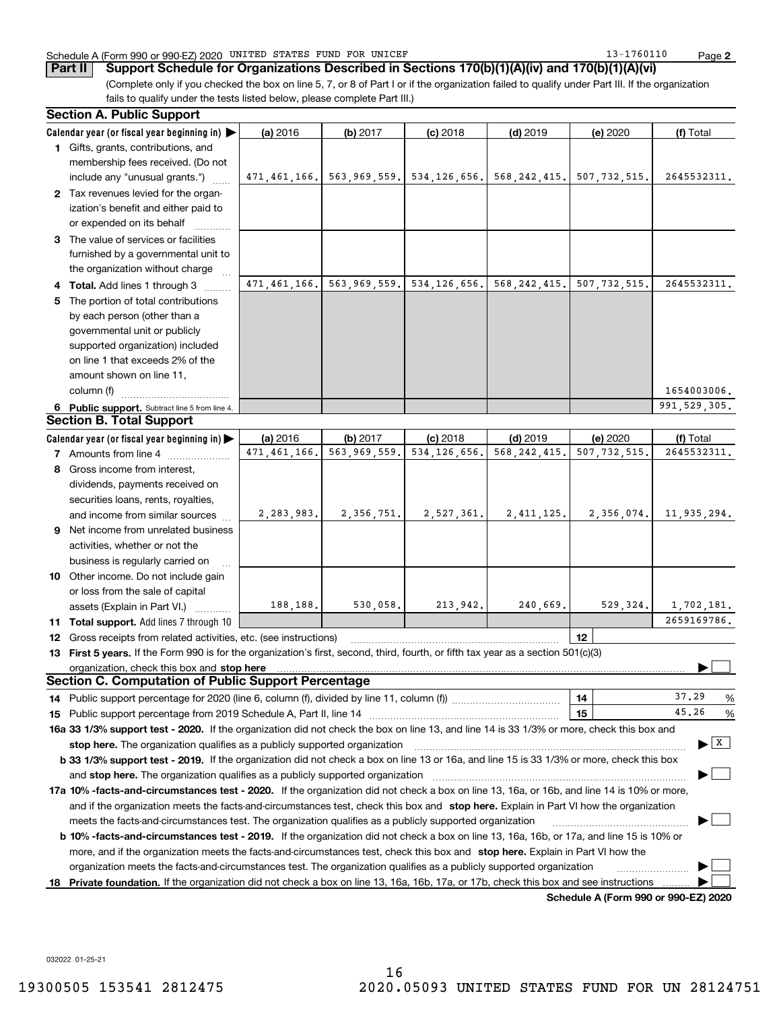#### Schedule A (Form 990 or 990-EZ) 2020 UNITED STATES FUND FOR UNICEF  $13$  –  $1760110$  Page

**Part II** Support Schedule for Organizations Described in Sections 170(b)(1)(A)(iv) and 170(b)(1)(A)(vi)

(Complete only if you checked the box on line 5, 7, or 8 of Part I or if the organization failed to qualify under Part III. If the organization fails to qualify under the tests listed below, please complete Part III.)

|    | <b>Section A. Public Support</b>                                                                                                                                                                                        |              |                                                                  |                           |                |                                      |                                |
|----|-------------------------------------------------------------------------------------------------------------------------------------------------------------------------------------------------------------------------|--------------|------------------------------------------------------------------|---------------------------|----------------|--------------------------------------|--------------------------------|
|    | Calendar year (or fiscal year beginning in)                                                                                                                                                                             | (a) 2016     | (b) 2017                                                         | $(c)$ 2018                | $(d)$ 2019     | (e) 2020                             | (f) Total                      |
|    | 1 Gifts, grants, contributions, and                                                                                                                                                                                     |              |                                                                  |                           |                |                                      |                                |
|    | membership fees received. (Do not                                                                                                                                                                                       |              |                                                                  |                           |                |                                      |                                |
|    | include any "unusual grants.")                                                                                                                                                                                          |              | 471,461,166. 563,969,559. 534,126,656. 568,242,415. 507,732,515. |                           |                |                                      | 2645532311.                    |
|    | 2 Tax revenues levied for the organ-                                                                                                                                                                                    |              |                                                                  |                           |                |                                      |                                |
|    | ization's benefit and either paid to                                                                                                                                                                                    |              |                                                                  |                           |                |                                      |                                |
|    | or expended on its behalf                                                                                                                                                                                               |              |                                                                  |                           |                |                                      |                                |
|    | 3 The value of services or facilities                                                                                                                                                                                   |              |                                                                  |                           |                |                                      |                                |
|    | furnished by a governmental unit to                                                                                                                                                                                     |              |                                                                  |                           |                |                                      |                                |
|    | the organization without charge                                                                                                                                                                                         |              |                                                                  |                           |                |                                      |                                |
|    | 4 Total. Add lines 1 through 3                                                                                                                                                                                          |              | 471,461,166. 563,969,559. 534,126,656. 568,242,415.              |                           |                | 507, 732, 515.                       | 2645532311.                    |
| 5. | The portion of total contributions                                                                                                                                                                                      |              |                                                                  |                           |                |                                      |                                |
|    | by each person (other than a                                                                                                                                                                                            |              |                                                                  |                           |                |                                      |                                |
|    | governmental unit or publicly<br>supported organization) included                                                                                                                                                       |              |                                                                  |                           |                |                                      |                                |
|    | on line 1 that exceeds 2% of the                                                                                                                                                                                        |              |                                                                  |                           |                |                                      |                                |
|    | amount shown on line 11,                                                                                                                                                                                                |              |                                                                  |                           |                |                                      |                                |
|    | column (f)                                                                                                                                                                                                              |              |                                                                  |                           |                |                                      | 1654003006.                    |
|    | 6 Public support. Subtract line 5 from line 4.                                                                                                                                                                          |              |                                                                  |                           |                |                                      | 991, 529, 305.                 |
|    | <b>Section B. Total Support</b>                                                                                                                                                                                         |              |                                                                  |                           |                |                                      |                                |
|    | Calendar year (or fiscal year beginning in) $\blacktriangleright$                                                                                                                                                       | (a) 2016     | (b) 2017                                                         | $(c)$ 2018                | $(d)$ 2019     | (e) 2020                             | (f) Total                      |
|    | <b>7</b> Amounts from line 4                                                                                                                                                                                            | 471,461,166. | 563,969,559.                                                     | 534, 126, 656.            | 568, 242, 415. | 507, 732, 515.                       | 2645532311.                    |
|    | 8 Gross income from interest,                                                                                                                                                                                           |              |                                                                  |                           |                |                                      |                                |
|    | dividends, payments received on                                                                                                                                                                                         |              |                                                                  |                           |                |                                      |                                |
|    | securities loans, rents, royalties,                                                                                                                                                                                     |              |                                                                  |                           |                |                                      |                                |
|    | and income from similar sources                                                                                                                                                                                         | 2, 283, 983. |                                                                  | $2,356,751.$ $2,527,361.$ | 2,411,125.     | 2,356,074.                           | 11,935,294.                    |
|    | <b>9</b> Net income from unrelated business                                                                                                                                                                             |              |                                                                  |                           |                |                                      |                                |
|    | activities, whether or not the                                                                                                                                                                                          |              |                                                                  |                           |                |                                      |                                |
|    | business is regularly carried on                                                                                                                                                                                        |              |                                                                  |                           |                |                                      |                                |
|    | 10 Other income. Do not include gain                                                                                                                                                                                    |              |                                                                  |                           |                |                                      |                                |
|    | or loss from the sale of capital                                                                                                                                                                                        |              |                                                                  |                           |                |                                      |                                |
|    | assets (Explain in Part VI.)                                                                                                                                                                                            | 188,188.     | 530,058.                                                         | 213,942.                  | 240,669.       | 529,324.                             | 1,702,181.                     |
|    | 11 Total support. Add lines 7 through 10                                                                                                                                                                                |              |                                                                  |                           |                |                                      | 2659169786.                    |
| 12 | Gross receipts from related activities, etc. (see instructions)                                                                                                                                                         |              |                                                                  |                           |                | 12 <sup>2</sup>                      |                                |
|    | 13 First 5 years. If the Form 990 is for the organization's first, second, third, fourth, or fifth tax year as a section 501(c)(3)                                                                                      |              |                                                                  |                           |                |                                      |                                |
|    |                                                                                                                                                                                                                         |              |                                                                  |                           |                |                                      |                                |
|    | Section C. Computation of Public Support Percentage                                                                                                                                                                     |              |                                                                  |                           |                |                                      | 37.29                          |
|    |                                                                                                                                                                                                                         |              |                                                                  |                           |                | 14                                   | %<br>45.26                     |
| 15 |                                                                                                                                                                                                                         |              |                                                                  |                           |                | 15                                   | %                              |
|    | 16a 33 1/3% support test - 2020. If the organization did not check the box on line 13, and line 14 is 33 1/3% or more, check this box and<br>stop here. The organization qualifies as a publicly supported organization |              |                                                                  |                           |                |                                      | $\blacktriangleright$ $\mid$ X |
|    | b 33 1/3% support test - 2019. If the organization did not check a box on line 13 or 16a, and line 15 is 33 1/3% or more, check this box                                                                                |              |                                                                  |                           |                |                                      |                                |
|    |                                                                                                                                                                                                                         |              |                                                                  |                           |                |                                      |                                |
|    | 17a 10% -facts-and-circumstances test - 2020. If the organization did not check a box on line 13, 16a, or 16b, and line 14 is 10% or more,                                                                              |              |                                                                  |                           |                |                                      |                                |
|    | and if the organization meets the facts-and-circumstances test, check this box and stop here. Explain in Part VI how the organization                                                                                   |              |                                                                  |                           |                |                                      |                                |
|    | meets the facts-and-circumstances test. The organization qualifies as a publicly supported organization                                                                                                                 |              |                                                                  |                           |                |                                      |                                |
|    | <b>b 10% -facts-and-circumstances test - 2019.</b> If the organization did not check a box on line 13, 16a, 16b, or 17a, and line 15 is 10% or                                                                          |              |                                                                  |                           |                |                                      |                                |
|    | more, and if the organization meets the facts-and-circumstances test, check this box and stop here. Explain in Part VI how the                                                                                          |              |                                                                  |                           |                |                                      |                                |
|    | organization meets the facts-and-circumstances test. The organization qualifies as a publicly supported organization                                                                                                    |              |                                                                  |                           |                |                                      |                                |
|    | 18 Private foundation. If the organization did not check a box on line 13, 16a, 16b, 17a, or 17b, check this box and see instructions                                                                                   |              |                                                                  |                           |                |                                      |                                |
|    |                                                                                                                                                                                                                         |              |                                                                  |                           |                | Schedule A (Form 990 or 990-EZ) 2020 |                                |

032022 01-25-21

**2**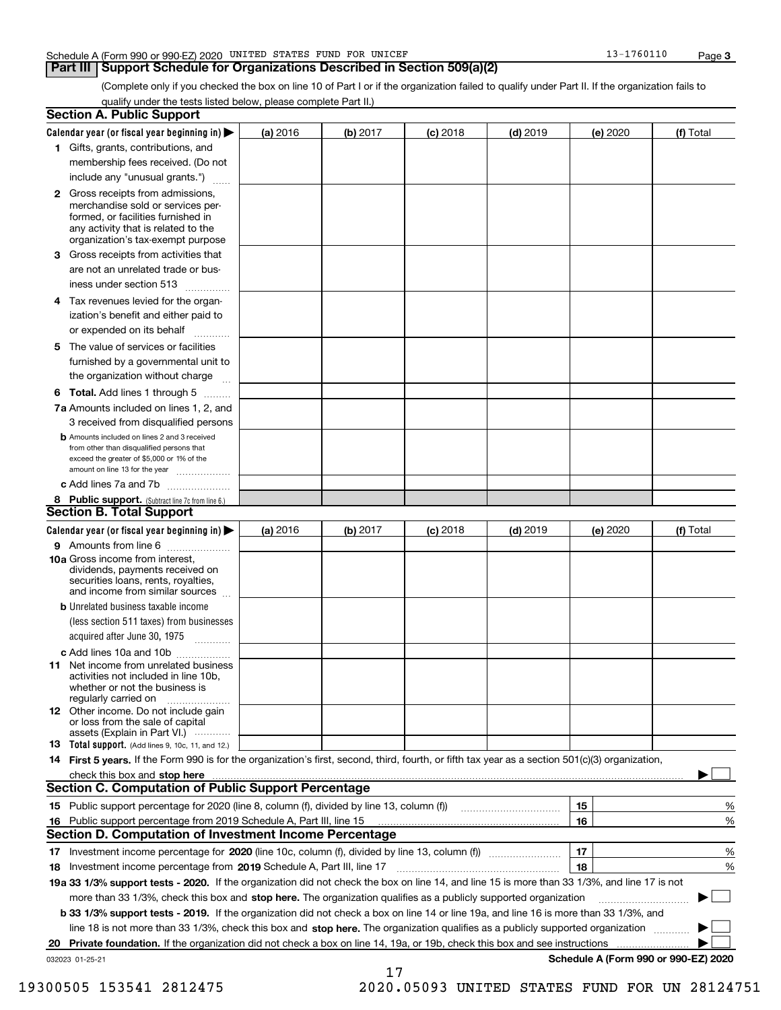#### Schedule A (Form 990 or 990-EZ) 2020 UNITED STATES FUND FOR UNICEF  $13$  –  $1760110$  Page

## **Part III Support Schedule for Organizations Described in Section 509(a)(2)**

(Complete only if you checked the box on line 10 of Part I or if the organization failed to qualify under Part II. If the organization fails to qualify under the tests listed below, please complete Part II.)

|    | <b>Section A. Public Support</b>                                                                                                                                                                                               |          |          |            |            |          |                                      |
|----|--------------------------------------------------------------------------------------------------------------------------------------------------------------------------------------------------------------------------------|----------|----------|------------|------------|----------|--------------------------------------|
|    | Calendar year (or fiscal year beginning in) $\blacktriangleright$                                                                                                                                                              | (a) 2016 | (b) 2017 | $(c)$ 2018 | $(d)$ 2019 | (e) 2020 | (f) Total                            |
|    | 1 Gifts, grants, contributions, and                                                                                                                                                                                            |          |          |            |            |          |                                      |
|    | membership fees received. (Do not                                                                                                                                                                                              |          |          |            |            |          |                                      |
|    | include any "unusual grants.")                                                                                                                                                                                                 |          |          |            |            |          |                                      |
|    | 2 Gross receipts from admissions,<br>merchandise sold or services per-<br>formed, or facilities furnished in<br>any activity that is related to the<br>organization's tax-exempt purpose                                       |          |          |            |            |          |                                      |
|    | 3 Gross receipts from activities that<br>are not an unrelated trade or bus-                                                                                                                                                    |          |          |            |            |          |                                      |
|    | iness under section 513                                                                                                                                                                                                        |          |          |            |            |          |                                      |
|    | 4 Tax revenues levied for the organ-                                                                                                                                                                                           |          |          |            |            |          |                                      |
|    | ization's benefit and either paid to<br>or expended on its behalf<br>.                                                                                                                                                         |          |          |            |            |          |                                      |
|    | 5 The value of services or facilities                                                                                                                                                                                          |          |          |            |            |          |                                      |
|    | furnished by a governmental unit to                                                                                                                                                                                            |          |          |            |            |          |                                      |
|    | the organization without charge                                                                                                                                                                                                |          |          |            |            |          |                                      |
|    | <b>6 Total.</b> Add lines 1 through 5                                                                                                                                                                                          |          |          |            |            |          |                                      |
|    | 7a Amounts included on lines 1, 2, and<br>3 received from disqualified persons                                                                                                                                                 |          |          |            |            |          |                                      |
|    | <b>b</b> Amounts included on lines 2 and 3 received<br>from other than disqualified persons that<br>exceed the greater of \$5,000 or 1% of the<br>amount on line 13 for the year                                               |          |          |            |            |          |                                      |
|    | c Add lines 7a and 7b                                                                                                                                                                                                          |          |          |            |            |          |                                      |
|    | 8 Public support. (Subtract line 7c from line 6.)                                                                                                                                                                              |          |          |            |            |          |                                      |
|    | <b>Section B. Total Support</b>                                                                                                                                                                                                |          |          |            |            |          |                                      |
|    | Calendar year (or fiscal year beginning in) $\blacktriangleright$                                                                                                                                                              | (a) 2016 | (b) 2017 | $(c)$ 2018 | $(d)$ 2019 | (e) 2020 | (f) Total                            |
|    | 9 Amounts from line 6                                                                                                                                                                                                          |          |          |            |            |          |                                      |
|    | 10a Gross income from interest,<br>dividends, payments received on<br>securities loans, rents, royalties,<br>and income from similar sources                                                                                   |          |          |            |            |          |                                      |
|    | <b>b</b> Unrelated business taxable income<br>(less section 511 taxes) from businesses                                                                                                                                         |          |          |            |            |          |                                      |
|    | acquired after June 30, 1975                                                                                                                                                                                                   |          |          |            |            |          |                                      |
|    | c Add lines 10a and 10b<br>11 Net income from unrelated business<br>activities not included in line 10b,<br>whether or not the business is                                                                                     |          |          |            |            |          |                                      |
|    | regularly carried on<br>12 Other income. Do not include gain<br>or loss from the sale of capital                                                                                                                               |          |          |            |            |          |                                      |
|    | assets (Explain in Part VI.)<br><b>13</b> Total support. (Add lines 9, 10c, 11, and 12.)                                                                                                                                       |          |          |            |            |          |                                      |
|    | 14 First 5 years. If the Form 990 is for the organization's first, second, third, fourth, or fifth tax year as a section 501(c)(3) organization,                                                                               |          |          |            |            |          |                                      |
|    | check this box and stop here measured and contained a state of the state of the state of the state of the state of the state of the state of the state of the state of the state of the state of the state of the state of the |          |          |            |            |          |                                      |
|    | Section C. Computation of Public Support Percentage                                                                                                                                                                            |          |          |            |            |          |                                      |
|    | 15 Public support percentage for 2020 (line 8, column (f), divided by line 13, column (f))                                                                                                                                     |          |          |            |            | 15       | %                                    |
|    | 16 Public support percentage from 2019 Schedule A, Part III, line 15                                                                                                                                                           |          |          |            |            | 16       | %                                    |
|    | <b>Section D. Computation of Investment Income Percentage</b>                                                                                                                                                                  |          |          |            |            |          |                                      |
|    | 17 Investment income percentage for 2020 (line 10c, column (f), divided by line 13, column (f))                                                                                                                                |          |          |            |            | 17       | %                                    |
|    | <b>18</b> Investment income percentage from <b>2019</b> Schedule A, Part III, line 17                                                                                                                                          |          |          |            |            | 18       | %                                    |
|    | 19a 33 1/3% support tests - 2020. If the organization did not check the box on line 14, and line 15 is more than 33 1/3%, and line 17 is not                                                                                   |          |          |            |            |          |                                      |
|    | more than 33 1/3%, check this box and stop here. The organization qualifies as a publicly supported organization                                                                                                               |          |          |            |            |          | ▶                                    |
|    | b 33 1/3% support tests - 2019. If the organization did not check a box on line 14 or line 19a, and line 16 is more than 33 1/3%, and                                                                                          |          |          |            |            |          |                                      |
|    | line 18 is not more than 33 1/3%, check this box and stop here. The organization qualifies as a publicly supported organization                                                                                                |          |          |            |            |          |                                      |
| 20 | <b>Private foundation.</b> If the organization did not check a box on line 14, 19a, or 19b, check this box and see instructions                                                                                                |          |          |            |            |          |                                      |
|    | 032023 01-25-21                                                                                                                                                                                                                |          | 17       |            |            |          | Schedule A (Form 990 or 990-EZ) 2020 |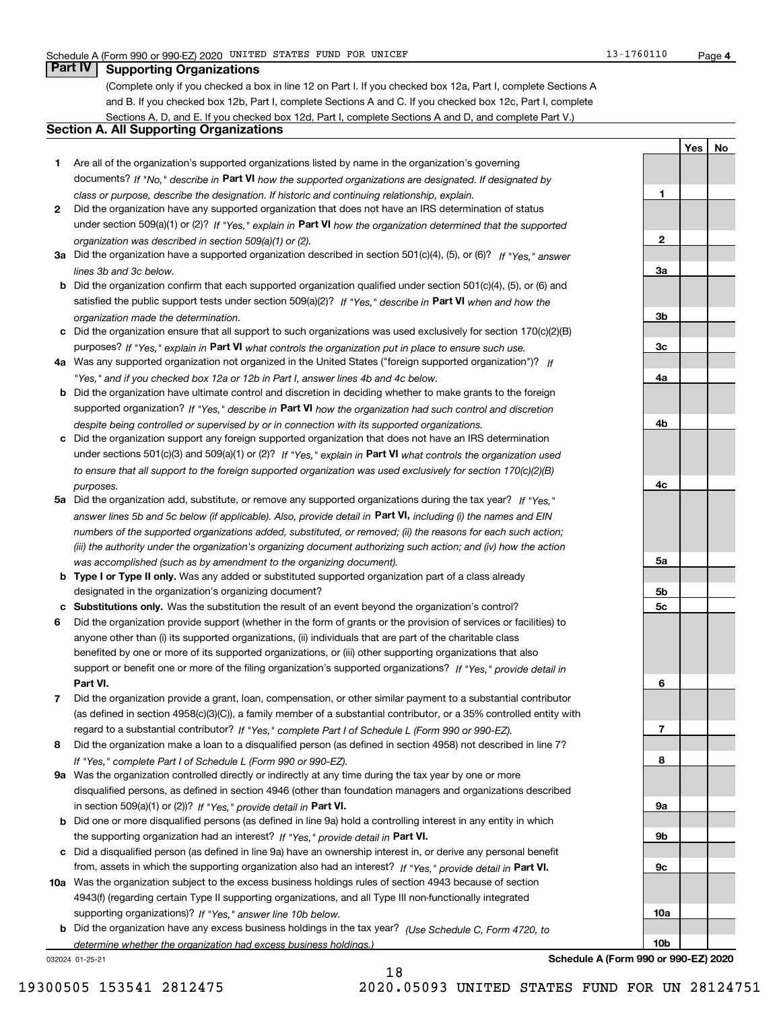**1**

**2**

**3a**

**3b**

**3c**

**4a**

**4b**

**4c**

**5a**

**5b5c**

**6**

**7**

**8**

**9a**

**9b**

**9c**

**10a**

**10b**

**YesNo**

# **Part IV Supporting Organizations**

(Complete only if you checked a box in line 12 on Part I. If you checked box 12a, Part I, complete Sections A and B. If you checked box 12b, Part I, complete Sections A and C. If you checked box 12c, Part I, complete Sections A, D, and E. If you checked box 12d, Part I, complete Sections A and D, and complete Part V.)

## **Section A. All Supporting Organizations**

- **1** Are all of the organization's supported organizations listed by name in the organization's governing documents? If "No," describe in **Part VI** how the supported organizations are designated. If designated by *class or purpose, describe the designation. If historic and continuing relationship, explain.*
- **2** Did the organization have any supported organization that does not have an IRS determination of status under section 509(a)(1) or (2)? If "Yes," explain in Part VI how the organization determined that the supported *organization was described in section 509(a)(1) or (2).*
- **3a** Did the organization have a supported organization described in section 501(c)(4), (5), or (6)? If "Yes," answer *lines 3b and 3c below.*
- **b** Did the organization confirm that each supported organization qualified under section 501(c)(4), (5), or (6) and satisfied the public support tests under section 509(a)(2)? If "Yes," describe in **Part VI** when and how the *organization made the determination.*
- **c**Did the organization ensure that all support to such organizations was used exclusively for section 170(c)(2)(B) purposes? If "Yes," explain in **Part VI** what controls the organization put in place to ensure such use.
- **4a***If* Was any supported organization not organized in the United States ("foreign supported organization")? *"Yes," and if you checked box 12a or 12b in Part I, answer lines 4b and 4c below.*
- **b** Did the organization have ultimate control and discretion in deciding whether to make grants to the foreign supported organization? If "Yes," describe in **Part VI** how the organization had such control and discretion *despite being controlled or supervised by or in connection with its supported organizations.*
- **c** Did the organization support any foreign supported organization that does not have an IRS determination under sections 501(c)(3) and 509(a)(1) or (2)? If "Yes," explain in **Part VI** what controls the organization used *to ensure that all support to the foreign supported organization was used exclusively for section 170(c)(2)(B) purposes.*
- **5a** Did the organization add, substitute, or remove any supported organizations during the tax year? If "Yes," answer lines 5b and 5c below (if applicable). Also, provide detail in **Part VI,** including (i) the names and EIN *numbers of the supported organizations added, substituted, or removed; (ii) the reasons for each such action; (iii) the authority under the organization's organizing document authorizing such action; and (iv) how the action was accomplished (such as by amendment to the organizing document).*
- **b** Type I or Type II only. Was any added or substituted supported organization part of a class already designated in the organization's organizing document?
- **cSubstitutions only.**  Was the substitution the result of an event beyond the organization's control?
- **6** Did the organization provide support (whether in the form of grants or the provision of services or facilities) to **Part VI.** *If "Yes," provide detail in* support or benefit one or more of the filing organization's supported organizations? anyone other than (i) its supported organizations, (ii) individuals that are part of the charitable class benefited by one or more of its supported organizations, or (iii) other supporting organizations that also
- **7**Did the organization provide a grant, loan, compensation, or other similar payment to a substantial contributor *If "Yes," complete Part I of Schedule L (Form 990 or 990-EZ).* regard to a substantial contributor? (as defined in section 4958(c)(3)(C)), a family member of a substantial contributor, or a 35% controlled entity with
- **8** Did the organization make a loan to a disqualified person (as defined in section 4958) not described in line 7? *If "Yes," complete Part I of Schedule L (Form 990 or 990-EZ).*
- **9a** Was the organization controlled directly or indirectly at any time during the tax year by one or more in section 509(a)(1) or (2))? If "Yes," *provide detail in* <code>Part VI.</code> disqualified persons, as defined in section 4946 (other than foundation managers and organizations described
- **b** Did one or more disqualified persons (as defined in line 9a) hold a controlling interest in any entity in which the supporting organization had an interest? If "Yes," provide detail in P**art VI**.
- **c**Did a disqualified person (as defined in line 9a) have an ownership interest in, or derive any personal benefit from, assets in which the supporting organization also had an interest? If "Yes," provide detail in P**art VI.**
- **10a** Was the organization subject to the excess business holdings rules of section 4943 because of section supporting organizations)? If "Yes," answer line 10b below. 4943(f) (regarding certain Type II supporting organizations, and all Type III non-functionally integrated
- **b** Did the organization have any excess business holdings in the tax year? (Use Schedule C, Form 4720, to *determine whether the organization had excess business holdings.)*

18

032024 01-25-21

**Schedule A (Form 990 or 990-EZ) 2020**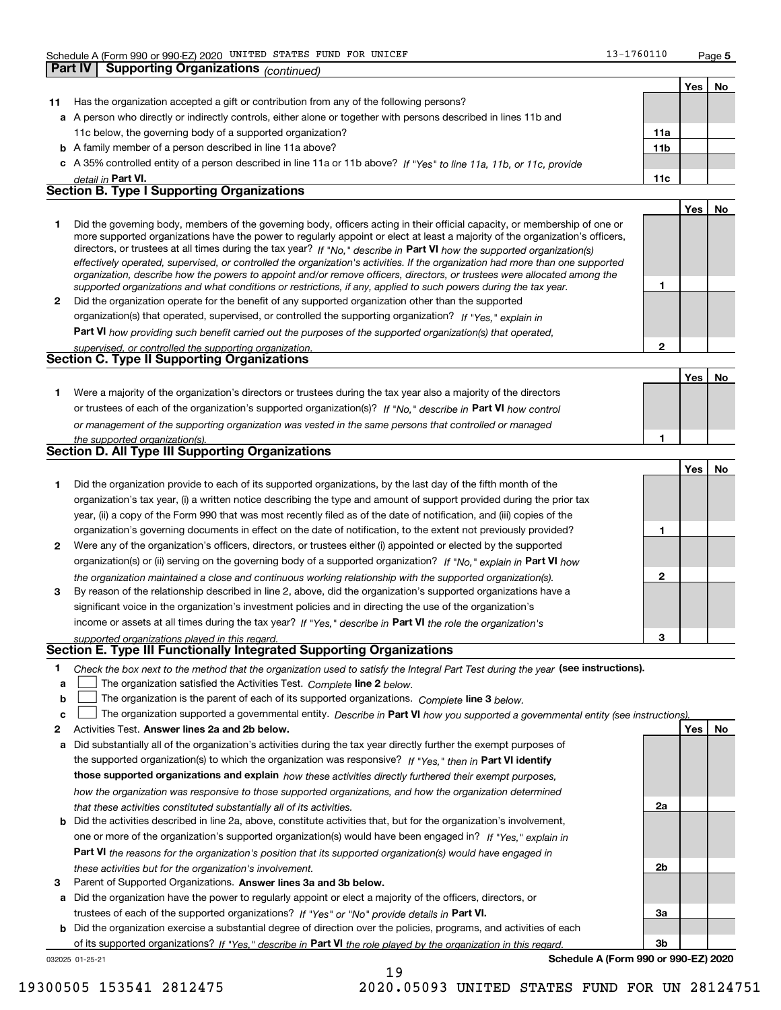**5**

**1**

**2**

**1**

**Yes No**

|    | Part IV | <b>Supporting Organizations (continued)</b>                                                                                                                                                                                                                                                                                                                                                                                                                                                                              |                 |     |           |
|----|---------|--------------------------------------------------------------------------------------------------------------------------------------------------------------------------------------------------------------------------------------------------------------------------------------------------------------------------------------------------------------------------------------------------------------------------------------------------------------------------------------------------------------------------|-----------------|-----|-----------|
|    |         |                                                                                                                                                                                                                                                                                                                                                                                                                                                                                                                          |                 | Yes | <b>No</b> |
| 11 |         | Has the organization accepted a gift or contribution from any of the following persons?                                                                                                                                                                                                                                                                                                                                                                                                                                  |                 |     |           |
|    |         | a A person who directly or indirectly controls, either alone or together with persons described in lines 11b and                                                                                                                                                                                                                                                                                                                                                                                                         |                 |     |           |
|    |         | 11c below, the governing body of a supported organization?                                                                                                                                                                                                                                                                                                                                                                                                                                                               | 11a             |     |           |
|    |         | <b>b</b> A family member of a person described in line 11a above?                                                                                                                                                                                                                                                                                                                                                                                                                                                        | 11 <sub>b</sub> |     |           |
|    |         | c A 35% controlled entity of a person described in line 11a or 11b above? If "Yes" to line 11a, 11b, or 11c, provide                                                                                                                                                                                                                                                                                                                                                                                                     |                 |     |           |
|    |         | detail in Part VI.                                                                                                                                                                                                                                                                                                                                                                                                                                                                                                       | 11c             |     |           |
|    |         | <b>Section B. Type I Supporting Organizations</b>                                                                                                                                                                                                                                                                                                                                                                                                                                                                        |                 |     |           |
|    |         |                                                                                                                                                                                                                                                                                                                                                                                                                                                                                                                          |                 | Yes | <b>No</b> |
|    |         | Did the governing body, members of the governing body, officers acting in their official capacity, or membership of one or<br>more supported organizations have the power to regularly appoint or elect at least a majority of the organization's officers,<br>directors, or trustees at all times during the tax year? If "No," describe in Part VI how the supported organization(s)<br>effectively operated, supervised, or controlled the organization's activities. If the organization had more than one supported |                 |     |           |

**2** Did the organization operate for the benefit of any supported organization other than the supported *organization, describe how the powers to appoint and/or remove officers, directors, or trustees were allocated among the supported organizations and what conditions or restrictions, if any, applied to such powers during the tax year. If "Yes," explain in* organization(s) that operated, supervised, or controlled the supporting organization?

**Part VI**  *how providing such benefit carried out the purposes of the supported organization(s) that operated,*

| supervised, or controlled the supporting organization. |  |
|--------------------------------------------------------|--|
| <b>Section C. Type II Supporting Organizations</b>     |  |
|                                                        |  |

**1**or trustees of each of the organization's supported organization(s)? If "No," describe in **Part VI** how control *or management of the supporting organization was vested in the same persons that controlled or managed the supported organization(s).* Were a majority of the organization's directors or trustees during the tax year also a majority of the directors

| Section D. All Type III Supporting Organizations |  |
|--------------------------------------------------|--|
|                                                  |  |

|                |                                                                                                                        |   | Yes l | No |
|----------------|------------------------------------------------------------------------------------------------------------------------|---|-------|----|
|                | Did the organization provide to each of its supported organizations, by the last day of the fifth month of the         |   |       |    |
|                | organization's tax year, (i) a written notice describing the type and amount of support provided during the prior tax  |   |       |    |
|                | year, (ii) a copy of the Form 990 that was most recently filed as of the date of notification, and (iii) copies of the |   |       |    |
|                | organization's governing documents in effect on the date of notification, to the extent not previously provided?       |   |       |    |
| $\overline{2}$ | Were any of the organization's officers, directors, or trustees either (i) appointed or elected by the supported       |   |       |    |
|                | organization(s) or (ii) serving on the governing body of a supported organization? If "No," explain in Part VI how     |   |       |    |
|                | the organization maintained a close and continuous working relationship with the supported organization(s).            | 2 |       |    |
| 3              | By reason of the relationship described in line 2, above, did the organization's supported organizations have a        |   |       |    |
|                | significant voice in the organization's investment policies and in directing the use of the organization's             |   |       |    |
|                | income or assets at all times during the tax year? If "Yes," describe in Part VI the role the organization's           |   |       |    |
|                | supported organizations played in this regard.                                                                         | з |       |    |

# *supported organizations played in this regard.* **Section E. Type III Functionally Integrated Supporting Organizations**

- **1**Check the box next to the method that the organization used to satisfy the Integral Part Test during the year (see instructions).
- **alinupy** The organization satisfied the Activities Test. Complete line 2 below.
- **b**The organization is the parent of each of its supported organizations. *Complete* line 3 *below.*  $\mathcal{L}^{\text{max}}$

|  |  |  | c $\Box$ The organization supported a governmental entity. Describe in Part VI how you supported a governmental entity (see instructions). |  |
|--|--|--|--------------------------------------------------------------------------------------------------------------------------------------------|--|
|--|--|--|--------------------------------------------------------------------------------------------------------------------------------------------|--|

19

- **2Answer lines 2a and 2b below. Yes No** Activities Test.
- **a** Did substantially all of the organization's activities during the tax year directly further the exempt purposes of the supported organization(s) to which the organization was responsive? If "Yes," then in **Part VI identify those supported organizations and explain**  *how these activities directly furthered their exempt purposes, how the organization was responsive to those supported organizations, and how the organization determined that these activities constituted substantially all of its activities.*
- **b** Did the activities described in line 2a, above, constitute activities that, but for the organization's involvement, **Part VI**  *the reasons for the organization's position that its supported organization(s) would have engaged in* one or more of the organization's supported organization(s) would have been engaged in? If "Yes," e*xplain in these activities but for the organization's involvement.*
- **3** Parent of Supported Organizations. Answer lines 3a and 3b below.

**a** Did the organization have the power to regularly appoint or elect a majority of the officers, directors, or trustees of each of the supported organizations? If "Yes" or "No" provide details in **Part VI.** 

**b** Did the organization exercise a substantial degree of direction over the policies, programs, and activities of each of its supported organizations? If "Yes," describe in Part VI the role played by the organization in this regard.

032025 01-25-21

**Schedule A (Form 990 or 990-EZ) 2020**

**2a**

**2b**

**3a**

**3b**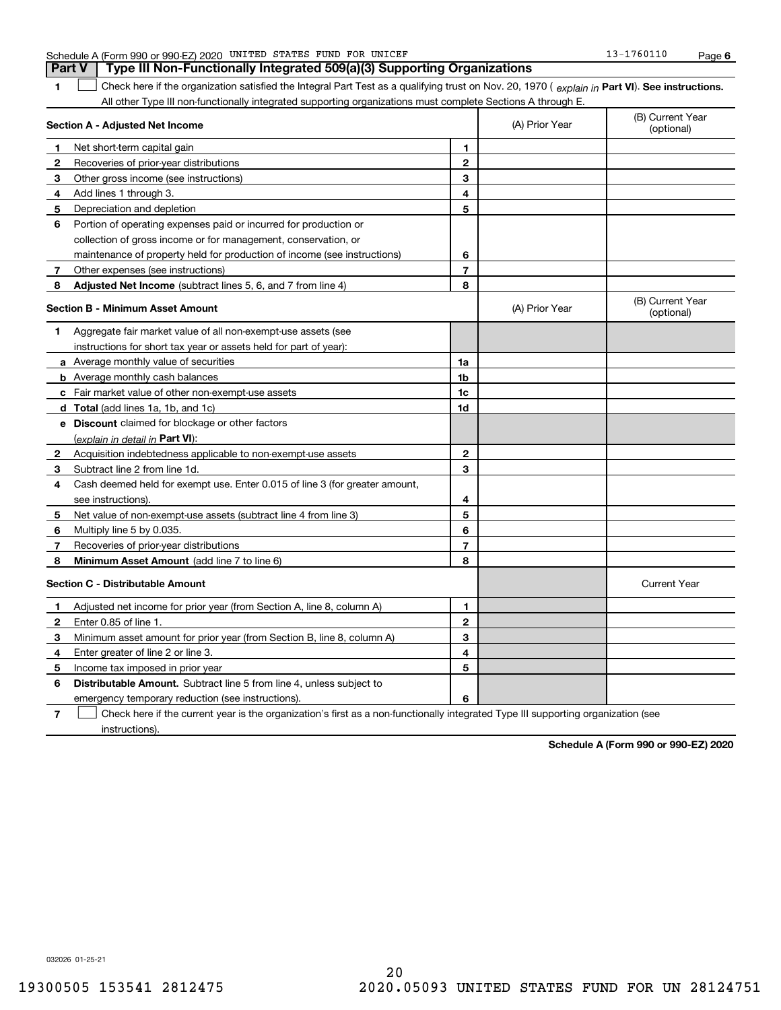|                | Part V<br>i ype iii Non-Funcuonally integrated 509(a)(5) Supporting Organizations                                                              |                         |                |                                |  |  |  |
|----------------|------------------------------------------------------------------------------------------------------------------------------------------------|-------------------------|----------------|--------------------------------|--|--|--|
| 1              | Check here if the organization satisfied the Integral Part Test as a qualifying trust on Nov. 20, 1970 (explain in Part VI). See instructions. |                         |                |                                |  |  |  |
|                | All other Type III non-functionally integrated supporting organizations must complete Sections A through E.                                    |                         |                |                                |  |  |  |
|                | Section A - Adjusted Net Income                                                                                                                |                         | (A) Prior Year | (B) Current Year<br>(optional) |  |  |  |
| 1              | Net short-term capital gain                                                                                                                    | 1                       |                |                                |  |  |  |
| 2              | Recoveries of prior-year distributions                                                                                                         | $\mathbf{2}$            |                |                                |  |  |  |
| 3              | Other gross income (see instructions)                                                                                                          | 3                       |                |                                |  |  |  |
| 4              | Add lines 1 through 3.                                                                                                                         | 4                       |                |                                |  |  |  |
| 5              | Depreciation and depletion                                                                                                                     | 5                       |                |                                |  |  |  |
| 6              | Portion of operating expenses paid or incurred for production or                                                                               |                         |                |                                |  |  |  |
|                | collection of gross income or for management, conservation, or                                                                                 |                         |                |                                |  |  |  |
|                | maintenance of property held for production of income (see instructions)                                                                       | 6                       |                |                                |  |  |  |
| 7              | Other expenses (see instructions)                                                                                                              | $\overline{7}$          |                |                                |  |  |  |
| 8              | <b>Adjusted Net Income</b> (subtract lines 5, 6, and 7 from line 4)                                                                            | 8                       |                |                                |  |  |  |
|                | <b>Section B - Minimum Asset Amount</b>                                                                                                        |                         | (A) Prior Year | (B) Current Year<br>(optional) |  |  |  |
| 1              | Aggregate fair market value of all non-exempt-use assets (see                                                                                  |                         |                |                                |  |  |  |
|                | instructions for short tax year or assets held for part of year):                                                                              |                         |                |                                |  |  |  |
|                | a Average monthly value of securities                                                                                                          | 1a                      |                |                                |  |  |  |
|                | <b>b</b> Average monthly cash balances                                                                                                         | 1b                      |                |                                |  |  |  |
|                | c Fair market value of other non-exempt-use assets                                                                                             | 1c                      |                |                                |  |  |  |
|                | d Total (add lines 1a, 1b, and 1c)                                                                                                             | 1d                      |                |                                |  |  |  |
|                | e Discount claimed for blockage or other factors                                                                                               |                         |                |                                |  |  |  |
|                | (explain in detail in Part VI):                                                                                                                |                         |                |                                |  |  |  |
|                | <b>2</b> Acquisition indebtedness applicable to non-exempt-use assets                                                                          | 2                       |                |                                |  |  |  |
| 3              | Subtract line 2 from line 1d.                                                                                                                  | 3                       |                |                                |  |  |  |
| 4              | Cash deemed held for exempt use. Enter 0.015 of line 3 (for greater amount,                                                                    |                         |                |                                |  |  |  |
|                | see instructions).                                                                                                                             | 4                       |                |                                |  |  |  |
| 5              | Net value of non-exempt-use assets (subtract line 4 from line 3)                                                                               | 5                       |                |                                |  |  |  |
| 6              | Multiply line 5 by 0.035.                                                                                                                      | 6                       |                |                                |  |  |  |
| 7              | Recoveries of prior-year distributions                                                                                                         | $\overline{\mathbf{r}}$ |                |                                |  |  |  |
| 8              | Minimum Asset Amount (add line 7 to line 6)                                                                                                    | 8                       |                |                                |  |  |  |
|                | <b>Section C - Distributable Amount</b>                                                                                                        |                         |                | <b>Current Year</b>            |  |  |  |
| 1              | Adjusted net income for prior year (from Section A, line 8, column A)                                                                          | 1                       |                |                                |  |  |  |
| $\mathbf{2}$   | Enter 0.85 of line 1.                                                                                                                          | $\mathbf{2}$            |                |                                |  |  |  |
| 3              | Minimum asset amount for prior year (from Section B, line 8, column A)                                                                         | 3                       |                |                                |  |  |  |
| 4              | Enter greater of line 2 or line 3.                                                                                                             | 4                       |                |                                |  |  |  |
| 5              | Income tax imposed in prior year                                                                                                               | 5                       |                |                                |  |  |  |
| 6              | Distributable Amount. Subtract line 5 from line 4, unless subject to                                                                           |                         |                |                                |  |  |  |
|                | emergency temporary reduction (see instructions).                                                                                              | 6                       |                |                                |  |  |  |
| $\overline{7}$ | Check here if the current year is the organization's first as a non-functionally integrated Type III supporting organization (see              |                         |                |                                |  |  |  |

Schedule A (Form 990 or 990-EZ) 2020 UNITED STATES FUND FOR UNICEF FOR THE STATES AND RESERVED THAT A Page ISL **Part V Type III Non-Functionally Integrated 509(a)(3) Supporting Organizations**  UNITED STATES FUND FOR UNICEF 13-1760110

032026 01-25-21

instructions).

**Schedule A (Form 990 or 990-EZ) 2020**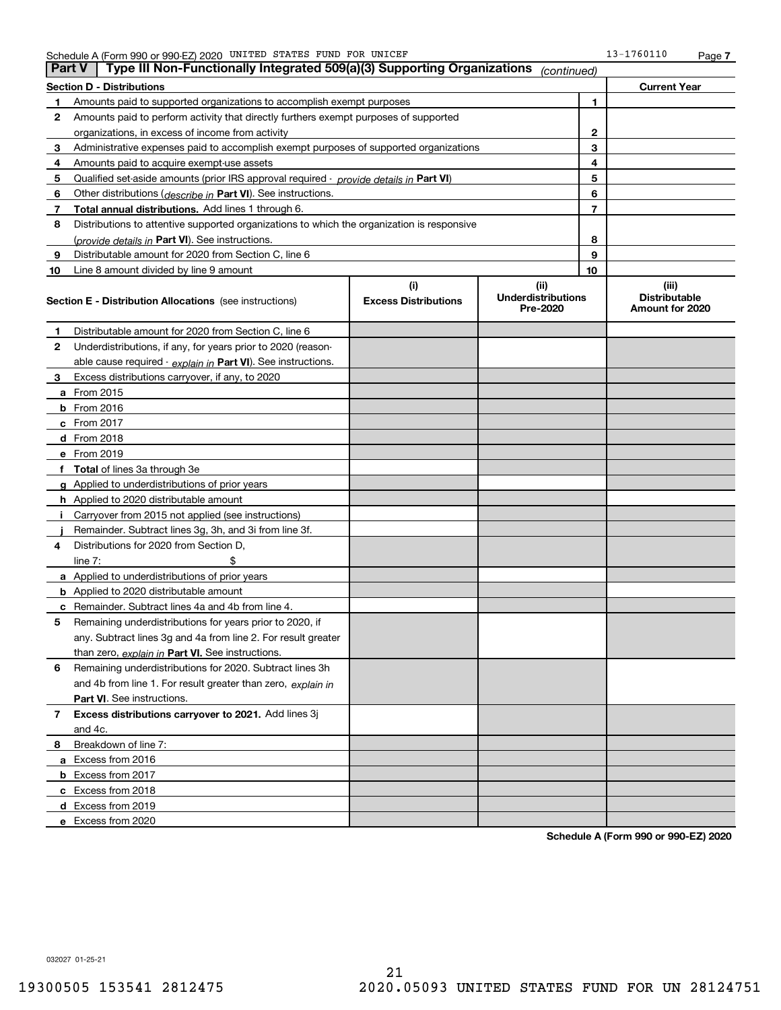| <b>Part V</b> | Type III Non-Functionally Integrated 509(a)(3) Supporting Organizations                    |                             | (continued)                           |                |                                         |
|---------------|--------------------------------------------------------------------------------------------|-----------------------------|---------------------------------------|----------------|-----------------------------------------|
|               | <b>Section D - Distributions</b>                                                           | <b>Current Year</b>         |                                       |                |                                         |
| 1             | Amounts paid to supported organizations to accomplish exempt purposes                      |                             | 1                                     |                |                                         |
| 2             | Amounts paid to perform activity that directly furthers exempt purposes of supported       |                             |                                       |                |                                         |
|               | organizations, in excess of income from activity                                           |                             | 2                                     |                |                                         |
| 3             | Administrative expenses paid to accomplish exempt purposes of supported organizations      |                             | 3                                     |                |                                         |
| 4             | Amounts paid to acquire exempt-use assets                                                  |                             |                                       | 4              |                                         |
| 5             | Qualified set-aside amounts (prior IRS approval required - provide details in Part VI)     |                             |                                       | 5              |                                         |
| 6             | Other distributions ( <i>describe in</i> Part VI). See instructions.                       |                             |                                       | 6              |                                         |
| 7             | Total annual distributions. Add lines 1 through 6.                                         |                             |                                       | $\overline{7}$ |                                         |
| 8             | Distributions to attentive supported organizations to which the organization is responsive |                             |                                       |                |                                         |
|               | (provide details in Part VI). See instructions.                                            |                             |                                       | 8              |                                         |
| 9             | Distributable amount for 2020 from Section C, line 6                                       |                             |                                       | 9              |                                         |
| 10            | Line 8 amount divided by line 9 amount                                                     |                             |                                       | 10             |                                         |
|               |                                                                                            | (i)                         | (ii)                                  |                | (iii)                                   |
|               | Section E - Distribution Allocations (see instructions)                                    | <b>Excess Distributions</b> | <b>Underdistributions</b><br>Pre-2020 |                | <b>Distributable</b><br>Amount for 2020 |
| 1             | Distributable amount for 2020 from Section C, line 6                                       |                             |                                       |                |                                         |
| 2             | Underdistributions, if any, for years prior to 2020 (reason-                               |                             |                                       |                |                                         |
|               | able cause required - explain in Part VI). See instructions.                               |                             |                                       |                |                                         |
| 3             | Excess distributions carryover, if any, to 2020                                            |                             |                                       |                |                                         |
|               | a From 2015                                                                                |                             |                                       |                |                                         |
|               | <b>b</b> From 2016                                                                         |                             |                                       |                |                                         |
|               | c From $2017$                                                                              |                             |                                       |                |                                         |
|               | d From 2018                                                                                |                             |                                       |                |                                         |
|               | e From 2019                                                                                |                             |                                       |                |                                         |
|               | f Total of lines 3a through 3e                                                             |                             |                                       |                |                                         |
|               | g Applied to underdistributions of prior years                                             |                             |                                       |                |                                         |
|               | <b>h</b> Applied to 2020 distributable amount                                              |                             |                                       |                |                                         |
|               | Carryover from 2015 not applied (see instructions)                                         |                             |                                       |                |                                         |
|               | Remainder. Subtract lines 3g, 3h, and 3i from line 3f.                                     |                             |                                       |                |                                         |
| 4             | Distributions for 2020 from Section D,                                                     |                             |                                       |                |                                         |
|               | line $7:$                                                                                  |                             |                                       |                |                                         |
|               | a Applied to underdistributions of prior years                                             |                             |                                       |                |                                         |
|               | <b>b</b> Applied to 2020 distributable amount                                              |                             |                                       |                |                                         |
|               | c Remainder. Subtract lines 4a and 4b from line 4.                                         |                             |                                       |                |                                         |
| 5.            | Remaining underdistributions for years prior to 2020, if                                   |                             |                                       |                |                                         |
|               | any. Subtract lines 3g and 4a from line 2. For result greater                              |                             |                                       |                |                                         |
|               | than zero, explain in Part VI. See instructions.                                           |                             |                                       |                |                                         |
| 6             | Remaining underdistributions for 2020. Subtract lines 3h                                   |                             |                                       |                |                                         |
|               | and 4b from line 1. For result greater than zero, explain in                               |                             |                                       |                |                                         |
|               | <b>Part VI.</b> See instructions.                                                          |                             |                                       |                |                                         |
| 7             | Excess distributions carryover to 2021. Add lines 3j                                       |                             |                                       |                |                                         |
|               | and 4c.                                                                                    |                             |                                       |                |                                         |
| 8             | Breakdown of line 7:                                                                       |                             |                                       |                |                                         |
|               | a Excess from 2016                                                                         |                             |                                       |                |                                         |
|               | b Excess from 2017                                                                         |                             |                                       |                |                                         |
|               | c Excess from 2018                                                                         |                             |                                       |                |                                         |
|               | d Excess from 2019                                                                         |                             |                                       |                |                                         |
|               | e Excess from 2020                                                                         |                             |                                       |                |                                         |

**Schedule A (Form 990 or 990-EZ) 2020**

032027 01-25-21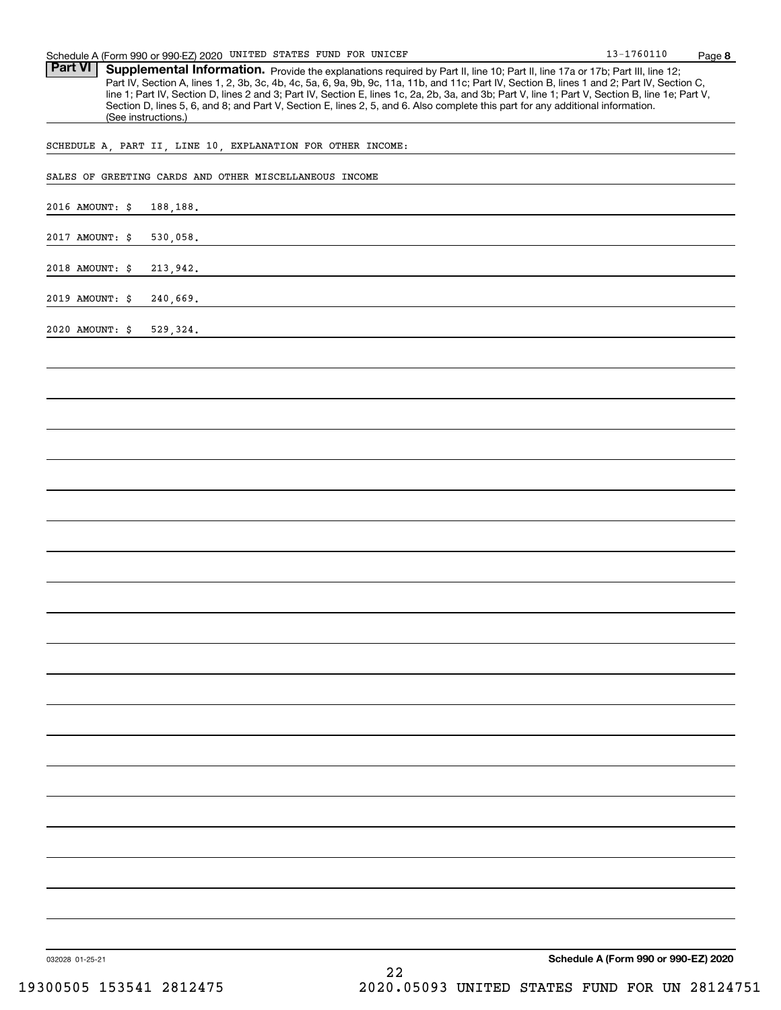Part VI | Supplemental Information. Provide the explanations required by Part II, line 10; Part II, line 17a or 17b; Part III, line 12; Part IV, Section A, lines 1, 2, 3b, 3c, 4b, 4c, 5a, 6, 9a, 9b, 9c, 11a, 11b, and 11c; Part IV, Section B, lines 1 and 2; Part IV, Section C, line 1; Part IV, Section D, lines 2 and 3; Part IV, Section E, lines 1c, 2a, 2b, 3a, and 3b; Part V, line 1; Part V, Section B, line 1e; Part V, Section D, lines 5, 6, and 8; and Part V, Section E, lines 2, 5, and 6. Also complete this part for any additional information. (See instructions.)

SCHEDULE A, PART II, LINE 10, EXPLANATION FOR OTHER INCOME:

| SALES OF GREETING CARDS AND OTHER MISCELLANEOUS INCOME |
|--------------------------------------------------------|
| 2016 AMOUNT: \$<br>188, 188.                           |
| 2017 AMOUNT: \$<br>530,058.                            |
| 2018 AMOUNT: \$<br>213,942.                            |
| 2019 AMOUNT: \$<br>240,669.                            |
| 2020 AMOUNT: \$<br>529,324.                            |
|                                                        |
|                                                        |
|                                                        |
|                                                        |
|                                                        |
|                                                        |
|                                                        |
|                                                        |
|                                                        |
|                                                        |
|                                                        |
|                                                        |
|                                                        |
|                                                        |
|                                                        |
|                                                        |
|                                                        |
|                                                        |
|                                                        |
|                                                        |
| $\sim$ $\sim$<br>$\sim$<br>$200 - 772000$              |

032028 01-25-21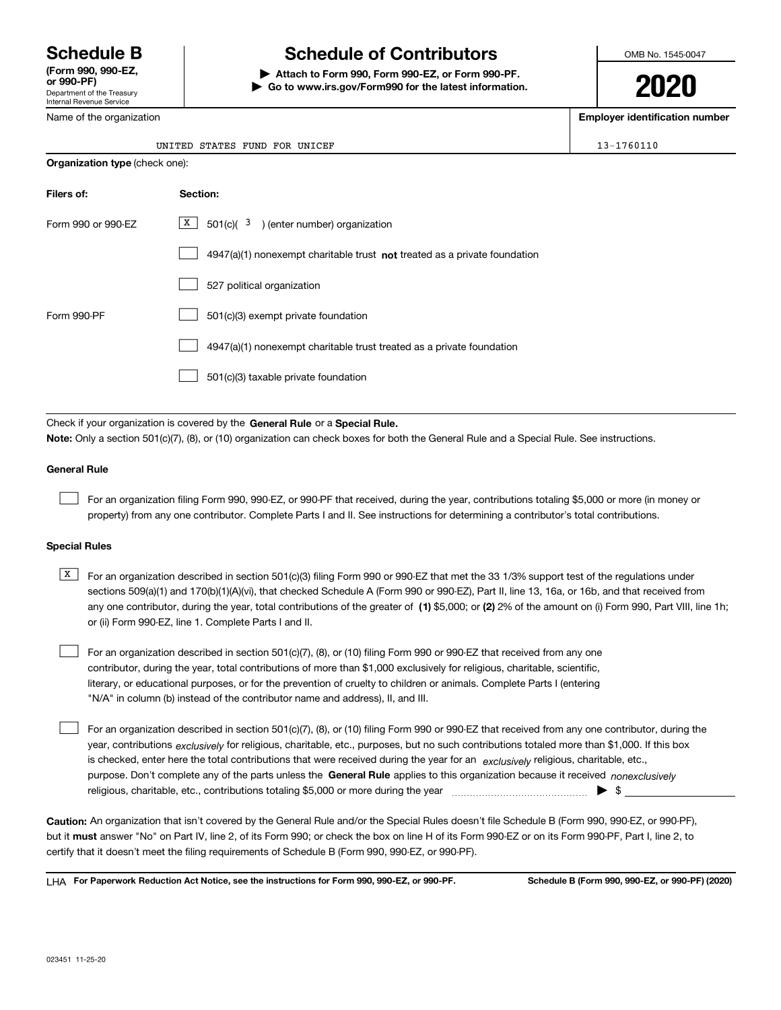Department of the Treasury Internal Revenue Service **(Form 990, 990-EZ, or 990-PF)**

#### Name of the organization

# **Schedule B Schedule of Contributors**

**| Attach to Form 990, Form 990-EZ, or Form 990-PF. | Go to www.irs.gov/Form990 for the latest information.** OMB No. 1545-0047

# **2020**

**Employer identification number**

| $3 - 1760110$ |  |  |  |  |
|---------------|--|--|--|--|

| UNITED STATES FUND FOR |  | UNICEF | 1760110<br>- 11 |
|------------------------|--|--------|-----------------|
|                        |  |        |                 |

| <b>Organization type (check one):</b> |                                                                             |  |  |  |  |  |  |
|---------------------------------------|-----------------------------------------------------------------------------|--|--|--|--|--|--|
| Filers of:                            | Section:                                                                    |  |  |  |  |  |  |
| Form 990 or 990-EZ                    | X  <br>$501(c)$ $(3)$ (enter number) organization                           |  |  |  |  |  |  |
|                                       | $4947(a)(1)$ nonexempt charitable trust not treated as a private foundation |  |  |  |  |  |  |
|                                       | 527 political organization                                                  |  |  |  |  |  |  |
| Form 990-PF                           | 501(c)(3) exempt private foundation                                         |  |  |  |  |  |  |
|                                       | 4947(a)(1) nonexempt charitable trust treated as a private foundation       |  |  |  |  |  |  |
|                                       | 501(c)(3) taxable private foundation                                        |  |  |  |  |  |  |

Check if your organization is covered by the **General Rule** or a **Special Rule. Note:**  Only a section 501(c)(7), (8), or (10) organization can check boxes for both the General Rule and a Special Rule. See instructions.

#### **General Rule**

 $\mathcal{L}^{\text{max}}$ 

For an organization filing Form 990, 990-EZ, or 990-PF that received, during the year, contributions totaling \$5,000 or more (in money or property) from any one contributor. Complete Parts I and II. See instructions for determining a contributor's total contributions.

#### **Special Rules**

any one contributor, during the year, total contributions of the greater of  $\,$  (1) \$5,000; or **(2)** 2% of the amount on (i) Form 990, Part VIII, line 1h;  $\overline{X}$  For an organization described in section 501(c)(3) filing Form 990 or 990-EZ that met the 33 1/3% support test of the regulations under sections 509(a)(1) and 170(b)(1)(A)(vi), that checked Schedule A (Form 990 or 990-EZ), Part II, line 13, 16a, or 16b, and that received from or (ii) Form 990-EZ, line 1. Complete Parts I and II.

For an organization described in section 501(c)(7), (8), or (10) filing Form 990 or 990-EZ that received from any one contributor, during the year, total contributions of more than \$1,000 exclusively for religious, charitable, scientific, literary, or educational purposes, or for the prevention of cruelty to children or animals. Complete Parts I (entering "N/A" in column (b) instead of the contributor name and address), II, and III.  $\mathcal{L}^{\text{max}}$ 

purpose. Don't complete any of the parts unless the **General Rule** applies to this organization because it received *nonexclusively* year, contributions <sub>exclusively</sub> for religious, charitable, etc., purposes, but no such contributions totaled more than \$1,000. If this box is checked, enter here the total contributions that were received during the year for an  $\;$ exclusively religious, charitable, etc., For an organization described in section 501(c)(7), (8), or (10) filing Form 990 or 990-EZ that received from any one contributor, during the religious, charitable, etc., contributions totaling \$5,000 or more during the year  $\Box$ — $\Box$   $\Box$   $\Box$  $\mathcal{L}^{\text{max}}$ 

**Caution:**  An organization that isn't covered by the General Rule and/or the Special Rules doesn't file Schedule B (Form 990, 990-EZ, or 990-PF),  **must** but it answer "No" on Part IV, line 2, of its Form 990; or check the box on line H of its Form 990-EZ or on its Form 990-PF, Part I, line 2, to certify that it doesn't meet the filing requirements of Schedule B (Form 990, 990-EZ, or 990-PF).

**For Paperwork Reduction Act Notice, see the instructions for Form 990, 990-EZ, or 990-PF. Schedule B (Form 990, 990-EZ, or 990-PF) (2020)** LHA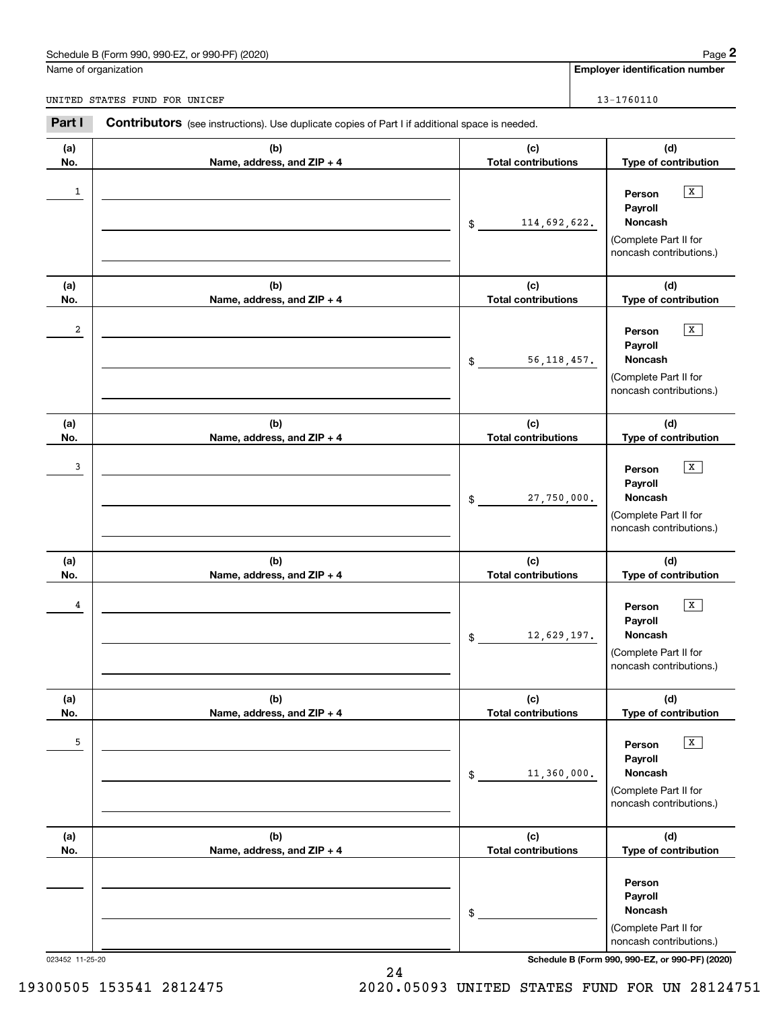# Schedule B (Form 990, 990-EZ, or 990-PF) (2020) Page 2

|                | Schedule B (Form 990, 990-EZ, or 990-PF) (2020)                                                       |                                   | Page 2                                                                                                          |
|----------------|-------------------------------------------------------------------------------------------------------|-----------------------------------|-----------------------------------------------------------------------------------------------------------------|
|                | Name of organization                                                                                  |                                   | <b>Employer identification number</b>                                                                           |
|                | UNITED STATES FUND FOR UNICEF                                                                         |                                   | 13-1760110                                                                                                      |
| Part I         | <b>Contributors</b> (see instructions). Use duplicate copies of Part I if additional space is needed. |                                   |                                                                                                                 |
| (a)<br>No.     | (b)<br>Name, address, and ZIP + 4                                                                     | (c)<br><b>Total contributions</b> | (d)<br>Type of contribution                                                                                     |
| $\mathbf{1}$   |                                                                                                       | 114,692,622.<br>\$                | $\mathbf{x}$<br>Person<br>Payroll<br>Noncash<br>(Complete Part II for<br>noncash contributions.)                |
| (a)<br>No.     | (b)<br>Name, address, and ZIP + 4                                                                     | (c)<br><b>Total contributions</b> | (d)<br>Type of contribution                                                                                     |
| $\overline{a}$ |                                                                                                       | 56, 118, 457.<br>\$               | $\mathbf{x}$<br>Person<br>Payroll<br>Noncash<br>(Complete Part II for<br>noncash contributions.)                |
| (a)<br>No.     | (b)<br>Name, address, and ZIP + 4                                                                     | (c)<br><b>Total contributions</b> | (d)<br>Type of contribution                                                                                     |
| 3              |                                                                                                       | 27,750,000.<br>\$                 | $\mathbf{x}$<br>Person<br>Payroll<br>Noncash<br>(Complete Part II for<br>noncash contributions.)                |
| (a)<br>No.     | (b)<br>Name, address, and ZIP + 4                                                                     | (c)<br><b>Total contributions</b> | (d)<br>Type of contribution                                                                                     |
| 4              |                                                                                                       | 12,629,197.<br>\$                 | $\mathbf{X}$<br>Person<br>Payroll<br>Noncash<br>(Complete Part II for<br>noncash contributions.)                |
| (a)<br>No.     | (b)<br>Name, address, and ZIP + 4                                                                     | (c)<br><b>Total contributions</b> | (d)<br>Type of contribution                                                                                     |
| 5              |                                                                                                       | 11,360,000.<br>\$                 | $\boxed{\mathbf{X}}$<br>Person<br>Payroll<br><b>Noncash</b><br>(Complete Part II for<br>noncash contributions.) |
| (a)<br>No.     | (b)<br>Name, address, and ZIP + 4                                                                     | (c)<br><b>Total contributions</b> | (d)<br>Type of contribution                                                                                     |
|                |                                                                                                       | \$                                | Person<br>Payroll<br>Noncash<br>(Complete Part II for<br>noncash contributions.)                                |

023452 11-25-20 **Schedule B (Form 990, 990-EZ, or 990-PF) (2020)**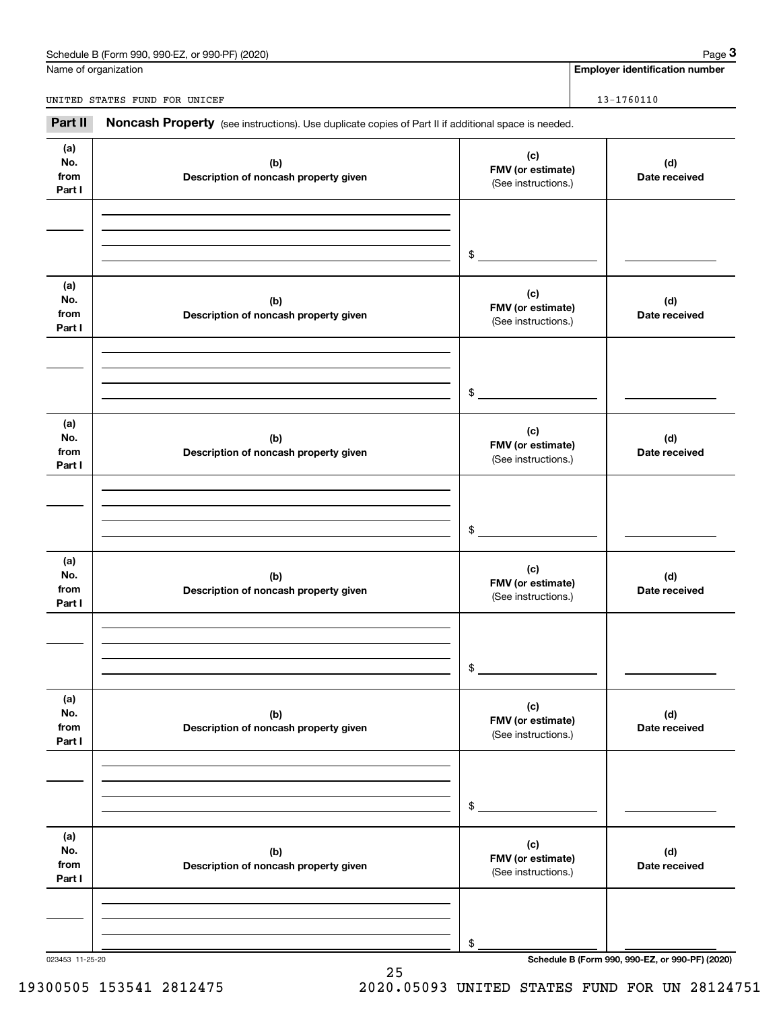# Schedule B (Form 990, 990-EZ, or 990-PF) (2020) Page 3

|                              | Schedule B (Form 990, 990-EZ, or 990-PF) (2020)                                                     |                                                 | Page 3                                          |
|------------------------------|-----------------------------------------------------------------------------------------------------|-------------------------------------------------|-------------------------------------------------|
|                              | Name of organization                                                                                |                                                 | <b>Employer identification number</b>           |
|                              | UNITED STATES FUND FOR UNICEF                                                                       |                                                 | 13-1760110                                      |
| Part II                      | Noncash Property (see instructions). Use duplicate copies of Part II if additional space is needed. |                                                 |                                                 |
| (a)<br>No.<br>from<br>Part I | (b)<br>Description of noncash property given                                                        | (c)<br>FMV (or estimate)<br>(See instructions.) | (d)<br>Date received                            |
|                              |                                                                                                     | \$                                              |                                                 |
| (a)<br>No.<br>from<br>Part I | (b)<br>Description of noncash property given                                                        | (c)<br>FMV (or estimate)<br>(See instructions.) | (d)<br>Date received                            |
|                              |                                                                                                     | \$                                              |                                                 |
| (a)<br>No.<br>from<br>Part I | (b)<br>Description of noncash property given                                                        | (c)<br>FMV (or estimate)<br>(See instructions.) | (d)<br>Date received                            |
|                              |                                                                                                     | \$                                              |                                                 |
| (a)<br>No.<br>from<br>Part I | (b)<br>Description of noncash property given                                                        | (c)<br>FMV (or estimate)<br>(See instructions.) | (d)<br>Date received                            |
|                              |                                                                                                     | \$                                              |                                                 |
| (a)<br>No.<br>from<br>Part I | (b)<br>Description of noncash property given                                                        | (c)<br>FMV (or estimate)<br>(See instructions.) | (d)<br>Date received                            |
|                              |                                                                                                     | \$                                              |                                                 |
| (a)<br>No.<br>from<br>Part I | (b)<br>Description of noncash property given                                                        | (c)<br>FMV (or estimate)<br>(See instructions.) | (d)<br>Date received                            |
|                              |                                                                                                     | \$                                              |                                                 |
| 023453 11-25-20              |                                                                                                     |                                                 | Schedule B (Form 990, 990-EZ, or 990-PF) (2020) |

25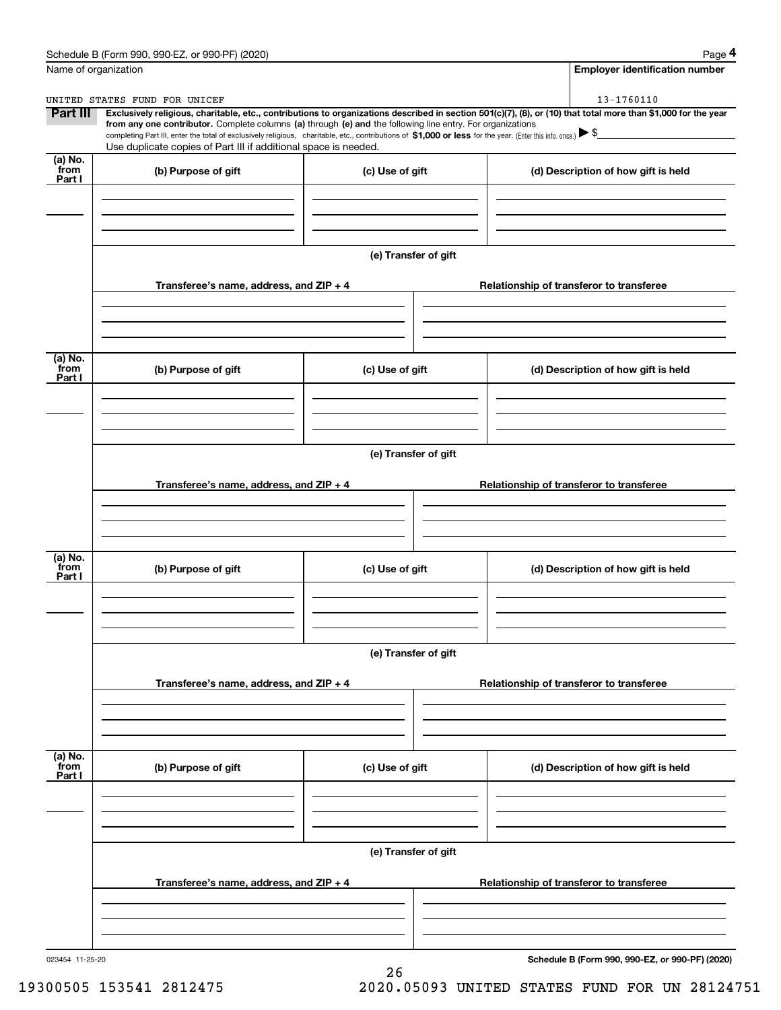|                      | Schedule B (Form 990, 990-EZ, or 990-PF) (2020)                                                                                                              |                      | Page 4                                                                                                                                                         |
|----------------------|--------------------------------------------------------------------------------------------------------------------------------------------------------------|----------------------|----------------------------------------------------------------------------------------------------------------------------------------------------------------|
| Name of organization |                                                                                                                                                              |                      | <b>Employer identification number</b>                                                                                                                          |
|                      | UNITED STATES FUND FOR UNICEF                                                                                                                                |                      | 13-1760110                                                                                                                                                     |
| Part III             | from any one contributor. Complete columns (a) through (e) and the following line entry. For organizations                                                   |                      | Exclusively religious, charitable, etc., contributions to organizations described in section 501(c)(7), (8), or (10) that total more than \$1,000 for the year |
|                      | completing Part III, enter the total of exclusively religious, charitable, etc., contributions of \$1,000 or less for the year. (Enter this info. once.) \\$ |                      |                                                                                                                                                                |
| (a) No.              | Use duplicate copies of Part III if additional space is needed.                                                                                              |                      |                                                                                                                                                                |
| from<br>Part I       | (b) Purpose of gift                                                                                                                                          | (c) Use of gift      | (d) Description of how gift is held                                                                                                                            |
|                      |                                                                                                                                                              |                      |                                                                                                                                                                |
|                      |                                                                                                                                                              |                      |                                                                                                                                                                |
|                      |                                                                                                                                                              |                      |                                                                                                                                                                |
|                      |                                                                                                                                                              | (e) Transfer of gift |                                                                                                                                                                |
|                      |                                                                                                                                                              |                      |                                                                                                                                                                |
|                      | Transferee's name, address, and ZIP + 4                                                                                                                      |                      | Relationship of transferor to transferee                                                                                                                       |
|                      |                                                                                                                                                              |                      |                                                                                                                                                                |
|                      |                                                                                                                                                              |                      |                                                                                                                                                                |
|                      |                                                                                                                                                              |                      |                                                                                                                                                                |
| (a) No.<br>from      | (b) Purpose of gift                                                                                                                                          | (c) Use of gift      | (d) Description of how gift is held                                                                                                                            |
| Part I               |                                                                                                                                                              |                      |                                                                                                                                                                |
|                      |                                                                                                                                                              |                      |                                                                                                                                                                |
|                      |                                                                                                                                                              |                      |                                                                                                                                                                |
|                      |                                                                                                                                                              | (e) Transfer of gift |                                                                                                                                                                |
|                      |                                                                                                                                                              |                      |                                                                                                                                                                |
|                      | Transferee's name, address, and ZIP + 4                                                                                                                      |                      | Relationship of transferor to transferee                                                                                                                       |
|                      |                                                                                                                                                              |                      |                                                                                                                                                                |
|                      |                                                                                                                                                              |                      |                                                                                                                                                                |
|                      |                                                                                                                                                              |                      |                                                                                                                                                                |
| (a) No.<br>from      | (b) Purpose of gift                                                                                                                                          | (c) Use of gift      | (d) Description of how gift is held                                                                                                                            |
| Part I               |                                                                                                                                                              |                      |                                                                                                                                                                |
|                      |                                                                                                                                                              |                      |                                                                                                                                                                |
|                      |                                                                                                                                                              |                      |                                                                                                                                                                |
|                      |                                                                                                                                                              | (e) Transfer of gift |                                                                                                                                                                |
|                      |                                                                                                                                                              |                      |                                                                                                                                                                |
|                      | Transferee's name, address, and ZIP + 4                                                                                                                      |                      | Relationship of transferor to transferee                                                                                                                       |
|                      |                                                                                                                                                              |                      |                                                                                                                                                                |
|                      |                                                                                                                                                              |                      |                                                                                                                                                                |
|                      |                                                                                                                                                              |                      |                                                                                                                                                                |
| (a) No.<br>from      | (b) Purpose of gift                                                                                                                                          | (c) Use of gift      | (d) Description of how gift is held                                                                                                                            |
| Part I               |                                                                                                                                                              |                      |                                                                                                                                                                |
|                      |                                                                                                                                                              |                      |                                                                                                                                                                |
|                      |                                                                                                                                                              |                      |                                                                                                                                                                |
|                      |                                                                                                                                                              |                      |                                                                                                                                                                |
|                      |                                                                                                                                                              | (e) Transfer of gift |                                                                                                                                                                |
|                      | Transferee's name, address, and $ZIP + 4$                                                                                                                    |                      | Relationship of transferor to transferee                                                                                                                       |
|                      |                                                                                                                                                              |                      |                                                                                                                                                                |
|                      |                                                                                                                                                              |                      |                                                                                                                                                                |
|                      |                                                                                                                                                              |                      |                                                                                                                                                                |
|                      |                                                                                                                                                              |                      |                                                                                                                                                                |

26

023454 11-25-20

**Schedule B (Form 990, 990-EZ, or 990-PF) (2020)**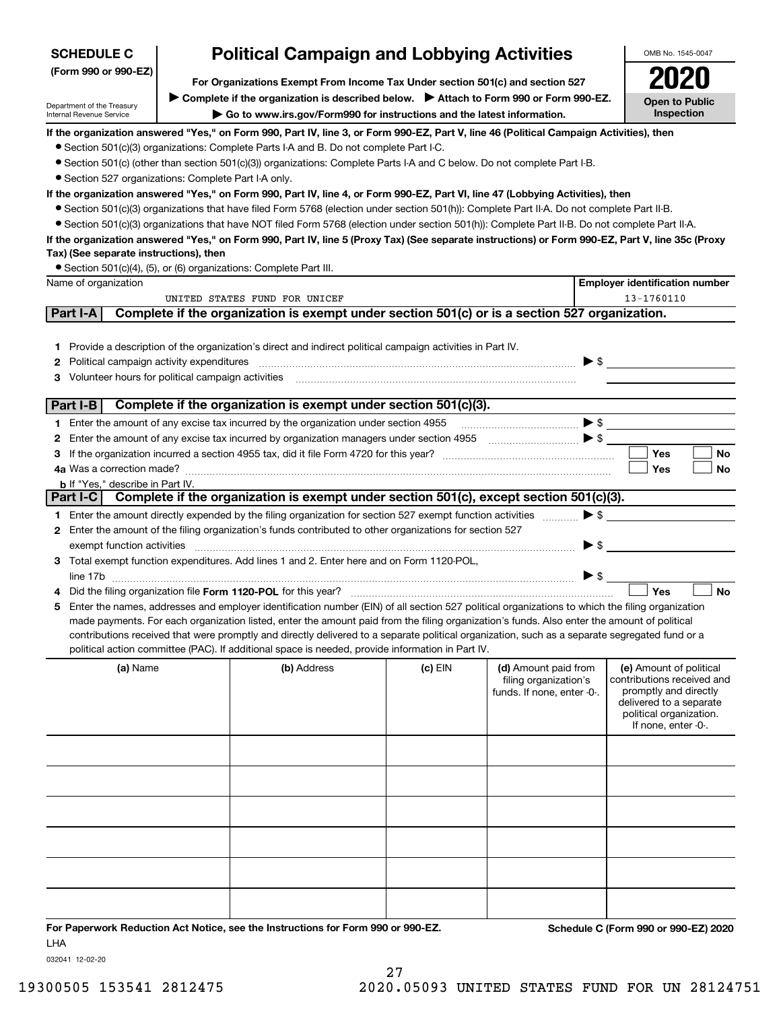| <b>Political Campaign and Lobbying Activities</b><br><b>SCHEDULE C</b>                                   |                                                                                                              |                                                                                                                                                                                                                                                                                                                                                                                                                                                                                                                                                                                      |         |                                                                             |                          | OMB No. 1545-0047                                                                                                                                           |  |
|----------------------------------------------------------------------------------------------------------|--------------------------------------------------------------------------------------------------------------|--------------------------------------------------------------------------------------------------------------------------------------------------------------------------------------------------------------------------------------------------------------------------------------------------------------------------------------------------------------------------------------------------------------------------------------------------------------------------------------------------------------------------------------------------------------------------------------|---------|-----------------------------------------------------------------------------|--------------------------|-------------------------------------------------------------------------------------------------------------------------------------------------------------|--|
| (Form 990 or 990-EZ)<br>For Organizations Exempt From Income Tax Under section 501(c) and section 527    |                                                                                                              |                                                                                                                                                                                                                                                                                                                                                                                                                                                                                                                                                                                      |         |                                                                             |                          |                                                                                                                                                             |  |
| Department of the Treasury                                                                               | Complete if the organization is described below. Attach to Form 990 or Form 990-EZ.<br><b>Open to Public</b> |                                                                                                                                                                                                                                                                                                                                                                                                                                                                                                                                                                                      |         |                                                                             |                          |                                                                                                                                                             |  |
| Internal Revenue Service                                                                                 | <b>Inspection</b><br>Go to www.irs.gov/Form990 for instructions and the latest information.                  |                                                                                                                                                                                                                                                                                                                                                                                                                                                                                                                                                                                      |         |                                                                             |                          |                                                                                                                                                             |  |
| • Section 527 organizations: Complete Part I-A only.                                                     |                                                                                                              | If the organization answered "Yes," on Form 990, Part IV, line 3, or Form 990-EZ, Part V, line 46 (Political Campaign Activities), then<br>• Section 501(c)(3) organizations: Complete Parts I-A and B. Do not complete Part I-C.<br>• Section 501(c) (other than section 501(c)(3)) organizations: Complete Parts I-A and C below. Do not complete Part I-B.                                                                                                                                                                                                                        |         |                                                                             |                          |                                                                                                                                                             |  |
|                                                                                                          |                                                                                                              | If the organization answered "Yes," on Form 990, Part IV, line 4, or Form 990-EZ, Part VI, line 47 (Lobbying Activities), then<br>• Section 501(c)(3) organizations that have filed Form 5768 (election under section 501(h)): Complete Part II-A. Do not complete Part II-B.<br>• Section 501(c)(3) organizations that have NOT filed Form 5768 (election under section 501(h)): Complete Part II-B. Do not complete Part II-A.<br>If the organization answered "Yes," on Form 990, Part IV, line 5 (Proxy Tax) (See separate instructions) or Form 990-EZ, Part V, line 35c (Proxy |         |                                                                             |                          |                                                                                                                                                             |  |
| Tax) (See separate instructions), then                                                                   |                                                                                                              |                                                                                                                                                                                                                                                                                                                                                                                                                                                                                                                                                                                      |         |                                                                             |                          |                                                                                                                                                             |  |
| Name of organization                                                                                     |                                                                                                              | • Section 501(c)(4), (5), or (6) organizations: Complete Part III.                                                                                                                                                                                                                                                                                                                                                                                                                                                                                                                   |         |                                                                             |                          | <b>Employer identification number</b>                                                                                                                       |  |
|                                                                                                          |                                                                                                              | UNITED STATES FUND FOR UNICEF                                                                                                                                                                                                                                                                                                                                                                                                                                                                                                                                                        |         |                                                                             |                          | 13-1760110                                                                                                                                                  |  |
| Part I-A                                                                                                 |                                                                                                              | Complete if the organization is exempt under section 501(c) or is a section 527 organization.                                                                                                                                                                                                                                                                                                                                                                                                                                                                                        |         |                                                                             |                          |                                                                                                                                                             |  |
| <b>2</b> Political campaign activity expenditures<br>3 Volunteer hours for political campaign activities |                                                                                                              | 1 Provide a description of the organization's direct and indirect political campaign activities in Part IV.                                                                                                                                                                                                                                                                                                                                                                                                                                                                          |         |                                                                             | $\blacktriangleright$ \$ |                                                                                                                                                             |  |
| Part I-B                                                                                                 |                                                                                                              | Complete if the organization is exempt under section 501(c)(3).                                                                                                                                                                                                                                                                                                                                                                                                                                                                                                                      |         |                                                                             |                          |                                                                                                                                                             |  |
|                                                                                                          |                                                                                                              | 1 Enter the amount of any excise tax incurred by the organization under section 4955                                                                                                                                                                                                                                                                                                                                                                                                                                                                                                 |         |                                                                             | $\blacktriangleright$ \$ |                                                                                                                                                             |  |
|                                                                                                          |                                                                                                              | 2 Enter the amount of any excise tax incurred by organization managers under section 4955                                                                                                                                                                                                                                                                                                                                                                                                                                                                                            |         | $\bullet$                                                                   |                          |                                                                                                                                                             |  |
|                                                                                                          |                                                                                                              |                                                                                                                                                                                                                                                                                                                                                                                                                                                                                                                                                                                      |         |                                                                             |                          | Yes<br><b>No</b>                                                                                                                                            |  |
| 4a Was a correction made?                                                                                |                                                                                                              |                                                                                                                                                                                                                                                                                                                                                                                                                                                                                                                                                                                      |         |                                                                             |                          | Yes<br>No                                                                                                                                                   |  |
| <b>b</b> If "Yes," describe in Part IV.                                                                  |                                                                                                              |                                                                                                                                                                                                                                                                                                                                                                                                                                                                                                                                                                                      |         |                                                                             |                          |                                                                                                                                                             |  |
|                                                                                                          |                                                                                                              | Part I-C Complete if the organization is exempt under section 501(c), except section 501(c)(3).                                                                                                                                                                                                                                                                                                                                                                                                                                                                                      |         |                                                                             |                          |                                                                                                                                                             |  |
|                                                                                                          |                                                                                                              | 1 Enter the amount directly expended by the filing organization for section 527 exempt function activities                                                                                                                                                                                                                                                                                                                                                                                                                                                                           |         |                                                                             | $\blacktriangleright$ \$ |                                                                                                                                                             |  |
|                                                                                                          |                                                                                                              | 2 Enter the amount of the filing organization's funds contributed to other organizations for section 527                                                                                                                                                                                                                                                                                                                                                                                                                                                                             |         |                                                                             |                          |                                                                                                                                                             |  |
| exempt function activities                                                                               |                                                                                                              |                                                                                                                                                                                                                                                                                                                                                                                                                                                                                                                                                                                      |         |                                                                             | $\blacktriangleright$ \$ |                                                                                                                                                             |  |
|                                                                                                          |                                                                                                              | 3 Total exempt function expenditures. Add lines 1 and 2. Enter here and on Form 1120-POL,                                                                                                                                                                                                                                                                                                                                                                                                                                                                                            |         |                                                                             |                          |                                                                                                                                                             |  |
|                                                                                                          |                                                                                                              |                                                                                                                                                                                                                                                                                                                                                                                                                                                                                                                                                                                      |         |                                                                             | $\blacktriangleright$ \$ |                                                                                                                                                             |  |
|                                                                                                          |                                                                                                              |                                                                                                                                                                                                                                                                                                                                                                                                                                                                                                                                                                                      |         |                                                                             |                          | Yes<br><b>No</b>                                                                                                                                            |  |
|                                                                                                          |                                                                                                              | 5 Enter the names, addresses and employer identification number (EIN) of all section 527 political organizations to which the filing organization<br>made payments. For each organization listed, enter the amount paid from the filing organization's funds. Also enter the amount of political<br>contributions received that were promptly and directly delivered to a separate political organization, such as a separate segregated fund or a<br>political action committee (PAC). If additional space is needed, provide information in Part IV.                               |         |                                                                             |                          |                                                                                                                                                             |  |
| (a) Name                                                                                                 |                                                                                                              | (b) Address                                                                                                                                                                                                                                                                                                                                                                                                                                                                                                                                                                          | (c) EIN | (d) Amount paid from<br>filing organization's<br>funds. If none, enter -0-. |                          | (e) Amount of political<br>contributions received and<br>promptly and directly<br>delivered to a separate<br>political organization.<br>If none, enter -0-. |  |
|                                                                                                          |                                                                                                              |                                                                                                                                                                                                                                                                                                                                                                                                                                                                                                                                                                                      |         |                                                                             |                          |                                                                                                                                                             |  |
|                                                                                                          |                                                                                                              |                                                                                                                                                                                                                                                                                                                                                                                                                                                                                                                                                                                      |         |                                                                             |                          |                                                                                                                                                             |  |
|                                                                                                          |                                                                                                              |                                                                                                                                                                                                                                                                                                                                                                                                                                                                                                                                                                                      |         |                                                                             |                          |                                                                                                                                                             |  |
|                                                                                                          |                                                                                                              |                                                                                                                                                                                                                                                                                                                                                                                                                                                                                                                                                                                      |         |                                                                             |                          |                                                                                                                                                             |  |
|                                                                                                          |                                                                                                              |                                                                                                                                                                                                                                                                                                                                                                                                                                                                                                                                                                                      |         |                                                                             |                          |                                                                                                                                                             |  |
|                                                                                                          |                                                                                                              |                                                                                                                                                                                                                                                                                                                                                                                                                                                                                                                                                                                      |         |                                                                             |                          |                                                                                                                                                             |  |
|                                                                                                          |                                                                                                              |                                                                                                                                                                                                                                                                                                                                                                                                                                                                                                                                                                                      |         |                                                                             |                          |                                                                                                                                                             |  |
|                                                                                                          |                                                                                                              |                                                                                                                                                                                                                                                                                                                                                                                                                                                                                                                                                                                      |         |                                                                             |                          |                                                                                                                                                             |  |
|                                                                                                          |                                                                                                              |                                                                                                                                                                                                                                                                                                                                                                                                                                                                                                                                                                                      |         |                                                                             |                          |                                                                                                                                                             |  |
|                                                                                                          |                                                                                                              |                                                                                                                                                                                                                                                                                                                                                                                                                                                                                                                                                                                      |         |                                                                             |                          |                                                                                                                                                             |  |
|                                                                                                          |                                                                                                              |                                                                                                                                                                                                                                                                                                                                                                                                                                                                                                                                                                                      |         |                                                                             |                          |                                                                                                                                                             |  |

**For Paperwork Reduction Act Notice, see the Instructions for Form 990 or 990-EZ. Schedule C (Form 990 or 990-EZ) 2020** LHA

032041 12-02-20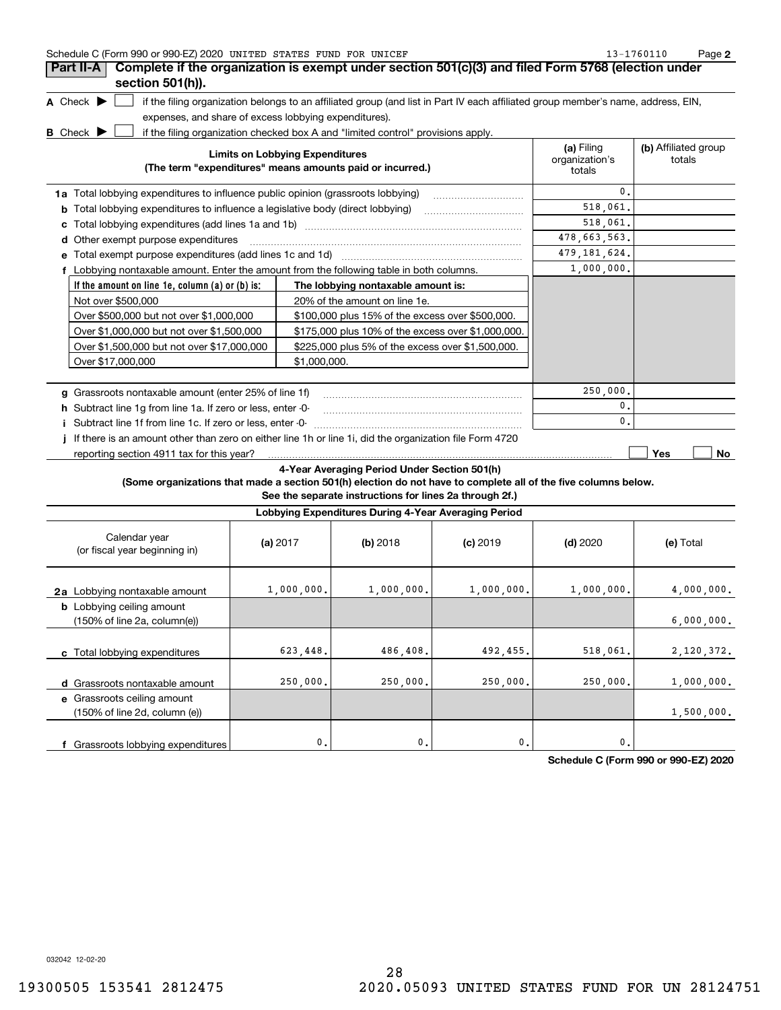| Schedule C (Form 990 or 990-EZ) 2020 UNITED STATES FUND FOR UNICEF                                  |                                                                                                                                   |                                | 13-1760110<br>Page 2 |
|-----------------------------------------------------------------------------------------------------|-----------------------------------------------------------------------------------------------------------------------------------|--------------------------------|----------------------|
| Part II-A                                                                                           | Complete if the organization is exempt under section 501(c)(3) and filed Form 5768 (election under                                |                                |                      |
| section $501(h)$ ).                                                                                 |                                                                                                                                   |                                |                      |
| A Check $\blacktriangleright$                                                                       | if the filing organization belongs to an affiliated group (and list in Part IV each affiliated group member's name, address, EIN, |                                |                      |
| expenses, and share of excess lobbying expenditures).                                               |                                                                                                                                   |                                |                      |
| <b>B</b> Check $\blacktriangleright$                                                                | if the filing organization checked box A and "limited control" provisions apply.                                                  |                                |                      |
| <b>Limits on Lobbying Expenditures</b><br>(The term "expenditures" means amounts paid or incurred.) | (a) Filing<br>organization's<br>totals                                                                                            | (b) Affiliated group<br>totals |                      |
| <b>1a</b> Total lobbying expenditures to influence public opinion (grassroots lobbying)             |                                                                                                                                   | 0.                             |                      |
| Total lobbying expenditures to influence a legislative body (direct lobbying)<br>b                  |                                                                                                                                   | 518,061.                       |                      |
| с                                                                                                   |                                                                                                                                   | 518,061.                       |                      |
| Other exempt purpose expenditures<br>d                                                              |                                                                                                                                   | 478,663,563.                   |                      |
| е                                                                                                   |                                                                                                                                   | 479, 181, 624.                 |                      |
| f Lobbying nontaxable amount. Enter the amount from the following table in both columns.            |                                                                                                                                   | 1,000,000.                     |                      |
| If the amount on line 1e, column (a) or (b) is:                                                     | The lobbying nontaxable amount is:                                                                                                |                                |                      |
| Not over \$500,000                                                                                  | 20% of the amount on line 1e.                                                                                                     |                                |                      |
| Over \$500,000 but not over \$1,000,000                                                             | \$100,000 plus 15% of the excess over \$500,000.                                                                                  |                                |                      |
| Over \$1,000,000 but not over \$1,500,000                                                           | \$175,000 plus 10% of the excess over \$1,000,000.                                                                                |                                |                      |
| Over \$1,500,000 but not over \$17,000,000                                                          | \$225,000 plus 5% of the excess over \$1,500,000.                                                                                 |                                |                      |
| Over \$17,000,000                                                                                   | \$1,000,000.                                                                                                                      |                                |                      |
| Grassroots nontaxable amount (enter 25% of line 1f)                                                 |                                                                                                                                   | 250,000.                       |                      |
| h Subtract line 1g from line 1a. If zero or less, enter -0-                                         |                                                                                                                                   | 0.                             |                      |

**i**Subtract line 1f from line 1c. If zero or less, enter -0- ~~~~~~~~~~~~~~~~~~~~~~~

**j** If there is an amount other than zero on either line 1h or line 1i, did the organization file Form 4720 reporting section 4911 tax for this year?

**Yes No**

 $\overline{\bullet}$ .

## **4-Year Averaging Period Under Section 501(h)**

**(Some organizations that made a section 501(h) election do not have to complete all of the five columns below.**

**See the separate instructions for lines 2a through 2f.)**

| Lobbying Expenditures During 4-Year Averaging Period                                 |            |                |            |            |            |  |  |  |
|--------------------------------------------------------------------------------------|------------|----------------|------------|------------|------------|--|--|--|
| Calendar year<br>(or fiscal year beginning in)                                       | (a) $2017$ | (b) 2018       | $(c)$ 2019 | $(d)$ 2020 | (e) Total  |  |  |  |
| 2a Lobbying nontaxable amount                                                        | 1,000,000. | 1,000,000.     | 1,000,000. | 1,000,000. | 4,000,000. |  |  |  |
| <b>b</b> Lobbying ceiling amount<br>$(150\% \text{ of line } 2a, \text{ column}(e))$ |            |                |            |            | 6,000,000. |  |  |  |
| c Total lobbying expenditures                                                        | 623,448.   | 486,408.       | 492,455.   | 518,061.   | 2,120,372. |  |  |  |
| Grassroots nontaxable amount<br>d                                                    | 250,000.   | 250,000.       | 250,000.   | 250,000.   | 1,000,000. |  |  |  |
| e Grassroots ceiling amount<br>(150% of line 2d, column (e))                         |            |                |            |            | 1,500,000. |  |  |  |
| f Grassroots lobbying expenditures                                                   | 0.         | $\mathbf{0}$ . | 0.         | 0.         |            |  |  |  |

**Schedule C (Form 990 or 990-EZ) 2020**

032042 12-02-20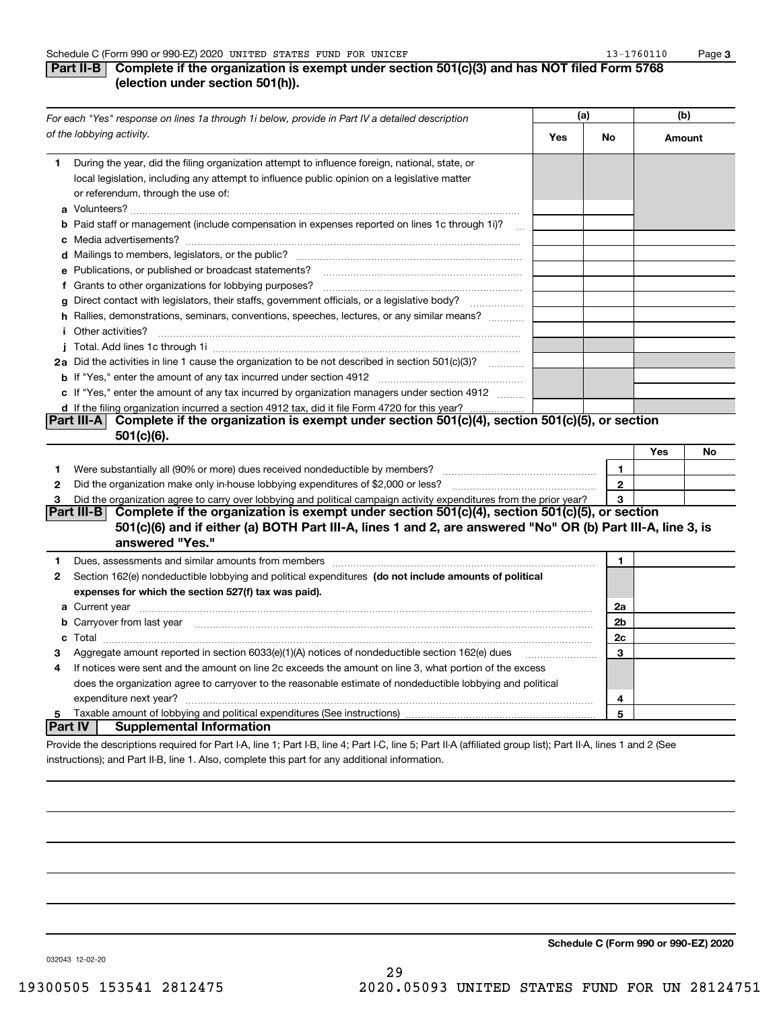## **Part II-B** Complete if the organization is exempt under section 501(c)(3) and has NOT filed Form 5768 **(election under section 501(h)).**

| For each "Yes" response on lines 1a through 1i below, provide in Part IV a detailed description |                                                                                                                                                                                                                                      | (a) |              | (b)    |    |
|-------------------------------------------------------------------------------------------------|--------------------------------------------------------------------------------------------------------------------------------------------------------------------------------------------------------------------------------------|-----|--------------|--------|----|
|                                                                                                 | of the lobbying activity.                                                                                                                                                                                                            | Yes | No           | Amount |    |
| 1                                                                                               | During the year, did the filing organization attempt to influence foreign, national, state, or<br>local legislation, including any attempt to influence public opinion on a legislative matter<br>or referendum, through the use of: |     |              |        |    |
|                                                                                                 | <b>b</b> Paid staff or management (include compensation in expenses reported on lines 1c through 1i)?<br>$\sim$                                                                                                                      |     |              |        |    |
|                                                                                                 |                                                                                                                                                                                                                                      |     |              |        |    |
|                                                                                                 | e Publications, or published or broadcast statements?                                                                                                                                                                                |     |              |        |    |
|                                                                                                 |                                                                                                                                                                                                                                      |     |              |        |    |
|                                                                                                 | g Direct contact with legislators, their staffs, government officials, or a legislative body?                                                                                                                                        |     |              |        |    |
|                                                                                                 | h Rallies, demonstrations, seminars, conventions, speeches, lectures, or any similar means?<br><i>i</i> Other activities?                                                                                                            |     |              |        |    |
|                                                                                                 |                                                                                                                                                                                                                                      |     |              |        |    |
|                                                                                                 | 2a Did the activities in line 1 cause the organization to be not described in section 501(c)(3)?                                                                                                                                     |     |              |        |    |
|                                                                                                 |                                                                                                                                                                                                                                      |     |              |        |    |
|                                                                                                 | c If "Yes," enter the amount of any tax incurred by organization managers under section 4912                                                                                                                                         |     |              |        |    |
|                                                                                                 | d If the filing organization incurred a section 4912 tax, did it file Form 4720 for this year?                                                                                                                                       |     |              |        |    |
|                                                                                                 | Complete if the organization is exempt under section 501(c)(4), section 501(c)(5), or section<br> Part III-A                                                                                                                         |     |              |        |    |
|                                                                                                 | 501(c)(6).                                                                                                                                                                                                                           |     |              |        |    |
|                                                                                                 |                                                                                                                                                                                                                                      |     |              | Yes    | No |
| 1                                                                                               |                                                                                                                                                                                                                                      |     | $\mathbf{1}$ |        |    |
| $\mathbf{2}$                                                                                    |                                                                                                                                                                                                                                      |     | $\mathbf{2}$ |        |    |
| 3                                                                                               | Did the organization agree to carry over lobbying and political campaign activity expenditures from the prior year?                                                                                                                  |     | 3            |        |    |
|                                                                                                 | Complete if the organization is exempt under section $501(c)(4)$ , section $501(c)(5)$ , or section<br> Part III-B                                                                                                                   |     |              |        |    |
|                                                                                                 | 501(c)(6) and if either (a) BOTH Part III-A, lines 1 and 2, are answered "No" OR (b) Part III-A, line 3, is                                                                                                                          |     |              |        |    |
|                                                                                                 | answered "Yes."                                                                                                                                                                                                                      |     |              |        |    |
| 1                                                                                               |                                                                                                                                                                                                                                      |     | $\mathbf{1}$ |        |    |
| 2                                                                                               | Section 162(e) nondeductible lobbying and political expenditures (do not include amounts of political                                                                                                                                |     |              |        |    |
|                                                                                                 | expenses for which the section 527(f) tax was paid).                                                                                                                                                                                 |     |              |        |    |
|                                                                                                 |                                                                                                                                                                                                                                      |     | 2a           |        |    |
|                                                                                                 | b Carryover from last year manufactured and continuum contracts and contact the contract of the contract of the contract of the contract of the contract of the contract of the contract of the contract of the contract of th       |     | 2b           |        |    |
|                                                                                                 |                                                                                                                                                                                                                                      |     | 2c           |        |    |
| з                                                                                               | Aggregate amount reported in section 6033(e)(1)(A) notices of nondeductible section 162(e) dues                                                                                                                                      |     | 3            |        |    |
| 4                                                                                               | If notices were sent and the amount on line 2c exceeds the amount on line 3, what portion of the excess                                                                                                                              |     |              |        |    |
|                                                                                                 | does the organization agree to carryover to the reasonable estimate of nondeductible lobbying and political                                                                                                                          |     |              |        |    |
|                                                                                                 | expenditure next year?                                                                                                                                                                                                               |     | 4            |        |    |
| 5                                                                                               |                                                                                                                                                                                                                                      |     | 5            |        |    |
|                                                                                                 | Part IV  <br>Supplemental Information                                                                                                                                                                                                |     |              |        |    |
|                                                                                                 | Provide the descriptions required for Part I-A, line 1; Part I-B, line 4; Part I-C, line 5; Part II-A (affiliated group list); Part II-A, lines 1 and 2 (See                                                                         |     |              |        |    |

29

instructions); and Part II-B, line 1. Also, complete this part for any additional information.

**Schedule C (Form 990 or 990-EZ) 2020**

032043 12-02-20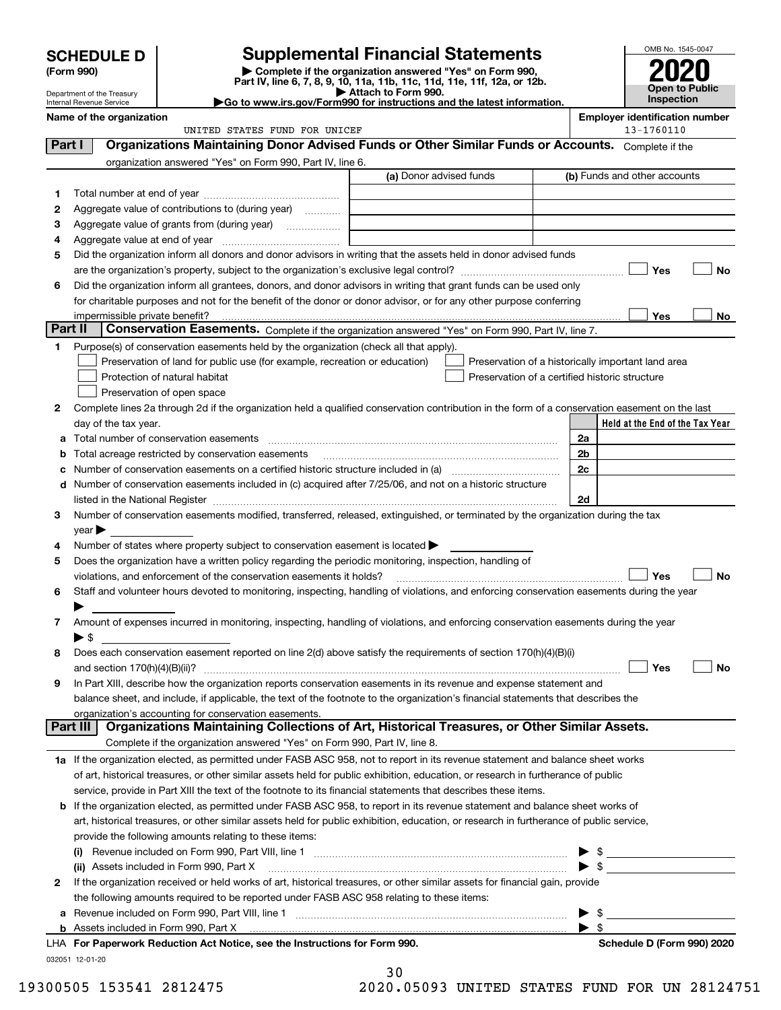| <b>Supplemental Financial Statements</b><br><b>SCHEDULE D</b><br>Complete if the organization answered "Yes" on Form 990,<br>(Form 990)<br>Part IV, line 6, 7, 8, 9, 10, 11a, 11b, 11c, 11d, 11e, 11f, 12a, or 12b.<br>Attach to Form 990.<br>Department of the Treasury<br>Go to www.irs.gov/Form990 for instructions and the latest information.<br>Internal Revenue Service |                                |                                                                                                                                                |                         |                                                    |    | OMB No. 1545-0047<br>Open to Public<br>Inspection   |
|--------------------------------------------------------------------------------------------------------------------------------------------------------------------------------------------------------------------------------------------------------------------------------------------------------------------------------------------------------------------------------|--------------------------------|------------------------------------------------------------------------------------------------------------------------------------------------|-------------------------|----------------------------------------------------|----|-----------------------------------------------------|
|                                                                                                                                                                                                                                                                                                                                                                                | Name of the organization       | UNITED STATES FUND FOR UNICEF                                                                                                                  |                         |                                                    |    | <b>Employer identification number</b><br>13-1760110 |
| Part I                                                                                                                                                                                                                                                                                                                                                                         |                                | Organizations Maintaining Donor Advised Funds or Other Similar Funds or Accounts. Complete if the                                              |                         |                                                    |    |                                                     |
|                                                                                                                                                                                                                                                                                                                                                                                |                                | organization answered "Yes" on Form 990, Part IV, line 6.                                                                                      |                         |                                                    |    |                                                     |
|                                                                                                                                                                                                                                                                                                                                                                                |                                |                                                                                                                                                | (a) Donor advised funds |                                                    |    | (b) Funds and other accounts                        |
|                                                                                                                                                                                                                                                                                                                                                                                |                                |                                                                                                                                                |                         |                                                    |    |                                                     |
| 2                                                                                                                                                                                                                                                                                                                                                                              |                                | Aggregate value of contributions to (during year)                                                                                              |                         |                                                    |    |                                                     |
| з                                                                                                                                                                                                                                                                                                                                                                              |                                |                                                                                                                                                |                         |                                                    |    |                                                     |
| 4                                                                                                                                                                                                                                                                                                                                                                              |                                |                                                                                                                                                |                         |                                                    |    |                                                     |
| 5                                                                                                                                                                                                                                                                                                                                                                              |                                | Did the organization inform all donors and donor advisors in writing that the assets held in donor advised funds                               |                         |                                                    |    |                                                     |
|                                                                                                                                                                                                                                                                                                                                                                                |                                |                                                                                                                                                |                         |                                                    |    | Yes<br><b>No</b>                                    |
| 6                                                                                                                                                                                                                                                                                                                                                                              |                                | Did the organization inform all grantees, donors, and donor advisors in writing that grant funds can be used only                              |                         |                                                    |    |                                                     |
|                                                                                                                                                                                                                                                                                                                                                                                |                                | for charitable purposes and not for the benefit of the donor or donor advisor, or for any other purpose conferring                             |                         |                                                    |    |                                                     |
|                                                                                                                                                                                                                                                                                                                                                                                | impermissible private benefit? |                                                                                                                                                |                         |                                                    |    | Yes<br><b>No</b>                                    |
| Part II                                                                                                                                                                                                                                                                                                                                                                        |                                | Conservation Easements. Complete if the organization answered "Yes" on Form 990, Part IV, line 7.                                              |                         |                                                    |    |                                                     |
| 1                                                                                                                                                                                                                                                                                                                                                                              |                                | Purpose(s) of conservation easements held by the organization (check all that apply).                                                          |                         |                                                    |    |                                                     |
|                                                                                                                                                                                                                                                                                                                                                                                |                                | Preservation of land for public use (for example, recreation or education)                                                                     |                         | Preservation of a historically important land area |    |                                                     |
|                                                                                                                                                                                                                                                                                                                                                                                |                                | Protection of natural habitat                                                                                                                  |                         | Preservation of a certified historic structure     |    |                                                     |
|                                                                                                                                                                                                                                                                                                                                                                                |                                | Preservation of open space                                                                                                                     |                         |                                                    |    |                                                     |
|                                                                                                                                                                                                                                                                                                                                                                                |                                |                                                                                                                                                |                         |                                                    |    |                                                     |
| 2                                                                                                                                                                                                                                                                                                                                                                              |                                | Complete lines 2a through 2d if the organization held a qualified conservation contribution in the form of a conservation easement on the last |                         |                                                    |    |                                                     |
|                                                                                                                                                                                                                                                                                                                                                                                | day of the tax year.           | Total number of conservation easements                                                                                                         |                         |                                                    | 2a | Held at the End of the Tax Year                     |

Number of conservation easements on a certified historic structure included in (a) ~~~~~~~~~~~~ Number of conservation easements included in (c) acquired after 7/25/06, and not on a historic structure listed in the National Register ~~~~~~~~~~~~~~~~~~~~~~~~~~~~~~~~~~~~~~

Number of states where property subject to conservation easement is located  $\blacktriangleright$ 

Number of conservation easements modified, transferred, released, extinguished, or terminated by the organization during the tax

| 5 | Does the organization have a written policy regarding the periodic monitoring, inspection, handling of                                                                                                                                                                                                                                                                        |                            |
|---|-------------------------------------------------------------------------------------------------------------------------------------------------------------------------------------------------------------------------------------------------------------------------------------------------------------------------------------------------------------------------------|----------------------------|
|   | Yes<br>violations, and enforcement of the conservation easements it holds?                                                                                                                                                                                                                                                                                                    | <b>No</b>                  |
| 6 | Staff and volunteer hours devoted to monitoring, inspecting, handling of violations, and enforcing conservation easements during the year                                                                                                                                                                                                                                     |                            |
|   |                                                                                                                                                                                                                                                                                                                                                                               |                            |
| 7 | Amount of expenses incurred in monitoring, inspecting, handling of violations, and enforcing conservation easements during the year                                                                                                                                                                                                                                           |                            |
|   | $\triangleright$ \$                                                                                                                                                                                                                                                                                                                                                           |                            |
| 8 | Does each conservation easement reported on line 2(d) above satisfy the requirements of section 170(h)(4)(B)(i)                                                                                                                                                                                                                                                               |                            |
|   | Yes<br>and section $170(h)(4)(B)(ii)?$<br>$\begin{bmatrix} \begin{bmatrix} 0 & 0 & 0 & 0 \\ 0 & 0 & 0 & 0 \\ 0 & 0 & 0 & 0 \\ 0 & 0 & 0 & 0 \\ 0 & 0 & 0 & 0 \\ 0 & 0 & 0 & 0 & 0 \\ 0 & 0 & 0 & 0 & 0 \\ 0 & 0 & 0 & 0 & 0 \\ 0 & 0 & 0 & 0 & 0 \\ 0 & 0 & 0 & 0 & 0 & 0 \\ 0 & 0 & 0 & 0 & 0 & 0 \\ 0 & 0 & 0 & 0 & 0 & 0 & 0 \\ 0 & 0 & 0 & 0 & 0 & 0 & 0 \\ 0 & 0 & 0 & $ | No                         |
| 9 | In Part XIII, describe how the organization reports conservation easements in its revenue and expense statement and                                                                                                                                                                                                                                                           |                            |
|   | balance sheet, and include, if applicable, the text of the footnote to the organization's financial statements that describes the                                                                                                                                                                                                                                             |                            |
|   | organization's accounting for conservation easements.                                                                                                                                                                                                                                                                                                                         |                            |
|   | Organizations Maintaining Collections of Art, Historical Treasures, or Other Similar Assets.<br>Part III                                                                                                                                                                                                                                                                      |                            |
|   | Complete if the organization answered "Yes" on Form 990, Part IV, line 8.                                                                                                                                                                                                                                                                                                     |                            |
|   | 1a If the organization elected, as permitted under FASB ASC 958, not to report in its revenue statement and balance sheet works                                                                                                                                                                                                                                               |                            |
|   | of art, historical treasures, or other similar assets held for public exhibition, education, or research in furtherance of public                                                                                                                                                                                                                                             |                            |
|   | service, provide in Part XIII the text of the footnote to its financial statements that describes these items.                                                                                                                                                                                                                                                                |                            |
| b | If the organization elected, as permitted under FASB ASC 958, to report in its revenue statement and balance sheet works of                                                                                                                                                                                                                                                   |                            |
|   | art, historical treasures, or other similar assets held for public exhibition, education, or research in furtherance of public service,                                                                                                                                                                                                                                       |                            |
|   | provide the following amounts relating to these items:                                                                                                                                                                                                                                                                                                                        |                            |
|   | (i)                                                                                                                                                                                                                                                                                                                                                                           |                            |
|   | (ii) Assets included in Form 990, Part X [11] [2000] [2010] Assets included in Form 990, Part X [11] [2000] [2010] [2010] [2010] [2010] [2010] [2010] [2010] [2010] [2010] [2010] [2010] [2010] [2010] [2010] [2010] [2010] [2                                                                                                                                                |                            |
| 2 | If the organization received or held works of art, historical treasures, or other similar assets for financial gain, provide                                                                                                                                                                                                                                                  |                            |
|   | the following amounts required to be reported under FASB ASC 958 relating to these items:                                                                                                                                                                                                                                                                                     |                            |
| a |                                                                                                                                                                                                                                                                                                                                                                               |                            |
|   |                                                                                                                                                                                                                                                                                                                                                                               |                            |
|   | LHA For Paperwork Reduction Act Notice, see the Instructions for Form 990.                                                                                                                                                                                                                                                                                                    | Schedule D (Form 990) 2020 |

032051 12-01-20

**3**

**cd**

**45**

year |

|   | 30 |   |        |  |  |
|---|----|---|--------|--|--|
| . |    | ~ | $   -$ |  |  |

19300505 153541 2812475 2020.05093 UNITED STATES FUND FOR UN 28124751

**2c**

**2d**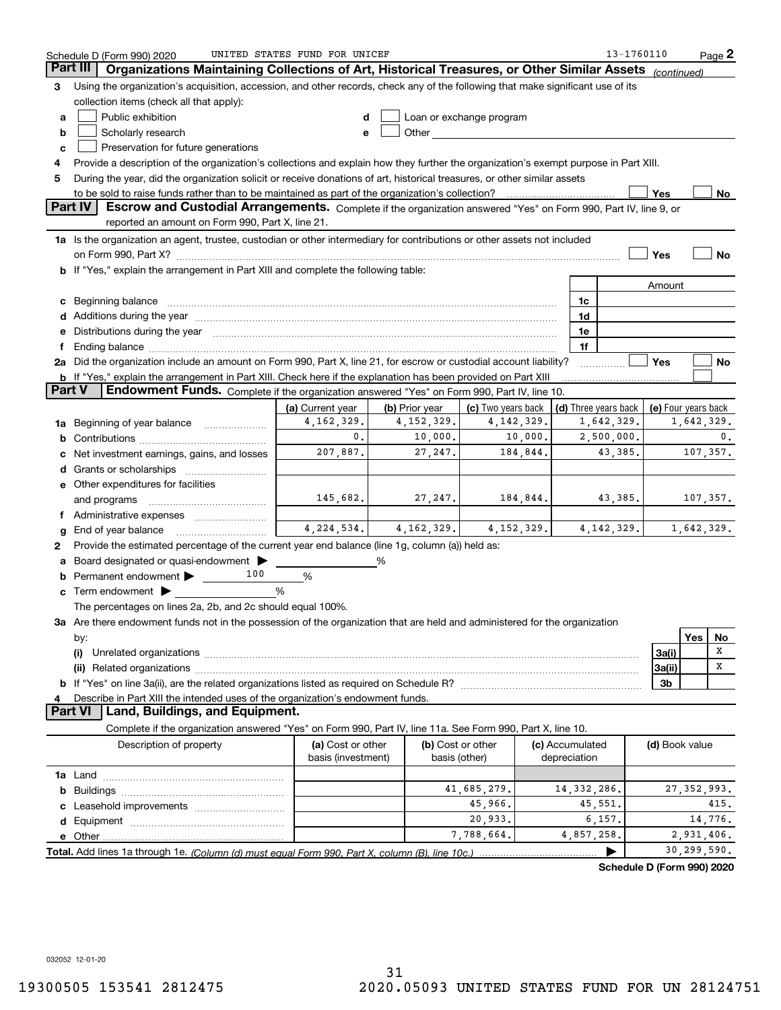| <b>Part III</b><br>(continued)<br>Using the organization's acquisition, accession, and other records, check any of the following that make significant use of its<br>3<br>collection items (check all that apply):<br>Public exhibition<br>Loan or exchange program<br>d<br>a<br>Scholarly research<br>Other and the control of the control of the control of the control of the control of the control of the control of the control of the control of the control of the control of the control of the control of the control of th<br>b<br>e<br>Preservation for future generations<br>c<br>Provide a description of the organization's collections and explain how they further the organization's exempt purpose in Part XIII.<br>4<br>During the year, did the organization solicit or receive donations of art, historical treasures, or other similar assets<br>5<br>Yes<br>No.<br>Part IV<br>Escrow and Custodial Arrangements. Complete if the organization answered "Yes" on Form 990, Part IV, line 9, or<br>reported an amount on Form 990, Part X, line 21.<br>1a Is the organization an agent, trustee, custodian or other intermediary for contributions or other assets not included<br>on Form 990, Part X? [11] matter contracts and contracts and contracts are contracted as a function of the set of the set of the set of the set of the set of the set of the set of the set of the set of the set of the set o<br>Yes<br>No<br>b If "Yes," explain the arrangement in Part XIII and complete the following table:<br>Amount<br>1c<br>Beginning balance <b>contract to the contract of the contract of the contract of the contract of the contract of t</b><br>c<br>Additions during the year manufactured and an annual contract of the year manufactured and all the year manufactured and all the year manufactured and all the year manufactured and all the year manufactured and all the yea<br>1d<br>Distributions during the year manufactured and continuum control of the year manufactured and the year manufactured and the year manufactured and the year manufactured and the year manufactured and the year manufactured an<br>1e<br>е<br>1f<br>f<br>2a Did the organization include an amount on Form 990, Part X, line 21, for escrow or custodial account liability?<br>Yes<br>No<br><b>b</b> If "Yes," explain the arrangement in Part XIII. Check here if the explanation has been provided on Part XIII<br><b>Part V</b><br>Endowment Funds. Complete if the organization answered "Yes" on Form 990, Part IV, line 10.<br>(a) Current year<br>(b) Prior year<br>(c) Two years back  <br>(d) Three years back   (e) Four years back<br>4, 162, 329.<br>4, 142, 329.<br>4, 152, 329.<br>1,642,329.<br>1,642,329.<br>Beginning of year balance<br>1a<br>10,000.<br>0.<br>10,000.<br>2,500,000.<br>0.<br>b<br>107,357.<br>207,887.<br>27, 247.<br>184,844.<br>43,385.<br>Net investment earnings, gains, and losses<br>d<br>e Other expenditures for facilities<br>184,844.<br>145,682.<br>27, 247.<br>43,385.<br>107,357.<br>and programs<br>$4,224,534.$ $4,162,329.$ $4,152,329.$<br>1,642,329.<br>4, 142, 329.<br>End of year balance<br>g<br>Provide the estimated percentage of the current year end balance (line 1g, column (a)) held as:<br>2<br>Board designated or quasi-endowment<br>%<br>а<br>100<br>Permanent endowment ><br>%<br>b<br>$\mathbf c$ Term endowment $\blacktriangleright$<br>%<br>The percentages on lines 2a, 2b, and 2c should equal 100%.<br>3a Are there endowment funds not in the possession of the organization that are held and administered for the organization<br>Yes<br>No<br>by:<br>x<br>3a(i)<br>х<br>3a(ii)<br>3 <sub>b</sub><br>Describe in Part XIII the intended uses of the organization's endowment funds.<br>4<br><b>Part VI</b><br>Land, Buildings, and Equipment.<br>Complete if the organization answered "Yes" on Form 990, Part IV, line 11a. See Form 990, Part X, line 10.<br>(a) Cost or other<br>(b) Cost or other<br>Description of property<br>(c) Accumulated<br>(d) Book value<br>basis (investment)<br>depreciation<br>basis (other)<br>41,685,279.<br>14, 332, 286.<br>27, 352, 993.<br>45,966.<br>45,551.<br>415.<br>14,776.<br>6,157.<br>20,933.<br>7,788,664.<br>4,857,258.<br>2,931,406.<br>30,299,590.<br>▶ | UNITED STATES FUND FOR UNICEF<br>13-1760110<br>$Page$ 2<br>Schedule D (Form 990) 2020       |  |  |  |  |  |  |  |  |  |  |
|------------------------------------------------------------------------------------------------------------------------------------------------------------------------------------------------------------------------------------------------------------------------------------------------------------------------------------------------------------------------------------------------------------------------------------------------------------------------------------------------------------------------------------------------------------------------------------------------------------------------------------------------------------------------------------------------------------------------------------------------------------------------------------------------------------------------------------------------------------------------------------------------------------------------------------------------------------------------------------------------------------------------------------------------------------------------------------------------------------------------------------------------------------------------------------------------------------------------------------------------------------------------------------------------------------------------------------------------------------------------------------------------------------------------------------------------------------------------------------------------------------------------------------------------------------------------------------------------------------------------------------------------------------------------------------------------------------------------------------------------------------------------------------------------------------------------------------------------------------------------------------------------------------------------------------------------------------------------------------------------------------------------------------------------------------------------------------------------------------------------------------------------------------------------------------------------------------------------------------------------------------------------------------------------------------------------------------------------------------------------------------------------------------------------------------------------------------------------------------------------------------------------------------------------------------------------------------------------------------------------------------------------------------------------------------------------------------------------------------------------------------------------------------------------------------------------------------------------------------------------------------------------------------------------------------------------------------------------------------------------------------------------------------------------------------------------------------------------------------------------------------------------------------------------------------------------------------------------------------------------------------------------------------------------------------------------------------------------------------------------------------------------------------------------------------------------------------------------------------------------------------------------------------------------------------------------------------------------------------------------------------------------------------------------------------------------------------------------------------------------------------------------------------------------------------------------------------------------------------------------------------------------------------------------------------------------------------------------------------------------------------------------------------------------------------------------------------------------------------------------------------------------------------------------------------------------------------------------------------------------------------------------------------------------------------------------------|---------------------------------------------------------------------------------------------|--|--|--|--|--|--|--|--|--|--|
|                                                                                                                                                                                                                                                                                                                                                                                                                                                                                                                                                                                                                                                                                                                                                                                                                                                                                                                                                                                                                                                                                                                                                                                                                                                                                                                                                                                                                                                                                                                                                                                                                                                                                                                                                                                                                                                                                                                                                                                                                                                                                                                                                                                                                                                                                                                                                                                                                                                                                                                                                                                                                                                                                                                                                                                                                                                                                                                                                                                                                                                                                                                                                                                                                                                                                                                                                                                                                                                                                                                                                                                                                                                                                                                                                                                                                                                                                                                                                                                                                                                                                                                                                                                                                                                                                                                              | Organizations Maintaining Collections of Art, Historical Treasures, or Other Similar Assets |  |  |  |  |  |  |  |  |  |  |
|                                                                                                                                                                                                                                                                                                                                                                                                                                                                                                                                                                                                                                                                                                                                                                                                                                                                                                                                                                                                                                                                                                                                                                                                                                                                                                                                                                                                                                                                                                                                                                                                                                                                                                                                                                                                                                                                                                                                                                                                                                                                                                                                                                                                                                                                                                                                                                                                                                                                                                                                                                                                                                                                                                                                                                                                                                                                                                                                                                                                                                                                                                                                                                                                                                                                                                                                                                                                                                                                                                                                                                                                                                                                                                                                                                                                                                                                                                                                                                                                                                                                                                                                                                                                                                                                                                                              |                                                                                             |  |  |  |  |  |  |  |  |  |  |
|                                                                                                                                                                                                                                                                                                                                                                                                                                                                                                                                                                                                                                                                                                                                                                                                                                                                                                                                                                                                                                                                                                                                                                                                                                                                                                                                                                                                                                                                                                                                                                                                                                                                                                                                                                                                                                                                                                                                                                                                                                                                                                                                                                                                                                                                                                                                                                                                                                                                                                                                                                                                                                                                                                                                                                                                                                                                                                                                                                                                                                                                                                                                                                                                                                                                                                                                                                                                                                                                                                                                                                                                                                                                                                                                                                                                                                                                                                                                                                                                                                                                                                                                                                                                                                                                                                                              |                                                                                             |  |  |  |  |  |  |  |  |  |  |
|                                                                                                                                                                                                                                                                                                                                                                                                                                                                                                                                                                                                                                                                                                                                                                                                                                                                                                                                                                                                                                                                                                                                                                                                                                                                                                                                                                                                                                                                                                                                                                                                                                                                                                                                                                                                                                                                                                                                                                                                                                                                                                                                                                                                                                                                                                                                                                                                                                                                                                                                                                                                                                                                                                                                                                                                                                                                                                                                                                                                                                                                                                                                                                                                                                                                                                                                                                                                                                                                                                                                                                                                                                                                                                                                                                                                                                                                                                                                                                                                                                                                                                                                                                                                                                                                                                                              |                                                                                             |  |  |  |  |  |  |  |  |  |  |
|                                                                                                                                                                                                                                                                                                                                                                                                                                                                                                                                                                                                                                                                                                                                                                                                                                                                                                                                                                                                                                                                                                                                                                                                                                                                                                                                                                                                                                                                                                                                                                                                                                                                                                                                                                                                                                                                                                                                                                                                                                                                                                                                                                                                                                                                                                                                                                                                                                                                                                                                                                                                                                                                                                                                                                                                                                                                                                                                                                                                                                                                                                                                                                                                                                                                                                                                                                                                                                                                                                                                                                                                                                                                                                                                                                                                                                                                                                                                                                                                                                                                                                                                                                                                                                                                                                                              |                                                                                             |  |  |  |  |  |  |  |  |  |  |
|                                                                                                                                                                                                                                                                                                                                                                                                                                                                                                                                                                                                                                                                                                                                                                                                                                                                                                                                                                                                                                                                                                                                                                                                                                                                                                                                                                                                                                                                                                                                                                                                                                                                                                                                                                                                                                                                                                                                                                                                                                                                                                                                                                                                                                                                                                                                                                                                                                                                                                                                                                                                                                                                                                                                                                                                                                                                                                                                                                                                                                                                                                                                                                                                                                                                                                                                                                                                                                                                                                                                                                                                                                                                                                                                                                                                                                                                                                                                                                                                                                                                                                                                                                                                                                                                                                                              |                                                                                             |  |  |  |  |  |  |  |  |  |  |
|                                                                                                                                                                                                                                                                                                                                                                                                                                                                                                                                                                                                                                                                                                                                                                                                                                                                                                                                                                                                                                                                                                                                                                                                                                                                                                                                                                                                                                                                                                                                                                                                                                                                                                                                                                                                                                                                                                                                                                                                                                                                                                                                                                                                                                                                                                                                                                                                                                                                                                                                                                                                                                                                                                                                                                                                                                                                                                                                                                                                                                                                                                                                                                                                                                                                                                                                                                                                                                                                                                                                                                                                                                                                                                                                                                                                                                                                                                                                                                                                                                                                                                                                                                                                                                                                                                                              |                                                                                             |  |  |  |  |  |  |  |  |  |  |
|                                                                                                                                                                                                                                                                                                                                                                                                                                                                                                                                                                                                                                                                                                                                                                                                                                                                                                                                                                                                                                                                                                                                                                                                                                                                                                                                                                                                                                                                                                                                                                                                                                                                                                                                                                                                                                                                                                                                                                                                                                                                                                                                                                                                                                                                                                                                                                                                                                                                                                                                                                                                                                                                                                                                                                                                                                                                                                                                                                                                                                                                                                                                                                                                                                                                                                                                                                                                                                                                                                                                                                                                                                                                                                                                                                                                                                                                                                                                                                                                                                                                                                                                                                                                                                                                                                                              |                                                                                             |  |  |  |  |  |  |  |  |  |  |
|                                                                                                                                                                                                                                                                                                                                                                                                                                                                                                                                                                                                                                                                                                                                                                                                                                                                                                                                                                                                                                                                                                                                                                                                                                                                                                                                                                                                                                                                                                                                                                                                                                                                                                                                                                                                                                                                                                                                                                                                                                                                                                                                                                                                                                                                                                                                                                                                                                                                                                                                                                                                                                                                                                                                                                                                                                                                                                                                                                                                                                                                                                                                                                                                                                                                                                                                                                                                                                                                                                                                                                                                                                                                                                                                                                                                                                                                                                                                                                                                                                                                                                                                                                                                                                                                                                                              |                                                                                             |  |  |  |  |  |  |  |  |  |  |
|                                                                                                                                                                                                                                                                                                                                                                                                                                                                                                                                                                                                                                                                                                                                                                                                                                                                                                                                                                                                                                                                                                                                                                                                                                                                                                                                                                                                                                                                                                                                                                                                                                                                                                                                                                                                                                                                                                                                                                                                                                                                                                                                                                                                                                                                                                                                                                                                                                                                                                                                                                                                                                                                                                                                                                                                                                                                                                                                                                                                                                                                                                                                                                                                                                                                                                                                                                                                                                                                                                                                                                                                                                                                                                                                                                                                                                                                                                                                                                                                                                                                                                                                                                                                                                                                                                                              |                                                                                             |  |  |  |  |  |  |  |  |  |  |
|                                                                                                                                                                                                                                                                                                                                                                                                                                                                                                                                                                                                                                                                                                                                                                                                                                                                                                                                                                                                                                                                                                                                                                                                                                                                                                                                                                                                                                                                                                                                                                                                                                                                                                                                                                                                                                                                                                                                                                                                                                                                                                                                                                                                                                                                                                                                                                                                                                                                                                                                                                                                                                                                                                                                                                                                                                                                                                                                                                                                                                                                                                                                                                                                                                                                                                                                                                                                                                                                                                                                                                                                                                                                                                                                                                                                                                                                                                                                                                                                                                                                                                                                                                                                                                                                                                                              |                                                                                             |  |  |  |  |  |  |  |  |  |  |
|                                                                                                                                                                                                                                                                                                                                                                                                                                                                                                                                                                                                                                                                                                                                                                                                                                                                                                                                                                                                                                                                                                                                                                                                                                                                                                                                                                                                                                                                                                                                                                                                                                                                                                                                                                                                                                                                                                                                                                                                                                                                                                                                                                                                                                                                                                                                                                                                                                                                                                                                                                                                                                                                                                                                                                                                                                                                                                                                                                                                                                                                                                                                                                                                                                                                                                                                                                                                                                                                                                                                                                                                                                                                                                                                                                                                                                                                                                                                                                                                                                                                                                                                                                                                                                                                                                                              |                                                                                             |  |  |  |  |  |  |  |  |  |  |
|                                                                                                                                                                                                                                                                                                                                                                                                                                                                                                                                                                                                                                                                                                                                                                                                                                                                                                                                                                                                                                                                                                                                                                                                                                                                                                                                                                                                                                                                                                                                                                                                                                                                                                                                                                                                                                                                                                                                                                                                                                                                                                                                                                                                                                                                                                                                                                                                                                                                                                                                                                                                                                                                                                                                                                                                                                                                                                                                                                                                                                                                                                                                                                                                                                                                                                                                                                                                                                                                                                                                                                                                                                                                                                                                                                                                                                                                                                                                                                                                                                                                                                                                                                                                                                                                                                                              |                                                                                             |  |  |  |  |  |  |  |  |  |  |
|                                                                                                                                                                                                                                                                                                                                                                                                                                                                                                                                                                                                                                                                                                                                                                                                                                                                                                                                                                                                                                                                                                                                                                                                                                                                                                                                                                                                                                                                                                                                                                                                                                                                                                                                                                                                                                                                                                                                                                                                                                                                                                                                                                                                                                                                                                                                                                                                                                                                                                                                                                                                                                                                                                                                                                                                                                                                                                                                                                                                                                                                                                                                                                                                                                                                                                                                                                                                                                                                                                                                                                                                                                                                                                                                                                                                                                                                                                                                                                                                                                                                                                                                                                                                                                                                                                                              |                                                                                             |  |  |  |  |  |  |  |  |  |  |
|                                                                                                                                                                                                                                                                                                                                                                                                                                                                                                                                                                                                                                                                                                                                                                                                                                                                                                                                                                                                                                                                                                                                                                                                                                                                                                                                                                                                                                                                                                                                                                                                                                                                                                                                                                                                                                                                                                                                                                                                                                                                                                                                                                                                                                                                                                                                                                                                                                                                                                                                                                                                                                                                                                                                                                                                                                                                                                                                                                                                                                                                                                                                                                                                                                                                                                                                                                                                                                                                                                                                                                                                                                                                                                                                                                                                                                                                                                                                                                                                                                                                                                                                                                                                                                                                                                                              |                                                                                             |  |  |  |  |  |  |  |  |  |  |
|                                                                                                                                                                                                                                                                                                                                                                                                                                                                                                                                                                                                                                                                                                                                                                                                                                                                                                                                                                                                                                                                                                                                                                                                                                                                                                                                                                                                                                                                                                                                                                                                                                                                                                                                                                                                                                                                                                                                                                                                                                                                                                                                                                                                                                                                                                                                                                                                                                                                                                                                                                                                                                                                                                                                                                                                                                                                                                                                                                                                                                                                                                                                                                                                                                                                                                                                                                                                                                                                                                                                                                                                                                                                                                                                                                                                                                                                                                                                                                                                                                                                                                                                                                                                                                                                                                                              |                                                                                             |  |  |  |  |  |  |  |  |  |  |
|                                                                                                                                                                                                                                                                                                                                                                                                                                                                                                                                                                                                                                                                                                                                                                                                                                                                                                                                                                                                                                                                                                                                                                                                                                                                                                                                                                                                                                                                                                                                                                                                                                                                                                                                                                                                                                                                                                                                                                                                                                                                                                                                                                                                                                                                                                                                                                                                                                                                                                                                                                                                                                                                                                                                                                                                                                                                                                                                                                                                                                                                                                                                                                                                                                                                                                                                                                                                                                                                                                                                                                                                                                                                                                                                                                                                                                                                                                                                                                                                                                                                                                                                                                                                                                                                                                                              |                                                                                             |  |  |  |  |  |  |  |  |  |  |
|                                                                                                                                                                                                                                                                                                                                                                                                                                                                                                                                                                                                                                                                                                                                                                                                                                                                                                                                                                                                                                                                                                                                                                                                                                                                                                                                                                                                                                                                                                                                                                                                                                                                                                                                                                                                                                                                                                                                                                                                                                                                                                                                                                                                                                                                                                                                                                                                                                                                                                                                                                                                                                                                                                                                                                                                                                                                                                                                                                                                                                                                                                                                                                                                                                                                                                                                                                                                                                                                                                                                                                                                                                                                                                                                                                                                                                                                                                                                                                                                                                                                                                                                                                                                                                                                                                                              |                                                                                             |  |  |  |  |  |  |  |  |  |  |
|                                                                                                                                                                                                                                                                                                                                                                                                                                                                                                                                                                                                                                                                                                                                                                                                                                                                                                                                                                                                                                                                                                                                                                                                                                                                                                                                                                                                                                                                                                                                                                                                                                                                                                                                                                                                                                                                                                                                                                                                                                                                                                                                                                                                                                                                                                                                                                                                                                                                                                                                                                                                                                                                                                                                                                                                                                                                                                                                                                                                                                                                                                                                                                                                                                                                                                                                                                                                                                                                                                                                                                                                                                                                                                                                                                                                                                                                                                                                                                                                                                                                                                                                                                                                                                                                                                                              |                                                                                             |  |  |  |  |  |  |  |  |  |  |
|                                                                                                                                                                                                                                                                                                                                                                                                                                                                                                                                                                                                                                                                                                                                                                                                                                                                                                                                                                                                                                                                                                                                                                                                                                                                                                                                                                                                                                                                                                                                                                                                                                                                                                                                                                                                                                                                                                                                                                                                                                                                                                                                                                                                                                                                                                                                                                                                                                                                                                                                                                                                                                                                                                                                                                                                                                                                                                                                                                                                                                                                                                                                                                                                                                                                                                                                                                                                                                                                                                                                                                                                                                                                                                                                                                                                                                                                                                                                                                                                                                                                                                                                                                                                                                                                                                                              |                                                                                             |  |  |  |  |  |  |  |  |  |  |
|                                                                                                                                                                                                                                                                                                                                                                                                                                                                                                                                                                                                                                                                                                                                                                                                                                                                                                                                                                                                                                                                                                                                                                                                                                                                                                                                                                                                                                                                                                                                                                                                                                                                                                                                                                                                                                                                                                                                                                                                                                                                                                                                                                                                                                                                                                                                                                                                                                                                                                                                                                                                                                                                                                                                                                                                                                                                                                                                                                                                                                                                                                                                                                                                                                                                                                                                                                                                                                                                                                                                                                                                                                                                                                                                                                                                                                                                                                                                                                                                                                                                                                                                                                                                                                                                                                                              |                                                                                             |  |  |  |  |  |  |  |  |  |  |
|                                                                                                                                                                                                                                                                                                                                                                                                                                                                                                                                                                                                                                                                                                                                                                                                                                                                                                                                                                                                                                                                                                                                                                                                                                                                                                                                                                                                                                                                                                                                                                                                                                                                                                                                                                                                                                                                                                                                                                                                                                                                                                                                                                                                                                                                                                                                                                                                                                                                                                                                                                                                                                                                                                                                                                                                                                                                                                                                                                                                                                                                                                                                                                                                                                                                                                                                                                                                                                                                                                                                                                                                                                                                                                                                                                                                                                                                                                                                                                                                                                                                                                                                                                                                                                                                                                                              |                                                                                             |  |  |  |  |  |  |  |  |  |  |
|                                                                                                                                                                                                                                                                                                                                                                                                                                                                                                                                                                                                                                                                                                                                                                                                                                                                                                                                                                                                                                                                                                                                                                                                                                                                                                                                                                                                                                                                                                                                                                                                                                                                                                                                                                                                                                                                                                                                                                                                                                                                                                                                                                                                                                                                                                                                                                                                                                                                                                                                                                                                                                                                                                                                                                                                                                                                                                                                                                                                                                                                                                                                                                                                                                                                                                                                                                                                                                                                                                                                                                                                                                                                                                                                                                                                                                                                                                                                                                                                                                                                                                                                                                                                                                                                                                                              |                                                                                             |  |  |  |  |  |  |  |  |  |  |
|                                                                                                                                                                                                                                                                                                                                                                                                                                                                                                                                                                                                                                                                                                                                                                                                                                                                                                                                                                                                                                                                                                                                                                                                                                                                                                                                                                                                                                                                                                                                                                                                                                                                                                                                                                                                                                                                                                                                                                                                                                                                                                                                                                                                                                                                                                                                                                                                                                                                                                                                                                                                                                                                                                                                                                                                                                                                                                                                                                                                                                                                                                                                                                                                                                                                                                                                                                                                                                                                                                                                                                                                                                                                                                                                                                                                                                                                                                                                                                                                                                                                                                                                                                                                                                                                                                                              |                                                                                             |  |  |  |  |  |  |  |  |  |  |
|                                                                                                                                                                                                                                                                                                                                                                                                                                                                                                                                                                                                                                                                                                                                                                                                                                                                                                                                                                                                                                                                                                                                                                                                                                                                                                                                                                                                                                                                                                                                                                                                                                                                                                                                                                                                                                                                                                                                                                                                                                                                                                                                                                                                                                                                                                                                                                                                                                                                                                                                                                                                                                                                                                                                                                                                                                                                                                                                                                                                                                                                                                                                                                                                                                                                                                                                                                                                                                                                                                                                                                                                                                                                                                                                                                                                                                                                                                                                                                                                                                                                                                                                                                                                                                                                                                                              |                                                                                             |  |  |  |  |  |  |  |  |  |  |
|                                                                                                                                                                                                                                                                                                                                                                                                                                                                                                                                                                                                                                                                                                                                                                                                                                                                                                                                                                                                                                                                                                                                                                                                                                                                                                                                                                                                                                                                                                                                                                                                                                                                                                                                                                                                                                                                                                                                                                                                                                                                                                                                                                                                                                                                                                                                                                                                                                                                                                                                                                                                                                                                                                                                                                                                                                                                                                                                                                                                                                                                                                                                                                                                                                                                                                                                                                                                                                                                                                                                                                                                                                                                                                                                                                                                                                                                                                                                                                                                                                                                                                                                                                                                                                                                                                                              |                                                                                             |  |  |  |  |  |  |  |  |  |  |
|                                                                                                                                                                                                                                                                                                                                                                                                                                                                                                                                                                                                                                                                                                                                                                                                                                                                                                                                                                                                                                                                                                                                                                                                                                                                                                                                                                                                                                                                                                                                                                                                                                                                                                                                                                                                                                                                                                                                                                                                                                                                                                                                                                                                                                                                                                                                                                                                                                                                                                                                                                                                                                                                                                                                                                                                                                                                                                                                                                                                                                                                                                                                                                                                                                                                                                                                                                                                                                                                                                                                                                                                                                                                                                                                                                                                                                                                                                                                                                                                                                                                                                                                                                                                                                                                                                                              |                                                                                             |  |  |  |  |  |  |  |  |  |  |
|                                                                                                                                                                                                                                                                                                                                                                                                                                                                                                                                                                                                                                                                                                                                                                                                                                                                                                                                                                                                                                                                                                                                                                                                                                                                                                                                                                                                                                                                                                                                                                                                                                                                                                                                                                                                                                                                                                                                                                                                                                                                                                                                                                                                                                                                                                                                                                                                                                                                                                                                                                                                                                                                                                                                                                                                                                                                                                                                                                                                                                                                                                                                                                                                                                                                                                                                                                                                                                                                                                                                                                                                                                                                                                                                                                                                                                                                                                                                                                                                                                                                                                                                                                                                                                                                                                                              |                                                                                             |  |  |  |  |  |  |  |  |  |  |
|                                                                                                                                                                                                                                                                                                                                                                                                                                                                                                                                                                                                                                                                                                                                                                                                                                                                                                                                                                                                                                                                                                                                                                                                                                                                                                                                                                                                                                                                                                                                                                                                                                                                                                                                                                                                                                                                                                                                                                                                                                                                                                                                                                                                                                                                                                                                                                                                                                                                                                                                                                                                                                                                                                                                                                                                                                                                                                                                                                                                                                                                                                                                                                                                                                                                                                                                                                                                                                                                                                                                                                                                                                                                                                                                                                                                                                                                                                                                                                                                                                                                                                                                                                                                                                                                                                                              |                                                                                             |  |  |  |  |  |  |  |  |  |  |
|                                                                                                                                                                                                                                                                                                                                                                                                                                                                                                                                                                                                                                                                                                                                                                                                                                                                                                                                                                                                                                                                                                                                                                                                                                                                                                                                                                                                                                                                                                                                                                                                                                                                                                                                                                                                                                                                                                                                                                                                                                                                                                                                                                                                                                                                                                                                                                                                                                                                                                                                                                                                                                                                                                                                                                                                                                                                                                                                                                                                                                                                                                                                                                                                                                                                                                                                                                                                                                                                                                                                                                                                                                                                                                                                                                                                                                                                                                                                                                                                                                                                                                                                                                                                                                                                                                                              |                                                                                             |  |  |  |  |  |  |  |  |  |  |
|                                                                                                                                                                                                                                                                                                                                                                                                                                                                                                                                                                                                                                                                                                                                                                                                                                                                                                                                                                                                                                                                                                                                                                                                                                                                                                                                                                                                                                                                                                                                                                                                                                                                                                                                                                                                                                                                                                                                                                                                                                                                                                                                                                                                                                                                                                                                                                                                                                                                                                                                                                                                                                                                                                                                                                                                                                                                                                                                                                                                                                                                                                                                                                                                                                                                                                                                                                                                                                                                                                                                                                                                                                                                                                                                                                                                                                                                                                                                                                                                                                                                                                                                                                                                                                                                                                                              |                                                                                             |  |  |  |  |  |  |  |  |  |  |
|                                                                                                                                                                                                                                                                                                                                                                                                                                                                                                                                                                                                                                                                                                                                                                                                                                                                                                                                                                                                                                                                                                                                                                                                                                                                                                                                                                                                                                                                                                                                                                                                                                                                                                                                                                                                                                                                                                                                                                                                                                                                                                                                                                                                                                                                                                                                                                                                                                                                                                                                                                                                                                                                                                                                                                                                                                                                                                                                                                                                                                                                                                                                                                                                                                                                                                                                                                                                                                                                                                                                                                                                                                                                                                                                                                                                                                                                                                                                                                                                                                                                                                                                                                                                                                                                                                                              |                                                                                             |  |  |  |  |  |  |  |  |  |  |
|                                                                                                                                                                                                                                                                                                                                                                                                                                                                                                                                                                                                                                                                                                                                                                                                                                                                                                                                                                                                                                                                                                                                                                                                                                                                                                                                                                                                                                                                                                                                                                                                                                                                                                                                                                                                                                                                                                                                                                                                                                                                                                                                                                                                                                                                                                                                                                                                                                                                                                                                                                                                                                                                                                                                                                                                                                                                                                                                                                                                                                                                                                                                                                                                                                                                                                                                                                                                                                                                                                                                                                                                                                                                                                                                                                                                                                                                                                                                                                                                                                                                                                                                                                                                                                                                                                                              |                                                                                             |  |  |  |  |  |  |  |  |  |  |
|                                                                                                                                                                                                                                                                                                                                                                                                                                                                                                                                                                                                                                                                                                                                                                                                                                                                                                                                                                                                                                                                                                                                                                                                                                                                                                                                                                                                                                                                                                                                                                                                                                                                                                                                                                                                                                                                                                                                                                                                                                                                                                                                                                                                                                                                                                                                                                                                                                                                                                                                                                                                                                                                                                                                                                                                                                                                                                                                                                                                                                                                                                                                                                                                                                                                                                                                                                                                                                                                                                                                                                                                                                                                                                                                                                                                                                                                                                                                                                                                                                                                                                                                                                                                                                                                                                                              |                                                                                             |  |  |  |  |  |  |  |  |  |  |
|                                                                                                                                                                                                                                                                                                                                                                                                                                                                                                                                                                                                                                                                                                                                                                                                                                                                                                                                                                                                                                                                                                                                                                                                                                                                                                                                                                                                                                                                                                                                                                                                                                                                                                                                                                                                                                                                                                                                                                                                                                                                                                                                                                                                                                                                                                                                                                                                                                                                                                                                                                                                                                                                                                                                                                                                                                                                                                                                                                                                                                                                                                                                                                                                                                                                                                                                                                                                                                                                                                                                                                                                                                                                                                                                                                                                                                                                                                                                                                                                                                                                                                                                                                                                                                                                                                                              |                                                                                             |  |  |  |  |  |  |  |  |  |  |
|                                                                                                                                                                                                                                                                                                                                                                                                                                                                                                                                                                                                                                                                                                                                                                                                                                                                                                                                                                                                                                                                                                                                                                                                                                                                                                                                                                                                                                                                                                                                                                                                                                                                                                                                                                                                                                                                                                                                                                                                                                                                                                                                                                                                                                                                                                                                                                                                                                                                                                                                                                                                                                                                                                                                                                                                                                                                                                                                                                                                                                                                                                                                                                                                                                                                                                                                                                                                                                                                                                                                                                                                                                                                                                                                                                                                                                                                                                                                                                                                                                                                                                                                                                                                                                                                                                                              |                                                                                             |  |  |  |  |  |  |  |  |  |  |
|                                                                                                                                                                                                                                                                                                                                                                                                                                                                                                                                                                                                                                                                                                                                                                                                                                                                                                                                                                                                                                                                                                                                                                                                                                                                                                                                                                                                                                                                                                                                                                                                                                                                                                                                                                                                                                                                                                                                                                                                                                                                                                                                                                                                                                                                                                                                                                                                                                                                                                                                                                                                                                                                                                                                                                                                                                                                                                                                                                                                                                                                                                                                                                                                                                                                                                                                                                                                                                                                                                                                                                                                                                                                                                                                                                                                                                                                                                                                                                                                                                                                                                                                                                                                                                                                                                                              |                                                                                             |  |  |  |  |  |  |  |  |  |  |
|                                                                                                                                                                                                                                                                                                                                                                                                                                                                                                                                                                                                                                                                                                                                                                                                                                                                                                                                                                                                                                                                                                                                                                                                                                                                                                                                                                                                                                                                                                                                                                                                                                                                                                                                                                                                                                                                                                                                                                                                                                                                                                                                                                                                                                                                                                                                                                                                                                                                                                                                                                                                                                                                                                                                                                                                                                                                                                                                                                                                                                                                                                                                                                                                                                                                                                                                                                                                                                                                                                                                                                                                                                                                                                                                                                                                                                                                                                                                                                                                                                                                                                                                                                                                                                                                                                                              |                                                                                             |  |  |  |  |  |  |  |  |  |  |
|                                                                                                                                                                                                                                                                                                                                                                                                                                                                                                                                                                                                                                                                                                                                                                                                                                                                                                                                                                                                                                                                                                                                                                                                                                                                                                                                                                                                                                                                                                                                                                                                                                                                                                                                                                                                                                                                                                                                                                                                                                                                                                                                                                                                                                                                                                                                                                                                                                                                                                                                                                                                                                                                                                                                                                                                                                                                                                                                                                                                                                                                                                                                                                                                                                                                                                                                                                                                                                                                                                                                                                                                                                                                                                                                                                                                                                                                                                                                                                                                                                                                                                                                                                                                                                                                                                                              |                                                                                             |  |  |  |  |  |  |  |  |  |  |
|                                                                                                                                                                                                                                                                                                                                                                                                                                                                                                                                                                                                                                                                                                                                                                                                                                                                                                                                                                                                                                                                                                                                                                                                                                                                                                                                                                                                                                                                                                                                                                                                                                                                                                                                                                                                                                                                                                                                                                                                                                                                                                                                                                                                                                                                                                                                                                                                                                                                                                                                                                                                                                                                                                                                                                                                                                                                                                                                                                                                                                                                                                                                                                                                                                                                                                                                                                                                                                                                                                                                                                                                                                                                                                                                                                                                                                                                                                                                                                                                                                                                                                                                                                                                                                                                                                                              |                                                                                             |  |  |  |  |  |  |  |  |  |  |
|                                                                                                                                                                                                                                                                                                                                                                                                                                                                                                                                                                                                                                                                                                                                                                                                                                                                                                                                                                                                                                                                                                                                                                                                                                                                                                                                                                                                                                                                                                                                                                                                                                                                                                                                                                                                                                                                                                                                                                                                                                                                                                                                                                                                                                                                                                                                                                                                                                                                                                                                                                                                                                                                                                                                                                                                                                                                                                                                                                                                                                                                                                                                                                                                                                                                                                                                                                                                                                                                                                                                                                                                                                                                                                                                                                                                                                                                                                                                                                                                                                                                                                                                                                                                                                                                                                                              |                                                                                             |  |  |  |  |  |  |  |  |  |  |
|                                                                                                                                                                                                                                                                                                                                                                                                                                                                                                                                                                                                                                                                                                                                                                                                                                                                                                                                                                                                                                                                                                                                                                                                                                                                                                                                                                                                                                                                                                                                                                                                                                                                                                                                                                                                                                                                                                                                                                                                                                                                                                                                                                                                                                                                                                                                                                                                                                                                                                                                                                                                                                                                                                                                                                                                                                                                                                                                                                                                                                                                                                                                                                                                                                                                                                                                                                                                                                                                                                                                                                                                                                                                                                                                                                                                                                                                                                                                                                                                                                                                                                                                                                                                                                                                                                                              |                                                                                             |  |  |  |  |  |  |  |  |  |  |
|                                                                                                                                                                                                                                                                                                                                                                                                                                                                                                                                                                                                                                                                                                                                                                                                                                                                                                                                                                                                                                                                                                                                                                                                                                                                                                                                                                                                                                                                                                                                                                                                                                                                                                                                                                                                                                                                                                                                                                                                                                                                                                                                                                                                                                                                                                                                                                                                                                                                                                                                                                                                                                                                                                                                                                                                                                                                                                                                                                                                                                                                                                                                                                                                                                                                                                                                                                                                                                                                                                                                                                                                                                                                                                                                                                                                                                                                                                                                                                                                                                                                                                                                                                                                                                                                                                                              |                                                                                             |  |  |  |  |  |  |  |  |  |  |
|                                                                                                                                                                                                                                                                                                                                                                                                                                                                                                                                                                                                                                                                                                                                                                                                                                                                                                                                                                                                                                                                                                                                                                                                                                                                                                                                                                                                                                                                                                                                                                                                                                                                                                                                                                                                                                                                                                                                                                                                                                                                                                                                                                                                                                                                                                                                                                                                                                                                                                                                                                                                                                                                                                                                                                                                                                                                                                                                                                                                                                                                                                                                                                                                                                                                                                                                                                                                                                                                                                                                                                                                                                                                                                                                                                                                                                                                                                                                                                                                                                                                                                                                                                                                                                                                                                                              |                                                                                             |  |  |  |  |  |  |  |  |  |  |
|                                                                                                                                                                                                                                                                                                                                                                                                                                                                                                                                                                                                                                                                                                                                                                                                                                                                                                                                                                                                                                                                                                                                                                                                                                                                                                                                                                                                                                                                                                                                                                                                                                                                                                                                                                                                                                                                                                                                                                                                                                                                                                                                                                                                                                                                                                                                                                                                                                                                                                                                                                                                                                                                                                                                                                                                                                                                                                                                                                                                                                                                                                                                                                                                                                                                                                                                                                                                                                                                                                                                                                                                                                                                                                                                                                                                                                                                                                                                                                                                                                                                                                                                                                                                                                                                                                                              |                                                                                             |  |  |  |  |  |  |  |  |  |  |
|                                                                                                                                                                                                                                                                                                                                                                                                                                                                                                                                                                                                                                                                                                                                                                                                                                                                                                                                                                                                                                                                                                                                                                                                                                                                                                                                                                                                                                                                                                                                                                                                                                                                                                                                                                                                                                                                                                                                                                                                                                                                                                                                                                                                                                                                                                                                                                                                                                                                                                                                                                                                                                                                                                                                                                                                                                                                                                                                                                                                                                                                                                                                                                                                                                                                                                                                                                                                                                                                                                                                                                                                                                                                                                                                                                                                                                                                                                                                                                                                                                                                                                                                                                                                                                                                                                                              |                                                                                             |  |  |  |  |  |  |  |  |  |  |
|                                                                                                                                                                                                                                                                                                                                                                                                                                                                                                                                                                                                                                                                                                                                                                                                                                                                                                                                                                                                                                                                                                                                                                                                                                                                                                                                                                                                                                                                                                                                                                                                                                                                                                                                                                                                                                                                                                                                                                                                                                                                                                                                                                                                                                                                                                                                                                                                                                                                                                                                                                                                                                                                                                                                                                                                                                                                                                                                                                                                                                                                                                                                                                                                                                                                                                                                                                                                                                                                                                                                                                                                                                                                                                                                                                                                                                                                                                                                                                                                                                                                                                                                                                                                                                                                                                                              |                                                                                             |  |  |  |  |  |  |  |  |  |  |
|                                                                                                                                                                                                                                                                                                                                                                                                                                                                                                                                                                                                                                                                                                                                                                                                                                                                                                                                                                                                                                                                                                                                                                                                                                                                                                                                                                                                                                                                                                                                                                                                                                                                                                                                                                                                                                                                                                                                                                                                                                                                                                                                                                                                                                                                                                                                                                                                                                                                                                                                                                                                                                                                                                                                                                                                                                                                                                                                                                                                                                                                                                                                                                                                                                                                                                                                                                                                                                                                                                                                                                                                                                                                                                                                                                                                                                                                                                                                                                                                                                                                                                                                                                                                                                                                                                                              |                                                                                             |  |  |  |  |  |  |  |  |  |  |
|                                                                                                                                                                                                                                                                                                                                                                                                                                                                                                                                                                                                                                                                                                                                                                                                                                                                                                                                                                                                                                                                                                                                                                                                                                                                                                                                                                                                                                                                                                                                                                                                                                                                                                                                                                                                                                                                                                                                                                                                                                                                                                                                                                                                                                                                                                                                                                                                                                                                                                                                                                                                                                                                                                                                                                                                                                                                                                                                                                                                                                                                                                                                                                                                                                                                                                                                                                                                                                                                                                                                                                                                                                                                                                                                                                                                                                                                                                                                                                                                                                                                                                                                                                                                                                                                                                                              |                                                                                             |  |  |  |  |  |  |  |  |  |  |
|                                                                                                                                                                                                                                                                                                                                                                                                                                                                                                                                                                                                                                                                                                                                                                                                                                                                                                                                                                                                                                                                                                                                                                                                                                                                                                                                                                                                                                                                                                                                                                                                                                                                                                                                                                                                                                                                                                                                                                                                                                                                                                                                                                                                                                                                                                                                                                                                                                                                                                                                                                                                                                                                                                                                                                                                                                                                                                                                                                                                                                                                                                                                                                                                                                                                                                                                                                                                                                                                                                                                                                                                                                                                                                                                                                                                                                                                                                                                                                                                                                                                                                                                                                                                                                                                                                                              |                                                                                             |  |  |  |  |  |  |  |  |  |  |
|                                                                                                                                                                                                                                                                                                                                                                                                                                                                                                                                                                                                                                                                                                                                                                                                                                                                                                                                                                                                                                                                                                                                                                                                                                                                                                                                                                                                                                                                                                                                                                                                                                                                                                                                                                                                                                                                                                                                                                                                                                                                                                                                                                                                                                                                                                                                                                                                                                                                                                                                                                                                                                                                                                                                                                                                                                                                                                                                                                                                                                                                                                                                                                                                                                                                                                                                                                                                                                                                                                                                                                                                                                                                                                                                                                                                                                                                                                                                                                                                                                                                                                                                                                                                                                                                                                                              |                                                                                             |  |  |  |  |  |  |  |  |  |  |
|                                                                                                                                                                                                                                                                                                                                                                                                                                                                                                                                                                                                                                                                                                                                                                                                                                                                                                                                                                                                                                                                                                                                                                                                                                                                                                                                                                                                                                                                                                                                                                                                                                                                                                                                                                                                                                                                                                                                                                                                                                                                                                                                                                                                                                                                                                                                                                                                                                                                                                                                                                                                                                                                                                                                                                                                                                                                                                                                                                                                                                                                                                                                                                                                                                                                                                                                                                                                                                                                                                                                                                                                                                                                                                                                                                                                                                                                                                                                                                                                                                                                                                                                                                                                                                                                                                                              |                                                                                             |  |  |  |  |  |  |  |  |  |  |

**Schedule D (Form 990) 2020**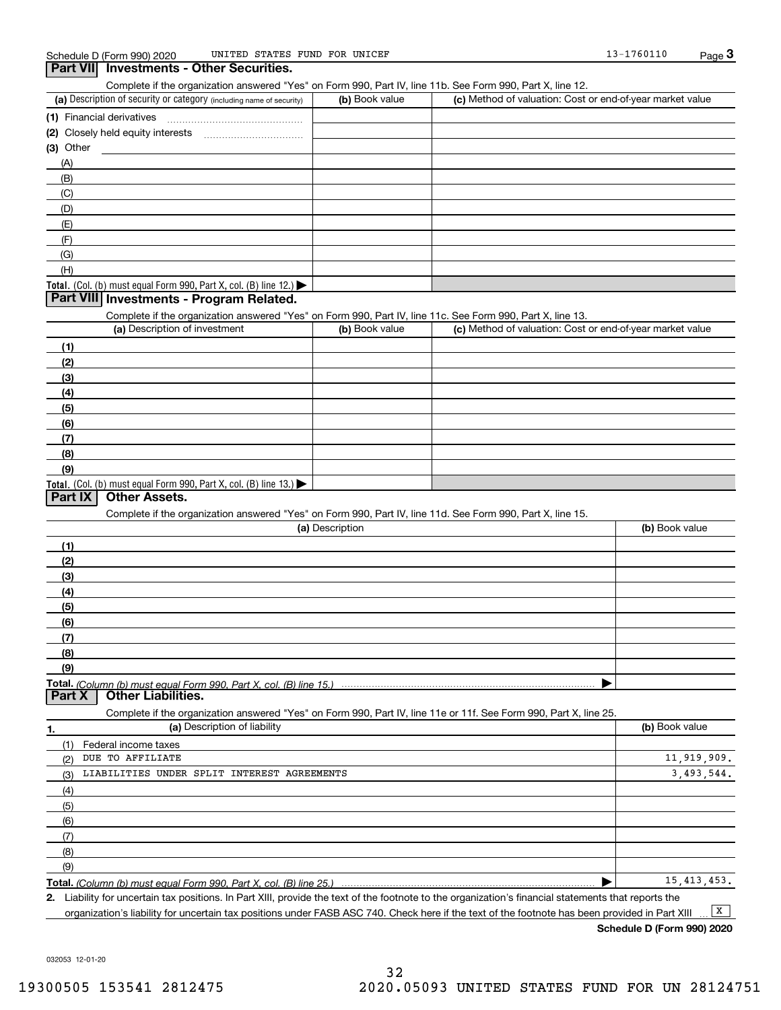#### **Part VII Investments - Other Securities.**

Complete if the organization answered "Yes" on Form 990, Part IV, line 11b. See Form 990, Part X, line 12.

| (a) Description of security or category (including name of security)                          | (b) Book value | (c) Method of valuation: Cost or end-of-year market value |
|-----------------------------------------------------------------------------------------------|----------------|-----------------------------------------------------------|
| (1) Financial derivatives                                                                     |                |                                                           |
| (2) Closely held equity interests                                                             |                |                                                           |
| $(3)$ Other                                                                                   |                |                                                           |
| (A)                                                                                           |                |                                                           |
| (B)                                                                                           |                |                                                           |
| (C)                                                                                           |                |                                                           |
| (D)                                                                                           |                |                                                           |
| (E)                                                                                           |                |                                                           |
| (F)                                                                                           |                |                                                           |
| (G)                                                                                           |                |                                                           |
| (H)                                                                                           |                |                                                           |
| <b>Total.</b> (Col. (b) must equal Form 990, Part X, col. (B) line 12.) $\blacktriangleright$ |                |                                                           |

#### **Part VIII Investments - Program Related.**

Complete if the organization answered "Yes" on Form 990, Part IV, line 11c. See Form 990, Part X, line 13.

| (a) Description of investment                                                                 | (b) Book value | (c) Method of valuation: Cost or end-of-year market value |
|-----------------------------------------------------------------------------------------------|----------------|-----------------------------------------------------------|
| (1)                                                                                           |                |                                                           |
| (2)                                                                                           |                |                                                           |
| $\frac{1}{2}$                                                                                 |                |                                                           |
| (4)                                                                                           |                |                                                           |
| $\left(5\right)$                                                                              |                |                                                           |
| (6)                                                                                           |                |                                                           |
| (7)                                                                                           |                |                                                           |
| (8)                                                                                           |                |                                                           |
| (9)                                                                                           |                |                                                           |
| <b>Total.</b> (Col. (b) must equal Form 990, Part X, col. (B) line 13.) $\blacktriangleright$ |                |                                                           |

#### **Part IX Other Assets.**

Complete if the organization answered "Yes" on Form 990, Part IV, line 11d. See Form 990, Part X, line 15.

| (a) Description                                                                                                   | (b) Book value |
|-------------------------------------------------------------------------------------------------------------------|----------------|
| (1)                                                                                                               |                |
| (2)                                                                                                               |                |
| (3)                                                                                                               |                |
| (4)                                                                                                               |                |
| $\frac{1}{2}$ (5)                                                                                                 |                |
| (6)                                                                                                               |                |
| (7)                                                                                                               |                |
| (8)                                                                                                               |                |
| (9)                                                                                                               |                |
|                                                                                                                   |                |
| <b>Part X   Other Liabilities.</b>                                                                                |                |
| Complete if the organization answered "Yes" on Form 990, Part IV, line 11e or 11f. See Form 990, Part X, line 25. |                |

**1. (a)** Description of liability **Book value** Book value Book value Book value Book value **Total.**  *(Column (b) must equal Form 990, Part X, col. (B) line 25.)* (1)(2)(3)(4)(5)(6)(7)(8)(9)Federal income taxes  $\blacktriangleright$ DUE TO AFFILIATE LIABILITIES UNDER SPLIT INTEREST AGREEMENTS 11,919,909. 3,493,544. 15,413,453.

**2.**Liability for uncertain tax positions. In Part XIII, provide the text of the footnote to the organization's financial statements that reports the organization's liability for uncertain tax positions under FASB ASC 740. Check here if the text of the footnote has been provided in Part XIII

 $\boxed{\mathbf{X}}$ 

**Schedule D (Form 990) 2020**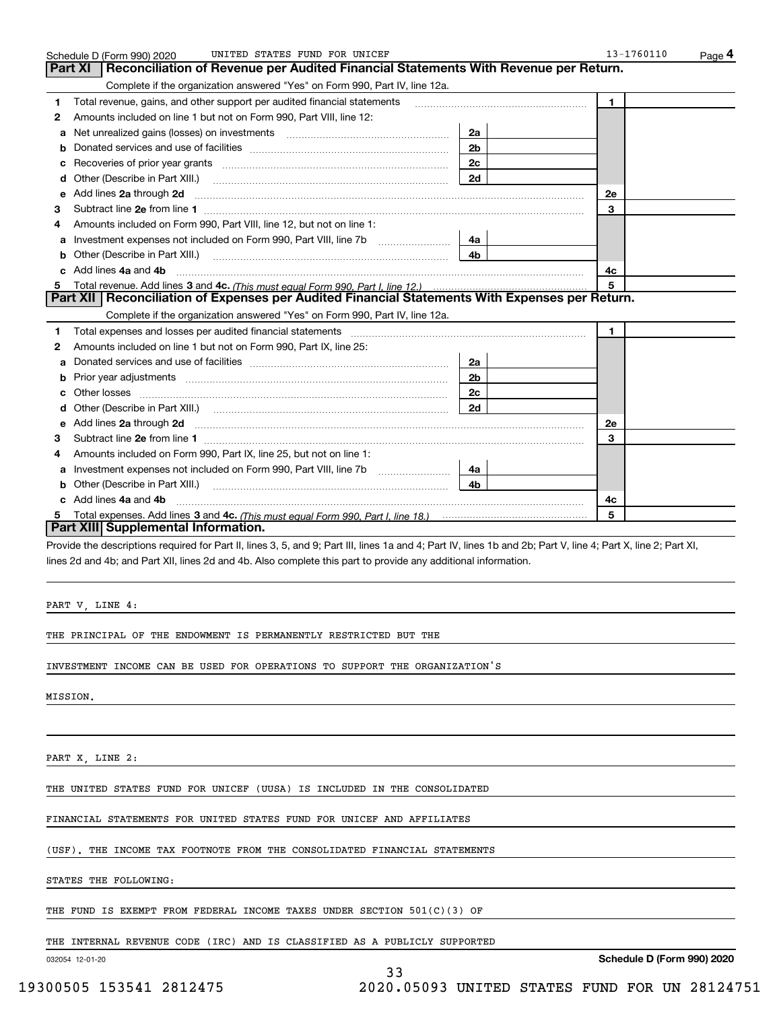|    | UNITED STATES FUND FOR UNICEF<br>Schedule D (Form 990) 2020                                                                                                                                                                         |                | 13-1760110<br><u>Pag</u> e 4 |
|----|-------------------------------------------------------------------------------------------------------------------------------------------------------------------------------------------------------------------------------------|----------------|------------------------------|
|    | Reconciliation of Revenue per Audited Financial Statements With Revenue per Return.<br>Part XI                                                                                                                                      |                |                              |
|    | Complete if the organization answered "Yes" on Form 990, Part IV, line 12a.                                                                                                                                                         |                |                              |
| 1  | Total revenue, gains, and other support per audited financial statements                                                                                                                                                            |                | 1                            |
| 2  | Amounts included on line 1 but not on Form 990, Part VIII, line 12:                                                                                                                                                                 |                |                              |
| a  | Net unrealized gains (losses) on investments [11] matter contracts and the unrealized gains (losses) on investments                                                                                                                 | 2a             |                              |
| b  |                                                                                                                                                                                                                                     | 2 <sub>b</sub> |                              |
| c  |                                                                                                                                                                                                                                     | 2c             |                              |
| d  | Other (Describe in Part XIII.) <b>Construction Contract Construction</b> (Describe in Part XIII.)                                                                                                                                   | 2d             |                              |
| е  | Add lines 2a through 2d                                                                                                                                                                                                             |                | <b>2e</b>                    |
| З  |                                                                                                                                                                                                                                     |                | 3                            |
|    | Amounts included on Form 990, Part VIII, line 12, but not on line 1:                                                                                                                                                                |                |                              |
| а  | Investment expenses not included on Form 990, Part VIII, line 7b [11, 111, 111, 111]                                                                                                                                                | 4a             |                              |
| b  | Other (Describe in Part XIII.) <b>Construction Contract Construction</b> Chemistry Chemistry Chemistry Chemistry Chemistry                                                                                                          | 4b             |                              |
| c. | Add lines 4a and 4b                                                                                                                                                                                                                 |                | 4c                           |
|    |                                                                                                                                                                                                                                     |                | 5                            |
|    | Part XII   Reconciliation of Expenses per Audited Financial Statements With Expenses per Return.                                                                                                                                    |                |                              |
|    | Complete if the organization answered "Yes" on Form 990, Part IV, line 12a.                                                                                                                                                         |                |                              |
| 1  | Total expenses and losses per audited financial statements [11] [12] manuscription control expenses and losses per audited financial statements [12] manuscription of the statements [12] manuscription of the statements [12]      |                | 1.                           |
| 2  | Amounts included on line 1 but not on Form 990, Part IX, line 25:                                                                                                                                                                   |                |                              |
| a  |                                                                                                                                                                                                                                     | 2a             |                              |
| b  |                                                                                                                                                                                                                                     | 2 <sub>b</sub> |                              |
|    |                                                                                                                                                                                                                                     | 2 <sub>c</sub> |                              |
|    |                                                                                                                                                                                                                                     | 2d             |                              |
| е  | Add lines 2a through 2d <b>contained a contained a contained a contained a</b> contained a contained a contained a contained a contained a contained a contained a contained a contained a contained a contained a contained a cont |                | 2e                           |
| 3  |                                                                                                                                                                                                                                     |                | 3                            |
| 4  | Amounts included on Form 990, Part IX, line 25, but not on line 1:                                                                                                                                                                  |                |                              |
| a  |                                                                                                                                                                                                                                     | 4a l           |                              |
| b  | Other (Describe in Part XIII.)                                                                                                                                                                                                      | 4 <sub>b</sub> |                              |
|    | c Add lines 4a and 4b                                                                                                                                                                                                               |                | 4c                           |
| 5. |                                                                                                                                                                                                                                     |                | 5                            |
|    | Part XIII Supplemental Information.                                                                                                                                                                                                 |                |                              |
|    | Provide the descriptions required for Part II, lines 3, 5, and 9; Part III, lines 1a and 4; Part IV, lines 1b and 2b; Part V, line 4; Part X, line 2; Part XI,                                                                      |                |                              |
|    | lines 2d and 4b; and Part XII, lines 2d and 4b. Also complete this part to provide any additional information.                                                                                                                      |                |                              |
|    |                                                                                                                                                                                                                                     |                |                              |

PART V, LINE 4:

THE PRINCIPAL OF THE ENDOWMENT IS PERMANENTLY RESTRICTED BUT THE

INVESTMENT INCOME CAN BE USED FOR OPERATIONS TO SUPPORT THE ORGANIZATION'S

MISSION.

PART X, LINE 2:

THE UNITED STATES FUND FOR UNICEF (UUSA) IS INCLUDED IN THE CONSOLIDATED

FINANCIAL STATEMENTS FOR UNITED STATES FUND FOR UNICEF AND AFFILIATES

(USF). THE INCOME TAX FOOTNOTE FROM THE CONSOLIDATED FINANCIAL STATEMENTS

STATES THE FOLLOWING:

THE FUND IS EXEMPT FROM FEDERAL INCOME TAXES UNDER SECTION 501(C)(3) OF

THE INTERNAL REVENUE CODE (IRC) AND IS CLASSIFIED AS A PUBLICLY SUPPORTED

33

032054 12-01-20

**Schedule D (Form 990) 2020**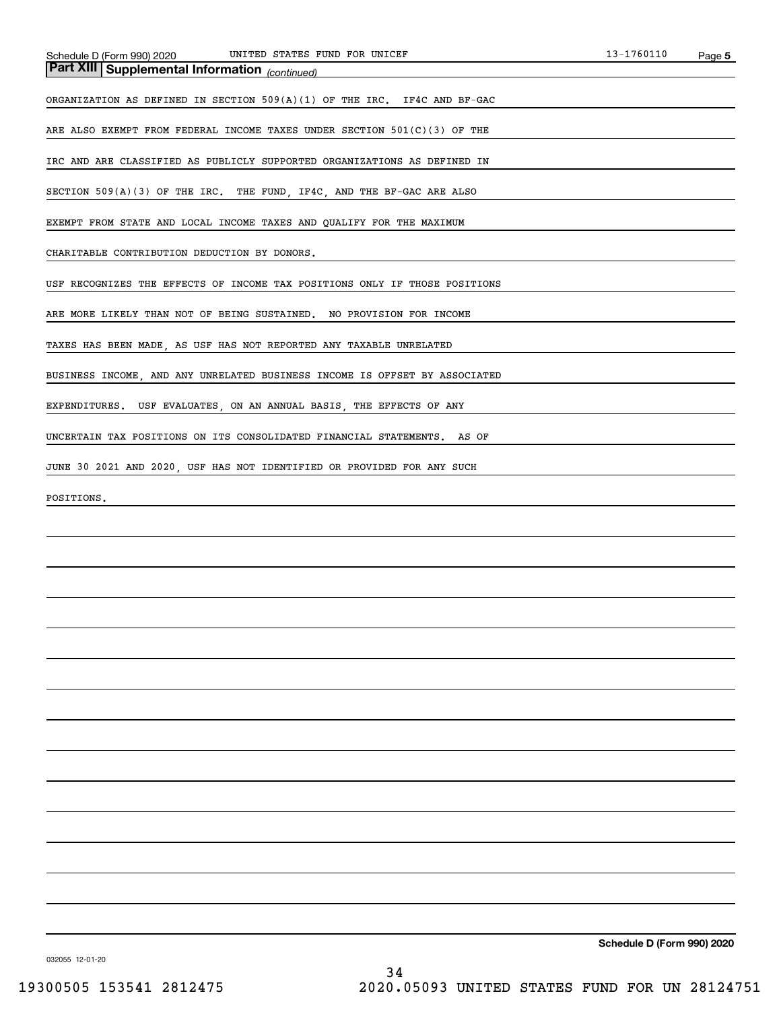*(continued)* **Part XIII Supplemental Information** 

ORGANIZATION AS DEFINED IN SECTION 509(A)(1) OF THE IRC. IF4C AND BF-GAC

ARE ALSO EXEMPT FROM FEDERAL INCOME TAXES UNDER SECTION 501(C)(3) OF THE

IRC AND ARE CLASSIFIED AS PUBLICLY SUPPORTED ORGANIZATIONS AS DEFINED IN

SECTION 509(A)(3) OF THE IRC. THE FUND, IF4C, AND THE BF-GAC ARE ALSO

EXEMPT FROM STATE AND LOCAL INCOME TAXES AND QUALIFY FOR THE MAXIMUM

CHARITABLE CONTRIBUTION DEDUCTION BY DONORS.

USF RECOGNIZES THE EFFECTS OF INCOME TAX POSITIONS ONLY IF THOSE POSITIONS

ARE MORE LIKELY THAN NOT OF BEING SUSTAINED. NO PROVISION FOR INCOME

TAXES HAS BEEN MADE, AS USF HAS NOT REPORTED ANY TAXABLE UNRELATED

BUSINESS INCOME, AND ANY UNRELATED BUSINESS INCOME IS OFFSET BY ASSOCIATED

EXPENDITURES. USF EVALUATES, ON AN ANNUAL BASIS, THE EFFECTS OF ANY

UNCERTAIN TAX POSITIONS ON ITS CONSOLIDATED FINANCIAL STATEMENTS. AS OF

JUNE 30 2021 AND 2020, USF HAS NOT IDENTIFIED OR PROVIDED FOR ANY SUCH

POSITIONS.

**Schedule D (Form 990) 2020**

032055 12-01-20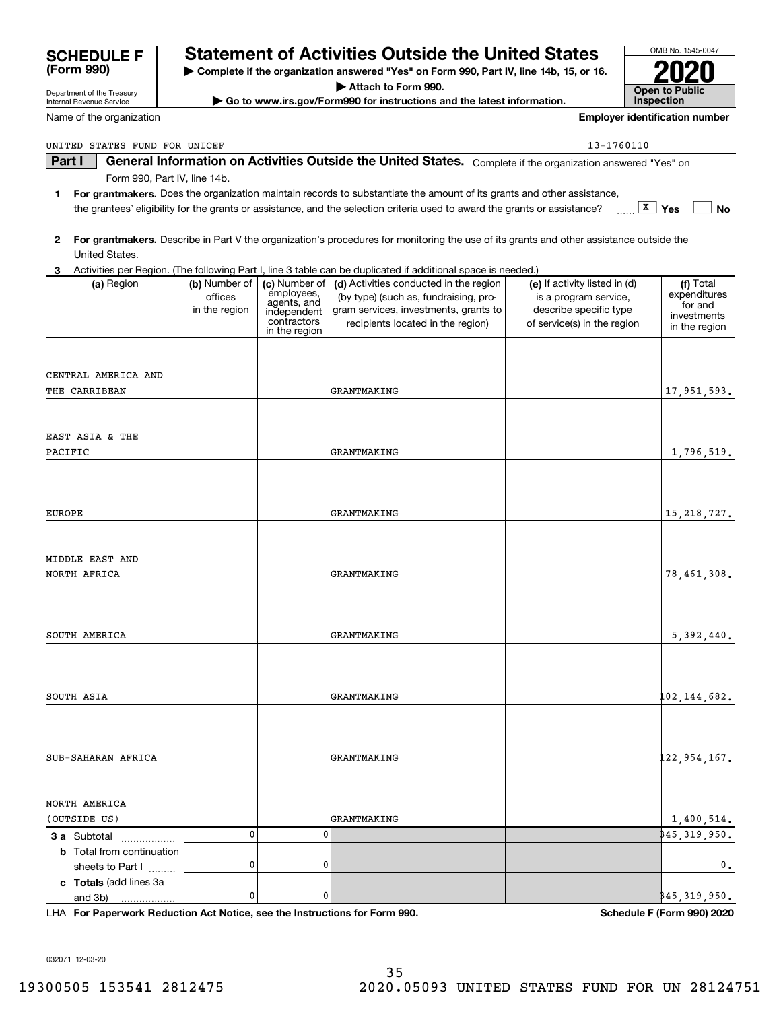| Attach to Form 990.<br>Department of the Treasury                                                  |                                           |                                                                                           |                                                                                                                                                                                                                                                      |                   | <b>Open to Public</b>                                                                                           |                                                                      |  |
|----------------------------------------------------------------------------------------------------|-------------------------------------------|-------------------------------------------------------------------------------------------|------------------------------------------------------------------------------------------------------------------------------------------------------------------------------------------------------------------------------------------------------|-------------------|-----------------------------------------------------------------------------------------------------------------|----------------------------------------------------------------------|--|
| Go to www.irs.gov/Form990 for instructions and the latest information.<br>Internal Revenue Service |                                           |                                                                                           |                                                                                                                                                                                                                                                      | <b>Inspection</b> |                                                                                                                 |                                                                      |  |
| Name of the organization                                                                           |                                           |                                                                                           |                                                                                                                                                                                                                                                      |                   |                                                                                                                 | <b>Employer identification number</b>                                |  |
| UNITED STATES FUND FOR UNICEF                                                                      |                                           |                                                                                           |                                                                                                                                                                                                                                                      |                   | 13-1760110                                                                                                      |                                                                      |  |
| Part I                                                                                             |                                           |                                                                                           | General Information on Activities Outside the United States. Complete if the organization answered "Yes" on                                                                                                                                          |                   |                                                                                                                 |                                                                      |  |
| Form 990, Part IV, line 14b.                                                                       |                                           |                                                                                           |                                                                                                                                                                                                                                                      |                   |                                                                                                                 |                                                                      |  |
| 1                                                                                                  |                                           |                                                                                           | For grantmakers. Does the organization maintain records to substantiate the amount of its grants and other assistance,<br>the grantees' eligibility for the grants or assistance, and the selection criteria used to award the grants or assistance? |                   |                                                                                                                 | $\overline{X}$ Yes<br>No                                             |  |
|                                                                                                    |                                           |                                                                                           |                                                                                                                                                                                                                                                      |                   |                                                                                                                 |                                                                      |  |
| 2<br>United States.                                                                                |                                           |                                                                                           | For grantmakers. Describe in Part V the organization's procedures for monitoring the use of its grants and other assistance outside the                                                                                                              |                   |                                                                                                                 |                                                                      |  |
| 3.                                                                                                 |                                           |                                                                                           | Activities per Region. (The following Part I, line 3 table can be duplicated if additional space is needed.)                                                                                                                                         |                   |                                                                                                                 |                                                                      |  |
| (a) Region                                                                                         | (b) Number of<br>offices<br>in the region | (c) Number of<br>employees,<br>agents, and<br>independent<br>contractors<br>in the region | (d) Activities conducted in the region<br>(by type) (such as, fundraising, pro-<br>gram services, investments, grants to<br>recipients located in the region)                                                                                        |                   | (e) If activity listed in (d)<br>is a program service,<br>describe specific type<br>of service(s) in the region | (f) Total<br>expenditures<br>for and<br>investments<br>in the region |  |
| CENTRAL AMERICA AND                                                                                |                                           |                                                                                           |                                                                                                                                                                                                                                                      |                   |                                                                                                                 |                                                                      |  |
| THE CARRIBEAN                                                                                      |                                           |                                                                                           | GRANTMAKING                                                                                                                                                                                                                                          |                   |                                                                                                                 | 17,951,593.                                                          |  |
|                                                                                                    |                                           |                                                                                           |                                                                                                                                                                                                                                                      |                   |                                                                                                                 |                                                                      |  |
|                                                                                                    |                                           |                                                                                           |                                                                                                                                                                                                                                                      |                   |                                                                                                                 |                                                                      |  |
| EAST ASIA & THE                                                                                    |                                           |                                                                                           |                                                                                                                                                                                                                                                      |                   |                                                                                                                 |                                                                      |  |
| PACIFIC                                                                                            |                                           |                                                                                           | GRANTMAKING                                                                                                                                                                                                                                          |                   |                                                                                                                 | 1,796,519.                                                           |  |
|                                                                                                    |                                           |                                                                                           |                                                                                                                                                                                                                                                      |                   |                                                                                                                 |                                                                      |  |
|                                                                                                    |                                           |                                                                                           |                                                                                                                                                                                                                                                      |                   |                                                                                                                 |                                                                      |  |
|                                                                                                    |                                           |                                                                                           |                                                                                                                                                                                                                                                      |                   |                                                                                                                 |                                                                      |  |
| <b>EUROPE</b>                                                                                      |                                           |                                                                                           | GRANTMAKING                                                                                                                                                                                                                                          |                   |                                                                                                                 | 15, 218, 727.                                                        |  |
|                                                                                                    |                                           |                                                                                           |                                                                                                                                                                                                                                                      |                   |                                                                                                                 |                                                                      |  |
|                                                                                                    |                                           |                                                                                           |                                                                                                                                                                                                                                                      |                   |                                                                                                                 |                                                                      |  |
| MIDDLE EAST AND                                                                                    |                                           |                                                                                           |                                                                                                                                                                                                                                                      |                   |                                                                                                                 |                                                                      |  |
| NORTH AFRICA                                                                                       |                                           |                                                                                           | GRANTMAKING                                                                                                                                                                                                                                          |                   |                                                                                                                 | 78,461,308.                                                          |  |
|                                                                                                    |                                           |                                                                                           |                                                                                                                                                                                                                                                      |                   |                                                                                                                 |                                                                      |  |
|                                                                                                    |                                           |                                                                                           |                                                                                                                                                                                                                                                      |                   |                                                                                                                 |                                                                      |  |
| SOUTH AMERICA                                                                                      |                                           |                                                                                           | GRANTMAKING                                                                                                                                                                                                                                          |                   |                                                                                                                 | 5,392,440.                                                           |  |
|                                                                                                    |                                           |                                                                                           |                                                                                                                                                                                                                                                      |                   |                                                                                                                 |                                                                      |  |
|                                                                                                    |                                           |                                                                                           |                                                                                                                                                                                                                                                      |                   |                                                                                                                 |                                                                      |  |
|                                                                                                    |                                           |                                                                                           |                                                                                                                                                                                                                                                      |                   |                                                                                                                 |                                                                      |  |
| SOUTH ASIA                                                                                         |                                           |                                                                                           | GRANTMAKING                                                                                                                                                                                                                                          |                   |                                                                                                                 | 102,144,682 <b>.</b>                                                 |  |
|                                                                                                    |                                           |                                                                                           |                                                                                                                                                                                                                                                      |                   |                                                                                                                 |                                                                      |  |
|                                                                                                    |                                           |                                                                                           |                                                                                                                                                                                                                                                      |                   |                                                                                                                 |                                                                      |  |
|                                                                                                    |                                           |                                                                                           |                                                                                                                                                                                                                                                      |                   |                                                                                                                 |                                                                      |  |
| SUB-SAHARAN AFRICA                                                                                 |                                           |                                                                                           | GRANTMAKING                                                                                                                                                                                                                                          |                   |                                                                                                                 | 122,954,167.                                                         |  |
|                                                                                                    |                                           |                                                                                           |                                                                                                                                                                                                                                                      |                   |                                                                                                                 |                                                                      |  |
|                                                                                                    |                                           |                                                                                           |                                                                                                                                                                                                                                                      |                   |                                                                                                                 |                                                                      |  |
| NORTH AMERICA                                                                                      |                                           |                                                                                           |                                                                                                                                                                                                                                                      |                   |                                                                                                                 |                                                                      |  |
| (OUTSIDE US)                                                                                       | 0                                         | 0                                                                                         | GRANTMAKING                                                                                                                                                                                                                                          |                   |                                                                                                                 | 1,400,514.<br>\$45,319,950.                                          |  |
| <b>3 a</b> Subtotal                                                                                |                                           |                                                                                           |                                                                                                                                                                                                                                                      |                   |                                                                                                                 |                                                                      |  |
| <b>b</b> Total from continuation<br>sheets to Part I                                               | 0                                         | 0                                                                                         |                                                                                                                                                                                                                                                      |                   |                                                                                                                 | $\mathbf{0}$ .                                                       |  |
| c Totals (add lines 3a                                                                             |                                           |                                                                                           |                                                                                                                                                                                                                                                      |                   |                                                                                                                 |                                                                      |  |
| and 3b)                                                                                            | 0                                         | 0                                                                                         |                                                                                                                                                                                                                                                      |                   |                                                                                                                 | \$45,319,950.                                                        |  |

**| Complete if the organization answered "Yes" on Form 990, Part IV, line 14b, 15, or 16.**

**Statement of Activities Outside the United States** 

**For Paperwork Reduction Act Notice, see the Instructions for Form 990. Schedule F (Form 990) 2020** LHA

OMB No. 1545-0047

**2020**

032071 12-03-20

**(Form 990)**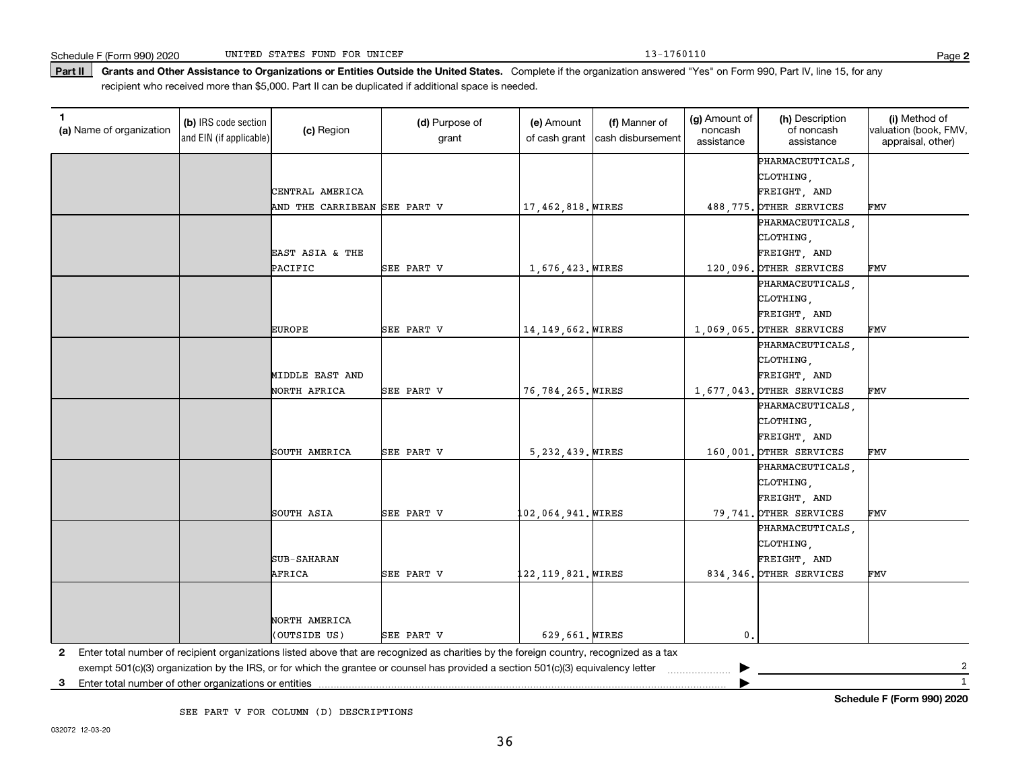Part II | Grants and Other Assistance to Organizations or Entities Outside the United States. Complete if the organization answered "Yes" on Form 990, Part IV, line 15, for any recipient who received more than \$5,000. Part II can be duplicated if additional space is needed.

| 1<br>(a) Name of organization                              | (b) IRS code section<br>and EIN (if applicable) | (c) Region                   | (d) Purpose of<br>grant                                                                                                                 | (e) Amount<br>of cash grant | (f) Manner of<br>cash disbursement | (g) Amount of<br>noncash<br>assistance | (h) Description<br>of noncash<br>assistance | (i) Method of<br>valuation (book, FMV,<br>appraisal, other) |
|------------------------------------------------------------|-------------------------------------------------|------------------------------|-----------------------------------------------------------------------------------------------------------------------------------------|-----------------------------|------------------------------------|----------------------------------------|---------------------------------------------|-------------------------------------------------------------|
|                                                            |                                                 |                              |                                                                                                                                         |                             |                                    |                                        | PHARMACEUTICALS,                            |                                                             |
|                                                            |                                                 |                              |                                                                                                                                         |                             |                                    |                                        | CLOTHING,                                   |                                                             |
|                                                            |                                                 | CENTRAL AMERICA              |                                                                                                                                         |                             |                                    |                                        | FREIGHT, AND                                |                                                             |
|                                                            |                                                 | AND THE CARRIBEAN SEE PART V |                                                                                                                                         | 17,462,818. WIRES           |                                    |                                        | 488, 775. OTHER SERVICES                    | FMV                                                         |
|                                                            |                                                 |                              |                                                                                                                                         |                             |                                    |                                        | PHARMACEUTICALS,                            |                                                             |
|                                                            |                                                 |                              |                                                                                                                                         |                             |                                    |                                        | CLOTHING,                                   |                                                             |
|                                                            |                                                 | EAST ASIA & THE              |                                                                                                                                         |                             |                                    |                                        | FREIGHT, AND                                |                                                             |
|                                                            |                                                 | PACIFIC                      | SEE PART V                                                                                                                              | 1,676,423. WIRES            |                                    |                                        | 120,096. OTHER SERVICES                     | FMV                                                         |
|                                                            |                                                 |                              |                                                                                                                                         |                             |                                    |                                        | PHARMACEUTICALS,                            |                                                             |
|                                                            |                                                 |                              |                                                                                                                                         |                             |                                    |                                        | CLOTHING,                                   |                                                             |
|                                                            |                                                 |                              |                                                                                                                                         |                             |                                    |                                        | FREIGHT, AND                                |                                                             |
|                                                            |                                                 | <b>EUROPE</b>                | SEE PART V                                                                                                                              | 14, 149, 662. WIRES         |                                    |                                        | 1,069,065. OTHER SERVICES                   | FMV                                                         |
|                                                            |                                                 |                              |                                                                                                                                         |                             |                                    |                                        | PHARMACEUTICALS,                            |                                                             |
|                                                            |                                                 |                              |                                                                                                                                         |                             |                                    |                                        | CLOTHING,                                   |                                                             |
|                                                            |                                                 | MIDDLE EAST AND              |                                                                                                                                         |                             |                                    |                                        | FREIGHT, AND                                |                                                             |
|                                                            |                                                 | NORTH AFRICA                 | SEE PART V                                                                                                                              | 76,784,265. WIRES           |                                    |                                        | 1,677,043. OTHER SERVICES                   | FMV                                                         |
|                                                            |                                                 |                              |                                                                                                                                         |                             |                                    |                                        | PHARMACEUTICALS,                            |                                                             |
|                                                            |                                                 |                              |                                                                                                                                         |                             |                                    |                                        | CLOTHING,                                   |                                                             |
|                                                            |                                                 |                              |                                                                                                                                         |                             |                                    |                                        | FREIGHT, AND                                |                                                             |
|                                                            |                                                 | SOUTH AMERICA                | SEE PART V                                                                                                                              | 5, 232, 439. WIRES          |                                    |                                        | 160,001. OTHER SERVICES                     | FMV                                                         |
|                                                            |                                                 |                              |                                                                                                                                         |                             |                                    |                                        | PHARMACEUTICALS,                            |                                                             |
|                                                            |                                                 |                              |                                                                                                                                         |                             |                                    |                                        | CLOTHING                                    |                                                             |
|                                                            |                                                 |                              |                                                                                                                                         |                             |                                    |                                        | FREIGHT, AND                                |                                                             |
|                                                            |                                                 | SOUTH ASIA                   | SEE PART V                                                                                                                              | 102,064,941. <i>W</i> IRES  |                                    |                                        | 79,741. OTHER SERVICES                      | FMV                                                         |
|                                                            |                                                 |                              |                                                                                                                                         |                             |                                    |                                        | PHARMACEUTICALS,                            |                                                             |
|                                                            |                                                 |                              |                                                                                                                                         |                             |                                    |                                        | CLOTHING,                                   |                                                             |
|                                                            |                                                 | <b>SUB-SAHARAN</b>           |                                                                                                                                         |                             |                                    |                                        | FREIGHT, AND                                |                                                             |
|                                                            |                                                 | AFRICA                       | SEE PART V                                                                                                                              | 122,119,821. WIRES          |                                    |                                        | 834, 346. OTHER SERVICES                    | FMV                                                         |
|                                                            |                                                 |                              |                                                                                                                                         |                             |                                    |                                        |                                             |                                                             |
|                                                            |                                                 |                              |                                                                                                                                         |                             |                                    |                                        |                                             |                                                             |
|                                                            |                                                 | NORTH AMERICA                |                                                                                                                                         |                             |                                    |                                        |                                             |                                                             |
|                                                            |                                                 | (OUTSIDE US)                 | SEE PART V                                                                                                                              | 629,661. WIRES              |                                    | 0.                                     |                                             |                                                             |
| $\mathbf{2}$                                               |                                                 |                              | Enter total number of recipient organizations listed above that are recognized as charities by the foreign country, recognized as a tax |                             |                                    |                                        |                                             |                                                             |
|                                                            |                                                 |                              | exempt 501(c)(3) organization by the IRS, or for which the grantee or counsel has provided a section 501(c)(3) equivalency letter       |                             |                                    |                                        |                                             |                                                             |
| Enter total number of other organizations or entities<br>3 |                                                 |                              |                                                                                                                                         |                             |                                    |                                        |                                             | $\mathbf{1}$                                                |

SEE PART V FOR COLUMN (D) DESCRIPTIONS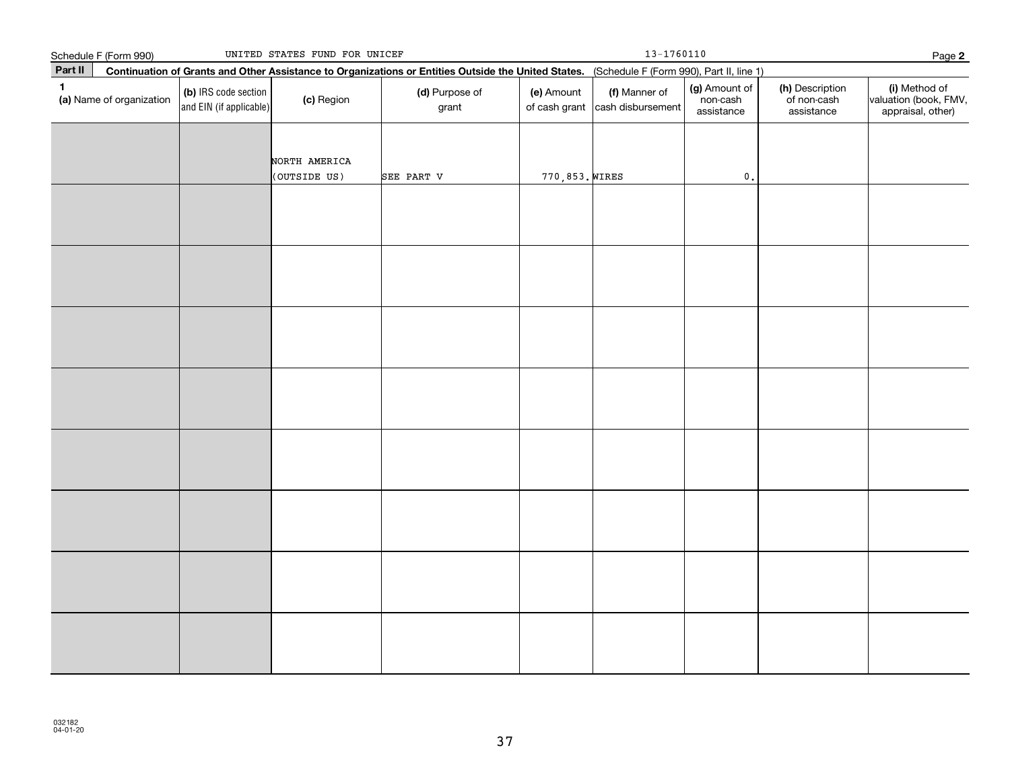|              | Schedule F (Form 990)    |                                                 | UNITED STATES FUND FOR UNICEF                                                                                                                |                         |                             | $13 - 1760110$                     |                                         |                                              | Page 2                                                      |
|--------------|--------------------------|-------------------------------------------------|----------------------------------------------------------------------------------------------------------------------------------------------|-------------------------|-----------------------------|------------------------------------|-----------------------------------------|----------------------------------------------|-------------------------------------------------------------|
| Part II      |                          |                                                 | Continuation of Grants and Other Assistance to Organizations or Entities Outside the United States. (Schedule F (Form 990), Part II, line 1) |                         |                             |                                    |                                         |                                              |                                                             |
| $\mathbf{1}$ | (a) Name of organization | (b) IRS code section<br>and EIN (if applicable) | (c) Region                                                                                                                                   | (d) Purpose of<br>grant | (e) Amount<br>of cash grant | (f) Manner of<br>cash disbursement | (g) Amount of<br>non-cash<br>assistance | (h) Description<br>of non-cash<br>assistance | (i) Method of<br>valuation (book, FMV,<br>appraisal, other) |
|              |                          |                                                 | NORTH AMERICA<br>(OUTSIDE US)                                                                                                                | SEE PART V              | 770,853. WIRES              |                                    | $\mathfrak o$ .                         |                                              |                                                             |
|              |                          |                                                 |                                                                                                                                              |                         |                             |                                    |                                         |                                              |                                                             |
|              |                          |                                                 |                                                                                                                                              |                         |                             |                                    |                                         |                                              |                                                             |
|              |                          |                                                 |                                                                                                                                              |                         |                             |                                    |                                         |                                              |                                                             |
|              |                          |                                                 |                                                                                                                                              |                         |                             |                                    |                                         |                                              |                                                             |
|              |                          |                                                 |                                                                                                                                              |                         |                             |                                    |                                         |                                              |                                                             |
|              |                          |                                                 |                                                                                                                                              |                         |                             |                                    |                                         |                                              |                                                             |
|              |                          |                                                 |                                                                                                                                              |                         |                             |                                    |                                         |                                              |                                                             |
|              |                          |                                                 |                                                                                                                                              |                         |                             |                                    |                                         |                                              |                                                             |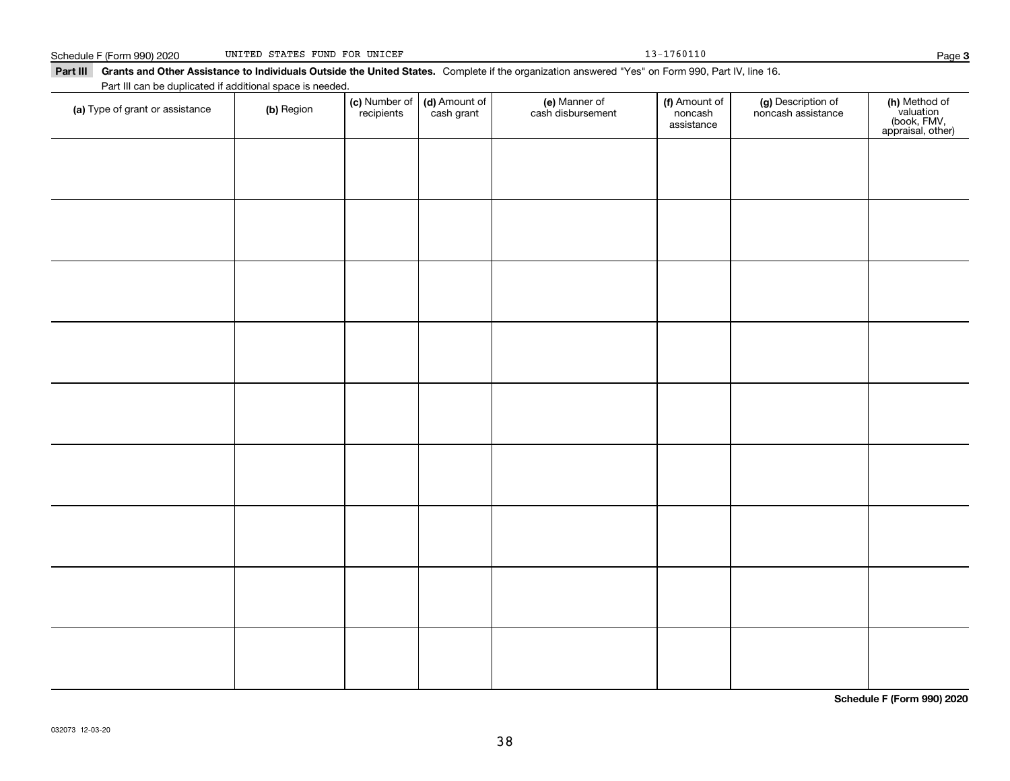**(a)** Type of grant or assistance  $\qquad$  **(b)** Region

Part III can be duplicated if additional space is needed.

**(c)** Number of **| (d)** Amount of **| (e)** Manner of **| (f)** Amount of **| (g)** Description of **| (h)** 

(f) Amount of noncashassistance

noncash assistance

(e) Manner of cash disbursement

#### Part III Grants and Other Assistance to Individuals Outside the United States. Complete if the organization answered "Yes" on Form 990, Part IV, line 16. Schedule F (Form 990) 2020 UNITED STATES FUND FOR UNICEF 13-1760110 Page

(c) Number of recipients

(d) Amount of cash grant

Page 3

**(h)** Method of<br>valuation<br>(book, FMV,<br>appraisal, other)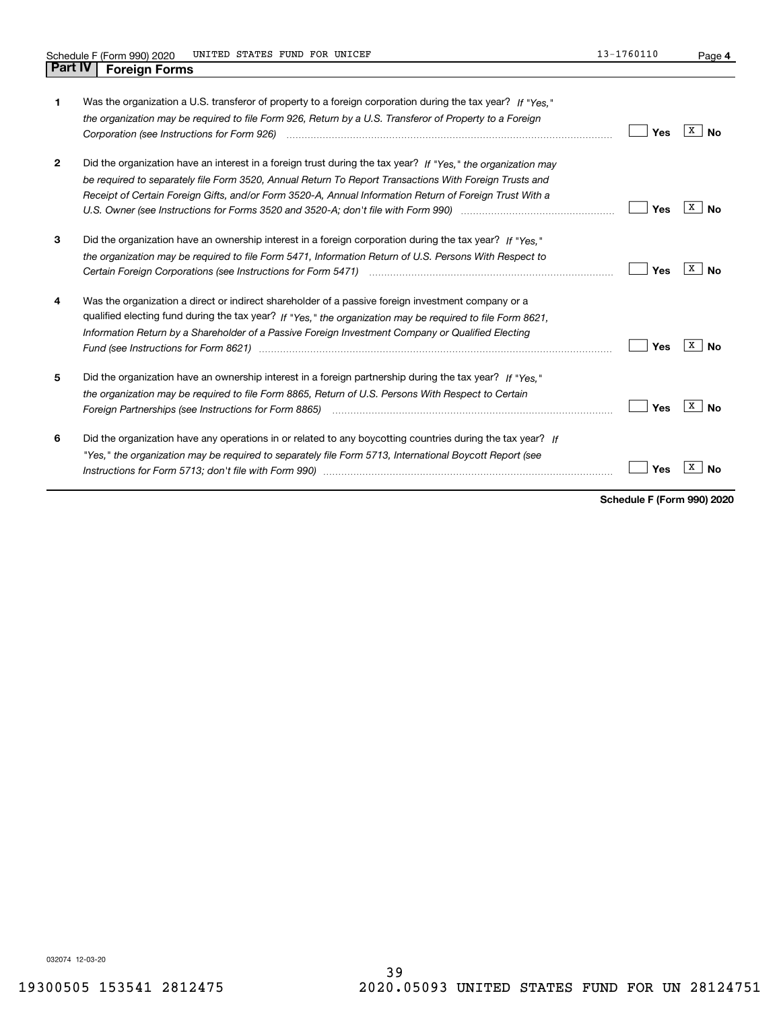**4**

| 1            | Was the organization a U.S. transferor of property to a foreign corporation during the tax year? If "Yes."<br>the organization may be required to file Form 926, Return by a U.S. Transferor of Property to a Foreign                                                                                                                                                                                                                                       | Yes | X<br>No   |
|--------------|-------------------------------------------------------------------------------------------------------------------------------------------------------------------------------------------------------------------------------------------------------------------------------------------------------------------------------------------------------------------------------------------------------------------------------------------------------------|-----|-----------|
| $\mathbf{2}$ | Did the organization have an interest in a foreign trust during the tax year? If "Yes," the organization may<br>be required to separately file Form 3520, Annual Return To Report Transactions With Foreign Trusts and<br>Receipt of Certain Foreign Gifts, and/or Form 3520-A, Annual Information Return of Foreign Trust With a<br>U.S. Owner (see Instructions for Forms 3520 and 3520-A; don't file with Form 990) <i>manageronia (see Instructions</i> | Yes | X  <br>No |
| 3            | Did the organization have an ownership interest in a foreign corporation during the tax year? If "Yes."<br>the organization may be required to file Form 5471, Information Return of U.S. Persons With Respect to<br>Certain Foreign Corporations (see Instructions for Form 5471) <i>manded contained contained corporation</i> contained to                                                                                                               | Yes | x<br>Nο   |
| 4            | Was the organization a direct or indirect shareholder of a passive foreign investment company or a<br>qualified electing fund during the tax year? If "Yes," the organization may be required to file Form 8621.<br>Information Return by a Shareholder of a Passive Foreign Investment Company or Qualified Electing<br>Fund (see Instructions for Form 8621) manufactured control and the control of the state of the state of the st                     | Yes | X<br>No   |
| 5            | Did the organization have an ownership interest in a foreign partnership during the tax year? If "Yes."<br>the organization may be required to file Form 8865, Return of U.S. Persons With Respect to Certain<br>Foreign Partnerships (see Instructions for Form 8865) <i>mand contained the contained contained to the states of the</i>                                                                                                                   | Yes | x<br>No   |
| 6            | Did the organization have any operations in or related to any boycotting countries during the tax year? If<br>"Yes," the organization may be required to separately file Form 5713, International Boycott Report (see                                                                                                                                                                                                                                       | Yes |           |

**Schedule F (Form 990) 2020**

032074 12-03-20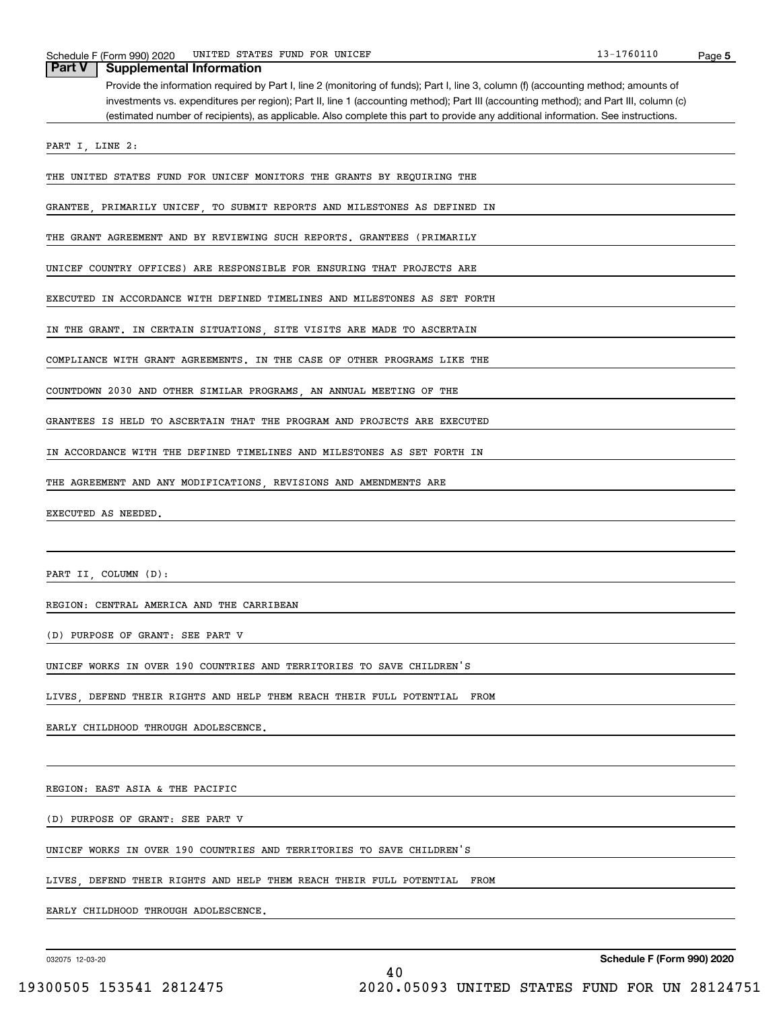| UNITED STATES FUND FOR UNICEF<br>Schedule F (Form 990) 2020                                                                           | 13-1760110 | Page 5 |
|---------------------------------------------------------------------------------------------------------------------------------------|------------|--------|
| Part V<br><b>Supplemental Information</b>                                                                                             |            |        |
| Provide the information required by Part I, line 2 (monitoring of funds); Part I, line 3, column (f) (accounting method; amounts of   |            |        |
| investments vs. expenditures per region); Part II, line 1 (accounting method); Part III (accounting method); and Part III, column (c) |            |        |
| (estimated number of recipients), as applicable. Also complete this part to provide any additional information. See instructions.     |            |        |
|                                                                                                                                       |            |        |
| PART I, LINE 2:                                                                                                                       |            |        |
| THE UNITED STATES FUND FOR UNICEF MONITORS THE GRANTS BY REQUIRING THE                                                                |            |        |
| GRANTEE, PRIMARILY UNICEF, TO SUBMIT REPORTS AND MILESTONES AS DEFINED IN                                                             |            |        |
| THE GRANT AGREEMENT AND BY REVIEWING SUCH REPORTS. GRANTEES (PRIMARILY                                                                |            |        |
|                                                                                                                                       |            |        |
| UNICEF COUNTRY OFFICES) ARE RESPONSIBLE FOR ENSURING THAT PROJECTS ARE                                                                |            |        |
| EXECUTED IN ACCORDANCE WITH DEFINED TIMELINES AND MILESTONES AS SET FORTH                                                             |            |        |
| IN THE GRANT. IN CERTAIN SITUATIONS, SITE VISITS ARE MADE TO ASCERTAIN                                                                |            |        |
| COMPLIANCE WITH GRANT AGREEMENTS. IN THE CASE OF OTHER PROGRAMS LIKE THE                                                              |            |        |
| COUNTDOWN 2030 AND OTHER SIMILAR PROGRAMS AN ANNUAL MEETING OF THE                                                                    |            |        |
| GRANTEES IS HELD TO ASCERTAIN THAT THE PROGRAM AND PROJECTS ARE EXECUTED                                                              |            |        |
| IN ACCORDANCE WITH THE DEFINED TIMELINES AND MILESTONES AS SET FORTH IN                                                               |            |        |
| THE AGREEMENT AND ANY MODIFICATIONS, REVISIONS AND AMENDMENTS ARE                                                                     |            |        |

EXECUTED AS NEEDED.

PART II, COLUMN (D):

REGION: CENTRAL AMERICA AND THE CARRIBEAN

(D) PURPOSE OF GRANT: SEE PART V

UNICEF WORKS IN OVER 190 COUNTRIES AND TERRITORIES TO SAVE CHILDREN'S

LIVES, DEFEND THEIR RIGHTS AND HELP THEM REACH THEIR FULL POTENTIAL FROM

EARLY CHILDHOOD THROUGH ADOLESCENCE.

REGION: EAST ASIA & THE PACIFIC

(D) PURPOSE OF GRANT: SEE PART V

UNICEF WORKS IN OVER 190 COUNTRIES AND TERRITORIES TO SAVE CHILDREN'S

LIVES, DEFEND THEIR RIGHTS AND HELP THEM REACH THEIR FULL POTENTIAL FROM

EARLY CHILDHOOD THROUGH ADOLESCENCE.

032075 12-03-20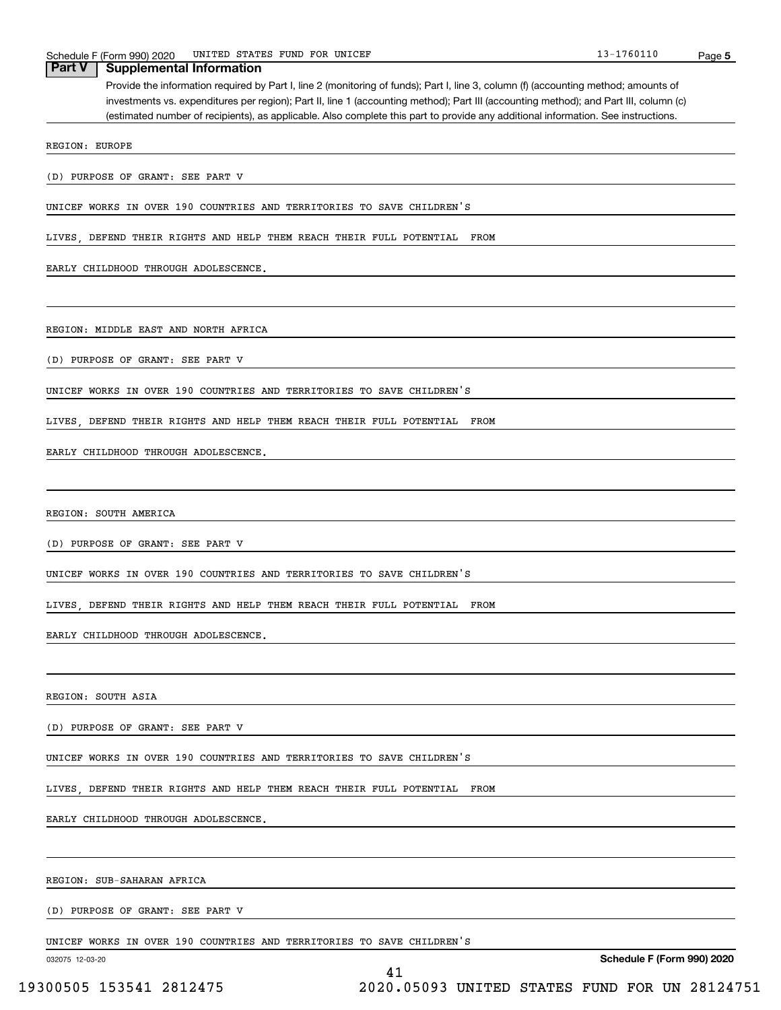| UNITED STATES FUND FOR UNICEF<br>Schedule F (Form 990) 2020                                                                           | 13-1760110 | Page 5 |
|---------------------------------------------------------------------------------------------------------------------------------------|------------|--------|
| <b>Part V</b><br><b>Supplemental Information</b>                                                                                      |            |        |
| Provide the information required by Part I, line 2 (monitoring of funds); Part I, line 3, column (f) (accounting method; amounts of   |            |        |
| investments vs. expenditures per region); Part II, line 1 (accounting method); Part III (accounting method); and Part III, column (c) |            |        |
| (estimated number of recipients), as applicable. Also complete this part to provide any additional information. See instructions.     |            |        |
| REGION: EUROPE                                                                                                                        |            |        |
|                                                                                                                                       |            |        |
| (D) PURPOSE OF GRANT: SEE PART V                                                                                                      |            |        |
| UNICEF WORKS IN OVER 190 COUNTRIES AND TERRITORIES TO SAVE CHILDREN'S                                                                 |            |        |
| LIVES, DEFEND THEIR RIGHTS AND HELP THEM REACH THEIR FULL POTENTIAL FROM                                                              |            |        |
| EARLY CHILDHOOD THROUGH ADOLESCENCE.                                                                                                  |            |        |
|                                                                                                                                       |            |        |
| REGION: MIDDLE EAST AND NORTH AFRICA                                                                                                  |            |        |
| (D) PURPOSE OF GRANT: SEE PART V                                                                                                      |            |        |
| UNICEF WORKS IN OVER 190 COUNTRIES AND TERRITORIES TO SAVE CHILDREN'S                                                                 |            |        |
| LIVES, DEFEND THEIR RIGHTS AND HELP THEM REACH THEIR FULL POTENTIAL FROM                                                              |            |        |
| EARLY CHILDHOOD THROUGH ADOLESCENCE.                                                                                                  |            |        |
|                                                                                                                                       |            |        |
| REGION: SOUTH AMERICA                                                                                                                 |            |        |
| (D) PURPOSE OF GRANT: SEE PART V                                                                                                      |            |        |
| UNICEF WORKS IN OVER 190 COUNTRIES AND TERRITORIES TO SAVE CHILDREN'S                                                                 |            |        |
| LIVES, DEFEND THEIR RIGHTS AND HELP THEM REACH THEIR FULL POTENTIAL FROM                                                              |            |        |
| EARLY CHILDHOOD THROUGH ADOLESCENCE.                                                                                                  |            |        |
|                                                                                                                                       |            |        |
| REGION: SOUTH ASIA                                                                                                                    |            |        |
|                                                                                                                                       |            |        |

41

(D) PURPOSE OF GRANT: SEE PART V

UNICEF WORKS IN OVER 190 COUNTRIES AND TERRITORIES TO SAVE CHILDREN'S

LIVES, DEFEND THEIR RIGHTS AND HELP THEM REACH THEIR FULL POTENTIAL FROM

EARLY CHILDHOOD THROUGH ADOLESCENCE.

REGION: SUB-SAHARAN AFRICA

(D) PURPOSE OF GRANT: SEE PART V

UNICEF WORKS IN OVER 190 COUNTRIES AND TERRITORIES TO SAVE CHILDREN'S

032075 12-03-20

**Schedule F (Form 990) 2020**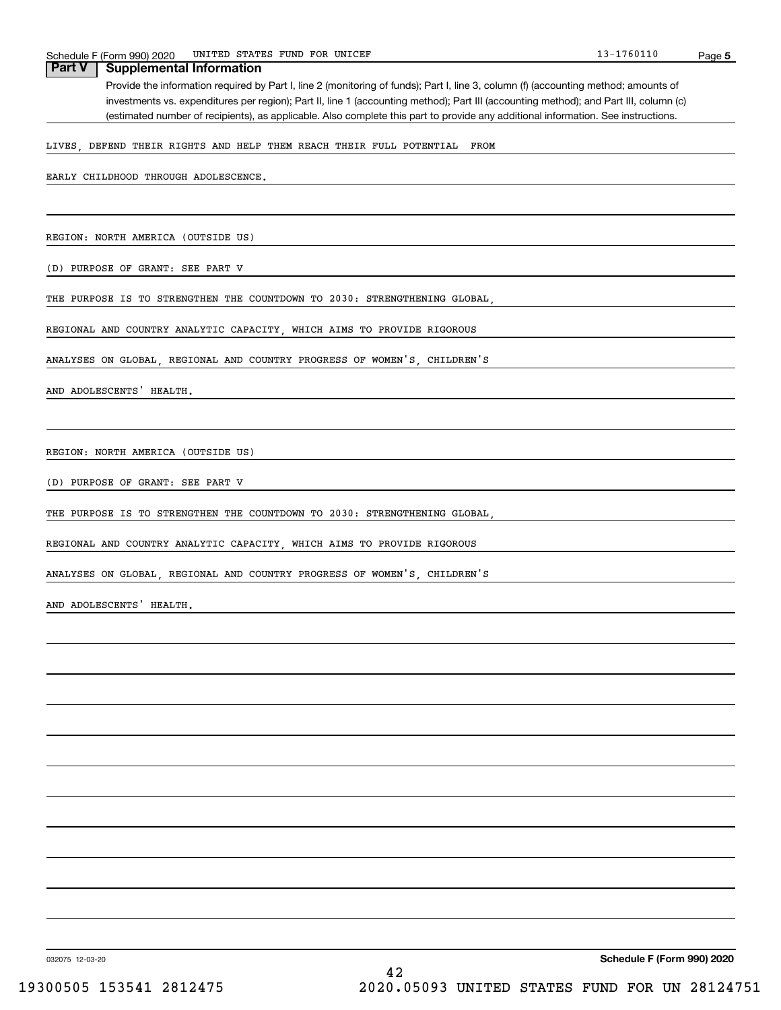Schedule F (Form 990) 2020 UNITED STATES FUND FOR UNICEF<br> **Part V** Supplemental Information<br>
Part V Supplemental Information Provide the information required by Part I, line 2 (monitoring of funds); Part I, line 3, column (f) (accounting method; amounts of investments vs. expenditures per region); Part II, line 1 (accounting method); Part III (accounting method); and Part III, column (c) (estimated number of recipients), as applicable. Also complete this part to provide any additional information. See instructions. **Supplemental Information** 

LIVES, DEFEND THEIR RIGHTS AND HELP THEM REACH THEIR FULL POTENTIAL FROM

EARLY CHILDHOOD THROUGH ADOLESCENCE.

REGION: NORTH AMERICA (OUTSIDE US)

(D) PURPOSE OF GRANT: SEE PART V

THE PURPOSE IS TO STRENGTHEN THE COUNTDOWN TO 2030: STRENGTHENING GLOBAL,

REGIONAL AND COUNTRY ANALYTIC CAPACITY, WHICH AIMS TO PROVIDE RIGOROUS

ANALYSES ON GLOBAL, REGIONAL AND COUNTRY PROGRESS OF WOMEN'S, CHILDREN'S

AND ADOLESCENTS' HEALTH.

REGION: NORTH AMERICA (OUTSIDE US)

(D) PURPOSE OF GRANT: SEE PART V

THE PURPOSE IS TO STRENGTHEN THE COUNTDOWN TO 2030: STRENGTHENING GLOBAL,

REGIONAL AND COUNTRY ANALYTIC CAPACITY, WHICH AIMS TO PROVIDE RIGOROUS

ANALYSES ON GLOBAL, REGIONAL AND COUNTRY PROGRESS OF WOMEN'S, CHILDREN'S

AND ADOLESCENTS' HEALTH.

032075 12-03-20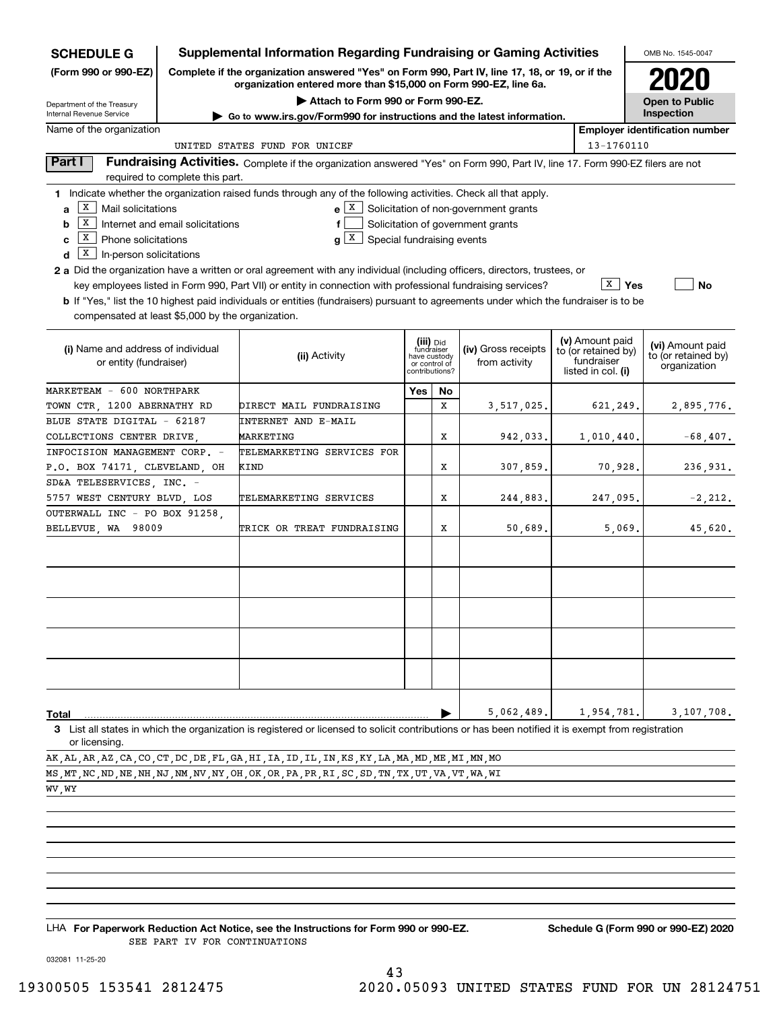| <b>SCHEDULE G</b>                                         |                                                                                                                                                                     | <b>Supplemental Information Regarding Fundraising or Gaming Activities</b>                                                                         |                               |           |                                       |  |                                        | OMB No. 1545-0047                     |
|-----------------------------------------------------------|---------------------------------------------------------------------------------------------------------------------------------------------------------------------|----------------------------------------------------------------------------------------------------------------------------------------------------|-------------------------------|-----------|---------------------------------------|--|----------------------------------------|---------------------------------------|
| (Form 990 or 990-EZ)                                      | Complete if the organization answered "Yes" on Form 990, Part IV, line 17, 18, or 19, or if the<br>organization entered more than \$15,000 on Form 990-EZ, line 6a. |                                                                                                                                                    |                               |           |                                       |  |                                        | 2020                                  |
| Attach to Form 990 or Form 990-EZ.                        |                                                                                                                                                                     |                                                                                                                                                    |                               |           |                                       |  |                                        | <b>Open to Public</b>                 |
| Department of the Treasury<br>Internal Revenue Service    |                                                                                                                                                                     | ► Go to www.irs.gov/Form990 for instructions and the latest information.                                                                           |                               |           |                                       |  |                                        | Inspection                            |
| Name of the organization                                  |                                                                                                                                                                     |                                                                                                                                                    |                               |           |                                       |  |                                        | <b>Employer identification number</b> |
|                                                           |                                                                                                                                                                     | UNITED STATES FUND FOR UNICEF                                                                                                                      |                               |           |                                       |  | 13-1760110                             |                                       |
| Part I                                                    | required to complete this part.                                                                                                                                     | Fundraising Activities. Complete if the organization answered "Yes" on Form 990, Part IV, line 17. Form 990-EZ filers are not                      |                               |           |                                       |  |                                        |                                       |
|                                                           |                                                                                                                                                                     | 1 Indicate whether the organization raised funds through any of the following activities. Check all that apply.                                    |                               |           |                                       |  |                                        |                                       |
| X  <br>Mail solicitations<br>a                            |                                                                                                                                                                     | e X                                                                                                                                                |                               |           | Solicitation of non-government grants |  |                                        |                                       |
| X  <br>b                                                  | Internet and email solicitations                                                                                                                                    | f                                                                                                                                                  |                               |           | Solicitation of government grants     |  |                                        |                                       |
| $\boxed{\textbf{X}}$ Phone solicitations<br>C             |                                                                                                                                                                     | g[X]<br>Special fundraising events                                                                                                                 |                               |           |                                       |  |                                        |                                       |
| $\boxed{\textbf{x}}$ In-person solicitations<br>d         |                                                                                                                                                                     |                                                                                                                                                    |                               |           |                                       |  |                                        |                                       |
|                                                           |                                                                                                                                                                     | 2 a Did the organization have a written or oral agreement with any individual (including officers, directors, trustees, or                         |                               |           |                                       |  | $\sqrt{X}$ Yes                         |                                       |
|                                                           |                                                                                                                                                                     | key employees listed in Form 990, Part VII) or entity in connection with professional fundraising services?                                        |                               |           |                                       |  |                                        | No                                    |
| compensated at least \$5,000 by the organization.         |                                                                                                                                                                     | <b>b</b> If "Yes," list the 10 highest paid individuals or entities (fundraisers) pursuant to agreements under which the fundraiser is to be       |                               |           |                                       |  |                                        |                                       |
|                                                           |                                                                                                                                                                     |                                                                                                                                                    |                               |           |                                       |  |                                        |                                       |
| (i) Name and address of individual                        |                                                                                                                                                                     |                                                                                                                                                    | (iii) Did<br>fundraiser       |           | (iv) Gross receipts                   |  | (v) Amount paid<br>to (or retained by) | (vi) Amount paid                      |
| or entity (fundraiser)                                    |                                                                                                                                                                     | (ii) Activity                                                                                                                                      | have custody<br>or control of |           | from activity                         |  | fundraiser                             | to (or retained by)<br>organization   |
|                                                           |                                                                                                                                                                     |                                                                                                                                                    | contributions?                |           |                                       |  | listed in col. (i)                     |                                       |
| MARKETEAM - 600 NORTHPARK                                 |                                                                                                                                                                     |                                                                                                                                                    | Yes                           | <b>No</b> |                                       |  |                                        |                                       |
| TOWN CTR, 1200 ABERNATHY RD<br>BLUE STATE DIGITAL - 62187 |                                                                                                                                                                     | DIRECT MAIL FUNDRAISING                                                                                                                            |                               | х         | 3,517,025.                            |  | 621,249.                               | 2,895,776.                            |
| COLLECTIONS CENTER DRIVE,                                 |                                                                                                                                                                     | INTERNET AND E-MAIL<br>MARKETING                                                                                                                   |                               | х         |                                       |  |                                        | $-68,407.$                            |
| INFOCISION MANAGEMENT CORP. -                             |                                                                                                                                                                     | TELEMARKETING SERVICES FOR                                                                                                                         |                               |           | 942,033.                              |  | 1,010,440.                             |                                       |
| P.O. BOX 74171, CLEVELAND, OH                             |                                                                                                                                                                     | KIND                                                                                                                                               |                               | Х         | 307,859.                              |  | 70,928.                                | 236,931.                              |
| SD&A TELESERVICES, INC. -                                 |                                                                                                                                                                     |                                                                                                                                                    |                               |           |                                       |  |                                        |                                       |
| 5757 WEST CENTURY BLVD, LOS                               |                                                                                                                                                                     | TELEMARKETING SERVICES                                                                                                                             |                               | х         | 244,883.                              |  | 247,095.                               | $-2, 212.$                            |
| OUTERWALL INC - PO BOX 91258,                             |                                                                                                                                                                     |                                                                                                                                                    |                               |           |                                       |  |                                        |                                       |
| BELLEVUE, WA 98009                                        |                                                                                                                                                                     | TRICK OR TREAT FUNDRAISING                                                                                                                         |                               | х         | 50,689.                               |  | 5,069.                                 | 45,620.                               |
|                                                           |                                                                                                                                                                     |                                                                                                                                                    |                               |           |                                       |  |                                        |                                       |
|                                                           |                                                                                                                                                                     |                                                                                                                                                    |                               |           |                                       |  |                                        |                                       |
|                                                           |                                                                                                                                                                     |                                                                                                                                                    |                               |           |                                       |  |                                        |                                       |
|                                                           |                                                                                                                                                                     |                                                                                                                                                    |                               |           |                                       |  |                                        |                                       |
|                                                           |                                                                                                                                                                     |                                                                                                                                                    |                               |           |                                       |  |                                        |                                       |
|                                                           |                                                                                                                                                                     |                                                                                                                                                    |                               |           |                                       |  |                                        |                                       |
|                                                           |                                                                                                                                                                     |                                                                                                                                                    |                               |           |                                       |  |                                        |                                       |
|                                                           |                                                                                                                                                                     |                                                                                                                                                    |                               |           |                                       |  |                                        |                                       |
|                                                           |                                                                                                                                                                     |                                                                                                                                                    |                               |           |                                       |  |                                        |                                       |
|                                                           |                                                                                                                                                                     |                                                                                                                                                    |                               |           | 5,062,489.                            |  | 1,954,781.                             | 3,107,708.                            |
| Total                                                     |                                                                                                                                                                     | 3 List all states in which the organization is registered or licensed to solicit contributions or has been notified it is exempt from registration |                               |           |                                       |  |                                        |                                       |
| or licensing.                                             |                                                                                                                                                                     |                                                                                                                                                    |                               |           |                                       |  |                                        |                                       |
|                                                           |                                                                                                                                                                     | AK, AL, AR, AZ, CA, CO, CT, DC, DE, FL, GA, HI, IA, ID, IL, IN, KS, KY, LA, MA, MD, ME, MI, MN, MO                                                 |                               |           |                                       |  |                                        |                                       |

MS,MT,NC,ND,NE,NH,NJ,NM,NV,NY,OH,OK,OR,PA,PR,RI,SC,SD,TN,TX,UT,VA,VT,WA,WI

WV,WY

LHA For Paperwork Reduction Act Notice, see the Instructions for Form 990 or 990-EZ. Schedule G (Form 990 or 990-EZ) 2020 SEE PART IV FOR CONTINUATIONS

032081 11-25-20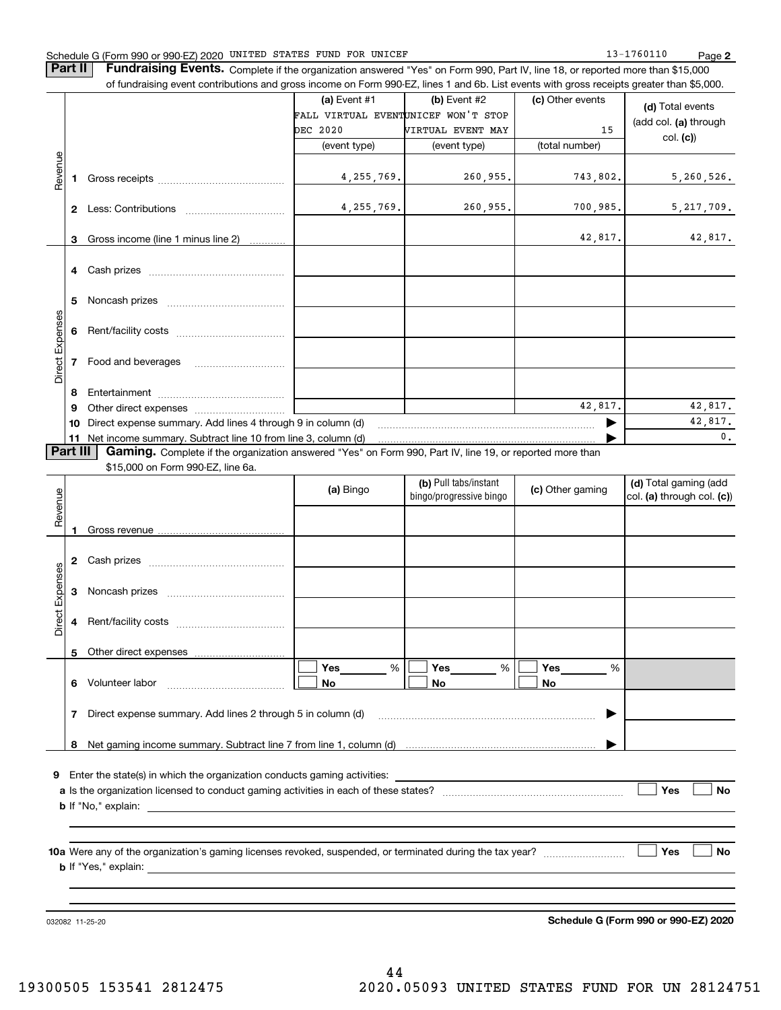#### Schedule G (Form 990 or 990-EZ) 2020 Page UNITED STATES FUND FOR UNICEF 13-1760110

**Part II** | Fundraising Events. Complete if the organization answered "Yes" on Form 990, Part IV, line 18, or reported more than \$15,000

|                                   |        | of fundraising event contributions and gross income on Form 990-EZ, lines 1 and 6b. List events with gross receipts greater than \$5,000. |                                     |                         |                  |                            |  |  |
|-----------------------------------|--------|-------------------------------------------------------------------------------------------------------------------------------------------|-------------------------------------|-------------------------|------------------|----------------------------|--|--|
|                                   |        |                                                                                                                                           | (a) Event $#1$                      | $(b)$ Event #2          | (c) Other events |                            |  |  |
|                                   |        |                                                                                                                                           | FALL VIRTUAL EVENTUNICEF WON'T STOP |                         |                  | (d) Total events           |  |  |
|                                   |        |                                                                                                                                           | DEC 2020                            | VIRTUAL EVENT MAY       | 15               | (add col. (a) through      |  |  |
|                                   |        |                                                                                                                                           | (event type)                        | (event type)            | (total number)   | col. (c)                   |  |  |
|                                   |        |                                                                                                                                           |                                     |                         |                  |                            |  |  |
| Revenue                           |        |                                                                                                                                           | 4, 255, 769.                        | 260,955.                | 743,802.         | 5, 260, 526.               |  |  |
|                                   |        |                                                                                                                                           |                                     |                         |                  |                            |  |  |
|                                   |        |                                                                                                                                           | 4, 255, 769.                        | 260,955.                | 700,985.         | 5, 217, 709.               |  |  |
|                                   |        |                                                                                                                                           |                                     |                         |                  |                            |  |  |
|                                   | 3      | Gross income (line 1 minus line 2)                                                                                                        |                                     |                         | 42,817.          | 42,817.                    |  |  |
|                                   |        |                                                                                                                                           |                                     |                         |                  |                            |  |  |
|                                   |        |                                                                                                                                           |                                     |                         |                  |                            |  |  |
|                                   |        |                                                                                                                                           |                                     |                         |                  |                            |  |  |
|                                   | 5      |                                                                                                                                           |                                     |                         |                  |                            |  |  |
|                                   |        |                                                                                                                                           |                                     |                         |                  |                            |  |  |
|                                   | 6      |                                                                                                                                           |                                     |                         |                  |                            |  |  |
| Direct Expenses                   |        |                                                                                                                                           |                                     |                         |                  |                            |  |  |
|                                   |        | 7 Food and beverages                                                                                                                      |                                     |                         |                  |                            |  |  |
|                                   |        |                                                                                                                                           |                                     |                         |                  |                            |  |  |
|                                   |        |                                                                                                                                           |                                     |                         |                  |                            |  |  |
|                                   | 8<br>9 |                                                                                                                                           |                                     |                         | 42,817.          | 42,817.                    |  |  |
|                                   |        | 10 Direct expense summary. Add lines 4 through 9 in column (d)                                                                            |                                     |                         | 42,817.          |                            |  |  |
|                                   |        | 11 Net income summary. Subtract line 10 from line 3, column (d)                                                                           |                                     |                         |                  | $\mathbf{0}$ .             |  |  |
| <b>Part III</b>                   |        | <b>Gaming.</b> Complete if the organization answered "Yes" on Form 990, Part IV, line 19, or reported more than                           |                                     |                         |                  |                            |  |  |
|                                   |        |                                                                                                                                           |                                     |                         |                  |                            |  |  |
| \$15,000 on Form 990-EZ, line 6a. |        |                                                                                                                                           |                                     |                         |                  |                            |  |  |
|                                   |        |                                                                                                                                           |                                     |                         |                  |                            |  |  |
|                                   |        |                                                                                                                                           | (a) Bingo                           | (b) Pull tabs/instant   | (c) Other gaming | (d) Total gaming (add      |  |  |
|                                   |        |                                                                                                                                           |                                     | bingo/progressive bingo |                  | col. (a) through col. (c)) |  |  |
| Revenue                           |        |                                                                                                                                           |                                     |                         |                  |                            |  |  |
|                                   | 1.     |                                                                                                                                           |                                     |                         |                  |                            |  |  |
|                                   |        |                                                                                                                                           |                                     |                         |                  |                            |  |  |
|                                   |        |                                                                                                                                           |                                     |                         |                  |                            |  |  |
|                                   |        |                                                                                                                                           |                                     |                         |                  |                            |  |  |
|                                   | 3      |                                                                                                                                           |                                     |                         |                  |                            |  |  |
| Expenses                          |        |                                                                                                                                           |                                     |                         |                  |                            |  |  |
| Direct                            | 4      |                                                                                                                                           |                                     |                         |                  |                            |  |  |
|                                   |        |                                                                                                                                           |                                     |                         |                  |                            |  |  |
|                                   | 5      | Other direct expenses                                                                                                                     |                                     |                         |                  |                            |  |  |
|                                   |        |                                                                                                                                           | Yes<br>%                            | Yes<br>$\%$             | Yes<br>%         |                            |  |  |
|                                   |        | 6 Volunteer labor                                                                                                                         | No                                  | No                      | No               |                            |  |  |
|                                   |        |                                                                                                                                           |                                     |                         |                  |                            |  |  |
|                                   | 7      | Direct expense summary. Add lines 2 through 5 in column (d)                                                                               |                                     |                         |                  |                            |  |  |
|                                   |        |                                                                                                                                           |                                     |                         |                  |                            |  |  |
|                                   | 8      |                                                                                                                                           |                                     |                         |                  |                            |  |  |
|                                   |        |                                                                                                                                           |                                     |                         |                  |                            |  |  |
|                                   |        | 9 Enter the state(s) in which the organization conducts gaming activities:                                                                |                                     |                         |                  |                            |  |  |
|                                   |        |                                                                                                                                           |                                     |                         |                  | Yes<br>No                  |  |  |
|                                   |        |                                                                                                                                           |                                     |                         |                  |                            |  |  |
|                                   |        |                                                                                                                                           |                                     |                         |                  |                            |  |  |
|                                   |        |                                                                                                                                           |                                     |                         |                  | No<br>Yes                  |  |  |

032082 11-25-20

**Schedule G (Form 990 or 990-EZ) 2020**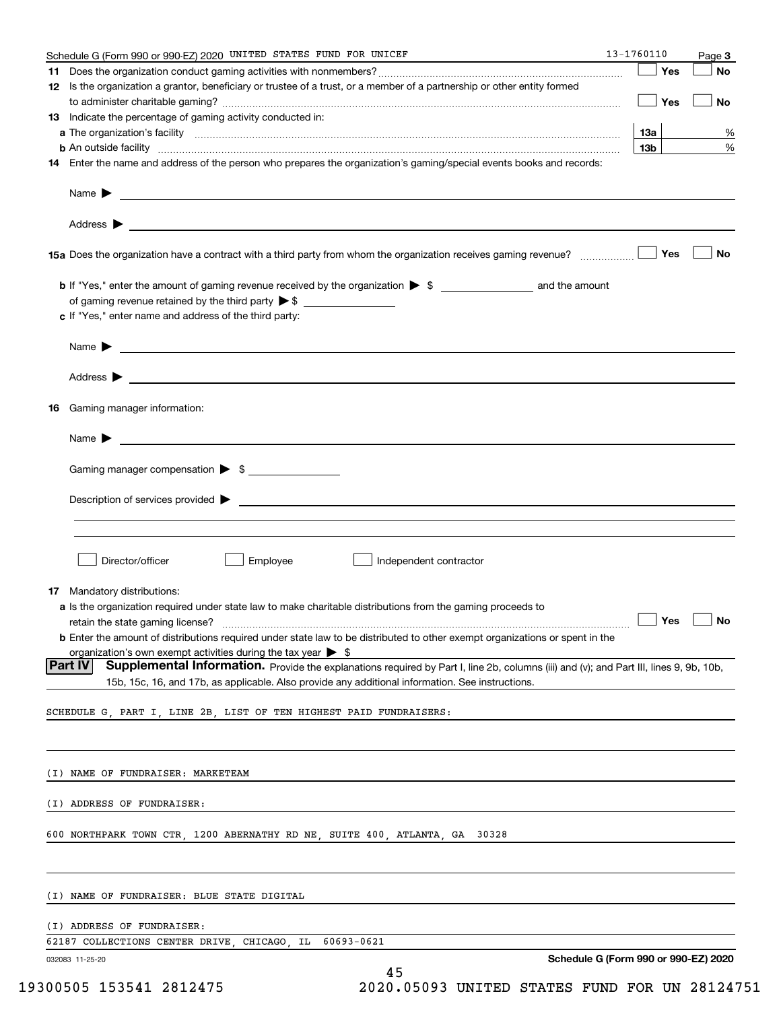| Schedule G (Form 990 or 990-EZ) 2020 UNITED STATES FUND FOR UNICEF                                                                                | 13-1760110      |            | Page 3               |
|---------------------------------------------------------------------------------------------------------------------------------------------------|-----------------|------------|----------------------|
|                                                                                                                                                   |                 | — ∣ Yes    | No                   |
| 12 Is the organization a grantor, beneficiary or trustee of a trust, or a member of a partnership or other entity formed                          |                 |            |                      |
|                                                                                                                                                   |                 | $\Box$ Yes | No                   |
| 13 Indicate the percentage of gaming activity conducted in:                                                                                       |                 |            |                      |
|                                                                                                                                                   | 13a             |            | %                    |
| <b>b</b> An outside facility <i>www.communicality www.communicality.communicality www.communicality www.communicality.communicality</i>           | 13 <sub>b</sub> |            | %                    |
| 14 Enter the name and address of the person who prepares the organization's gaming/special events books and records:                              |                 |            |                      |
|                                                                                                                                                   |                 |            |                      |
|                                                                                                                                                   |                 |            |                      |
|                                                                                                                                                   |                 |            | No                   |
|                                                                                                                                                   |                 |            |                      |
| of gaming revenue retained by the third party > \$ ______________________________                                                                 |                 |            |                      |
| c If "Yes," enter name and address of the third party:                                                                                            |                 |            |                      |
| Name $\blacktriangleright$ $\lrcorner$                                                                                                            |                 |            |                      |
|                                                                                                                                                   |                 |            |                      |
|                                                                                                                                                   |                 |            |                      |
| 16 Gaming manager information:                                                                                                                    |                 |            |                      |
|                                                                                                                                                   |                 |            |                      |
|                                                                                                                                                   |                 |            |                      |
| Gaming manager compensation > \$                                                                                                                  |                 |            |                      |
|                                                                                                                                                   |                 |            |                      |
|                                                                                                                                                   |                 |            |                      |
|                                                                                                                                                   |                 |            |                      |
|                                                                                                                                                   |                 |            |                      |
| Employee<br>Director/officer<br>Independent contractor                                                                                            |                 |            |                      |
| <b>17</b> Mandatory distributions:                                                                                                                |                 |            |                      |
| a Is the organization required under state law to make charitable distributions from the gaming proceeds to                                       |                 |            |                      |
| retain the state gaming license?                                                                                                                  |                 |            | $\Box$ Yes $\Box$ No |
| <b>b</b> Enter the amount of distributions required under state law to be distributed to other exempt organizations or spent in the               |                 |            |                      |
| organization's own exempt activities during the tax year $\triangleright$ \$                                                                      |                 |            |                      |
| Part IV<br>Supplemental Information. Provide the explanations required by Part I, line 2b, columns (iii) and (v); and Part III, lines 9, 9b, 10b, |                 |            |                      |
| 15b, 15c, 16, and 17b, as applicable. Also provide any additional information. See instructions.                                                  |                 |            |                      |
| SCHEDULE G, PART I, LINE 2B, LIST OF TEN HIGHEST PAID FUNDRAISERS:                                                                                |                 |            |                      |
|                                                                                                                                                   |                 |            |                      |
| (I) NAME OF FUNDRAISER: MARKETEAM                                                                                                                 |                 |            |                      |
|                                                                                                                                                   |                 |            |                      |
| (I) ADDRESS OF FUNDRAISER:                                                                                                                        |                 |            |                      |
| 600 NORTHPARK TOWN CTR, 1200 ABERNATHY RD NE, SUITE 400, ATLANTA, GA 30328                                                                        |                 |            |                      |
|                                                                                                                                                   |                 |            |                      |
| (I) NAME OF FUNDRAISER: BLUE STATE DIGITAL                                                                                                        |                 |            |                      |
| (I) ADDRESS OF FUNDRAISER:                                                                                                                        |                 |            |                      |
| 62187 COLLECTIONS CENTER DRIVE, CHICAGO, IL<br>60693-0621                                                                                         |                 |            |                      |
| Schedule G (Form 990 or 990-EZ) 2020<br>032083 11-25-20<br>45                                                                                     |                 |            |                      |
|                                                                                                                                                   |                 |            |                      |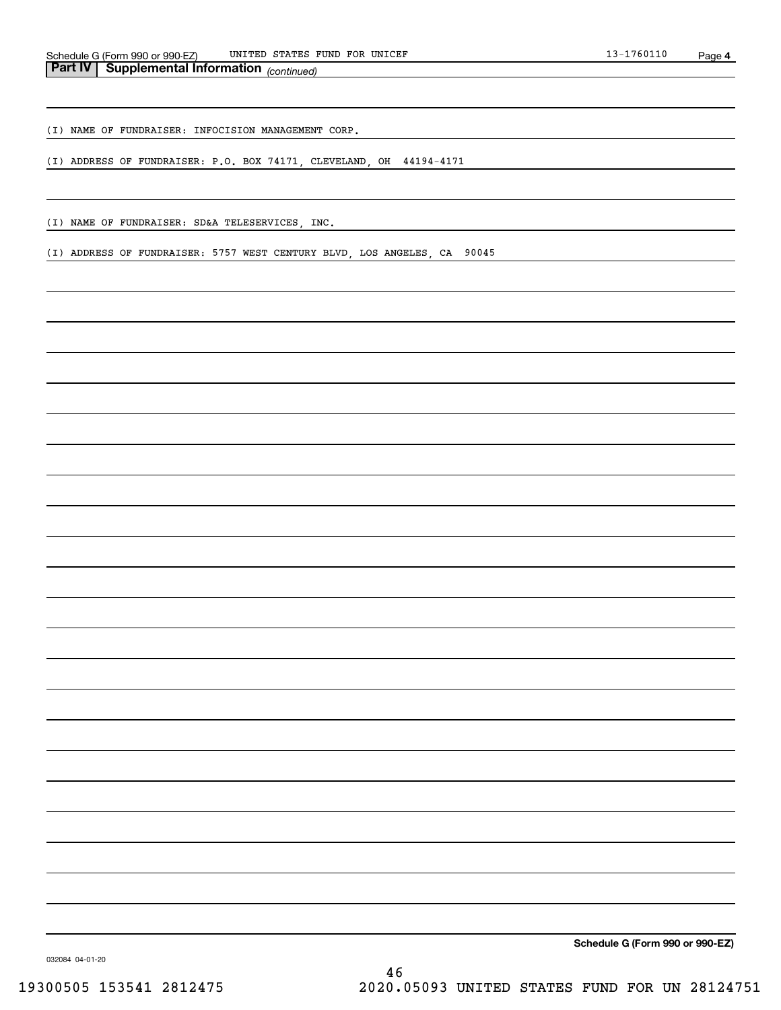(I) NAME OF FUNDRAISER: INFOCISION MANAGEMENT CORP.

(I) ADDRESS OF FUNDRAISER: P.O. BOX 74171, CLEVELAND, OH 44194-4171

(I) NAME OF FUNDRAISER: SD&A TELESERVICES, INC.

(I) ADDRESS OF FUNDRAISER: 5757 WEST CENTURY BLVD, LOS ANGELES, CA 90045

**Schedule G (Form 990 or 990-EZ)**

032084 04-01-20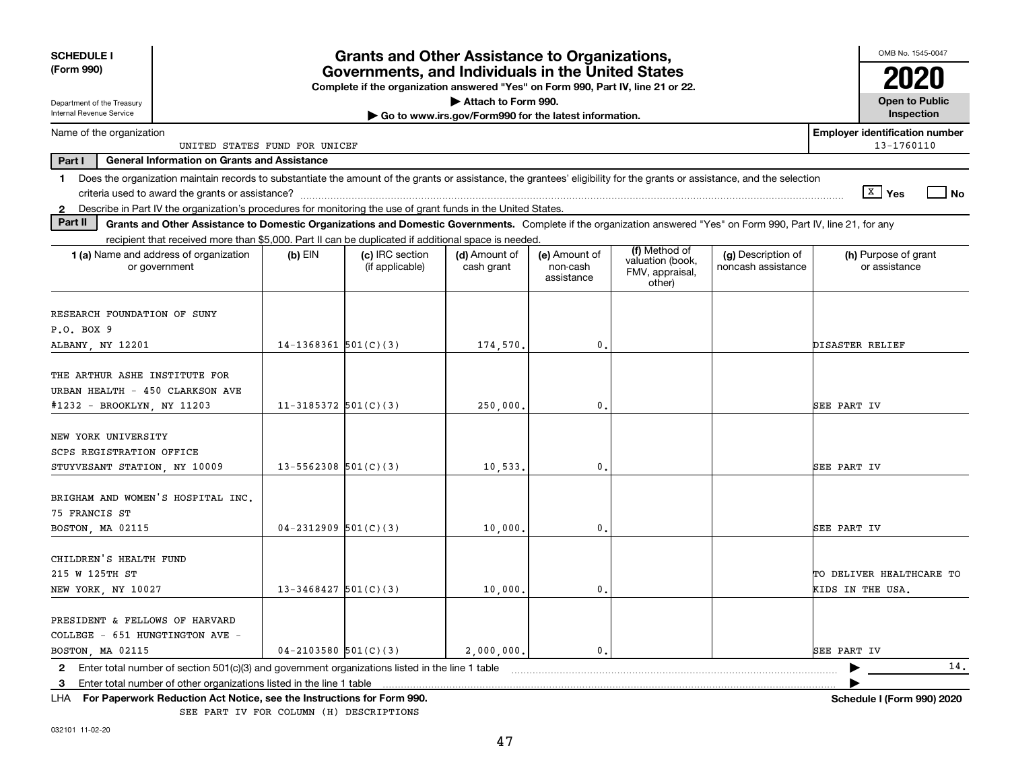| (Form 990)                                                                                                                                                                                                                                                                |                               | Governments, and Individuals in the United States<br>Complete if the organization answered "Yes" on Form 990, Part IV, line 21 or 22. |                                                                              | <b>Grants and Other Assistance to Organizations,</b> |                                                                |                                          | OMB No. 1545-0047                                   |
|---------------------------------------------------------------------------------------------------------------------------------------------------------------------------------------------------------------------------------------------------------------------------|-------------------------------|---------------------------------------------------------------------------------------------------------------------------------------|------------------------------------------------------------------------------|------------------------------------------------------|----------------------------------------------------------------|------------------------------------------|-----------------------------------------------------|
| Department of the Treasury<br>Internal Revenue Service                                                                                                                                                                                                                    |                               |                                                                                                                                       | Attach to Form 990.<br>Go to www.irs.gov/Form990 for the latest information. |                                                      |                                                                |                                          | <b>Open to Public</b><br>Inspection                 |
| Name of the organization                                                                                                                                                                                                                                                  | UNITED STATES FUND FOR UNICEF |                                                                                                                                       |                                                                              |                                                      |                                                                |                                          | <b>Employer identification number</b><br>13-1760110 |
| Part I<br><b>General Information on Grants and Assistance</b>                                                                                                                                                                                                             |                               |                                                                                                                                       |                                                                              |                                                      |                                                                |                                          |                                                     |
| Does the organization maintain records to substantiate the amount of the grants or assistance, the grantees' eligibility for the grants or assistance, and the selection<br>1.                                                                                            |                               |                                                                                                                                       |                                                                              |                                                      |                                                                |                                          | X Yes<br>  No                                       |
| Describe in Part IV the organization's procedures for monitoring the use of grant funds in the United States<br>$\mathbf{2}$<br>Part II                                                                                                                                   |                               |                                                                                                                                       |                                                                              |                                                      |                                                                |                                          |                                                     |
| Grants and Other Assistance to Domestic Organizations and Domestic Governments. Complete if the organization answered "Yes" on Form 990, Part IV, line 21, for any<br>recipient that received more than \$5,000. Part II can be duplicated if additional space is needed. |                               |                                                                                                                                       |                                                                              |                                                      |                                                                |                                          |                                                     |
| 1 (a) Name and address of organization<br>or government                                                                                                                                                                                                                   | $(b)$ EIN                     | (c) IRC section<br>(if applicable)                                                                                                    | (d) Amount of<br>cash grant                                                  | (e) Amount of<br>non-cash<br>assistance              | (f) Method of<br>valuation (book,<br>FMV, appraisal,<br>other) | (g) Description of<br>noncash assistance | (h) Purpose of grant<br>or assistance               |
| RESEARCH FOUNDATION OF SUNY<br>P.O. BOX 9<br>ALBANY, NY 12201                                                                                                                                                                                                             | $14-1368361$ 501(C)(3)        |                                                                                                                                       | 174,570.                                                                     | 0.                                                   |                                                                |                                          | <b>DISASTER RELIEF</b>                              |
| THE ARTHUR ASHE INSTITUTE FOR<br>URBAN HEALTH - 450 CLARKSON AVE<br>#1232 - BROOKLYN, NY 11203                                                                                                                                                                            | $11-3185372$ 501(C)(3)        |                                                                                                                                       | 250,000                                                                      | 0.                                                   |                                                                |                                          | SEE PART IV                                         |
| NEW YORK UNIVERSITY<br>SCPS REGISTRATION OFFICE<br>STUYVESANT STATION, NY 10009                                                                                                                                                                                           | $13 - 5562308$ $501(C)(3)$    |                                                                                                                                       | 10,533.                                                                      | 0.                                                   |                                                                |                                          | <b>SEE PART IV</b>                                  |
| BRIGHAM AND WOMEN'S HOSPITAL INC.<br>75 FRANCIS ST<br>BOSTON, MA 02115                                                                                                                                                                                                    | $04 - 2312909$ 501(C)(3)      |                                                                                                                                       | 10,000                                                                       | 0.                                                   |                                                                |                                          | <b>SEE PART IV</b>                                  |
| CHILDREN'S HEALTH FUND<br>215 W 125TH ST<br>NEW YORK, NY 10027                                                                                                                                                                                                            | $13 - 3468427$ 501(C)(3)      |                                                                                                                                       | 10,000                                                                       | 0.                                                   |                                                                |                                          | TO DELIVER HEALTHCARE TO<br>KIDS IN THE USA.        |
| PRESIDENT & FELLOWS OF HARVARD<br>COLLEGE - 651 HUNGTINGTON AVE -<br>BOSTON, MA 02115                                                                                                                                                                                     | $04 - 2103580$ 501(C)(3)      |                                                                                                                                       | 2,000,000,                                                                   | $\mathbf{0}$ .                                       |                                                                |                                          | SEE PART IV                                         |
| Enter total number of section 501(c)(3) and government organizations listed in the line 1 table<br>2                                                                                                                                                                      |                               |                                                                                                                                       |                                                                              |                                                      |                                                                |                                          | 14.                                                 |
| Enter total number of other organizations listed in the line 1 table<br>3<br>For Paperwork Reduction Act Notice, see the Instructions for Form 990.<br>LHA.                                                                                                               |                               |                                                                                                                                       |                                                                              |                                                      |                                                                |                                          | Schedule I (Form 990) 2020                          |

SEE PART IV FOR COLUMN (H) DESCRIPTIONS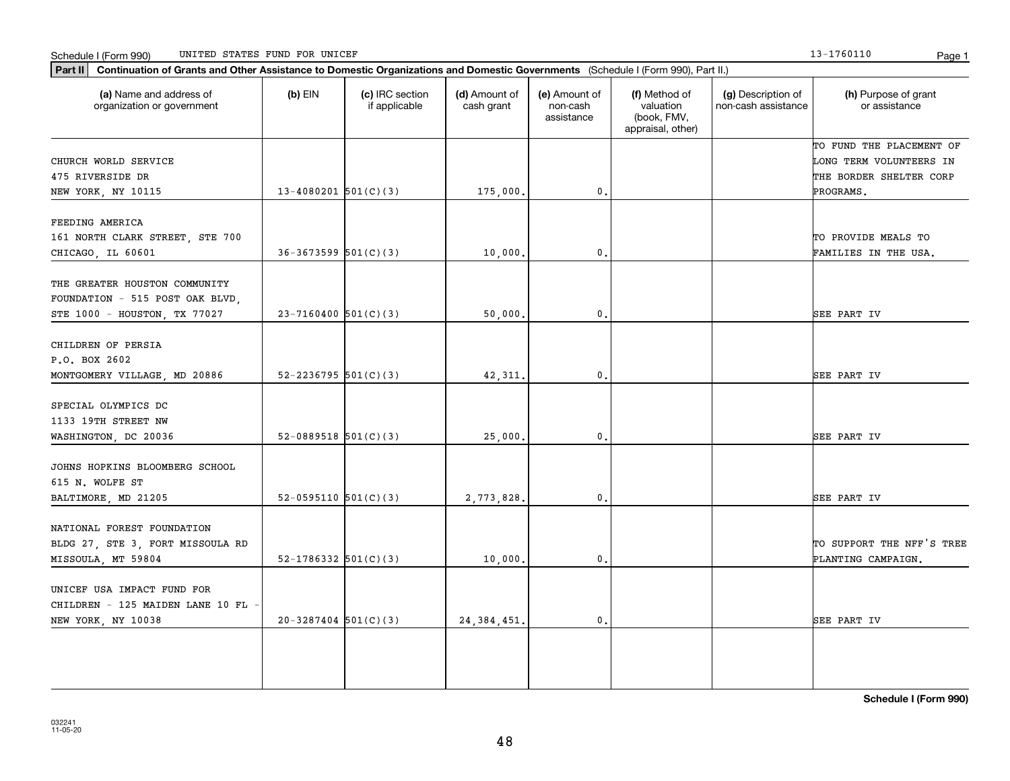Schedule I (Form 990) Page 1 UNITED STATES FUND FOR UNICEF

**Part II Continuation of Grants and Other Assistance to Domestic Organizations and Domestic Governments**  (Schedule I (Form 990), Part II.)

 $(b)$  EIN  $(c)$  IRC section

**(a) (b) (c) (d) (e) (f) (g) (h)** Name and address of

(d) Amount of

| organization or government       |                          | if applicable | cash grant    | non-cash<br>assistance | valuation<br>(book, FMV,<br>appraisal, other) | non-cash assistance | or assistance             |
|----------------------------------|--------------------------|---------------|---------------|------------------------|-----------------------------------------------|---------------------|---------------------------|
|                                  |                          |               |               |                        |                                               |                     | TO FUND THE PLACEMENT OF  |
| CHURCH WORLD SERVICE             |                          |               |               |                        |                                               |                     | LONG TERM VOLUNTEERS IN   |
| 475 RIVERSIDE DR                 |                          |               |               |                        |                                               |                     | THE BORDER SHELTER CORP   |
| NEW YORK, NY 10115               | $13-4080201$ 501(C)(3)   |               | 175,000       | 0.                     |                                               |                     | PROGRAMS.                 |
| FEEDING AMERICA                  |                          |               |               |                        |                                               |                     |                           |
| 161 NORTH CLARK STREET, STE 700  |                          |               |               |                        |                                               |                     | TO PROVIDE MEALS TO       |
| CHICAGO, IL 60601                | $36-3673599$ $501(C)(3)$ |               | 10,000        | 0.                     |                                               |                     | FAMILIES IN THE USA.      |
| THE GREATER HOUSTON COMMUNITY    |                          |               |               |                        |                                               |                     |                           |
| FOUNDATION - 515 POST OAK BLVD,  |                          |               |               |                        |                                               |                     |                           |
| STE 1000 - HOUSTON, TX 77027     | $23 - 7160400$ 501(C)(3) |               | 50,000        | $\mathfrak o$ .        |                                               |                     | SEE PART IV               |
| CHILDREN OF PERSIA               |                          |               |               |                        |                                               |                     |                           |
| P.O. BOX 2602                    |                          |               |               |                        |                                               |                     |                           |
| MONTGOMERY VILLAGE, MD 20886     | 52-2236795 $501(C)(3)$   |               | 42,311.       | $^{\rm 0}$ .           |                                               |                     | SEE PART IV               |
|                                  |                          |               |               |                        |                                               |                     |                           |
| SPECIAL OLYMPICS DC              |                          |               |               |                        |                                               |                     |                           |
| 1133 19TH STREET NW              |                          |               |               |                        |                                               |                     |                           |
| WASHINGTON, DC 20036             | 52-0889518 $501(C)(3)$   |               | 25,000        | 0.                     |                                               |                     | SEE PART IV               |
| JOHNS HOPKINS BLOOMBERG SCHOOL   |                          |               |               |                        |                                               |                     |                           |
| 615 N. WOLFE ST                  |                          |               |               |                        |                                               |                     |                           |
| BALTIMORE, MD 21205              | 52-0595110 $501(C)(3)$   |               | 2,773,828     | 0.                     |                                               |                     | SEE PART IV               |
| NATIONAL FOREST FOUNDATION       |                          |               |               |                        |                                               |                     |                           |
|                                  |                          |               |               |                        |                                               |                     | TO SUPPORT THE NFF'S TREE |
| BLDG 27, STE 3, FORT MISSOULA RD |                          |               |               |                        |                                               |                     |                           |
| MISSOULA, MT 59804               | 52-1786332 $501(C)(3)$   |               | 10,000        | 0.                     |                                               |                     | PLANTING CAMPAIGN.        |
| UNICEF USA IMPACT FUND FOR       |                          |               |               |                        |                                               |                     |                           |
| CHILDREN - 125 MAIDEN LANE 10 FL |                          |               |               |                        |                                               |                     |                           |
| NEW YORK, NY 10038               | $20-3287404$ 501(C)(3)   |               | 24, 384, 451. | 0.                     |                                               |                     | SEE PART IV               |

(e) Amount of

(f) Method of

(g) Description of

13-1760110

(h) Purpose of grant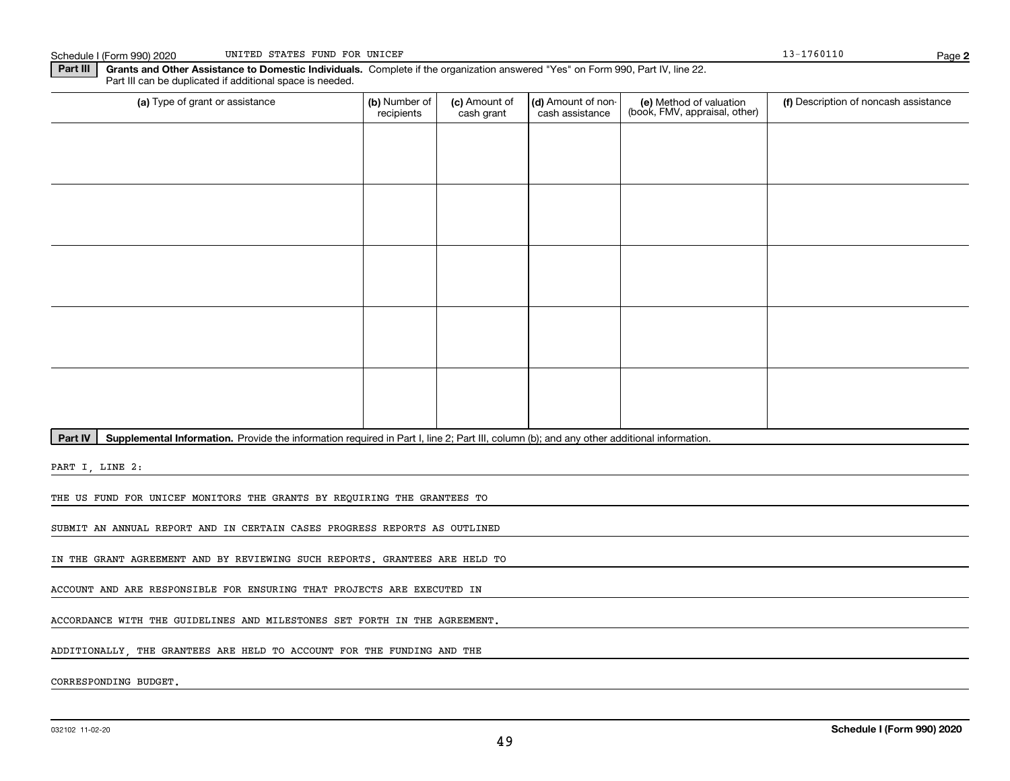**2**

**Part III** | Grants and Other Assistance to Domestic Individuals. Complete if the organization answered "Yes" on Form 990, Part IV, line 22. Part III can be duplicated if additional space is needed.

| (a) Type of grant or assistance | (b) Number of<br>recipients | (c) Amount of<br>cash grant | (d) Amount of non-<br>cash assistance | (e) Method of valuation<br>(book, FMV, appraisal, other) | (f) Description of noncash assistance |
|---------------------------------|-----------------------------|-----------------------------|---------------------------------------|----------------------------------------------------------|---------------------------------------|
|                                 |                             |                             |                                       |                                                          |                                       |
|                                 |                             |                             |                                       |                                                          |                                       |
|                                 |                             |                             |                                       |                                                          |                                       |
|                                 |                             |                             |                                       |                                                          |                                       |
|                                 |                             |                             |                                       |                                                          |                                       |
|                                 |                             |                             |                                       |                                                          |                                       |
|                                 |                             |                             |                                       |                                                          |                                       |
|                                 |                             |                             |                                       |                                                          |                                       |
|                                 |                             |                             |                                       |                                                          |                                       |
|                                 |                             |                             |                                       |                                                          |                                       |

Part IV | Supplemental Information. Provide the information required in Part I, line 2; Part III, column (b); and any other additional information.

PART I, LINE 2:

THE US FUND FOR UNICEF MONITORS THE GRANTS BY REQUIRING THE GRANTEES TO

SUBMIT AN ANNUAL REPORT AND IN CERTAIN CASES PROGRESS REPORTS AS OUTLINED

IN THE GRANT AGREEMENT AND BY REVIEWING SUCH REPORTS. GRANTEES ARE HELD TO

ACCOUNT AND ARE RESPONSIBLE FOR ENSURING THAT PROJECTS ARE EXECUTED IN

ACCORDANCE WITH THE GUIDELINES AND MILESTONES SET FORTH IN THE AGREEMENT.

ADDITIONALLY, THE GRANTEES ARE HELD TO ACCOUNT FOR THE FUNDING AND THE

CORRESPONDING BUDGET.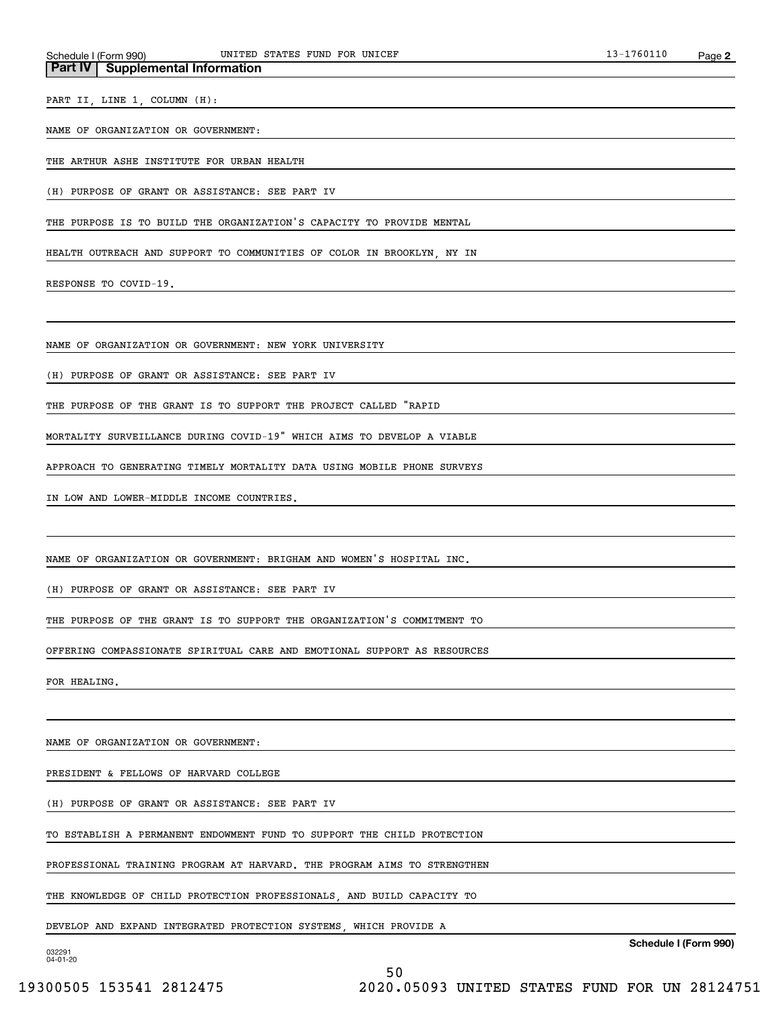**Part IV Supplemental Information**

PART II, LINE 1, COLUMN (H):

#### NAME OF ORGANIZATION OR GOVERNMENT:

THE ARTHUR ASHE INSTITUTE FOR URBAN HEALTH

(H) PURPOSE OF GRANT OR ASSISTANCE: SEE PART IV

THE PURPOSE IS TO BUILD THE ORGANIZATION'S CAPACITY TO PROVIDE MENTAL

HEALTH OUTREACH AND SUPPORT TO COMMUNITIES OF COLOR IN BROOKLYN, NY IN

RESPONSE TO COVID-19.

NAME OF ORGANIZATION OR GOVERNMENT: NEW YORK UNIVERSITY

(H) PURPOSE OF GRANT OR ASSISTANCE: SEE PART IV

THE PURPOSE OF THE GRANT IS TO SUPPORT THE PROJECT CALLED "RAPID

MORTALITY SURVEILLANCE DURING COVID-19" WHICH AIMS TO DEVELOP A VIABLE

APPROACH TO GENERATING TIMELY MORTALITY DATA USING MOBILE PHONE SURVEYS

IN LOW AND LOWER-MIDDLE INCOME COUNTRIES.

NAME OF ORGANIZATION OR GOVERNMENT: BRIGHAM AND WOMEN'S HOSPITAL INC.

(H) PURPOSE OF GRANT OR ASSISTANCE: SEE PART IV

THE PURPOSE OF THE GRANT IS TO SUPPORT THE ORGANIZATION'S COMMITMENT TO

OFFERING COMPASSIONATE SPIRITUAL CARE AND EMOTIONAL SUPPORT AS RESOURCES

FOR HEALING.

NAME OF ORGANIZATION OR GOVERNMENT:

PRESIDENT & FELLOWS OF HARVARD COLLEGE

(H) PURPOSE OF GRANT OR ASSISTANCE: SEE PART IV

TO ESTABLISH A PERMANENT ENDOWMENT FUND TO SUPPORT THE CHILD PROTECTION

PROFESSIONAL TRAINING PROGRAM AT HARVARD. THE PROGRAM AIMS TO STRENGTHEN

50

THE KNOWLEDGE OF CHILD PROTECTION PROFESSIONALS, AND BUILD CAPACITY TO

DEVELOP AND EXPAND INTEGRATED PROTECTION SYSTEMS, WHICH PROVIDE A

**Schedule I (Form 990)**

032291 04-01-20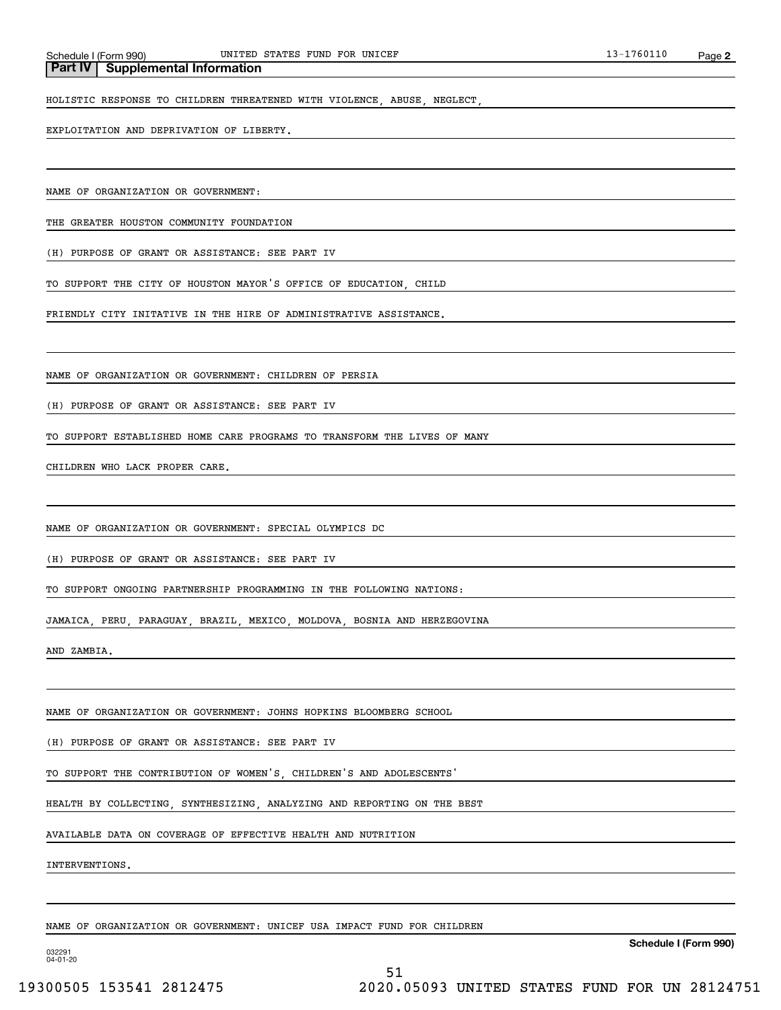**Part IV Supplemental Information**

HOLISTIC RESPONSE TO CHILDREN THREATENED WITH VIOLENCE, ABUSE, NEGLECT,

EXPLOITATION AND DEPRIVATION OF LIBERTY.

NAME OF ORGANIZATION OR GOVERNMENT:

THE GREATER HOUSTON COMMUNITY FOUNDATION

(H) PURPOSE OF GRANT OR ASSISTANCE: SEE PART IV

TO SUPPORT THE CITY OF HOUSTON MAYOR'S OFFICE OF EDUCATION, CHILD

FRIENDLY CITY INITATIVE IN THE HIRE OF ADMINISTRATIVE ASSISTANCE.

NAME OF ORGANIZATION OR GOVERNMENT: CHILDREN OF PERSIA

(H) PURPOSE OF GRANT OR ASSISTANCE: SEE PART IV

TO SUPPORT ESTABLISHED HOME CARE PROGRAMS TO TRANSFORM THE LIVES OF MANY

CHILDREN WHO LACK PROPER CARE.

NAME OF ORGANIZATION OR GOVERNMENT: SPECIAL OLYMPICS DC

(H) PURPOSE OF GRANT OR ASSISTANCE: SEE PART IV

TO SUPPORT ONGOING PARTNERSHIP PROGRAMMING IN THE FOLLOWING NATIONS:

JAMAICA, PERU, PARAGUAY, BRAZIL, MEXICO, MOLDOVA, BOSNIA AND HERZEGOVINA

AND ZAMBIA.

NAME OF ORGANIZATION OR GOVERNMENT: JOHNS HOPKINS BLOOMBERG SCHOOL

(H) PURPOSE OF GRANT OR ASSISTANCE: SEE PART IV

TO SUPPORT THE CONTRIBUTION OF WOMEN'S, CHILDREN'S AND ADOLESCENTS'

HEALTH BY COLLECTING, SYNTHESIZING, ANALYZING AND REPORTING ON THE BEST

AVAILABLE DATA ON COVERAGE OF EFFECTIVE HEALTH AND NUTRITION

INTERVENTIONS.

NAME OF ORGANIZATION OR GOVERNMENT: UNICEF USA IMPACT FUND FOR CHILDREN

**Schedule I (Form 990)**

032291 04-01-20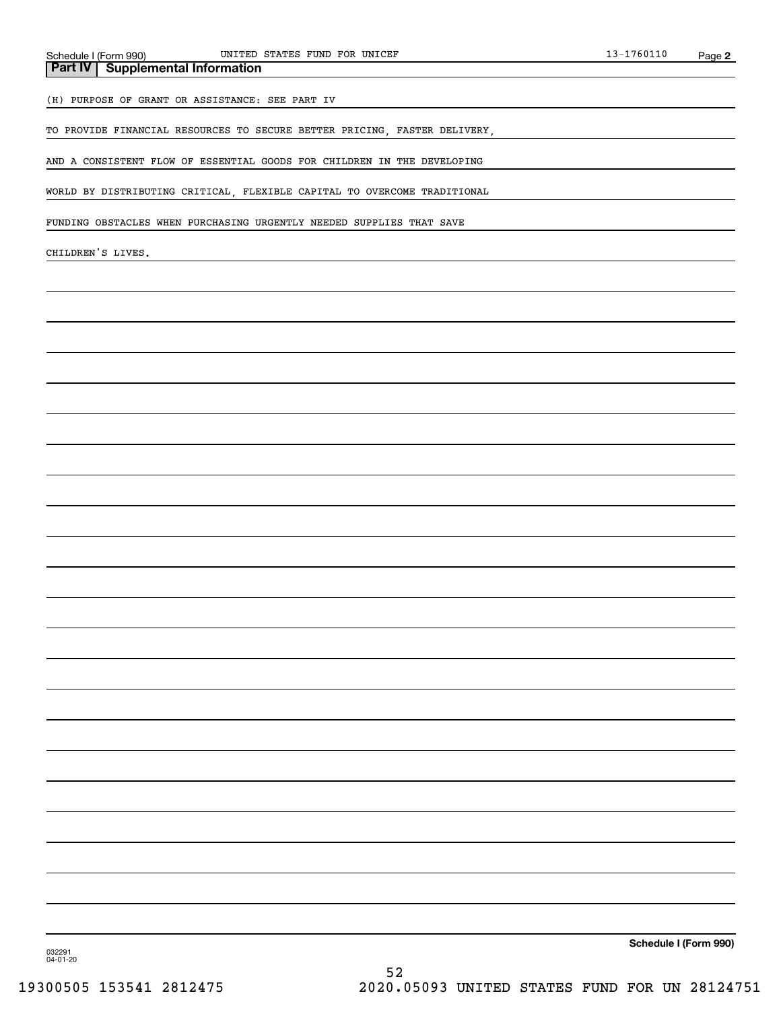**Part IV** | Supplemental Information

(H) PURPOSE OF GRANT OR ASSISTANCE: SEE PART IV

TO PROVIDE FINANCIAL RESOURCES TO SECURE BETTER PRICING, FASTER DELIVERY,

AND A CONSISTENT FLOW OF ESSENTIAL GOODS FOR CHILDREN IN THE DEVELOPING

WORLD BY DISTRIBUTING CRITICAL, FLEXIBLE CAPITAL TO OVERCOME TRADITIONAL

FUNDING OBSTACLES WHEN PURCHASING URGENTLY NEEDED SUPPLIES THAT SAVE

CHILDREN'S LIVES.

**Schedule I (Form 990)**

032291 04-01-20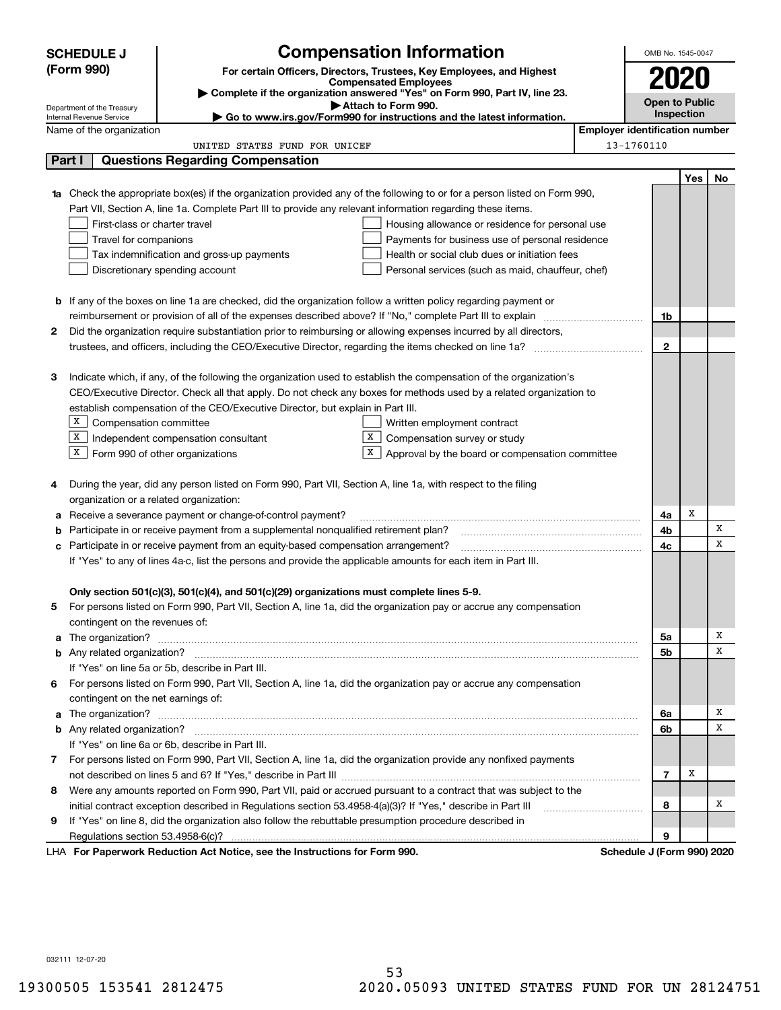|                                                                                                             | <b>SCHEDULE J</b>                                                                                                                                                                                                                        |                                                                                                               | <b>Compensation Information</b>                                                                                        |                                       | OMB No. 1545-0047          |     |    |  |  |  |
|-------------------------------------------------------------------------------------------------------------|------------------------------------------------------------------------------------------------------------------------------------------------------------------------------------------------------------------------------------------|---------------------------------------------------------------------------------------------------------------|------------------------------------------------------------------------------------------------------------------------|---------------------------------------|----------------------------|-----|----|--|--|--|
|                                                                                                             | (Form 990)                                                                                                                                                                                                                               | For certain Officers, Directors, Trustees, Key Employees, and Highest                                         |                                                                                                                        |                                       |                            |     |    |  |  |  |
|                                                                                                             |                                                                                                                                                                                                                                          |                                                                                                               | <b>Compensated Employees</b>                                                                                           |                                       | 2020                       |     |    |  |  |  |
|                                                                                                             |                                                                                                                                                                                                                                          |                                                                                                               | Complete if the organization answered "Yes" on Form 990, Part IV, line 23.<br>Attach to Form 990.                      |                                       | <b>Open to Public</b>      |     |    |  |  |  |
|                                                                                                             | Department of the Treasury<br>Internal Revenue Service                                                                                                                                                                                   |                                                                                                               | Go to www.irs.gov/Form990 for instructions and the latest information.                                                 |                                       | Inspection                 |     |    |  |  |  |
|                                                                                                             | Name of the organization                                                                                                                                                                                                                 |                                                                                                               |                                                                                                                        | <b>Employer identification number</b> |                            |     |    |  |  |  |
|                                                                                                             |                                                                                                                                                                                                                                          | UNITED STATES FUND FOR UNICEF                                                                                 |                                                                                                                        | 13-1760110                            |                            |     |    |  |  |  |
|                                                                                                             | Part I                                                                                                                                                                                                                                   | <b>Questions Regarding Compensation</b>                                                                       |                                                                                                                        |                                       |                            |     |    |  |  |  |
|                                                                                                             |                                                                                                                                                                                                                                          |                                                                                                               |                                                                                                                        |                                       |                            | Yes | No |  |  |  |
| 1a                                                                                                          |                                                                                                                                                                                                                                          |                                                                                                               | Check the appropriate box(es) if the organization provided any of the following to or for a person listed on Form 990, |                                       |                            |     |    |  |  |  |
|                                                                                                             |                                                                                                                                                                                                                                          | Part VII, Section A, line 1a. Complete Part III to provide any relevant information regarding these items.    |                                                                                                                        |                                       |                            |     |    |  |  |  |
|                                                                                                             | First-class or charter travel                                                                                                                                                                                                            |                                                                                                               | Housing allowance or residence for personal use                                                                        |                                       |                            |     |    |  |  |  |
|                                                                                                             | Travel for companions                                                                                                                                                                                                                    |                                                                                                               | Payments for business use of personal residence                                                                        |                                       |                            |     |    |  |  |  |
|                                                                                                             |                                                                                                                                                                                                                                          | Tax indemnification and gross-up payments                                                                     | Health or social club dues or initiation fees                                                                          |                                       |                            |     |    |  |  |  |
|                                                                                                             |                                                                                                                                                                                                                                          | Discretionary spending account                                                                                | Personal services (such as maid, chauffeur, chef)                                                                      |                                       |                            |     |    |  |  |  |
|                                                                                                             |                                                                                                                                                                                                                                          |                                                                                                               |                                                                                                                        |                                       |                            |     |    |  |  |  |
|                                                                                                             |                                                                                                                                                                                                                                          |                                                                                                               | <b>b</b> If any of the boxes on line 1a are checked, did the organization follow a written policy regarding payment or |                                       |                            |     |    |  |  |  |
|                                                                                                             |                                                                                                                                                                                                                                          | reimbursement or provision of all of the expenses described above? If "No," complete Part III to explain      |                                                                                                                        |                                       | 1b                         |     |    |  |  |  |
| 2                                                                                                           |                                                                                                                                                                                                                                          |                                                                                                               | Did the organization require substantiation prior to reimbursing or allowing expenses incurred by all directors,       |                                       |                            |     |    |  |  |  |
|                                                                                                             |                                                                                                                                                                                                                                          |                                                                                                               |                                                                                                                        |                                       | $\mathbf{2}$               |     |    |  |  |  |
|                                                                                                             |                                                                                                                                                                                                                                          |                                                                                                               |                                                                                                                        |                                       |                            |     |    |  |  |  |
| З                                                                                                           | Indicate which, if any, of the following the organization used to establish the compensation of the organization's<br>CEO/Executive Director. Check all that apply. Do not check any boxes for methods used by a related organization to |                                                                                                               |                                                                                                                        |                                       |                            |     |    |  |  |  |
|                                                                                                             |                                                                                                                                                                                                                                          |                                                                                                               |                                                                                                                        |                                       |                            |     |    |  |  |  |
|                                                                                                             | establish compensation of the CEO/Executive Director, but explain in Part III.                                                                                                                                                           |                                                                                                               |                                                                                                                        |                                       |                            |     |    |  |  |  |
|                                                                                                             | X<br>Compensation committee<br>Written employment contract<br>X<br>X<br>Independent compensation consultant                                                                                                                              |                                                                                                               |                                                                                                                        |                                       |                            |     |    |  |  |  |
|                                                                                                             |                                                                                                                                                                                                                                          |                                                                                                               | Compensation survey or study<br>X                                                                                      |                                       |                            |     |    |  |  |  |
|                                                                                                             | $X$ Form 990 of other organizations                                                                                                                                                                                                      |                                                                                                               | Approval by the board or compensation committee                                                                        |                                       |                            |     |    |  |  |  |
| 4                                                                                                           |                                                                                                                                                                                                                                          | During the year, did any person listed on Form 990, Part VII, Section A, line 1a, with respect to the filing  |                                                                                                                        |                                       |                            |     |    |  |  |  |
|                                                                                                             | organization or a related organization:                                                                                                                                                                                                  |                                                                                                               |                                                                                                                        |                                       |                            |     |    |  |  |  |
| a                                                                                                           |                                                                                                                                                                                                                                          | Receive a severance payment or change-of-control payment?                                                     |                                                                                                                        |                                       | 4a                         | х   |    |  |  |  |
| b                                                                                                           |                                                                                                                                                                                                                                          | Participate in or receive payment from a supplemental nongualified retirement plan?                           |                                                                                                                        |                                       | 4b                         |     | X  |  |  |  |
| с                                                                                                           |                                                                                                                                                                                                                                          | Participate in or receive payment from an equity-based compensation arrangement?                              |                                                                                                                        |                                       | 4c                         |     | X  |  |  |  |
|                                                                                                             |                                                                                                                                                                                                                                          | If "Yes" to any of lines 4a-c, list the persons and provide the applicable amounts for each item in Part III. |                                                                                                                        |                                       |                            |     |    |  |  |  |
|                                                                                                             |                                                                                                                                                                                                                                          |                                                                                                               |                                                                                                                        |                                       |                            |     |    |  |  |  |
|                                                                                                             |                                                                                                                                                                                                                                          | Only section 501(c)(3), 501(c)(4), and 501(c)(29) organizations must complete lines 5-9.                      |                                                                                                                        |                                       |                            |     |    |  |  |  |
|                                                                                                             |                                                                                                                                                                                                                                          |                                                                                                               | For persons listed on Form 990, Part VII, Section A, line 1a, did the organization pay or accrue any compensation      |                                       |                            |     |    |  |  |  |
|                                                                                                             | contingent on the revenues of:                                                                                                                                                                                                           |                                                                                                               |                                                                                                                        |                                       |                            |     |    |  |  |  |
|                                                                                                             |                                                                                                                                                                                                                                          |                                                                                                               |                                                                                                                        |                                       | 5a                         |     | х  |  |  |  |
|                                                                                                             | <b>b</b> Any related organization?                                                                                                                                                                                                       |                                                                                                               |                                                                                                                        |                                       | 5b                         |     | x  |  |  |  |
|                                                                                                             |                                                                                                                                                                                                                                          | If "Yes" on line 5a or 5b, describe in Part III.                                                              |                                                                                                                        |                                       |                            |     |    |  |  |  |
| 6                                                                                                           |                                                                                                                                                                                                                                          |                                                                                                               | For persons listed on Form 990, Part VII, Section A, line 1a, did the organization pay or accrue any compensation      |                                       |                            |     |    |  |  |  |
|                                                                                                             | contingent on the net earnings of:                                                                                                                                                                                                       |                                                                                                               |                                                                                                                        |                                       |                            |     |    |  |  |  |
| a                                                                                                           |                                                                                                                                                                                                                                          |                                                                                                               |                                                                                                                        |                                       | 6a                         |     | х  |  |  |  |
|                                                                                                             |                                                                                                                                                                                                                                          |                                                                                                               |                                                                                                                        |                                       | 6b                         |     | х  |  |  |  |
|                                                                                                             |                                                                                                                                                                                                                                          | If "Yes" on line 6a or 6b, describe in Part III.                                                              |                                                                                                                        |                                       |                            |     |    |  |  |  |
|                                                                                                             |                                                                                                                                                                                                                                          |                                                                                                               | 7 For persons listed on Form 990, Part VII, Section A, line 1a, did the organization provide any nonfixed payments     |                                       |                            |     |    |  |  |  |
|                                                                                                             |                                                                                                                                                                                                                                          |                                                                                                               |                                                                                                                        |                                       | $\overline{7}$             | х   |    |  |  |  |
| 8                                                                                                           | Were any amounts reported on Form 990, Part VII, paid or accrued pursuant to a contract that was subject to the                                                                                                                          |                                                                                                               |                                                                                                                        |                                       |                            |     |    |  |  |  |
|                                                                                                             | initial contract exception described in Regulations section 53.4958-4(a)(3)? If "Yes," describe in Part III                                                                                                                              |                                                                                                               |                                                                                                                        |                                       | 8                          |     | х  |  |  |  |
| If "Yes" on line 8, did the organization also follow the rebuttable presumption procedure described in<br>9 |                                                                                                                                                                                                                                          |                                                                                                               |                                                                                                                        |                                       |                            |     |    |  |  |  |
|                                                                                                             | 9<br>Regulations section 53.4958-6(c)?                                                                                                                                                                                                   |                                                                                                               |                                                                                                                        |                                       |                            |     |    |  |  |  |
|                                                                                                             |                                                                                                                                                                                                                                          | LHA For Paperwork Reduction Act Notice, see the Instructions for Form 990.                                    |                                                                                                                        |                                       | Schedule J (Form 990) 2020 |     |    |  |  |  |

032111 12-07-20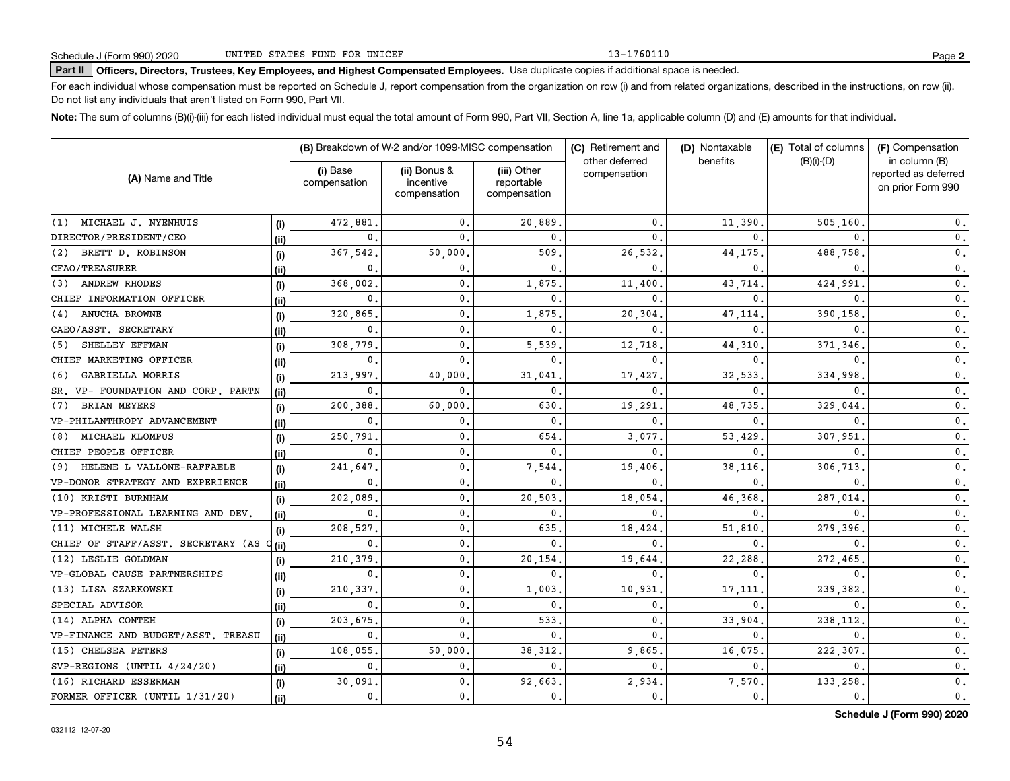13-1760110

# **Part II Officers, Directors, Trustees, Key Employees, and Highest Compensated Employees.**  Schedule J (Form 990) 2020 Page Use duplicate copies if additional space is needed.

For each individual whose compensation must be reported on Schedule J, report compensation from the organization on row (i) and from related organizations, described in the instructions, on row (ii). Do not list any individuals that aren't listed on Form 990, Part VII.

**Note:**  The sum of columns (B)(i)-(iii) for each listed individual must equal the total amount of Form 990, Part VII, Section A, line 1a, applicable column (D) and (E) amounts for that individual.

|                                    |      |                          | (B) Breakdown of W-2 and/or 1099-MISC compensation |                                           | (C) Retirement and             | (D) Nontaxable<br>benefits | (E) Total of columns | (F) Compensation                                           |
|------------------------------------|------|--------------------------|----------------------------------------------------|-------------------------------------------|--------------------------------|----------------------------|----------------------|------------------------------------------------------------|
| (A) Name and Title                 |      | (i) Base<br>compensation | (ii) Bonus &<br>incentive<br>compensation          | (iii) Other<br>reportable<br>compensation | other deferred<br>compensation |                            | $(B)(i)-(D)$         | in column (B)<br>reported as deferred<br>on prior Form 990 |
| (1) MICHAEL J. NYENHUIS            | (i)  | 472.881                  | $\mathbf{0}$ .                                     | 20,889                                    | $\mathbf{0}$                   | 11,390                     | 505,160              | 0.                                                         |
| DIRECTOR/PRESIDENT/CEO             | (ii) | 0                        | 0.                                                 | $\mathbf{0}$                              | 0                              | $\Omega$                   | 0                    | 0.                                                         |
| BRETT D. ROBINSON<br>(2)           | (i)  | 367,542                  | 50,000                                             | 509                                       | 26,532                         | 44,175                     | 488,758              | $\mathbf{0}$ .                                             |
| CFAO/TREASURER                     | (ii) | 0                        | $\mathbf{0}$ .                                     | $\mathbf{0}$                              | 0                              | $\Omega$                   | 0                    | $\mathbf{0}$ .                                             |
| ANDREW RHODES<br>(3)               | (i)  | 368,002                  | 0.                                                 | 1,875                                     | 11,400                         | 43,714                     | 424,991              | $\mathbf{0}$ .                                             |
| CHIEF INFORMATION OFFICER          | (ii) | $\mathbf 0$              | 0.                                                 | $\mathbf{0}$                              | 0                              | $\Omega$                   | 0                    | $\mathbf{0}$ .                                             |
| ANUCHA BROWNE<br>(4)               | (i)  | 320,865                  | 0.                                                 | 1,875                                     | 20,304                         | 47,114                     | 390,158              | 0.                                                         |
| CAEO/ASST. SECRETARY               | (ii) | $\mathbf{0}$             | $\mathbf{0}$ .                                     | $\mathbf{0}$                              | $\Omega$                       | $\Omega$                   | 0                    | $\mathbf{0}$ .                                             |
| SHELLEY EFFMAN<br>(5)              | (i)  | 308.779                  | $\mathbf{0}$ .                                     | 5,539                                     | 12,718                         | 44,310                     | 371,346              | $\mathbf{0}$ .                                             |
| CHIEF MARKETING OFFICER            | (ii) | $\mathbf{0}$             | $\mathbf{0}$ .                                     | $\mathbf{0}$                              | 0                              | $\mathbf{0}$               | 0                    | 0.                                                         |
| GABRIELLA MORRIS<br>(6)            | (i)  | 213,997                  | 40,000                                             | 31,041                                    | 17,427                         | 32,533                     | 334,998              | 0.                                                         |
| SR. VP- FOUNDATION AND CORP. PARTN | (ii) | $\mathbf 0$              | 0                                                  | $\mathbf 0$ .                             | 0                              | $\mathbf{0}$               | 0                    | $\mathbf{0}$ .                                             |
| <b>BRIAN MEYERS</b><br>(7)         | (i)  | 200,388                  | 60,000                                             | 630                                       | 19,291                         | 48,735                     | 329,044              | 0.                                                         |
| VP-PHILANTHROPY ADVANCEMENT        | (i)  | 0.                       | 0                                                  | $\mathbf{0}$                              | 0                              | $\mathbf{0}$               | 0                    | 0.                                                         |
| MICHAEL KLOMPUS<br>(8)             | (i)  | 250,791                  | $\mathbf 0$                                        | 654                                       | 3,077                          | 53,429                     | 307,951              | 0.                                                         |
| CHIEF PEOPLE OFFICER               | (ii) | $\mathbf 0$              | 0.                                                 | $\mathbf{0}$                              | 0                              | 0                          | 0                    | 0.                                                         |
| HELENE L VALLONE-RAFFAELE<br>(9)   | (i)  | 241,647                  | 0.                                                 | 7,544                                     | 19,406                         | 38,116                     | 306.713              | $\mathbf{0}$ .                                             |
| VP-DONOR STRATEGY AND EXPERIENCE   | (ii) | $\mathbf{0}$             | 0.                                                 | 0                                         | 0                              | 0                          | 0                    | $\mathbf{0}$ .                                             |
| (10) KRISTI BURNHAM                | (i)  | 202,089                  | 0.                                                 | 20,503                                    | 18,054                         | 46,368                     | 287,014              | 0.                                                         |
| VP-PROFESSIONAL LEARNING AND DEV.  | (ii) | $\mathbf 0$              | 0.                                                 | 0.                                        | 0                              | 0                          |                      | 0.                                                         |
| (11) MICHELE WALSH                 | (i)  | 208,527                  | 0.                                                 | 635.                                      | 18,424                         | 51,810                     | 279,396              | $\mathbf{0}$ .                                             |
| CHIEF OF STAFF/ASST. SECRETARY (AS | (ii) | 0.                       | 0.                                                 | $\mathbf{0}$                              | 0                              | 0                          | 0                    | $\mathbf{0}$ .                                             |
| (12) LESLIE GOLDMAN                | (i)  | 210,379                  | $\mathsf 0$ .                                      | 20,154                                    | 19,644                         | 22,288                     | 272,465              | 0.                                                         |
| VP-GLOBAL CAUSE PARTNERSHIPS       | (ii) | $\mathbf{0}$             | 0.                                                 | 0.                                        | 0                              | $\mathbf{0}$               | 0                    | $\mathbf{0}$ .                                             |
| (13) LISA SZARKOWSKI               | (i)  | 210,337                  | 0.                                                 | 1,003.                                    | 10,931                         | 17,111                     | 239,382              | $\mathbf{0}$ .                                             |
| SPECIAL ADVISOR                    | (ii) | $\mathbf{0}$ .           | $\mathbf{0}$ .                                     | 0.                                        | $\mathbf{0}$                   | $\mathbf{0}$               | 0                    | $\mathbf{0}$ .                                             |
| (14) ALPHA CONTEH                  | (i)  | 203,675                  | $\mathbf{0}$ .                                     | 533.                                      | 0                              | 33,904                     | 238,112              | $\mathbf{0}$ .                                             |
| VP-FINANCE AND BUDGET/ASST. TREASU | (ii) | 0,                       | 0.                                                 | $\mathbf{0}$ .                            | 0                              | $\mathbf{0}$ .             | $\mathbf{0}$         | $\mathbf{0}$ .                                             |
| (15) CHELSEA PETERS                | (i)  | 108,055                  | 50,000                                             | 38.312.                                   | 9,865                          | 16,075                     | 222,307              | $\mathbf{0}$ .                                             |
| SVP-REGIONS (UNTIL 4/24/20)        | (ii) | 0.                       | 0.                                                 | 0.                                        | $\mathbf{0}$                   | $\mathbf{0}$ .             | 0.                   | $\mathbf 0$ .                                              |
| (16) RICHARD ESSERMAN              | (i)  | 30,091                   | 0.                                                 | 92,663.                                   | 2,934                          | 7,570                      | 133,258              | $\mathbf 0$ .                                              |
| FORMER OFFICER (UNTIL 1/31/20)     | (ii) | 0.                       | 0.                                                 | 0.                                        | $\mathbf 0$ .                  | 0.                         | 0.                   | $\mathbf{0}$ .                                             |

**Schedule J (Form 990) 2020**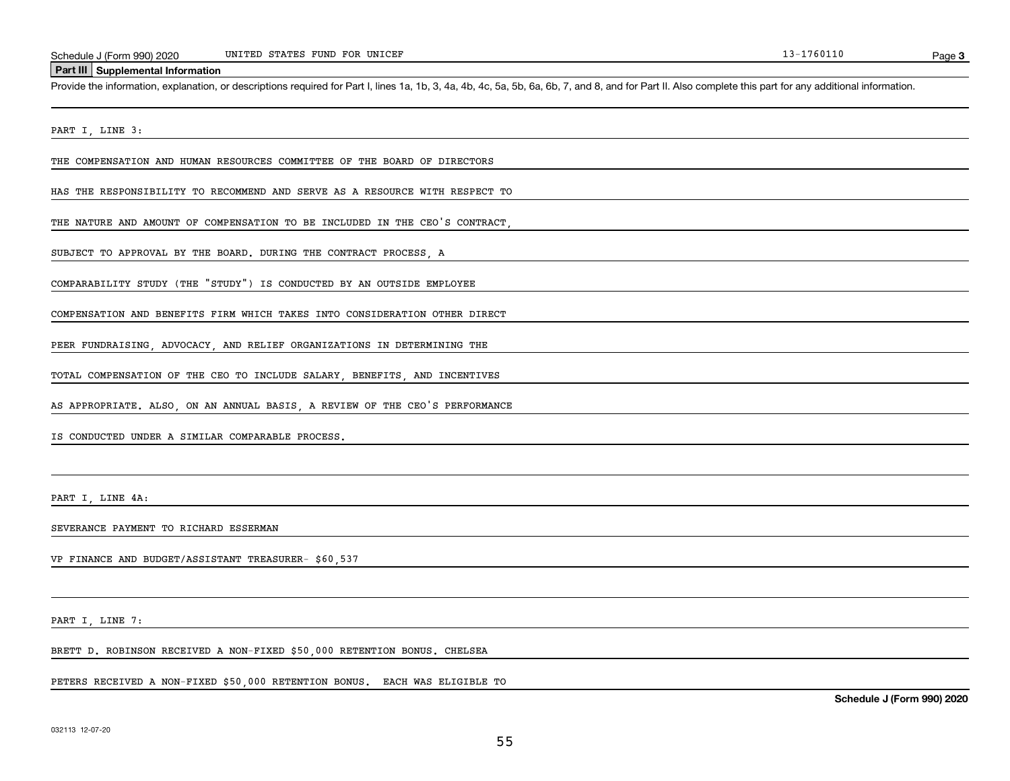#### **Part III Supplemental Information**

Schedule J (Form 990) 2020 UNITED STATES FUND FOR UNICEF<br>Part III Supplemental Information<br>Provide the information, explanation, or descriptions required for Part I, lines 1a, 1b, 3, 4a, 4b, 4c, 5a, 5b, 6a, 6b, 7, and 8, a

PART I, LINE 3:

THE COMPENSATION AND HUMAN RESOURCES COMMITTEE OF THE BOARD OF DIRECTORS

HAS THE RESPONSIBILITY TO RECOMMEND AND SERVE AS A RESOURCE WITH RESPECT TO

THE NATURE AND AMOUNT OF COMPENSATION TO BE INCLUDED IN THE CEO'S CONTRACT,

SUBJECT TO APPROVAL BY THE BOARD. DURING THE CONTRACT PROCESS, A

COMPARABILITY STUDY (THE "STUDY") IS CONDUCTED BY AN OUTSIDE EMPLOYEE

COMPENSATION AND BENEFITS FIRM WHICH TAKES INTO CONSIDERATION OTHER DIRECT

PEER FUNDRAISING, ADVOCACY, AND RELIEF ORGANIZATIONS IN DETERMINING THE

TOTAL COMPENSATION OF THE CEO TO INCLUDE SALARY, BENEFITS, AND INCENTIVES

AS APPROPRIATE. ALSO, ON AN ANNUAL BASIS, A REVIEW OF THE CEO'S PERFORMANCE

IS CONDUCTED UNDER A SIMILAR COMPARABLE PROCESS.

PART I, LINE 4A:

SEVERANCE PAYMENT TO RICHARD ESSERMAN

VP FINANCE AND BUDGET/ASSISTANT TREASURER- \$60,537

PART I, LINE 7:

BRETT D. ROBINSON RECEIVED A NON-FIXED \$50,000 RETENTION BONUS. CHELSEA

PETERS RECEIVED A NON-FIXED \$50,000 RETENTION BONUS. EACH WAS ELIGIBLE TO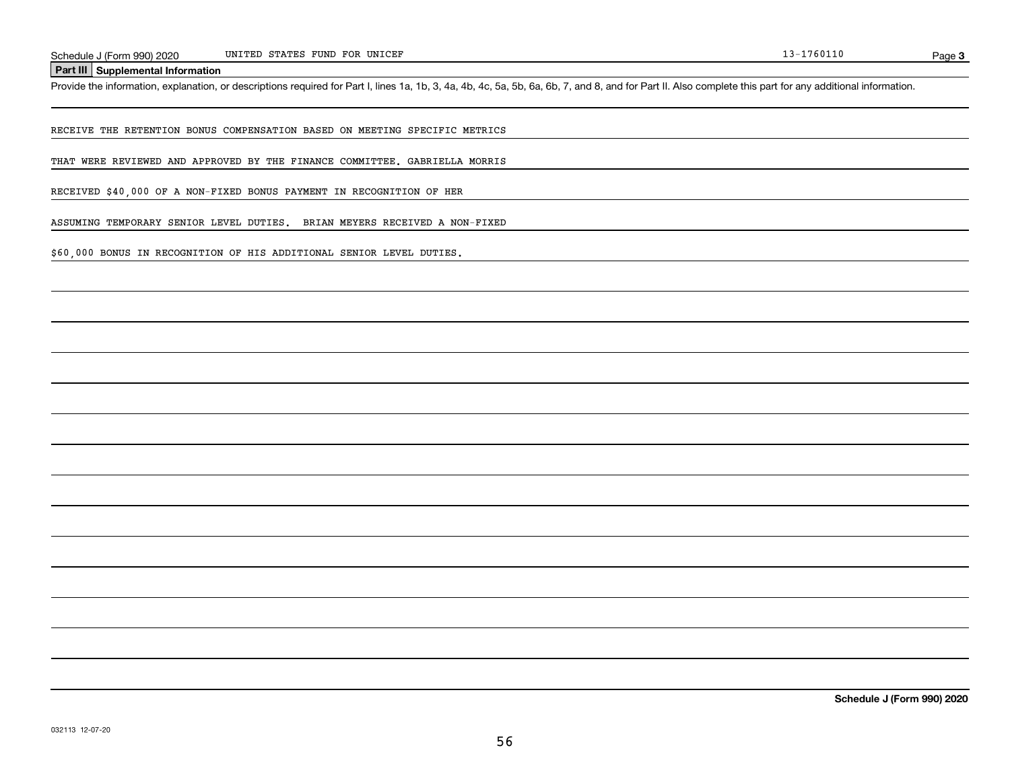**Part III Supplemental Information**

Schedule J (Form 990) 2020 UNITED STATES FUND FOR UNICEF<br>Part III Supplemental Information<br>Provide the information, explanation, or descriptions required for Part I, lines 1a, 1b, 3, 4a, 4b, 4c, 5a, 5b, 6a, 6b, 7, and 8, a

RECEIVE THE RETENTION BONUS COMPENSATION BASED ON MEETING SPECIFIC METRICS

THAT WERE REVIEWED AND APPROVED BY THE FINANCE COMMITTEE. GABRIELLA MORRIS

RECEIVED \$40,000 OF A NON-FIXED BONUS PAYMENT IN RECOGNITION OF HER

ASSUMING TEMPORARY SENIOR LEVEL DUTIES. BRIAN MEYERS RECEIVED A NON-FIXED

\$60,000 BONUS IN RECOGNITION OF HIS ADDITIONAL SENIOR LEVEL DUTIES.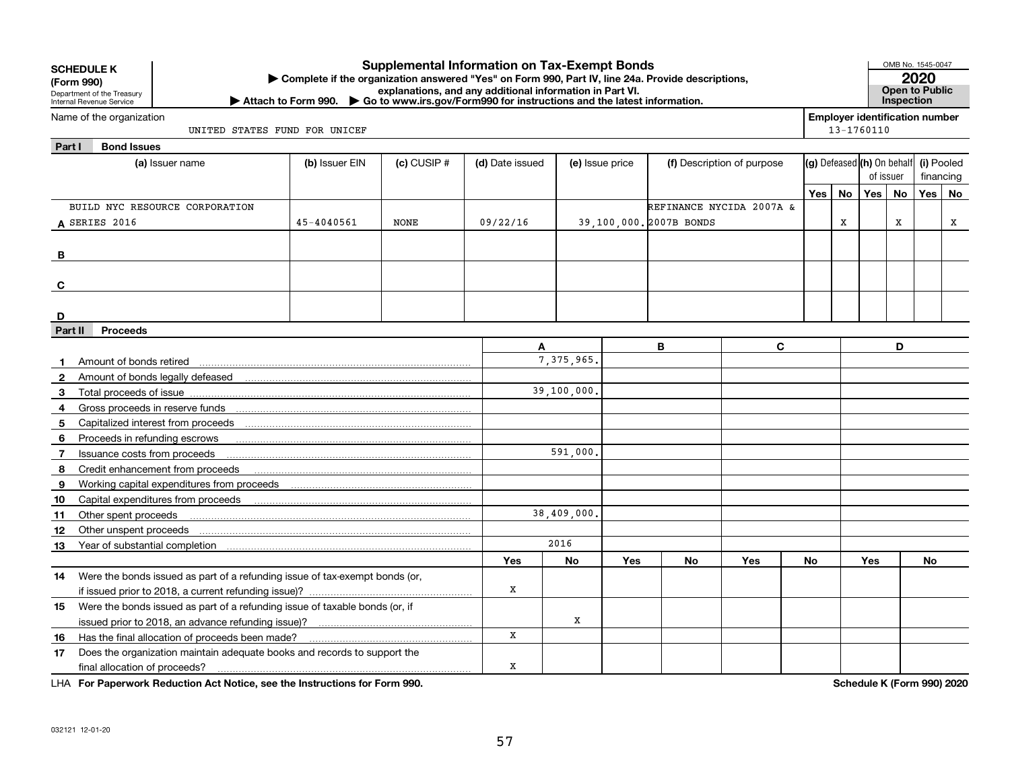| <b>Employer identification number</b><br>Name of the organization<br>13-1760110<br>UNITED STATES FUND FOR UNICEF<br>Part I<br><b>Bond Issues</b><br>(g) Defeased (h) On behalf<br>(i) Pooled<br>(b) Issuer EIN<br>$(c)$ CUSIP $#$<br>(d) Date issued<br>(f) Description of purpose<br>(a) Issuer name<br>(e) Issue price<br>of issuer<br>financing<br>Yes<br><b>Yes</b><br>No<br><b>Yes</b><br><b>No</b><br>No<br>BUILD NYC RESOURCE CORPORATION<br><b>REFINANCE NYCIDA 2007A &amp;</b><br>$\mathbf x$<br>$45 - 4040561$<br>39,100,000. 2007B BONDS<br>x<br>A SERIES 2016<br><b>NONE</b><br>09/22/16<br>x<br>в<br>C<br>D<br><b>Proceeds</b><br>Part II<br>В<br>C<br>D<br>A<br>7, 375, 965.<br>Amount of bonds retired<br>$\mathbf{2}$<br>39,100,000.<br>3<br>4<br>5<br>6<br>Proceeds in refunding escrows<br>591,000.<br>Issuance costs from proceeds<br>7<br>Credit enhancement from proceeds<br>8<br>9<br>Working capital expenditures from proceeds<br>Capital expenditures from proceeds<br>10<br>38,409,000,<br>Other spent proceeds<br>11<br>Other unspent proceeds<br>12<br>2016<br>13<br><b>Yes</b><br><b>No</b><br><b>Yes</b><br><b>No</b><br><b>Yes</b><br><b>No</b><br>Yes<br><b>No</b><br>Were the bonds issued as part of a refunding issue of tax-exempt bonds (or,<br>14<br>x | <b>SCHEDULE K</b><br>(Form 990)<br>Department of the Treasury<br>Internal Revenue Service | <b>Supplemental Information on Tax-Exempt Bonds</b><br>Complete if the organization answered "Yes" on Form 990, Part IV, line 24a. Provide descriptions,<br>explanations, and any additional information in Part VI.<br>Attach to Form 990. $\triangleright$ Go to www.irs.gov/Form 990 for instructions and the latest information. |  |  |  |  |  |  | OMB No. 1545-0047<br>2020<br><b>Open to Public</b><br>Inspection |  |  |  |  |  |  |
|----------------------------------------------------------------------------------------------------------------------------------------------------------------------------------------------------------------------------------------------------------------------------------------------------------------------------------------------------------------------------------------------------------------------------------------------------------------------------------------------------------------------------------------------------------------------------------------------------------------------------------------------------------------------------------------------------------------------------------------------------------------------------------------------------------------------------------------------------------------------------------------------------------------------------------------------------------------------------------------------------------------------------------------------------------------------------------------------------------------------------------------------------------------------------------------------------------------------------------------------------------------------------------------------|-------------------------------------------------------------------------------------------|--------------------------------------------------------------------------------------------------------------------------------------------------------------------------------------------------------------------------------------------------------------------------------------------------------------------------------------|--|--|--|--|--|--|------------------------------------------------------------------|--|--|--|--|--|--|
|                                                                                                                                                                                                                                                                                                                                                                                                                                                                                                                                                                                                                                                                                                                                                                                                                                                                                                                                                                                                                                                                                                                                                                                                                                                                                              |                                                                                           |                                                                                                                                                                                                                                                                                                                                      |  |  |  |  |  |  |                                                                  |  |  |  |  |  |  |
|                                                                                                                                                                                                                                                                                                                                                                                                                                                                                                                                                                                                                                                                                                                                                                                                                                                                                                                                                                                                                                                                                                                                                                                                                                                                                              |                                                                                           |                                                                                                                                                                                                                                                                                                                                      |  |  |  |  |  |  |                                                                  |  |  |  |  |  |  |
|                                                                                                                                                                                                                                                                                                                                                                                                                                                                                                                                                                                                                                                                                                                                                                                                                                                                                                                                                                                                                                                                                                                                                                                                                                                                                              |                                                                                           |                                                                                                                                                                                                                                                                                                                                      |  |  |  |  |  |  |                                                                  |  |  |  |  |  |  |
|                                                                                                                                                                                                                                                                                                                                                                                                                                                                                                                                                                                                                                                                                                                                                                                                                                                                                                                                                                                                                                                                                                                                                                                                                                                                                              |                                                                                           |                                                                                                                                                                                                                                                                                                                                      |  |  |  |  |  |  |                                                                  |  |  |  |  |  |  |
|                                                                                                                                                                                                                                                                                                                                                                                                                                                                                                                                                                                                                                                                                                                                                                                                                                                                                                                                                                                                                                                                                                                                                                                                                                                                                              |                                                                                           |                                                                                                                                                                                                                                                                                                                                      |  |  |  |  |  |  |                                                                  |  |  |  |  |  |  |
|                                                                                                                                                                                                                                                                                                                                                                                                                                                                                                                                                                                                                                                                                                                                                                                                                                                                                                                                                                                                                                                                                                                                                                                                                                                                                              |                                                                                           |                                                                                                                                                                                                                                                                                                                                      |  |  |  |  |  |  |                                                                  |  |  |  |  |  |  |
|                                                                                                                                                                                                                                                                                                                                                                                                                                                                                                                                                                                                                                                                                                                                                                                                                                                                                                                                                                                                                                                                                                                                                                                                                                                                                              |                                                                                           |                                                                                                                                                                                                                                                                                                                                      |  |  |  |  |  |  |                                                                  |  |  |  |  |  |  |
|                                                                                                                                                                                                                                                                                                                                                                                                                                                                                                                                                                                                                                                                                                                                                                                                                                                                                                                                                                                                                                                                                                                                                                                                                                                                                              |                                                                                           |                                                                                                                                                                                                                                                                                                                                      |  |  |  |  |  |  |                                                                  |  |  |  |  |  |  |
|                                                                                                                                                                                                                                                                                                                                                                                                                                                                                                                                                                                                                                                                                                                                                                                                                                                                                                                                                                                                                                                                                                                                                                                                                                                                                              |                                                                                           |                                                                                                                                                                                                                                                                                                                                      |  |  |  |  |  |  |                                                                  |  |  |  |  |  |  |
|                                                                                                                                                                                                                                                                                                                                                                                                                                                                                                                                                                                                                                                                                                                                                                                                                                                                                                                                                                                                                                                                                                                                                                                                                                                                                              |                                                                                           |                                                                                                                                                                                                                                                                                                                                      |  |  |  |  |  |  |                                                                  |  |  |  |  |  |  |
|                                                                                                                                                                                                                                                                                                                                                                                                                                                                                                                                                                                                                                                                                                                                                                                                                                                                                                                                                                                                                                                                                                                                                                                                                                                                                              |                                                                                           |                                                                                                                                                                                                                                                                                                                                      |  |  |  |  |  |  |                                                                  |  |  |  |  |  |  |
|                                                                                                                                                                                                                                                                                                                                                                                                                                                                                                                                                                                                                                                                                                                                                                                                                                                                                                                                                                                                                                                                                                                                                                                                                                                                                              |                                                                                           |                                                                                                                                                                                                                                                                                                                                      |  |  |  |  |  |  |                                                                  |  |  |  |  |  |  |
|                                                                                                                                                                                                                                                                                                                                                                                                                                                                                                                                                                                                                                                                                                                                                                                                                                                                                                                                                                                                                                                                                                                                                                                                                                                                                              |                                                                                           |                                                                                                                                                                                                                                                                                                                                      |  |  |  |  |  |  |                                                                  |  |  |  |  |  |  |
|                                                                                                                                                                                                                                                                                                                                                                                                                                                                                                                                                                                                                                                                                                                                                                                                                                                                                                                                                                                                                                                                                                                                                                                                                                                                                              |                                                                                           |                                                                                                                                                                                                                                                                                                                                      |  |  |  |  |  |  |                                                                  |  |  |  |  |  |  |
|                                                                                                                                                                                                                                                                                                                                                                                                                                                                                                                                                                                                                                                                                                                                                                                                                                                                                                                                                                                                                                                                                                                                                                                                                                                                                              |                                                                                           |                                                                                                                                                                                                                                                                                                                                      |  |  |  |  |  |  |                                                                  |  |  |  |  |  |  |
|                                                                                                                                                                                                                                                                                                                                                                                                                                                                                                                                                                                                                                                                                                                                                                                                                                                                                                                                                                                                                                                                                                                                                                                                                                                                                              |                                                                                           |                                                                                                                                                                                                                                                                                                                                      |  |  |  |  |  |  |                                                                  |  |  |  |  |  |  |
|                                                                                                                                                                                                                                                                                                                                                                                                                                                                                                                                                                                                                                                                                                                                                                                                                                                                                                                                                                                                                                                                                                                                                                                                                                                                                              |                                                                                           |                                                                                                                                                                                                                                                                                                                                      |  |  |  |  |  |  |                                                                  |  |  |  |  |  |  |
|                                                                                                                                                                                                                                                                                                                                                                                                                                                                                                                                                                                                                                                                                                                                                                                                                                                                                                                                                                                                                                                                                                                                                                                                                                                                                              |                                                                                           |                                                                                                                                                                                                                                                                                                                                      |  |  |  |  |  |  |                                                                  |  |  |  |  |  |  |
|                                                                                                                                                                                                                                                                                                                                                                                                                                                                                                                                                                                                                                                                                                                                                                                                                                                                                                                                                                                                                                                                                                                                                                                                                                                                                              |                                                                                           |                                                                                                                                                                                                                                                                                                                                      |  |  |  |  |  |  |                                                                  |  |  |  |  |  |  |
|                                                                                                                                                                                                                                                                                                                                                                                                                                                                                                                                                                                                                                                                                                                                                                                                                                                                                                                                                                                                                                                                                                                                                                                                                                                                                              |                                                                                           |                                                                                                                                                                                                                                                                                                                                      |  |  |  |  |  |  |                                                                  |  |  |  |  |  |  |
|                                                                                                                                                                                                                                                                                                                                                                                                                                                                                                                                                                                                                                                                                                                                                                                                                                                                                                                                                                                                                                                                                                                                                                                                                                                                                              |                                                                                           |                                                                                                                                                                                                                                                                                                                                      |  |  |  |  |  |  |                                                                  |  |  |  |  |  |  |
|                                                                                                                                                                                                                                                                                                                                                                                                                                                                                                                                                                                                                                                                                                                                                                                                                                                                                                                                                                                                                                                                                                                                                                                                                                                                                              |                                                                                           |                                                                                                                                                                                                                                                                                                                                      |  |  |  |  |  |  |                                                                  |  |  |  |  |  |  |
|                                                                                                                                                                                                                                                                                                                                                                                                                                                                                                                                                                                                                                                                                                                                                                                                                                                                                                                                                                                                                                                                                                                                                                                                                                                                                              |                                                                                           |                                                                                                                                                                                                                                                                                                                                      |  |  |  |  |  |  |                                                                  |  |  |  |  |  |  |
|                                                                                                                                                                                                                                                                                                                                                                                                                                                                                                                                                                                                                                                                                                                                                                                                                                                                                                                                                                                                                                                                                                                                                                                                                                                                                              |                                                                                           |                                                                                                                                                                                                                                                                                                                                      |  |  |  |  |  |  |                                                                  |  |  |  |  |  |  |
|                                                                                                                                                                                                                                                                                                                                                                                                                                                                                                                                                                                                                                                                                                                                                                                                                                                                                                                                                                                                                                                                                                                                                                                                                                                                                              |                                                                                           |                                                                                                                                                                                                                                                                                                                                      |  |  |  |  |  |  |                                                                  |  |  |  |  |  |  |
|                                                                                                                                                                                                                                                                                                                                                                                                                                                                                                                                                                                                                                                                                                                                                                                                                                                                                                                                                                                                                                                                                                                                                                                                                                                                                              |                                                                                           |                                                                                                                                                                                                                                                                                                                                      |  |  |  |  |  |  |                                                                  |  |  |  |  |  |  |
|                                                                                                                                                                                                                                                                                                                                                                                                                                                                                                                                                                                                                                                                                                                                                                                                                                                                                                                                                                                                                                                                                                                                                                                                                                                                                              |                                                                                           |                                                                                                                                                                                                                                                                                                                                      |  |  |  |  |  |  |                                                                  |  |  |  |  |  |  |
|                                                                                                                                                                                                                                                                                                                                                                                                                                                                                                                                                                                                                                                                                                                                                                                                                                                                                                                                                                                                                                                                                                                                                                                                                                                                                              |                                                                                           |                                                                                                                                                                                                                                                                                                                                      |  |  |  |  |  |  |                                                                  |  |  |  |  |  |  |
|                                                                                                                                                                                                                                                                                                                                                                                                                                                                                                                                                                                                                                                                                                                                                                                                                                                                                                                                                                                                                                                                                                                                                                                                                                                                                              |                                                                                           |                                                                                                                                                                                                                                                                                                                                      |  |  |  |  |  |  |                                                                  |  |  |  |  |  |  |
|                                                                                                                                                                                                                                                                                                                                                                                                                                                                                                                                                                                                                                                                                                                                                                                                                                                                                                                                                                                                                                                                                                                                                                                                                                                                                              |                                                                                           |                                                                                                                                                                                                                                                                                                                                      |  |  |  |  |  |  |                                                                  |  |  |  |  |  |  |
|                                                                                                                                                                                                                                                                                                                                                                                                                                                                                                                                                                                                                                                                                                                                                                                                                                                                                                                                                                                                                                                                                                                                                                                                                                                                                              |                                                                                           |                                                                                                                                                                                                                                                                                                                                      |  |  |  |  |  |  |                                                                  |  |  |  |  |  |  |
| 15                                                                                                                                                                                                                                                                                                                                                                                                                                                                                                                                                                                                                                                                                                                                                                                                                                                                                                                                                                                                                                                                                                                                                                                                                                                                                           | Were the bonds issued as part of a refunding issue of taxable bonds (or, if               |                                                                                                                                                                                                                                                                                                                                      |  |  |  |  |  |  |                                                                  |  |  |  |  |  |  |
| X<br>X                                                                                                                                                                                                                                                                                                                                                                                                                                                                                                                                                                                                                                                                                                                                                                                                                                                                                                                                                                                                                                                                                                                                                                                                                                                                                       |                                                                                           |                                                                                                                                                                                                                                                                                                                                      |  |  |  |  |  |  |                                                                  |  |  |  |  |  |  |
| 16                                                                                                                                                                                                                                                                                                                                                                                                                                                                                                                                                                                                                                                                                                                                                                                                                                                                                                                                                                                                                                                                                                                                                                                                                                                                                           | Has the final allocation of proceeds been made?                                           |                                                                                                                                                                                                                                                                                                                                      |  |  |  |  |  |  |                                                                  |  |  |  |  |  |  |
| Does the organization maintain adequate books and records to support the<br>17<br>x<br>final allocation of proceeds?                                                                                                                                                                                                                                                                                                                                                                                                                                                                                                                                                                                                                                                                                                                                                                                                                                                                                                                                                                                                                                                                                                                                                                         |                                                                                           |                                                                                                                                                                                                                                                                                                                                      |  |  |  |  |  |  |                                                                  |  |  |  |  |  |  |

**For Paperwork Reduction Act Notice, see the Instructions for Form 990. Schedule K (Form 990) 2020** LHA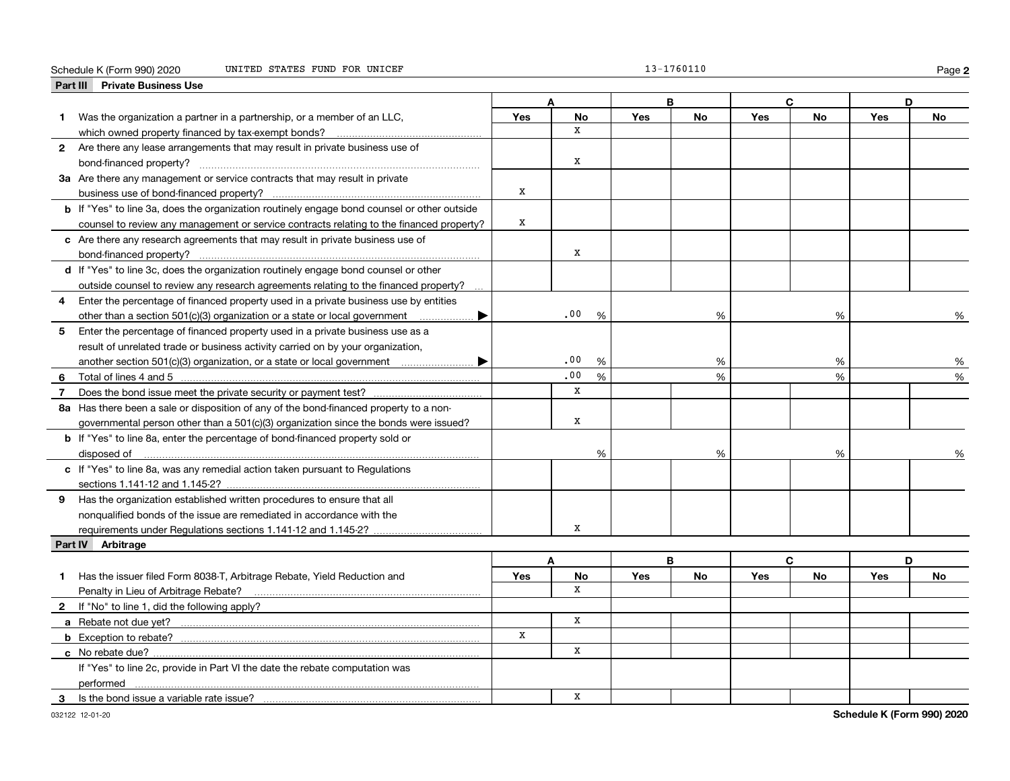#### Schedule K (Form 990) 2020 UNITED STATES FUND FOR UNICEF 13-1760110 Page

|  | L3-1760110 |  |  |  |  |
|--|------------|--|--|--|--|
|  |            |  |  |  |  |

**2**

| <b>Private Business Use</b><br>Part III |                                                                                             |     |             |      |     |           |     |              |     |           |
|-----------------------------------------|---------------------------------------------------------------------------------------------|-----|-------------|------|-----|-----------|-----|--------------|-----|-----------|
|                                         |                                                                                             |     |             |      | В   |           |     | C.           |     | D         |
| 1.                                      | Was the organization a partner in a partnership, or a member of an LLC,                     | Yes | <b>No</b>   |      | Yes | <b>No</b> | Yes | <b>No</b>    | Yes | <b>No</b> |
|                                         | which owned property financed by tax-exempt bonds?                                          |     | x           |      |     |           |     |              |     |           |
|                                         | 2 Are there any lease arrangements that may result in private business use of               |     |             |      |     |           |     |              |     |           |
|                                         |                                                                                             |     | x           |      |     |           |     |              |     |           |
|                                         | 3a Are there any management or service contracts that may result in private                 |     |             |      |     |           |     |              |     |           |
|                                         | business use of bond-financed property?                                                     | х   |             |      |     |           |     |              |     |           |
|                                         | b If "Yes" to line 3a, does the organization routinely engage bond counsel or other outside |     |             |      |     |           |     |              |     |           |
|                                         | counsel to review any management or service contracts relating to the financed property?    | X   |             |      |     |           |     |              |     |           |
|                                         | c Are there any research agreements that may result in private business use of              |     |             |      |     |           |     |              |     |           |
| bond-financed property?                 |                                                                                             |     | x           |      |     |           |     |              |     |           |
|                                         | d If "Yes" to line 3c, does the organization routinely engage bond counsel or other         |     |             |      |     |           |     |              |     |           |
|                                         | outside counsel to review any research agreements relating to the financed property?        |     |             |      |     |           |     |              |     |           |
| 4                                       | Enter the percentage of financed property used in a private business use by entities        |     |             |      |     |           |     |              |     |           |
|                                         | other than a section 501(c)(3) organization or a state or local government<br>. ▶           |     | .00         | %    |     | %         |     | %            |     | %         |
| 5                                       | Enter the percentage of financed property used in a private business use as a               |     |             |      |     |           |     |              |     |           |
|                                         | result of unrelated trade or business activity carried on by your organization,             |     |             |      |     |           |     |              |     |           |
|                                         |                                                                                             |     | .00         | %    |     | %         |     | %            |     | %         |
| 6                                       |                                                                                             |     | .00         | $\%$ |     | %         |     | %            |     | %         |
| $\overline{7}$                          |                                                                                             |     | $\mathbf x$ |      |     |           |     |              |     |           |
|                                         | 8a Has there been a sale or disposition of any of the bond-financed property to a non-      |     |             |      |     |           |     |              |     |           |
|                                         | governmental person other than a 501(c)(3) organization since the bonds were issued?        |     | x           |      |     |           |     |              |     |           |
|                                         | <b>b</b> If "Yes" to line 8a, enter the percentage of bond-financed property sold or        |     |             |      |     |           |     |              |     |           |
| disposed of                             |                                                                                             |     |             | %    |     | %         |     | %            |     |           |
|                                         | c If "Yes" to line 8a, was any remedial action taken pursuant to Regulations                |     |             |      |     |           |     |              |     |           |
|                                         |                                                                                             |     |             |      |     |           |     |              |     |           |
|                                         | 9 Has the organization established written procedures to ensure that all                    |     |             |      |     |           |     |              |     |           |
|                                         | nonqualified bonds of the issue are remediated in accordance with the                       |     |             |      |     |           |     |              |     |           |
|                                         | requirements under Regulations sections 1.141-12 and 1.145-2?                               |     | x           |      |     |           |     |              |     |           |
| Part IV Arbitrage                       |                                                                                             |     |             |      |     |           |     |              |     |           |
|                                         |                                                                                             |     | A           |      | B   |           |     | $\mathbf{C}$ |     | D         |
| 1                                       | Has the issuer filed Form 8038-T, Arbitrage Rebate, Yield Reduction and                     | Yes | No          |      | Yes | <b>No</b> | Yes | No           | Yes | No        |
|                                         | Penalty in Lieu of Arbitrage Rebate?                                                        |     | X           |      |     |           |     |              |     |           |
|                                         | 2 If "No" to line 1, did the following apply?                                               |     |             |      |     |           |     |              |     |           |
|                                         |                                                                                             |     | x           |      |     |           |     |              |     |           |
|                                         |                                                                                             | x   |             |      |     |           |     |              |     |           |
| c No rebate due?                        |                                                                                             |     | X           |      |     |           |     |              |     |           |
|                                         | If "Yes" to line 2c, provide in Part VI the date the rebate computation was                 |     |             |      |     |           |     |              |     |           |
| performed                               |                                                                                             |     |             |      |     |           |     |              |     |           |
| 3                                       | Is the bond issue a variable rate issue?                                                    |     | x           |      |     |           |     |              |     |           |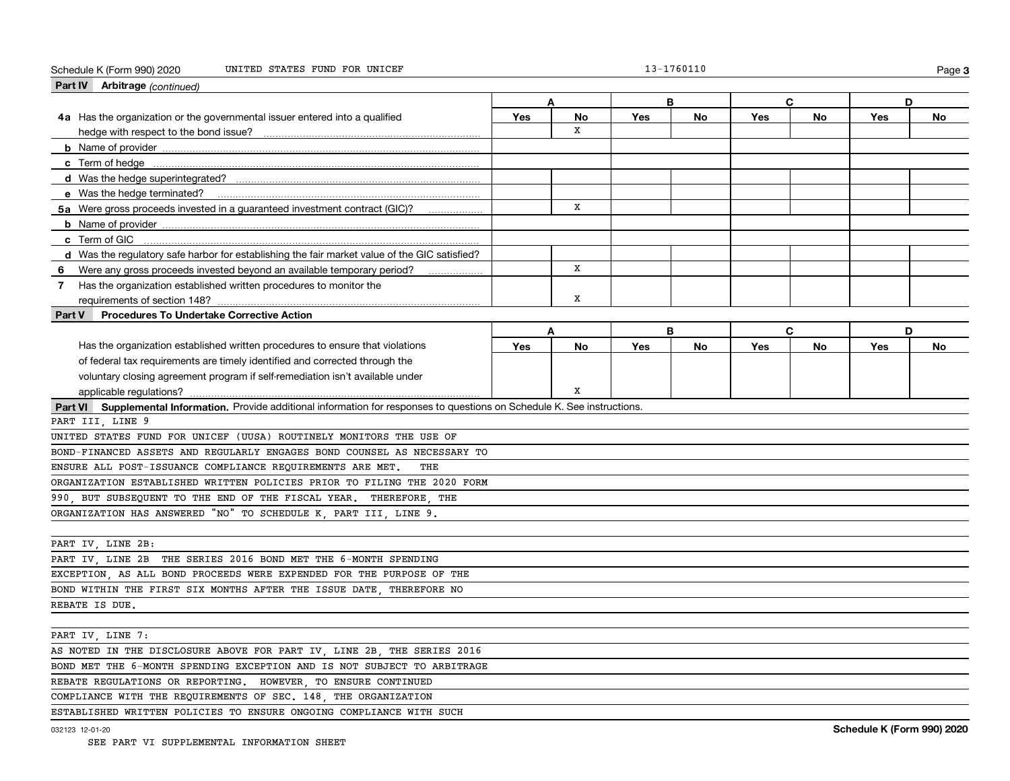#### Schedule K (Form 990) 2020 UNITED STATES FUND FOR UNICEF 13-1760110 Page

| Part IV Arbitrage (continued)                                                                                                |     |    |            |    |            |           |     |    |  |
|------------------------------------------------------------------------------------------------------------------------------|-----|----|------------|----|------------|-----------|-----|----|--|
|                                                                                                                              | Α   |    |            | B  |            | C         | D   |    |  |
| 4a Has the organization or the governmental issuer entered into a qualified                                                  | Yes | No | <b>Yes</b> | No | <b>Yes</b> | <b>No</b> | Yes | No |  |
|                                                                                                                              |     | x  |            |    |            |           |     |    |  |
|                                                                                                                              |     |    |            |    |            |           |     |    |  |
|                                                                                                                              |     |    |            |    |            |           |     |    |  |
|                                                                                                                              |     |    |            |    |            |           |     |    |  |
|                                                                                                                              |     |    |            |    |            |           |     |    |  |
| 5a Were gross proceeds invested in a guaranteed investment contract (GIC)?                                                   |     | x  |            |    |            |           |     |    |  |
|                                                                                                                              |     |    |            |    |            |           |     |    |  |
| c Term of GIC                                                                                                                |     |    |            |    |            |           |     |    |  |
| d Was the requiatory safe harbor for establishing the fair market value of the GIC satisfied?                                |     |    |            |    |            |           |     |    |  |
| Were any gross proceeds invested beyond an available temporary period?<br>6                                                  |     | x  |            |    |            |           |     |    |  |
| Has the organization established written procedures to monitor the<br>7 <sup>7</sup>                                         |     |    |            |    |            |           |     |    |  |
| requirements of section 148?                                                                                                 |     | x  |            |    |            |           |     |    |  |
| <b>Procedures To Undertake Corrective Action</b><br>Part V                                                                   |     |    |            |    |            |           |     |    |  |
|                                                                                                                              |     | A  |            | B  |            | C         | D   |    |  |
| Has the organization established written procedures to ensure that violations                                                | Yes | No | <b>Yes</b> | No | <b>Yes</b> | <b>No</b> | Yes | No |  |
| of federal tax requirements are timely identified and corrected through the                                                  |     |    |            |    |            |           |     |    |  |
| voluntary closing agreement program if self-remediation isn't available under                                                |     |    |            |    |            |           |     |    |  |
| applicable regulations?                                                                                                      |     | x  |            |    |            |           |     |    |  |
| Part VI Supplemental Information. Provide additional information for responses to questions on Schedule K. See instructions. |     |    |            |    |            |           |     |    |  |
| PART III, LINE 9                                                                                                             |     |    |            |    |            |           |     |    |  |
| UNITED STATES FUND FOR UNICEF (UUSA) ROUTINELY MONITORS THE USE OF                                                           |     |    |            |    |            |           |     |    |  |
| BOND-FINANCED ASSETS AND REGULARLY ENGAGES BOND COUNSEL AS NECESSARY TO                                                      |     |    |            |    |            |           |     |    |  |
| ENSURE ALL POST-ISSUANCE COMPLIANCE REQUIREMENTS ARE MET.<br>THE                                                             |     |    |            |    |            |           |     |    |  |
| ORGANIZATION ESTABLISHED WRITTEN POLICIES PRIOR TO FILING THE 2020 FORM                                                      |     |    |            |    |            |           |     |    |  |
| 990, BUT SUBSEQUENT TO THE END OF THE FISCAL YEAR. THEREFORE, THE                                                            |     |    |            |    |            |           |     |    |  |
| ORGANIZATION HAS ANSWERED "NO" TO SCHEDULE K, PART III, LINE 9.                                                              |     |    |            |    |            |           |     |    |  |
|                                                                                                                              |     |    |            |    |            |           |     |    |  |
| PART IV LINE 2B:                                                                                                             |     |    |            |    |            |           |     |    |  |
| PART IV LINE 2B THE SERIES 2016 BOND MET THE 6-MONTH SPENDING                                                                |     |    |            |    |            |           |     |    |  |
| EXCEPTION, AS ALL BOND PROCEEDS WERE EXPENDED FOR THE PURPOSE OF THE                                                         |     |    |            |    |            |           |     |    |  |
| BOND WITHIN THE FIRST SIX MONTHS AFTER THE ISSUE DATE, THEREFORE NO                                                          |     |    |            |    |            |           |     |    |  |
| REBATE IS DUE.                                                                                                               |     |    |            |    |            |           |     |    |  |
|                                                                                                                              |     |    |            |    |            |           |     |    |  |
| PART IV, LINE 7:                                                                                                             |     |    |            |    |            |           |     |    |  |
| AS NOTED IN THE DISCLOSURE ABOVE FOR PART IV LINE 2B THE SERIES 2016                                                         |     |    |            |    |            |           |     |    |  |
| BOND MET THE 6-MONTH SPENDING EXCEPTION AND IS NOT SUBJECT TO ARBITRAGE                                                      |     |    |            |    |            |           |     |    |  |

REBATE REGULATIONS OR REPORTING. HOWEVER, TO ENSURE CONTINUED

COMPLIANCE WITH THE REQUIREMENTS OF SEC. 148, THE ORGANIZATION

ESTABLISHED WRITTEN POLICIES TO ENSURE ONGOING COMPLIANCE WITH SUCH

**3**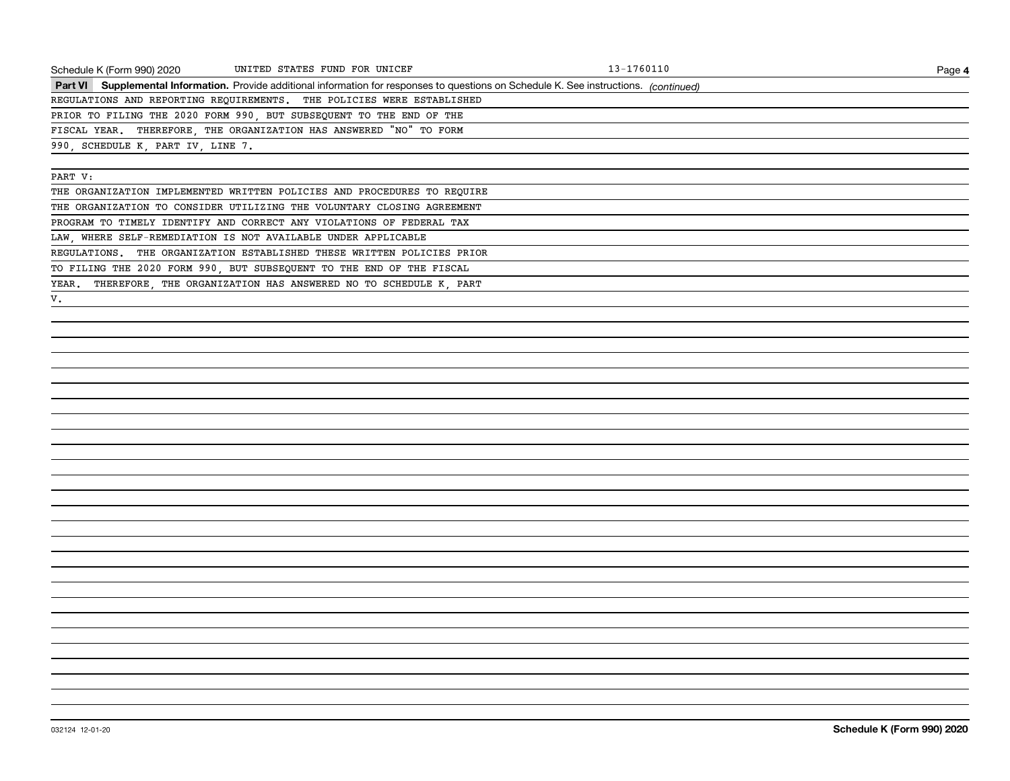| Schedule K (Form 990) 2020        | UNITED STATES FUND FOR UNICEF                                                                                                            | 13-1760110 | Page 4 |
|-----------------------------------|------------------------------------------------------------------------------------------------------------------------------------------|------------|--------|
|                                   | Part VI Supplemental Information. Provide additional information for responses to questions on Schedule K. See instructions. (continued) |            |        |
|                                   | REGULATIONS AND REPORTING REQUIREMENTS. THE POLICIES WERE ESTABLISHED                                                                    |            |        |
|                                   | PRIOR TO FILING THE 2020 FORM 990, BUT SUBSEQUENT TO THE END OF THE                                                                      |            |        |
|                                   | FISCAL YEAR. THEREFORE, THE ORGANIZATION HAS ANSWERED "NO" TO FORM                                                                       |            |        |
| 990, SCHEDULE K, PART IV, LINE 7. |                                                                                                                                          |            |        |
|                                   |                                                                                                                                          |            |        |
| PART V:                           |                                                                                                                                          |            |        |
|                                   | THE ORGANIZATION IMPLEMENTED WRITTEN POLICIES AND PROCEDURES TO REQUIRE                                                                  |            |        |
|                                   | THE ORGANIZATION TO CONSIDER UTILIZING THE VOLUNTARY CLOSING AGREEMENT                                                                   |            |        |
|                                   | PROGRAM TO TIMELY IDENTIFY AND CORRECT ANY VIOLATIONS OF FEDERAL TAX                                                                     |            |        |
|                                   | LAW, WHERE SELF-REMEDIATION IS NOT AVAILABLE UNDER APPLICABLE                                                                            |            |        |
|                                   | REGULATIONS. THE ORGANIZATION ESTABLISHED THESE WRITTEN POLICIES PRIOR                                                                   |            |        |
|                                   | TO FILING THE 2020 FORM 990, BUT SUBSEQUENT TO THE END OF THE FISCAL                                                                     |            |        |
|                                   | YEAR. THEREFORE, THE ORGANIZATION HAS ANSWERED NO TO SCHEDULE K, PART                                                                    |            |        |
| V.                                |                                                                                                                                          |            |        |
|                                   |                                                                                                                                          |            |        |
|                                   |                                                                                                                                          |            |        |
|                                   |                                                                                                                                          |            |        |
|                                   |                                                                                                                                          |            |        |
|                                   |                                                                                                                                          |            |        |
|                                   |                                                                                                                                          |            |        |
|                                   |                                                                                                                                          |            |        |
|                                   |                                                                                                                                          |            |        |
|                                   |                                                                                                                                          |            |        |
|                                   |                                                                                                                                          |            |        |
|                                   |                                                                                                                                          |            |        |
|                                   |                                                                                                                                          |            |        |
|                                   |                                                                                                                                          |            |        |
|                                   |                                                                                                                                          |            |        |
|                                   |                                                                                                                                          |            |        |
|                                   |                                                                                                                                          |            |        |
|                                   |                                                                                                                                          |            |        |
|                                   |                                                                                                                                          |            |        |
|                                   |                                                                                                                                          |            |        |
|                                   |                                                                                                                                          |            |        |
|                                   |                                                                                                                                          |            |        |
|                                   |                                                                                                                                          |            |        |
|                                   |                                                                                                                                          |            |        |
|                                   |                                                                                                                                          |            |        |
|                                   |                                                                                                                                          |            |        |
|                                   |                                                                                                                                          |            |        |
|                                   |                                                                                                                                          |            |        |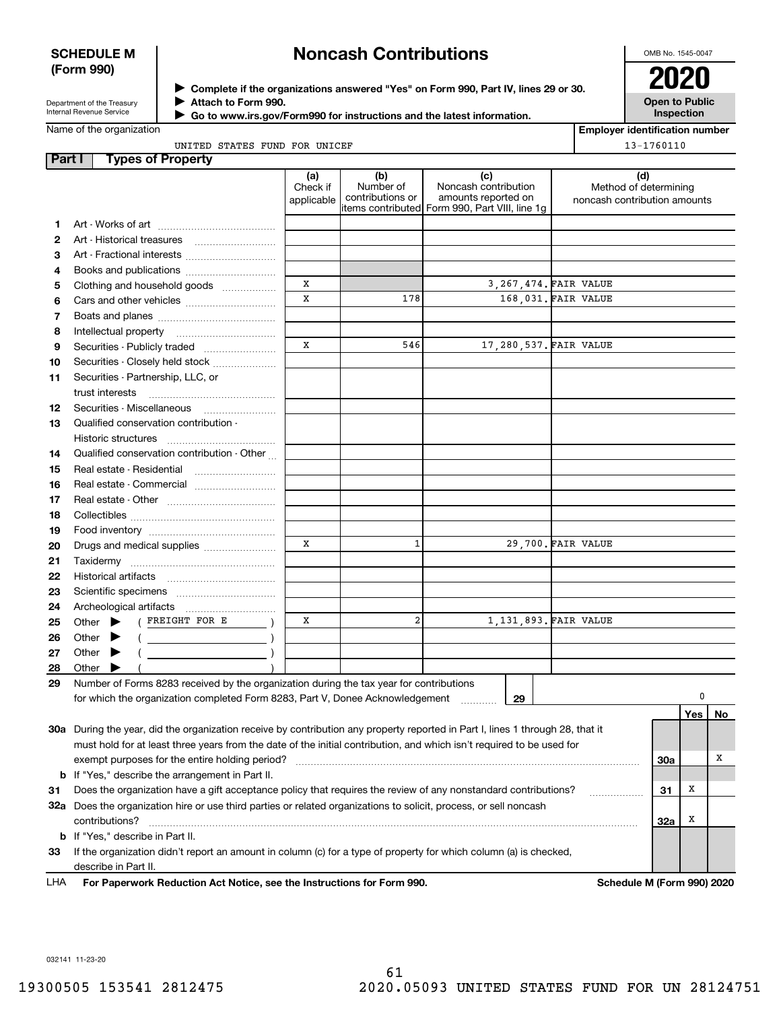#### **SCHEDULE M (Form 990)**

# **Noncash Contributions**

OMB No. 1545-0047

Department of the Treasury Internal Revenue Service

**Complete if the organizations answered "Yes" on Form 990, Part IV, lines 29 or 30.** <sup>J</sup>**2020 Attach to Form 990.** J

**Open to Public Inspection**

| Name of the organization |  |
|--------------------------|--|

 **Go to www.irs.gov/Form990 for instructions and the latest information.** J

**Employer identification number** 13-1760110

|        | UNITED STATES FUND FOR UNICEF                                                                                                                                                                                                                                                                                                                                     |                               |                                      |                                                                                                      |  | $13 - 1760110$                                               |     |    |
|--------|-------------------------------------------------------------------------------------------------------------------------------------------------------------------------------------------------------------------------------------------------------------------------------------------------------------------------------------------------------------------|-------------------------------|--------------------------------------|------------------------------------------------------------------------------------------------------|--|--------------------------------------------------------------|-----|----|
| Part I | <b>Types of Property</b>                                                                                                                                                                                                                                                                                                                                          |                               |                                      |                                                                                                      |  |                                                              |     |    |
|        |                                                                                                                                                                                                                                                                                                                                                                   | (a)<br>Check if<br>applicable | (b)<br>Number of<br>contributions or | (c)<br>Noncash contribution<br>amounts reported on<br>items contributed Form 990, Part VIII, line 1g |  | (d)<br>Method of determining<br>noncash contribution amounts |     |    |
| 1      |                                                                                                                                                                                                                                                                                                                                                                   |                               |                                      |                                                                                                      |  |                                                              |     |    |
| 2      |                                                                                                                                                                                                                                                                                                                                                                   |                               |                                      |                                                                                                      |  |                                                              |     |    |
| з      | Art - Fractional interests                                                                                                                                                                                                                                                                                                                                        |                               |                                      |                                                                                                      |  |                                                              |     |    |
| 4      |                                                                                                                                                                                                                                                                                                                                                                   |                               |                                      |                                                                                                      |  |                                                              |     |    |
| 5      | Clothing and household goods                                                                                                                                                                                                                                                                                                                                      | X                             |                                      | 3, 267, 474. FAIR VALUE                                                                              |  |                                                              |     |    |
| 6      |                                                                                                                                                                                                                                                                                                                                                                   | $\mathbf x$                   | 178                                  | 168,031. FAIR VALUE                                                                                  |  |                                                              |     |    |
| 7      |                                                                                                                                                                                                                                                                                                                                                                   |                               |                                      |                                                                                                      |  |                                                              |     |    |
| 8      |                                                                                                                                                                                                                                                                                                                                                                   |                               |                                      |                                                                                                      |  |                                                              |     |    |
| 9      |                                                                                                                                                                                                                                                                                                                                                                   | X                             | 546                                  | 17,280,537. FAIR VALUE                                                                               |  |                                                              |     |    |
| 10     | Securities - Closely held stock                                                                                                                                                                                                                                                                                                                                   |                               |                                      |                                                                                                      |  |                                                              |     |    |
| 11     | Securities - Partnership, LLC, or                                                                                                                                                                                                                                                                                                                                 |                               |                                      |                                                                                                      |  |                                                              |     |    |
|        | trust interests                                                                                                                                                                                                                                                                                                                                                   |                               |                                      |                                                                                                      |  |                                                              |     |    |
| 12     | Securities - Miscellaneous                                                                                                                                                                                                                                                                                                                                        |                               |                                      |                                                                                                      |  |                                                              |     |    |
| 13     | Qualified conservation contribution -                                                                                                                                                                                                                                                                                                                             |                               |                                      |                                                                                                      |  |                                                              |     |    |
|        | Historic structures                                                                                                                                                                                                                                                                                                                                               |                               |                                      |                                                                                                      |  |                                                              |     |    |
| 14     | Qualified conservation contribution - Other                                                                                                                                                                                                                                                                                                                       |                               |                                      |                                                                                                      |  |                                                              |     |    |
| 15     | Real estate - Residential                                                                                                                                                                                                                                                                                                                                         |                               |                                      |                                                                                                      |  |                                                              |     |    |
| 16     | Real estate - Commercial                                                                                                                                                                                                                                                                                                                                          |                               |                                      |                                                                                                      |  |                                                              |     |    |
| 17     |                                                                                                                                                                                                                                                                                                                                                                   |                               |                                      |                                                                                                      |  |                                                              |     |    |
| 18     |                                                                                                                                                                                                                                                                                                                                                                   |                               |                                      |                                                                                                      |  |                                                              |     |    |
| 19     |                                                                                                                                                                                                                                                                                                                                                                   |                               |                                      |                                                                                                      |  |                                                              |     |    |
| 20     | Drugs and medical supplies                                                                                                                                                                                                                                                                                                                                        | X                             | $\mathbf{1}$                         | 29,700. FAIR VALUE                                                                                   |  |                                                              |     |    |
| 21     |                                                                                                                                                                                                                                                                                                                                                                   |                               |                                      |                                                                                                      |  |                                                              |     |    |
| 22     |                                                                                                                                                                                                                                                                                                                                                                   |                               |                                      |                                                                                                      |  |                                                              |     |    |
| 23     |                                                                                                                                                                                                                                                                                                                                                                   |                               |                                      |                                                                                                      |  |                                                              |     |    |
| 24     |                                                                                                                                                                                                                                                                                                                                                                   |                               |                                      |                                                                                                      |  |                                                              |     |    |
| 25     | ( FREIGHT FOR E<br>Other $\blacktriangleright$                                                                                                                                                                                                                                                                                                                    | x                             | $\overline{a}$                       | 1,131,893. FAIR VALUE                                                                                |  |                                                              |     |    |
| 26     | $\qquad \qquad (\qquad \qquad \overbrace{\qquad \qquad }^{(n)} \qquad \qquad )$<br>Other                                                                                                                                                                                                                                                                          |                               |                                      |                                                                                                      |  |                                                              |     |    |
| 27     | $\begin{picture}(150,10) \put(0,0){\line(1,0){10}} \put(15,0){\line(1,0){10}} \put(15,0){\line(1,0){10}} \put(15,0){\line(1,0){10}} \put(15,0){\line(1,0){10}} \put(15,0){\line(1,0){10}} \put(15,0){\line(1,0){10}} \put(15,0){\line(1,0){10}} \put(15,0){\line(1,0){10}} \put(15,0){\line(1,0){10}} \put(15,0){\line(1,0){10}} \put(15,0){\line($<br>Other<br>▸ |                               |                                      |                                                                                                      |  |                                                              |     |    |
| 28     | Other                                                                                                                                                                                                                                                                                                                                                             |                               |                                      |                                                                                                      |  |                                                              |     |    |
| 29     | Number of Forms 8283 received by the organization during the tax year for contributions                                                                                                                                                                                                                                                                           |                               |                                      |                                                                                                      |  |                                                              |     |    |
|        | for which the organization completed Form 8283, Part V, Donee Acknowledgement                                                                                                                                                                                                                                                                                     |                               |                                      | 29                                                                                                   |  |                                                              | 0   |    |
|        |                                                                                                                                                                                                                                                                                                                                                                   |                               |                                      |                                                                                                      |  |                                                              | Yes | No |
|        | 30a During the year, did the organization receive by contribution any property reported in Part I, lines 1 through 28, that it                                                                                                                                                                                                                                    |                               |                                      |                                                                                                      |  |                                                              |     |    |
|        | must hold for at least three years from the date of the initial contribution, and which isn't required to be used for                                                                                                                                                                                                                                             |                               |                                      |                                                                                                      |  |                                                              |     |    |
|        | exempt purposes for the entire holding period?                                                                                                                                                                                                                                                                                                                    |                               |                                      |                                                                                                      |  | <b>30a</b>                                                   |     | х  |
| b      | If "Yes," describe the arrangement in Part II.                                                                                                                                                                                                                                                                                                                    |                               |                                      |                                                                                                      |  |                                                              |     |    |
| 31     | Does the organization have a gift acceptance policy that requires the review of any nonstandard contributions?                                                                                                                                                                                                                                                    |                               |                                      |                                                                                                      |  | 31                                                           | X   |    |
|        | 32a Does the organization hire or use third parties or related organizations to solicit, process, or sell noncash                                                                                                                                                                                                                                                 |                               |                                      |                                                                                                      |  |                                                              |     |    |
|        | contributions?                                                                                                                                                                                                                                                                                                                                                    |                               |                                      |                                                                                                      |  | <b>32a</b>                                                   | X   |    |
| b      | If "Yes," describe in Part II.                                                                                                                                                                                                                                                                                                                                    |                               |                                      |                                                                                                      |  |                                                              |     |    |
| 33     | If the organization didn't report an amount in column (c) for a type of property for which column (a) is checked,                                                                                                                                                                                                                                                 |                               |                                      |                                                                                                      |  |                                                              |     |    |
|        | describe in Part II.                                                                                                                                                                                                                                                                                                                                              |                               |                                      |                                                                                                      |  |                                                              |     |    |
|        |                                                                                                                                                                                                                                                                                                                                                                   |                               |                                      |                                                                                                      |  |                                                              |     |    |

**For Paperwork Reduction Act Notice, see the Instructions for Form 990. Schedule M (Form 990) 2020** LHA

032141 11-23-20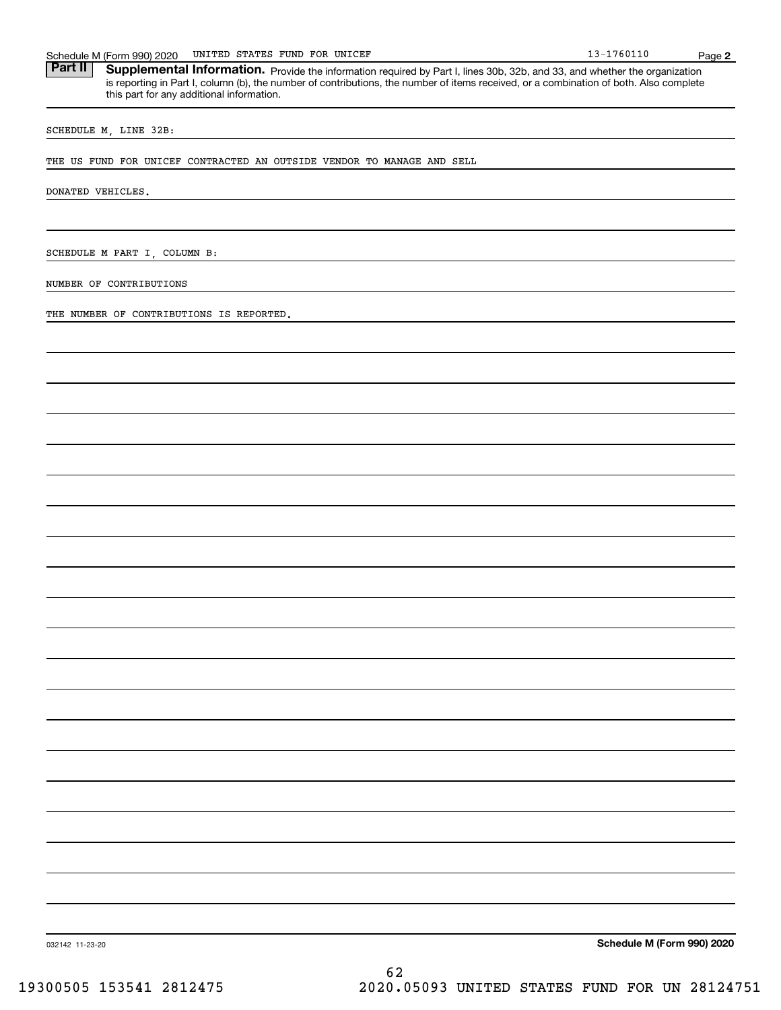Part II | Supplemental Information. Provide the information required by Part I, lines 30b, 32b, and 33, and whether the organization is reporting in Part I, column (b), the number of contributions, the number of items received, or a combination of both. Also complete this part for any additional information.

SCHEDULE M, LINE 32B:

THE US FUND FOR UNICEF CONTRACTED AN OUTSIDE VENDOR TO MANAGE AND SELL

DONATED VEHICLES.

SCHEDULE M PART I, COLUMN B:

NUMBER OF CONTRIBUTIONS

THE NUMBER OF CONTRIBUTIONS IS REPORTED.

**Schedule M (Form 990) 2020**

032142 11-23-20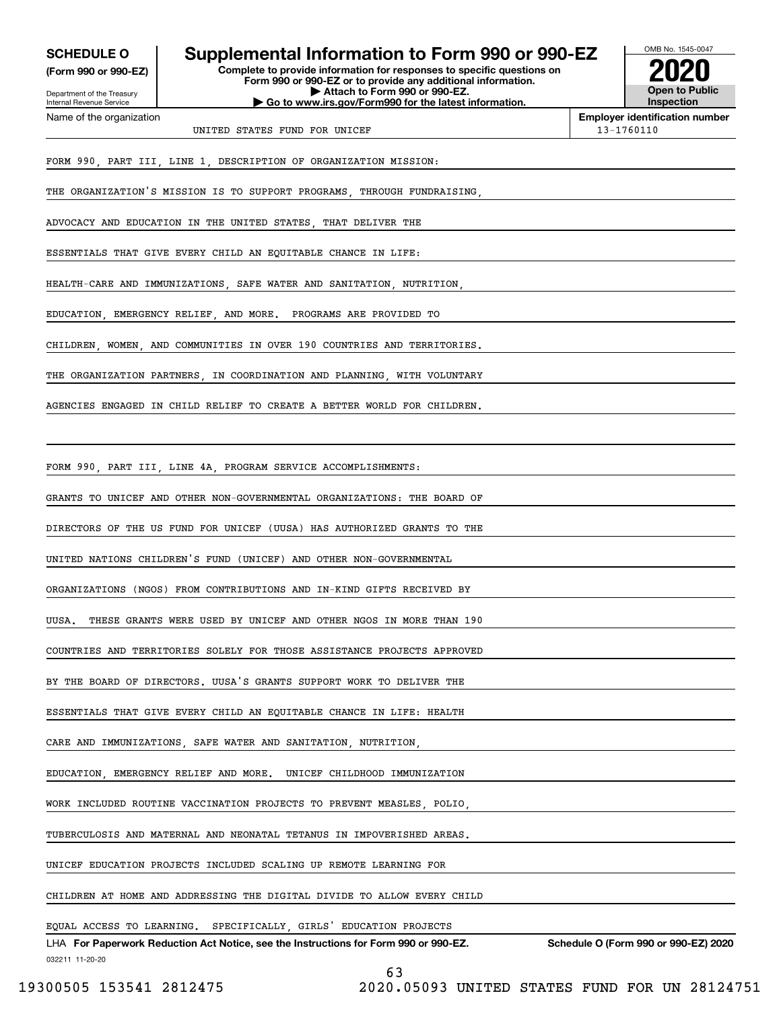**(Form 990 or 990-EZ)**

Department of the Treasury Internal Revenue Service Name of the organization

# **SCHEDULE O Supplemental Information to Form 990 or 990-EZ**

**Complete to provide information for responses to specific questions on Form 990 or 990-EZ or to provide any additional information. | Attach to Form 990 or 990-EZ. | Go to www.irs.gov/Form990 for the latest information.**



**Employer identification number**

UNITED STATES FUND FOR UNICEF 13-1760110

FORM 990, PART III, LINE 1, DESCRIPTION OF ORGANIZATION MISSION:

THE ORGANIZATION'S MISSION IS TO SUPPORT PROGRAMS, THROUGH FUNDRAISING,

ADVOCACY AND EDUCATION IN THE UNITED STATES, THAT DELIVER THE

ESSENTIALS THAT GIVE EVERY CHILD AN EQUITABLE CHANCE IN LIFE:

HEALTH-CARE AND IMMUNIZATIONS, SAFE WATER AND SANITATION, NUTRITION,

EDUCATION, EMERGENCY RELIEF, AND MORE. PROGRAMS ARE PROVIDED TO

CHILDREN, WOMEN, AND COMMUNITIES IN OVER 190 COUNTRIES AND TERRITORIES.

THE ORGANIZATION PARTNERS IN COORDINATION AND PLANNING WITH VOLUNTARY

AGENCIES ENGAGED IN CHILD RELIEF TO CREATE A BETTER WORLD FOR CHILDREN.

FORM 990, PART III, LINE 4A, PROGRAM SERVICE ACCOMPLISHMENTS:

GRANTS TO UNICEF AND OTHER NON-GOVERNMENTAL ORGANIZATIONS: THE BOARD OF

DIRECTORS OF THE US FUND FOR UNICEF (UUSA) HAS AUTHORIZED GRANTS TO THE

UNITED NATIONS CHILDREN'S FUND (UNICEF) AND OTHER NON-GOVERNMENTAL

ORGANIZATIONS (NGOS) FROM CONTRIBUTIONS AND IN-KIND GIFTS RECEIVED BY

UUSA. THESE GRANTS WERE USED BY UNICEF AND OTHER NGOS IN MORE THAN 190

COUNTRIES AND TERRITORIES SOLELY FOR THOSE ASSISTANCE PROJECTS APPROVED

BY THE BOARD OF DIRECTORS. UUSA'S GRANTS SUPPORT WORK TO DELIVER THE

ESSENTIALS THAT GIVE EVERY CHILD AN EQUITABLE CHANCE IN LIFE: HEALTH

CARE AND IMMUNIZATIONS SAFE WATER AND SANITATION, NUTRITION

EDUCATION, EMERGENCY RELIEF AND MORE. UNICEF CHILDHOOD IMMUNIZATION

WORK INCLUDED ROUTINE VACCINATION PROJECTS TO PREVENT MEASLES, POLIO,

TUBERCULOSIS AND MATERNAL AND NEONATAL TETANUS IN IMPOVERISHED AREAS.

UNICEF EDUCATION PROJECTS INCLUDED SCALING UP REMOTE LEARNING FOR

CHILDREN AT HOME AND ADDRESSING THE DIGITAL DIVIDE TO ALLOW EVERY CHILD

EQUAL ACCESS TO LEARNING. SPECIFICALLY, GIRLS' EDUCATION PROJECTS

032211 11-20-20 LHA For Paperwork Reduction Act Notice, see the Instructions for Form 990 or 990-EZ. Schedule O (Form 990 or 990-EZ) 2020

63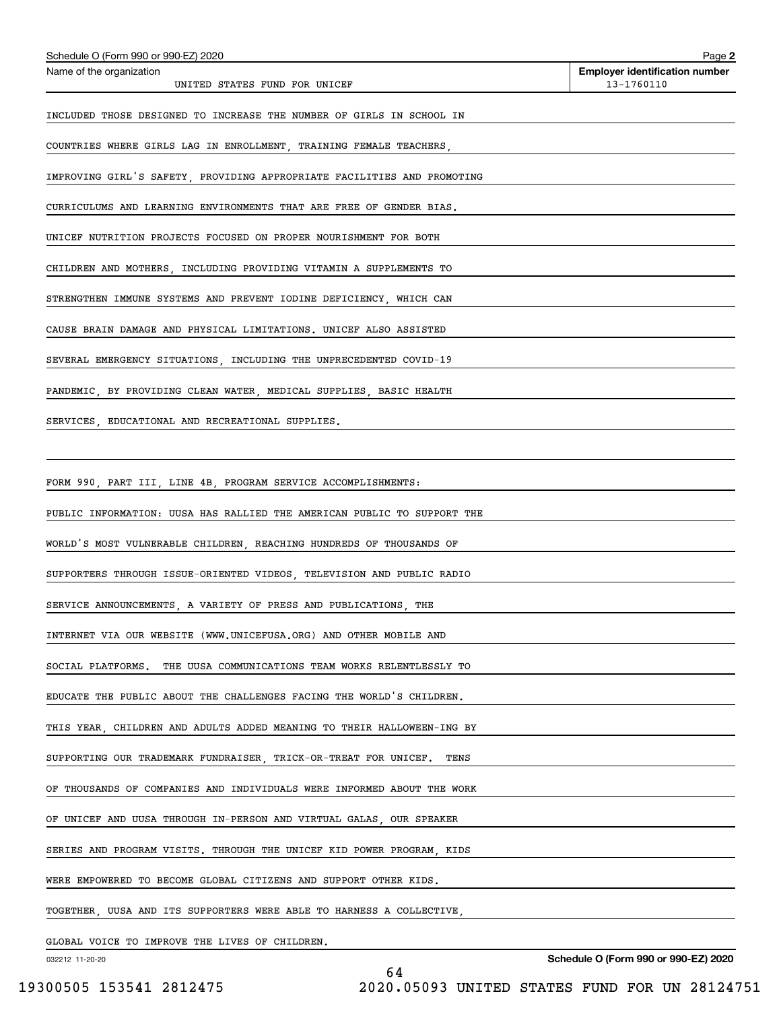| Schedule O (Form 990 or 990-EZ) 2020                                    | Page 2                                              |
|-------------------------------------------------------------------------|-----------------------------------------------------|
| Name of the organization<br>UNITED STATES FUND FOR UNICEF               | <b>Employer identification number</b><br>13-1760110 |
| INCLUDED THOSE DESIGNED TO INCREASE THE NUMBER OF GIRLS IN SCHOOL IN    |                                                     |
| COUNTRIES WHERE GIRLS LAG IN ENROLLMENT, TRAINING FEMALE TEACHERS,      |                                                     |
| IMPROVING GIRL'S SAFETY, PROVIDING APPROPRIATE FACILITIES AND PROMOTING |                                                     |
| CURRICULUMS AND LEARNING ENVIRONMENTS THAT ARE FREE OF GENDER BIAS.     |                                                     |
| UNICEF NUTRITION PROJECTS FOCUSED ON PROPER NOURISHMENT FOR BOTH        |                                                     |
| CHILDREN AND MOTHERS, INCLUDING PROVIDING VITAMIN A SUPPLEMENTS TO      |                                                     |
| STRENGTHEN IMMUNE SYSTEMS AND PREVENT IODINE DEFICIENCY, WHICH CAN      |                                                     |
| CAUSE BRAIN DAMAGE AND PHYSICAL LIMITATIONS. UNICEF ALSO ASSISTED       |                                                     |
| SEVERAL EMERGENCY SITUATIONS, INCLUDING THE UNPRECEDENTED COVID-19      |                                                     |
| PANDEMIC, BY PROVIDING CLEAN WATER, MEDICAL SUPPLIES, BASIC HEALTH      |                                                     |
| SERVICES, EDUCATIONAL AND RECREATIONAL SUPPLIES.                        |                                                     |
|                                                                         |                                                     |
| FORM 990, PART III, LINE 4B, PROGRAM SERVICE ACCOMPLISHMENTS:           |                                                     |
| PUBLIC INFORMATION: UUSA HAS RALLIED THE AMERICAN PUBLIC TO SUPPORT THE |                                                     |
| WORLD'S MOST VULNERABLE CHILDREN, REACHING HUNDREDS OF THOUSANDS OF     |                                                     |
| SUPPORTERS THROUGH ISSUE-ORIENTED VIDEOS, TELEVISION AND PUBLIC RADIO   |                                                     |
| SERVICE ANNOUNCEMENTS, A VARIETY OF PRESS AND PUBLICATIONS, THE         |                                                     |
| INTERNET VIA OUR WEBSITE (WWW.UNICEFUSA.ORG) AND OTHER MOBILE AND       |                                                     |
| THE UUSA COMMUNICATIONS TEAM WORKS RELENTLESSLY TO<br>SOCIAL PLATFORMS. |                                                     |
| EDUCATE THE PUBLIC ABOUT THE CHALLENGES FACING THE WORLD'S CHILDREN.    |                                                     |
| THIS YEAR, CHILDREN AND ADULTS ADDED MEANING TO THEIR HALLOWEEN-ING BY  |                                                     |
| SUPPORTING OUR TRADEMARK FUNDRAISER, TRICK-OR-TREAT FOR UNICEF.<br>TENS |                                                     |
| OF THOUSANDS OF COMPANIES AND INDIVIDUALS WERE INFORMED ABOUT THE WORK  |                                                     |
| OF UNICEF AND UUSA THROUGH IN-PERSON AND VIRTUAL GALAS, OUR SPEAKER     |                                                     |
| SERIES AND PROGRAM VISITS. THROUGH THE UNICEF KID POWER PROGRAM, KIDS   |                                                     |
| WERE EMPOWERED TO BECOME GLOBAL CITIZENS AND SUPPORT OTHER KIDS.        |                                                     |
| TOGETHER, UUSA AND ITS SUPPORTERS WERE ABLE TO HARNESS A COLLECTIVE,    |                                                     |
|                                                                         |                                                     |

GLOBAL VOICE TO IMPROVE THE LIVES OF CHILDREN.

032212 11-20-20

**Schedule O (Form 990 or 990-EZ) 2020**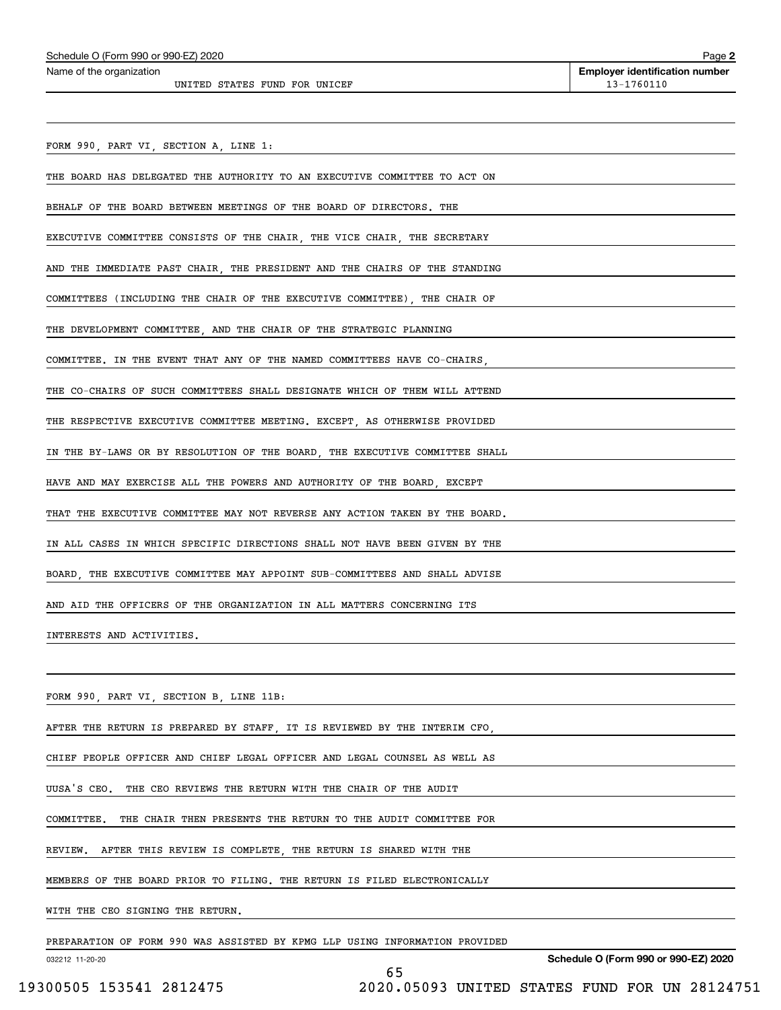UNITED STATES FUND FOR UNICEF 13-1760110

FORM 990, PART VI, SECTION A, LINE 1:

THE BOARD HAS DELEGATED THE AUTHORITY TO AN EXECUTIVE COMMITTEE TO ACT ON

BEHALF OF THE BOARD BETWEEN MEETINGS OF THE BOARD OF DIRECTORS. THE

EXECUTIVE COMMITTEE CONSISTS OF THE CHAIR, THE VICE CHAIR, THE SECRETARY

AND THE IMMEDIATE PAST CHAIR, THE PRESIDENT AND THE CHAIRS OF THE STANDING

COMMITTEES (INCLUDING THE CHAIR OF THE EXECUTIVE COMMITTEE), THE CHAIR OF

THE DEVELOPMENT COMMITTEE, AND THE CHAIR OF THE STRATEGIC PLANNING

COMMITTEE. IN THE EVENT THAT ANY OF THE NAMED COMMITTEES HAVE CO-CHAIRS,

THE CO-CHAIRS OF SUCH COMMITTEES SHALL DESIGNATE WHICH OF THEM WILL ATTEND

THE RESPECTIVE EXECUTIVE COMMITTEE MEETING. EXCEPT, AS OTHERWISE PROVIDED

IN THE BY-LAWS OR BY RESOLUTION OF THE BOARD, THE EXECUTIVE COMMITTEE SHALL

HAVE AND MAY EXERCISE ALL THE POWERS AND AUTHORITY OF THE BOARD, EXCEPT

THAT THE EXECUTIVE COMMITTEE MAY NOT REVERSE ANY ACTION TAKEN BY THE BOARD.

IN ALL CASES IN WHICH SPECIFIC DIRECTIONS SHALL NOT HAVE BEEN GIVEN BY THE

BOARD, THE EXECUTIVE COMMITTEE MAY APPOINT SUB-COMMITTEES AND SHALL ADVISE

AND AID THE OFFICERS OF THE ORGANIZATION IN ALL MATTERS CONCERNING ITS

INTERESTS AND ACTIVITIES.

FORM 990, PART VI, SECTION B, LINE 11B:

AFTER THE RETURN IS PREPARED BY STAFF, IT IS REVIEWED BY THE INTERIM CFO,

CHIEF PEOPLE OFFICER AND CHIEF LEGAL OFFICER AND LEGAL COUNSEL AS WELL AS

UUSA'S CEO. THE CEO REVIEWS THE RETURN WITH THE CHAIR OF THE AUDIT

COMMITTEE. THE CHAIR THEN PRESENTS THE RETURN TO THE AUDIT COMMITTEE FOR

REVIEW. AFTER THIS REVIEW IS COMPLETE, THE RETURN IS SHARED WITH THE

MEMBERS OF THE BOARD PRIOR TO FILING. THE RETURN IS FILED ELECTRONICALLY

WITH THE CEO SIGNING THE RETURN.

PREPARATION OF FORM 990 WAS ASSISTED BY KPMG LLP USING INFORMATION PROVIDED

65

032212 11-20-20

**Schedule O (Form 990 or 990-EZ) 2020**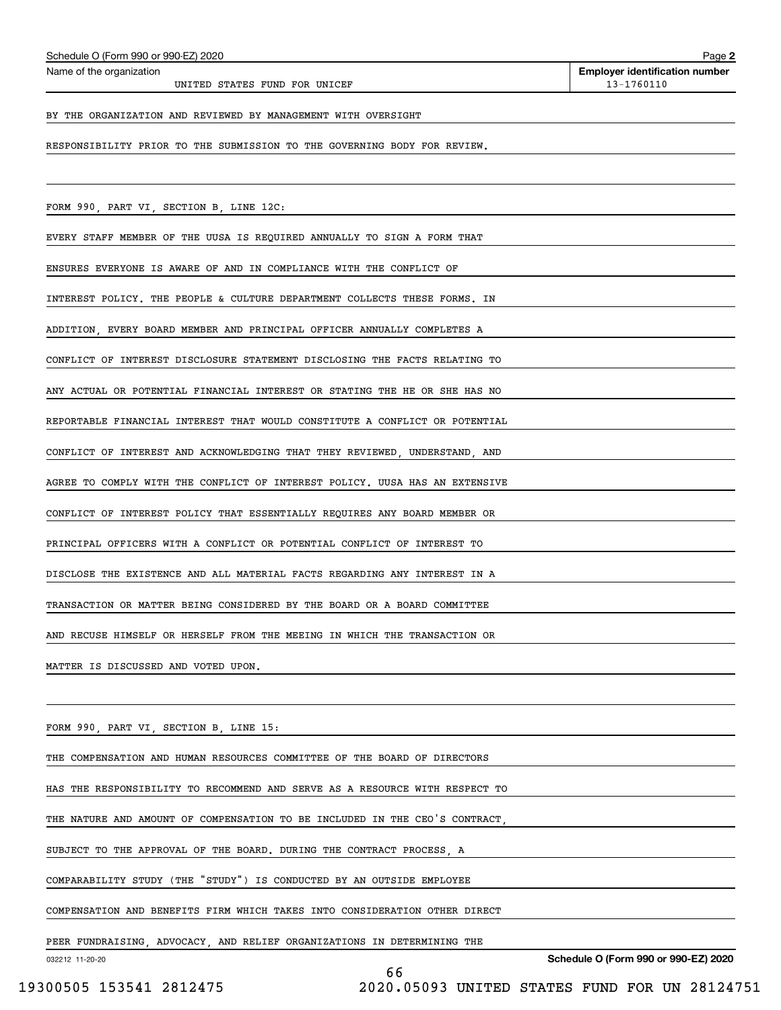**Employer identification number** Schedule O (Form 990 or 990-EZ) 2020<br>Name of the organization **provided by the organization number of the organization number** 

#### BY THE ORGANIZATION AND REVIEWED BY MANAGEMENT WITH OVERSIGHT

RESPONSIBILITY PRIOR TO THE SUBMISSION TO THE GOVERNING BODY FOR REVIEW.

FORM 990, PART VI, SECTION B, LINE 12C:

EVERY STAFF MEMBER OF THE UUSA IS REQUIRED ANNUALLY TO SIGN A FORM THAT

ENSURES EVERYONE IS AWARE OF AND IN COMPLIANCE WITH THE CONFLICT OF

INTEREST POLICY. THE PEOPLE & CULTURE DEPARTMENT COLLECTS THESE FORMS. IN

ADDITION, EVERY BOARD MEMBER AND PRINCIPAL OFFICER ANNUALLY COMPLETES A

CONFLICT OF INTEREST DISCLOSURE STATEMENT DISCLOSING THE FACTS RELATING TO

ANY ACTUAL OR POTENTIAL FINANCIAL INTEREST OR STATING THE HE OR SHE HAS NO

REPORTABLE FINANCIAL INTEREST THAT WOULD CONSTITUTE A CONFLICT OR POTENTIAL

CONFLICT OF INTEREST AND ACKNOWLEDGING THAT THEY REVIEWED, UNDERSTAND, AND

AGREE TO COMPLY WITH THE CONFLICT OF INTEREST POLICY. UUSA HAS AN EXTENSIVE

CONFLICT OF INTEREST POLICY THAT ESSENTIALLY REQUIRES ANY BOARD MEMBER OR

PRINCIPAL OFFICERS WITH A CONFLICT OR POTENTIAL CONFLICT OF INTEREST TO

DISCLOSE THE EXISTENCE AND ALL MATERIAL FACTS REGARDING ANY INTEREST IN A

TRANSACTION OR MATTER BEING CONSIDERED BY THE BOARD OR A BOARD COMMITTEE

AND RECUSE HIMSELF OR HERSELF FROM THE MEEING IN WHICH THE TRANSACTION OR

MATTER IS DISCUSSED AND VOTED UPON.

FORM 990, PART VI, SECTION B, LINE 15:

THE COMPENSATION AND HUMAN RESOURCES COMMITTEE OF THE BOARD OF DIRECTORS

HAS THE RESPONSIBILITY TO RECOMMEND AND SERVE AS A RESOURCE WITH RESPECT TO

THE NATURE AND AMOUNT OF COMPENSATION TO BE INCLUDED IN THE CEO'S CONTRACT,

SUBJECT TO THE APPROVAL OF THE BOARD. DURING THE CONTRACT PROCESS, A

COMPARABILITY STUDY (THE "STUDY") IS CONDUCTED BY AN OUTSIDE EMPLOYEE

COMPENSATION AND BENEFITS FIRM WHICH TAKES INTO CONSIDERATION OTHER DIRECT

66

PEER FUNDRAISING, ADVOCACY, AND RELIEF ORGANIZATIONS IN DETERMINING THE

032212 11-20-20

**Schedule O (Form 990 or 990-EZ) 2020**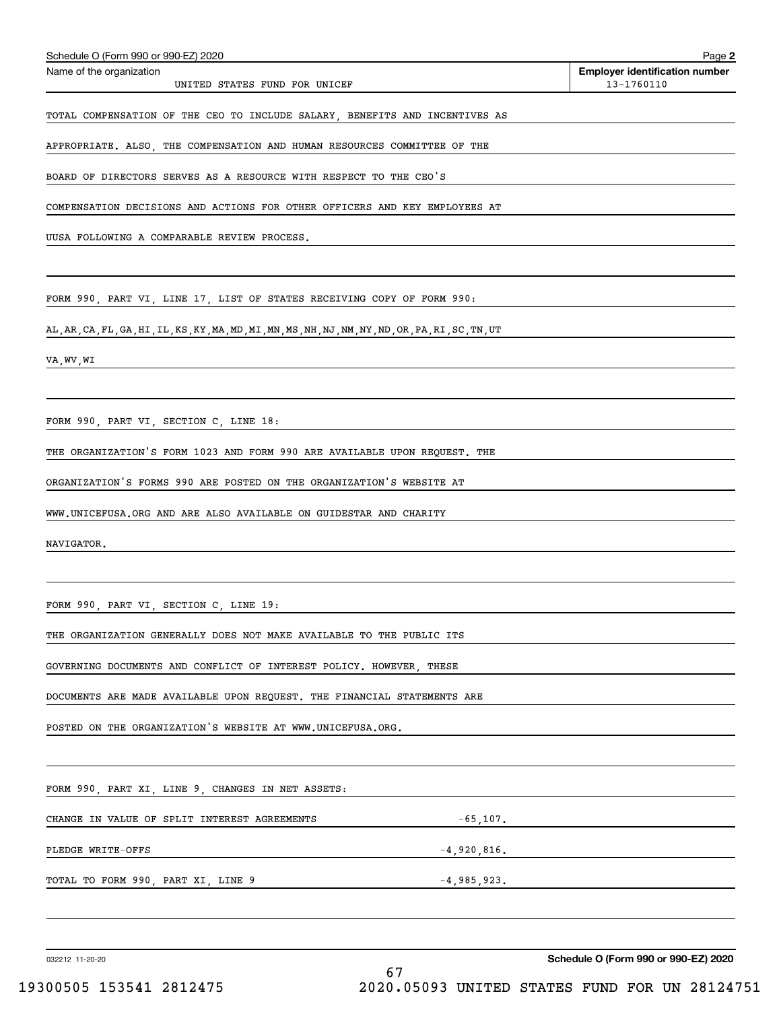| TOTAL COMPENSATION OF THE CEO TO INCLUDE SALARY, BENEFITS AND INCENTIVES AS                        |
|----------------------------------------------------------------------------------------------------|
| APPROPRIATE. ALSO, THE COMPENSATION AND HUMAN RESOURCES COMMITTEE OF THE                           |
| BOARD OF DIRECTORS SERVES AS A RESOURCE WITH RESPECT TO THE CEO'S                                  |
| COMPENSATION DECISIONS AND ACTIONS FOR OTHER OFFICERS AND KEY EMPLOYEES AT                         |
| UUSA FOLLOWING A COMPARABLE REVIEW PROCESS.                                                        |
|                                                                                                    |
| FORM 990, PART VI, LINE 17, LIST OF STATES RECEIVING COPY OF FORM 990:                             |
| AL, AR, CA, FL, GA, HI, IL, KS, KY, MA, MD, MI, MN, MS, NH, NJ, NM, NY, ND, OR, PA, RI, SC, TN, UT |
| VA,WV,WI                                                                                           |
|                                                                                                    |
| FORM 990, PART VI, SECTION C, LINE 18:                                                             |
| THE ORGANIZATION'S FORM 1023 AND FORM 990 ARE AVAILABLE UPON REQUEST. THE                          |
| ORGANIZATION'S FORMS 990 ARE POSTED ON THE ORGANIZATION'S WEBSITE AT                               |
| WWW.UNICEFUSA.ORG AND ARE ALSO AVAILABLE ON GUIDESTAR AND CHARITY                                  |
| NAVIGATOR.                                                                                         |
|                                                                                                    |
| FORM 990, PART VI, SECTION C, LINE 19:                                                             |
| THE ORGANIZATION GENERALLY DOES NOT MAKE AVAILABLE TO THE PUBLIC ITS                               |
| GOVERNING DOCUMENTS AND CONFLICT OF INTEREST POLICY. HOWEVER, THESE                                |
| DOCUMENTS ARE MADE AVAILABLE UPON REQUEST. THE FINANCIAL STATEMENTS ARE                            |
| POSTED ON THE ORGANIZATION'S WEBSITE AT WWW.UNICEFUSA.ORG.                                         |
|                                                                                                    |
| FORM 990, PART XI, LINE 9, CHANGES IN NET ASSETS:                                                  |
| CHANGE IN VALUE OF SPLIT INTEREST AGREEMENTS                                                       |
| $-65, 107.$<br>PLEDGE WRITE-OFFS                                                                   |
| $-4,920,816.$                                                                                      |

TOTAL TO FORM 990, PART XI, LINE 9  $-4,985,923$ .

032212 11-20-20

**Schedule O (Form 990 or 990-EZ) 2020**

Echedule O (Form 990 or 990-EZ) 2020<br>Name of the organization **number** Name of the organization **number** 

UNITED STATES FUND FOR UNICEF 13-1760110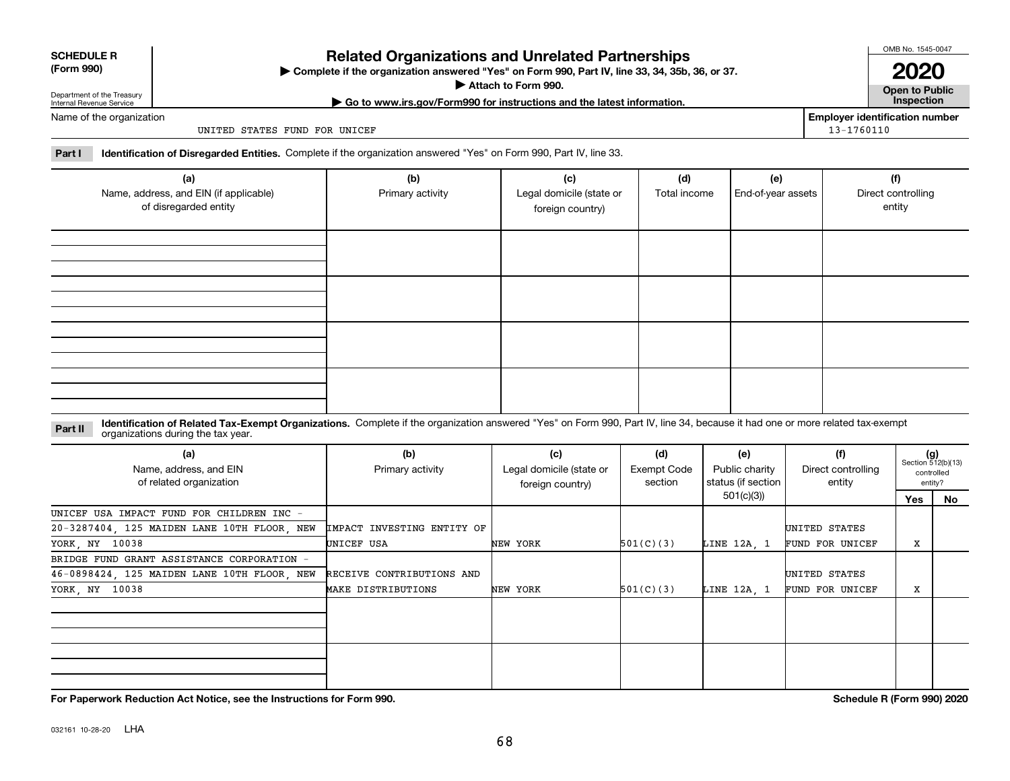032161 10-28-20 LHA

#### **SCHEDULE R (Form 990)**

# **Related Organizations and Unrelated Partnerships**

**Complete if the organization answered "Yes" on Form 990, Part IV, line 33, 34, 35b, 36, or 37.** |

**Attach to Form 990.**  |

**| Go to www.irs.gov/Form990 for instructions and the latest information. Inspection**

Department of the Treasury Internal Revenue Service Name of the organization

UNITED STATES FUND FOR UNICEF

**Part I Identification of Disregarded Entities.**  Complete if the organization answered "Yes" on Form 990, Part IV, line 33.

| (a)<br>Name, address, and EIN (if applicable)<br>of disregarded entity | (b)<br>Primary activity | (c)<br>Legal domicile (state or<br>foreign country) | (d)<br>Total income | (e)<br>End-of-year assets | (f)<br>Direct controlling<br>entity |
|------------------------------------------------------------------------|-------------------------|-----------------------------------------------------|---------------------|---------------------------|-------------------------------------|
|                                                                        |                         |                                                     |                     |                           |                                     |
|                                                                        |                         |                                                     |                     |                           |                                     |
|                                                                        |                         |                                                     |                     |                           |                                     |
|                                                                        |                         |                                                     |                     |                           |                                     |

#### **Identification of Related Tax-Exempt Organizations.** Complete if the organization answered "Yes" on Form 990, Part IV, line 34, because it had one or more related tax-exempt **Part II** organizations during the tax year.

| (a)<br>Name, address, and EIN<br>of related organization | (b)<br>Primary activity    | (c)<br>Legal domicile (state or<br>foreign country) | (d)<br>Exempt Code<br>section | (e)<br>Public charity<br>status (if section | (f)<br>Direct controlling<br>entity |     | $(g)$<br>Section 512(b)(13)<br>controlled<br>entity? |
|----------------------------------------------------------|----------------------------|-----------------------------------------------------|-------------------------------|---------------------------------------------|-------------------------------------|-----|------------------------------------------------------|
|                                                          |                            |                                                     |                               | 501(c)(3)                                   |                                     | Yes | No                                                   |
| UNICEF USA IMPACT FUND FOR CHILDREN INC -                |                            |                                                     |                               |                                             |                                     |     |                                                      |
| 20-3287404, 125 MAIDEN LANE 10TH FLOOR, NEW              | IMPACT INVESTING ENTITY OF |                                                     |                               |                                             | UNITED STATES                       |     |                                                      |
| YORK, NY 10038                                           | UNICEF USA                 | NEW YORK                                            | 501(C)(3)                     | LINE 12A, 1                                 | FUND FOR UNICEF                     | X   |                                                      |
| BRIDGE FUND GRANT ASSISTANCE CORPORATION -               |                            |                                                     |                               |                                             |                                     |     |                                                      |
| 46-0898424, 125 MAIDEN LANE 10TH FLOOR, NEW              | RECEIVE CONTRIBUTIONS AND  |                                                     |                               |                                             | UNITED STATES                       |     |                                                      |
| YORK, NY 10038                                           | MAKE DISTRIBUTIONS         | NEW YORK                                            | 501(C)(3)                     | LINE 12A 1                                  | FUND FOR UNICEF                     | х   |                                                      |
|                                                          |                            |                                                     |                               |                                             |                                     |     |                                                      |
|                                                          |                            |                                                     |                               |                                             |                                     |     |                                                      |
|                                                          |                            |                                                     |                               |                                             |                                     |     |                                                      |
|                                                          |                            |                                                     |                               |                                             |                                     |     |                                                      |
|                                                          |                            |                                                     |                               |                                             |                                     |     |                                                      |
|                                                          |                            |                                                     |                               |                                             |                                     |     |                                                      |

**For Paperwork Reduction Act Notice, see the Instructions for Form 990. Schedule R (Form 990) 2020**

OMB No. 1545-0047

**Open to Public 2020**

**Employer identification number**

13-1760110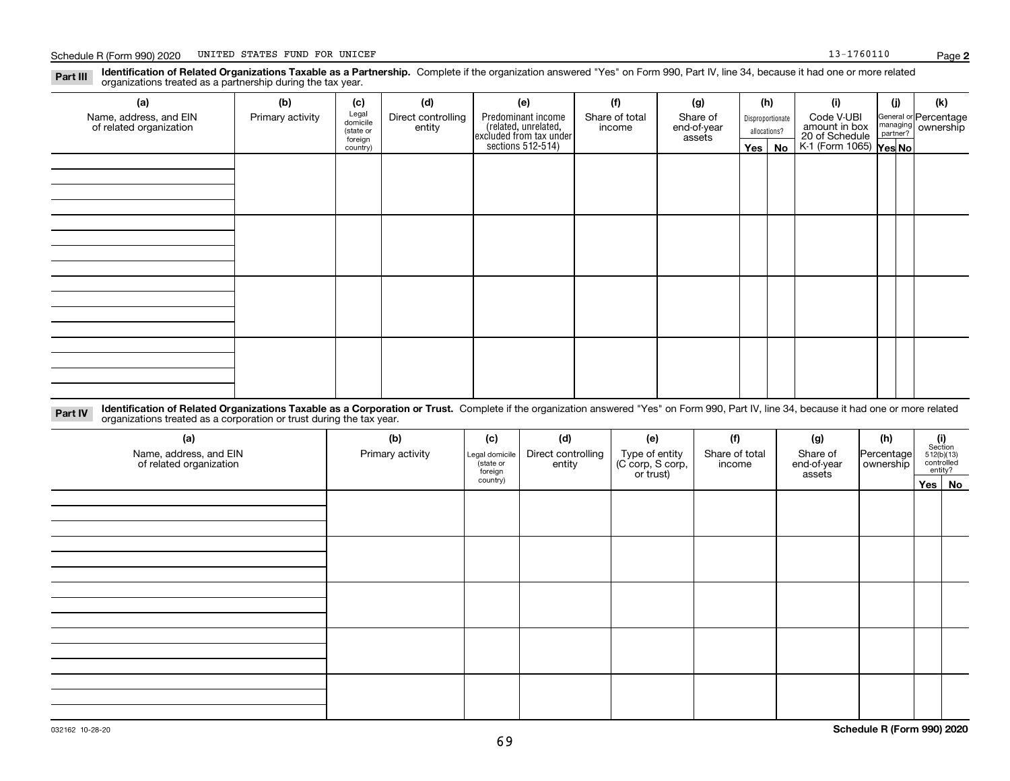**Identification of Related Organizations Taxable as a Partnership.** Complete if the organization answered "Yes" on Form 990, Part IV, line 34, because it had one or more related **Part III** organizations treated as a partnership during the tax year.

| (a)<br>Name, address, and EIN<br>of related organization | (b)<br>Primary activity | (c)<br>Legal<br>domicile<br>(state or<br>foreign<br>country) | (d)<br>Direct controlling<br>entity | (e)<br>Predominant income<br>(related, unrelated,<br>excluded from tax under<br>sections 512-514) | (f)<br>Share of total<br>income | (g)<br>Share of<br>end-of-year<br>assets | (h)<br>$Yes \mid$ | Disproportionate<br>allocations?<br>No | (i)<br>Code V-UBI<br>amount in box<br>20 of Schedule<br>K-1 (Form 1065) <b>Yes No</b> | (j) | (k)<br>General or Percentage<br>managing<br>partner?<br>partner? |
|----------------------------------------------------------|-------------------------|--------------------------------------------------------------|-------------------------------------|---------------------------------------------------------------------------------------------------|---------------------------------|------------------------------------------|-------------------|----------------------------------------|---------------------------------------------------------------------------------------|-----|------------------------------------------------------------------|
|                                                          |                         |                                                              |                                     |                                                                                                   |                                 |                                          |                   |                                        |                                                                                       |     |                                                                  |
|                                                          |                         |                                                              |                                     |                                                                                                   |                                 |                                          |                   |                                        |                                                                                       |     |                                                                  |
|                                                          |                         |                                                              |                                     |                                                                                                   |                                 |                                          |                   |                                        |                                                                                       |     |                                                                  |
|                                                          |                         |                                                              |                                     |                                                                                                   |                                 |                                          |                   |                                        |                                                                                       |     |                                                                  |

**Identification of Related Organizations Taxable as a Corporation or Trust.** Complete if the organization answered "Yes" on Form 990, Part IV, line 34, because it had one or more related **Part IV** organizations treated as a corporation or trust during the tax year.

| (a)<br>Name, address, and EIN<br>of related organization | (b)<br>Primary activity | (c)<br>Legal domicile<br>(state or<br>foreign<br>country) | (d)<br>Direct controlling<br>entity | (e)<br>Type of entity<br>(C corp, S corp,<br>or trust) | (f)<br>Share of total<br>income | (g)<br>Share of<br>end-of-year<br>assets | (h)<br>Percentage<br>ownership | $\begin{array}{c} \textbf{(i)}\\ \text{Section}\\ 512 \text{(b)} \text{(13)}\\ \text{controlled}\\ \text{entity?} \end{array}$<br>Yes No |
|----------------------------------------------------------|-------------------------|-----------------------------------------------------------|-------------------------------------|--------------------------------------------------------|---------------------------------|------------------------------------------|--------------------------------|------------------------------------------------------------------------------------------------------------------------------------------|
|                                                          |                         |                                                           |                                     |                                                        |                                 |                                          |                                |                                                                                                                                          |
|                                                          |                         |                                                           |                                     |                                                        |                                 |                                          |                                |                                                                                                                                          |
|                                                          |                         |                                                           |                                     |                                                        |                                 |                                          |                                |                                                                                                                                          |
|                                                          |                         |                                                           |                                     |                                                        |                                 |                                          |                                |                                                                                                                                          |
|                                                          |                         |                                                           |                                     |                                                        |                                 |                                          |                                |                                                                                                                                          |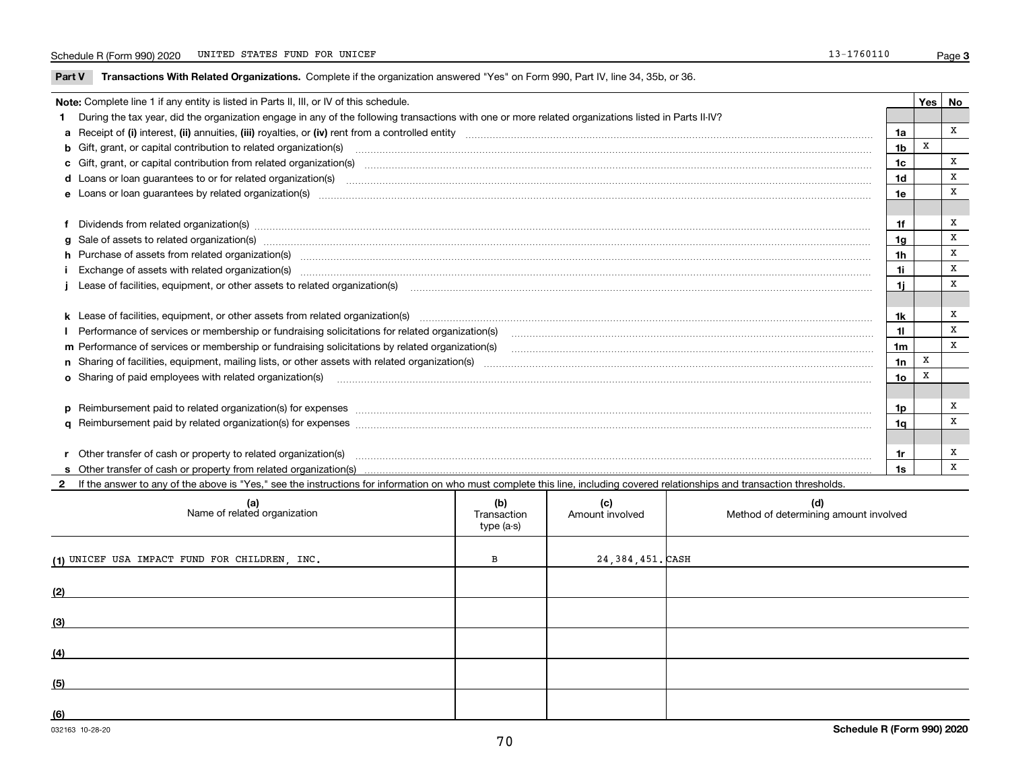**Part V** T**ransactions With Related Organizations.** Complete if the organization answered "Yes" on Form 990, Part IV, line 34, 35b, or 36.

| Note: Complete line 1 if any entity is listed in Parts II, III, or IV of this schedule. |                                                                                                                                                                                                                                |                 |   |              |  |  |
|-----------------------------------------------------------------------------------------|--------------------------------------------------------------------------------------------------------------------------------------------------------------------------------------------------------------------------------|-----------------|---|--------------|--|--|
|                                                                                         | 1 During the tax year, did the organization engage in any of the following transactions with one or more related organizations listed in Parts II-IV?                                                                          |                 |   |              |  |  |
|                                                                                         |                                                                                                                                                                                                                                | 1a              |   | X            |  |  |
|                                                                                         |                                                                                                                                                                                                                                | 1 <sub>b</sub>  | X |              |  |  |
|                                                                                         | c Gift, grant, or capital contribution from related organization(s)                                                                                                                                                            | 1c              |   | x            |  |  |
|                                                                                         | d Loans or loan guarantees to or for related organization(s) committion contains and contains a container and contains a contact the contact of the contact or for related organization(s) committed by contact and contact th | 1d              |   | х            |  |  |
|                                                                                         | e Loans or loan quarantees by related organization(s)                                                                                                                                                                          | 1e              |   | X            |  |  |
|                                                                                         |                                                                                                                                                                                                                                |                 |   |              |  |  |
|                                                                                         | f Dividends from related organization(s) manufactured contains and contained a series of the contact of the contact of the contact of the contact of the contact of the contact of the contact of the contact of the contact o | 1f              |   | X            |  |  |
|                                                                                         | g Sale of assets to related organization(s) www.assettion.com/www.assettion.com/www.assettion.com/www.assettion.com/www.assettion.com/www.assettion.com/www.assettion.com/www.assettion.com/www.assettion.com/www.assettion.co | 1 <sub>g</sub>  |   | x            |  |  |
|                                                                                         | h Purchase of assets from related organization(s) manufactured content to content the content of assets from related organization(s)                                                                                           | 1h              |   | х            |  |  |
|                                                                                         | Exchange of assets with related organization(s) www.communicallycommunicallycommunicallycommunicallycommunicallycommunicallycommunicallycommunicallycommunicallycommunicallycommunicallycommunicallycommunicallycommunicallyco | 1i              |   | X            |  |  |
|                                                                                         |                                                                                                                                                                                                                                | 1i              |   | X            |  |  |
|                                                                                         |                                                                                                                                                                                                                                |                 |   |              |  |  |
|                                                                                         |                                                                                                                                                                                                                                | 1k              |   | х            |  |  |
|                                                                                         | Performance of services or membership or fundraising solicitations for related organization(s)                                                                                                                                 | 11              |   | X            |  |  |
|                                                                                         |                                                                                                                                                                                                                                | 1 <sub>m</sub>  |   | $\mathbf{x}$ |  |  |
|                                                                                         |                                                                                                                                                                                                                                | 1n              | X |              |  |  |
|                                                                                         |                                                                                                                                                                                                                                | 10 <sub>o</sub> | X |              |  |  |
|                                                                                         |                                                                                                                                                                                                                                |                 |   |              |  |  |
|                                                                                         | p Reimbursement paid to related organization(s) for expenses [1111] and the content of the content of the content of the content of the content of the content of the content of the content of the content of the content of  | 1p              |   | x            |  |  |
|                                                                                         |                                                                                                                                                                                                                                | 1a              |   | X            |  |  |
|                                                                                         |                                                                                                                                                                                                                                |                 |   |              |  |  |
|                                                                                         |                                                                                                                                                                                                                                | 1r              |   | Х            |  |  |
|                                                                                         |                                                                                                                                                                                                                                | 1s              |   | x            |  |  |

**2**If the answer to any of the above is "Yes," see the instructions for information on who must complete this line, including covered relationships and transaction thresholds.

| (a)<br>Name of related organization           | (b)<br>Transaction<br>type (a-s) | (c)<br>Amount involved | (d)<br>Method of determining amount involved |
|-----------------------------------------------|----------------------------------|------------------------|----------------------------------------------|
| (1) UNICEF USA IMPACT FUND FOR CHILDREN, INC. | В                                | 24,384,451. CASH       |                                              |
| (2)                                           |                                  |                        |                                              |
| (3)                                           |                                  |                        |                                              |
| (4)                                           |                                  |                        |                                              |
| (5)                                           |                                  |                        |                                              |
| (6)                                           |                                  |                        |                                              |

 $\overline{\phantom{a}}$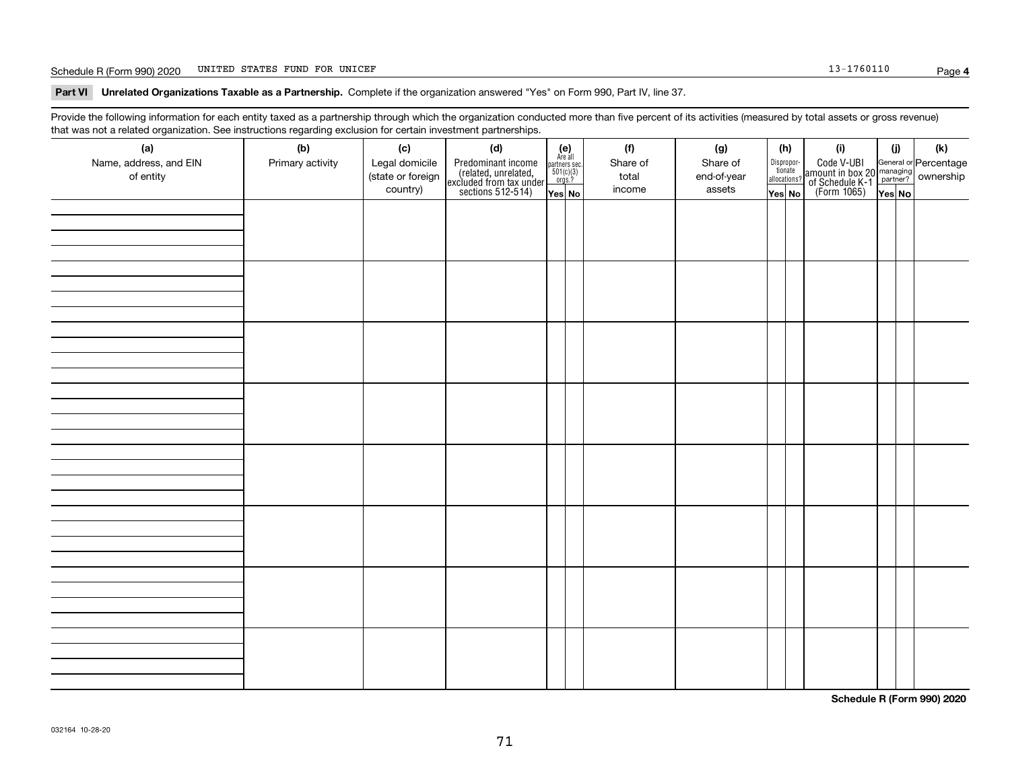#### Schedule R (Form 990) 2020 Page UNITED STATES FUND FOR UNICEF

**Part VI Unrelated Organizations Taxable as a Partnership. Complete if the organization answered "Yes" on Form 990, Part IV, line 37.** 

Provide the following information for each entity taxed as a partnership through which the organization conducted more than five percent of its activities (measured by total assets or gross revenue) that was not a related organization. See instructions regarding exclusion for certain investment partnerships.

| (a)<br>Name, address, and EIN<br>of entity | (b)<br>Primary activity | (c)<br>Legal domicile<br>(state or foreign<br>country) | (d)<br>Predominant income<br>(related, unrelated,<br>excluded from tax under<br>sections 512-514) | $\begin{array}{c} \textbf{(e)}\\ \text{Are all} \\ \text{partners sec.}\\ 501(c)(3)\\ \text{orgs.?} \end{array}$<br>Yes No | (f)<br>Share of<br>total<br>income | (g)<br>Share of<br>end-of-year<br>assets | (h)<br>Dispropor-<br>tionate<br>allocations?<br>Yes No | (i)<br>Code V-UBI<br>amount in box 20 managing<br>of Schedule K-1 partner? ownership<br>(Form 1065)<br>ves No | (i)<br>Yes No | (k) |
|--------------------------------------------|-------------------------|--------------------------------------------------------|---------------------------------------------------------------------------------------------------|----------------------------------------------------------------------------------------------------------------------------|------------------------------------|------------------------------------------|--------------------------------------------------------|---------------------------------------------------------------------------------------------------------------|---------------|-----|
|                                            |                         |                                                        |                                                                                                   |                                                                                                                            |                                    |                                          |                                                        |                                                                                                               |               |     |
|                                            |                         |                                                        |                                                                                                   |                                                                                                                            |                                    |                                          |                                                        |                                                                                                               |               |     |
|                                            |                         |                                                        |                                                                                                   |                                                                                                                            |                                    |                                          |                                                        |                                                                                                               |               |     |
|                                            |                         |                                                        |                                                                                                   |                                                                                                                            |                                    |                                          |                                                        |                                                                                                               |               |     |
|                                            |                         |                                                        |                                                                                                   |                                                                                                                            |                                    |                                          |                                                        |                                                                                                               |               |     |
|                                            |                         |                                                        |                                                                                                   |                                                                                                                            |                                    |                                          |                                                        |                                                                                                               |               |     |
|                                            |                         |                                                        |                                                                                                   |                                                                                                                            |                                    |                                          |                                                        |                                                                                                               |               |     |
|                                            |                         |                                                        |                                                                                                   |                                                                                                                            |                                    |                                          |                                                        |                                                                                                               |               |     |

**Schedule R (Form 990) 2020**